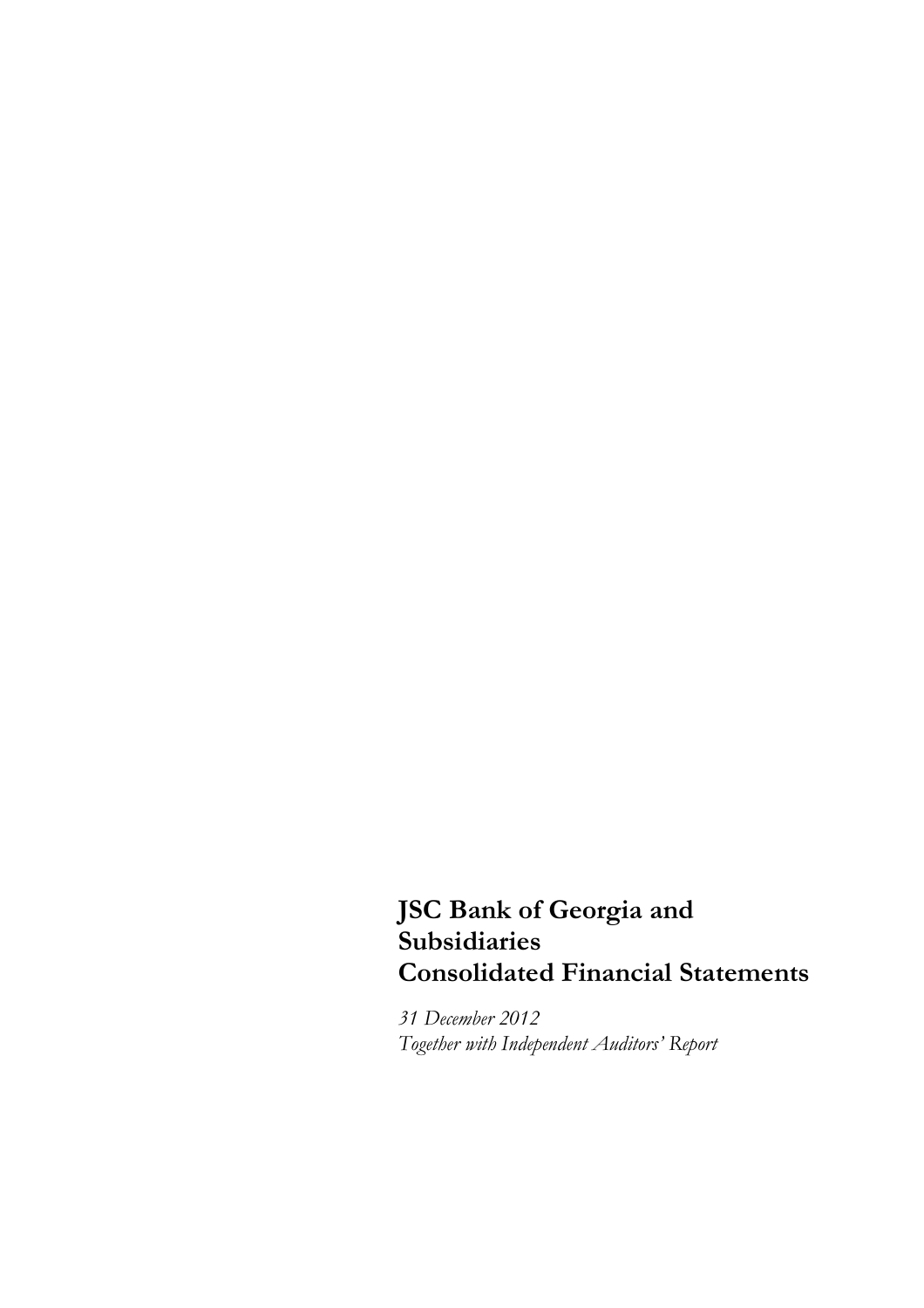# **JSC Bank of Georgia and Subsidiaries Consolidated Financial Statements**

*31 December 2012 Together with Independent Auditors' Report*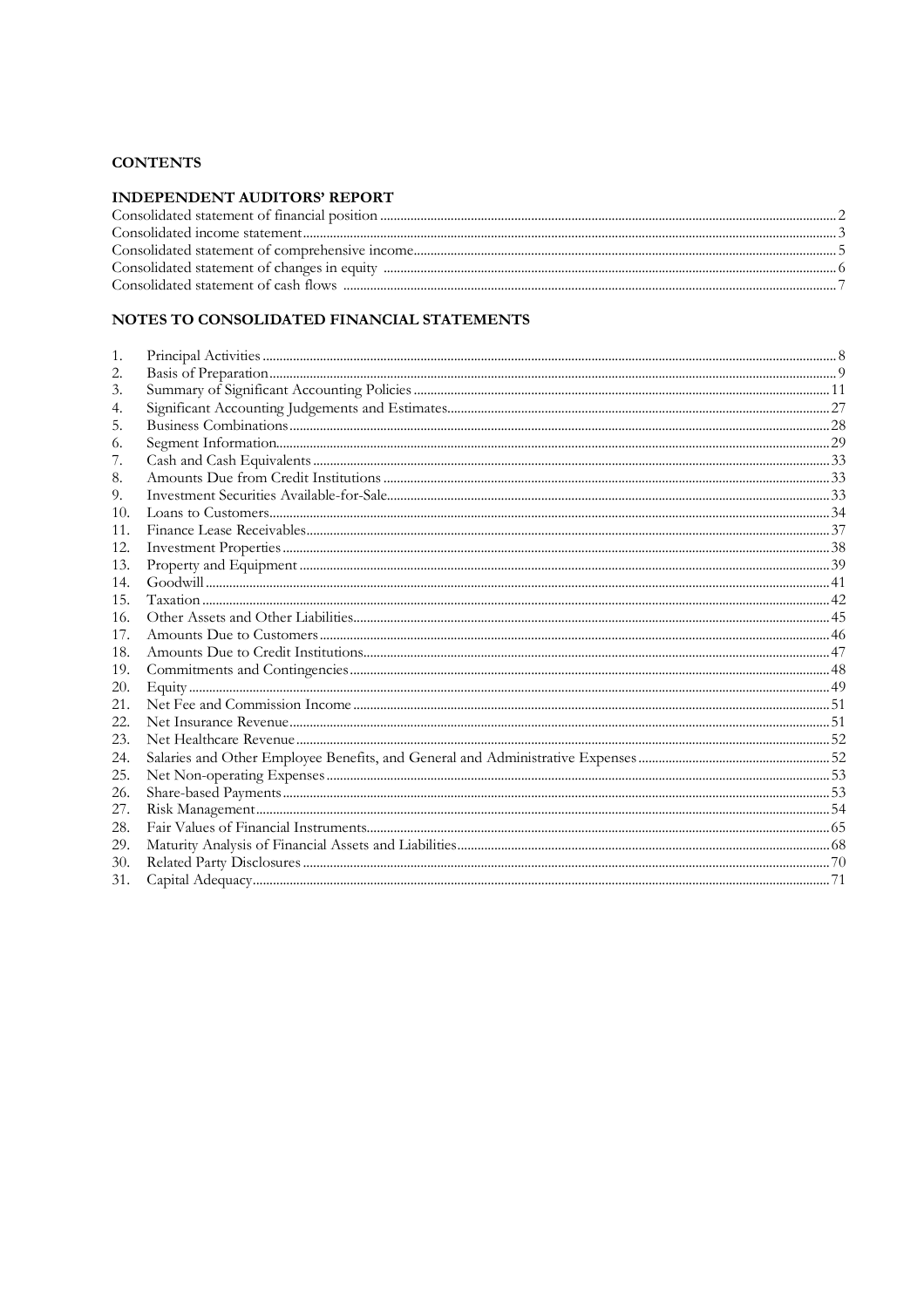# **CONTENTS**

# **INDEPENDENT AUDITORS' REPORT**

# NOTES TO CONSOLIDATED FINANCIAL STATEMENTS

| 1.  |  |
|-----|--|
| 2.  |  |
| 3.  |  |
| 4.  |  |
| 5.  |  |
| 6.  |  |
| 7.  |  |
| 8.  |  |
| 9.  |  |
| 10. |  |
| 11. |  |
| 12. |  |
| 13. |  |
| 14. |  |
| 15. |  |
| 16. |  |
| 17. |  |
| 18. |  |
| 19. |  |
| 20. |  |
| 21. |  |
| 22. |  |
| 23. |  |
| 24. |  |
| 25. |  |
| 26. |  |
| 27. |  |
| 28. |  |
| 29. |  |
| 30. |  |
| 31. |  |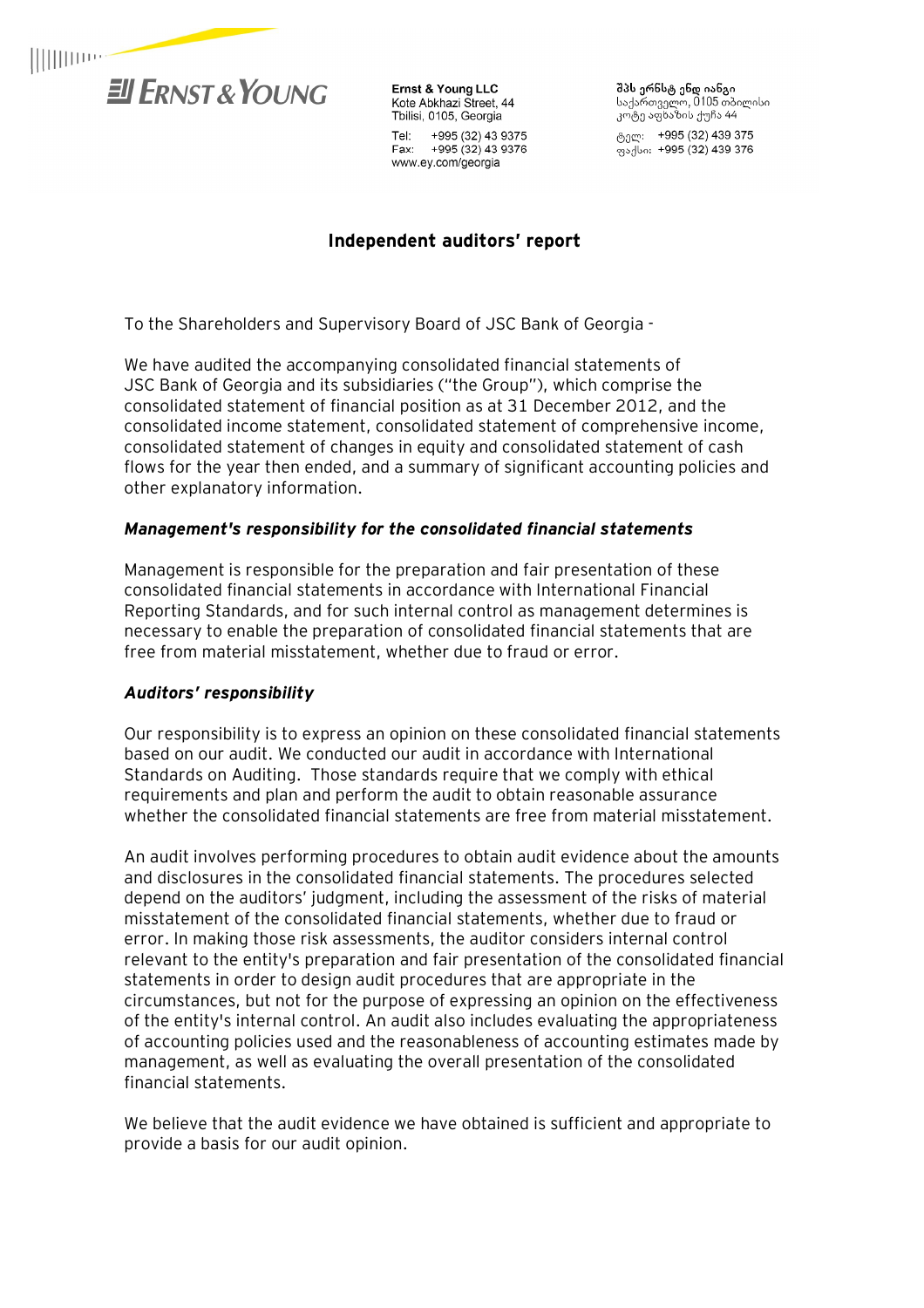

Ernst & Young LLC Kote Abkhazi Street, 44 Tbilisi, 0105, Georgia +995 (32) 43 9375<br>+995 (32) 43 9376 Tel<sup>-</sup> Fax: www.ev.com/georgia

**შპს ერნსტ ენდ იანგი**<br>საქართველო, 0105 თბილისი<br>კოტე აფხაზის ქუჩა 44 ტელ: +995 (32) 439 375 ფაქსი: +995 (32) 439 376

# **Independent auditors' report**

To the Shareholders and Supervisory Board of JSC Bank of Georgia -

We have audited the accompanying consolidated financial statements of JSC Bank of Georgia and its subsidiaries ("the Group"), which comprise the consolidated statement of financial position as at 31 December 2012, and the consolidated income statement, consolidated statement of comprehensive income, consolidated statement of changes in equity and consolidated statement of cash flows for the year then ended, and a summary of significant accounting policies and other explanatory information.

### *Management's responsibility for the consolidated financial statements*

Management is responsible for the preparation and fair presentation of these consolidated financial statements in accordance with International Financial Reporting Standards, and for such internal control as management determines is necessary to enable the preparation of consolidated financial statements that are free from material misstatement, whether due to fraud or error.

### *Auditors' responsibility*

Our responsibility is to express an opinion on these consolidated financial statements based on our audit. We conducted our audit in accordance with International Standards on Auditing. Those standards require that we comply with ethical requirements and plan and perform the audit to obtain reasonable assurance whether the consolidated financial statements are free from material misstatement.

An audit involves performing procedures to obtain audit evidence about the amounts and disclosures in the consolidated financial statements. The procedures selected depend on the auditors' judgment, including the assessment of the risks of material misstatement of the consolidated financial statements, whether due to fraud or error. In making those risk assessments, the auditor considers internal control relevant to the entity's preparation and fair presentation of the consolidated financial statements in order to design audit procedures that are appropriate in the circumstances, but not for the purpose of expressing an opinion on the effectiveness of the entity's internal control. An audit also includes evaluating the appropriateness of accounting policies used and the reasonableness of accounting estimates made by management, as well as evaluating the overall presentation of the consolidated financial statements.

We believe that the audit evidence we have obtained is sufficient and appropriate to provide a basis for our audit opinion.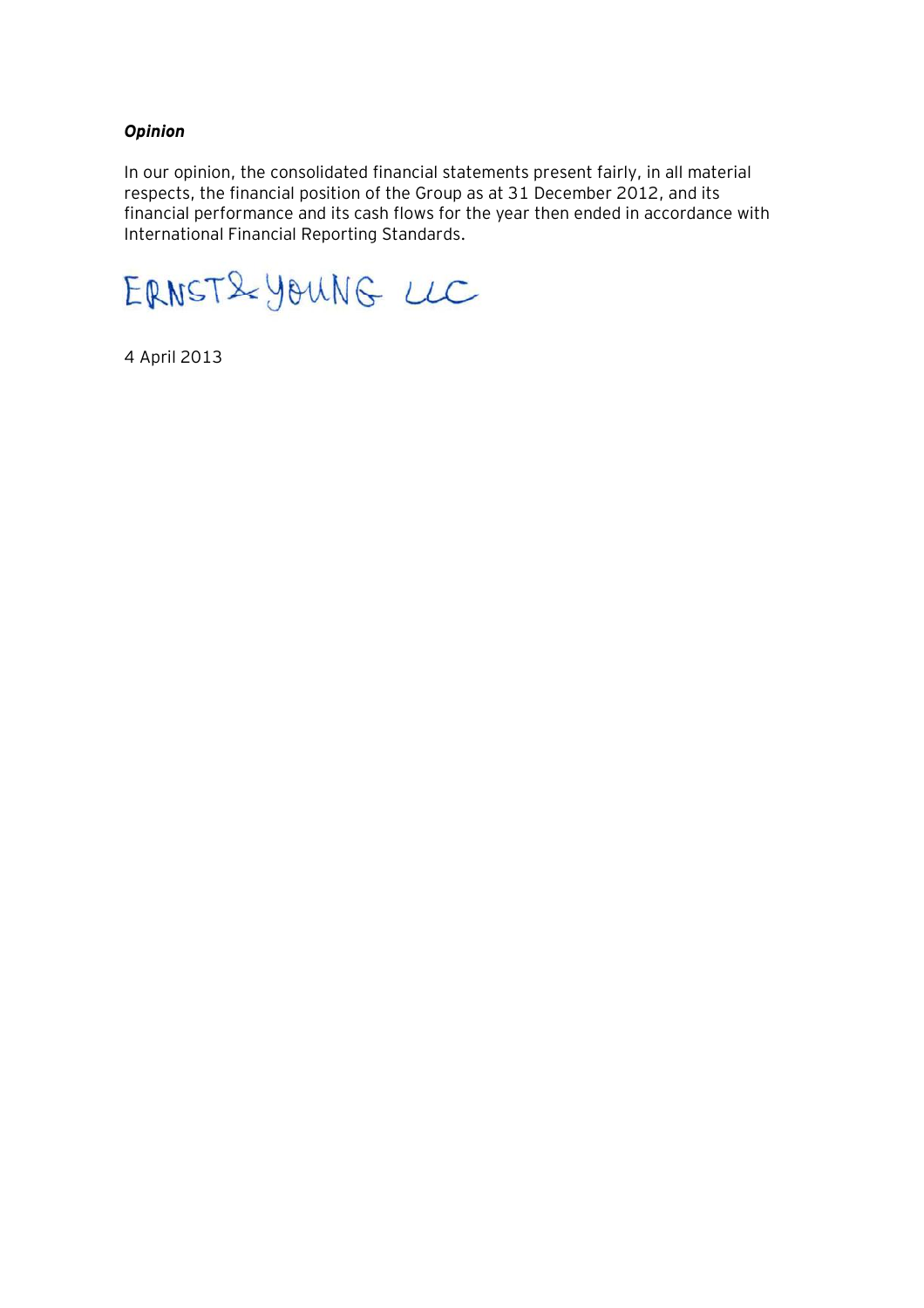# *Opinion*

In our opinion, the consolidated financial statements present fairly, in all material respects, the financial position of the Group as at 31 December 2012, and its financial performance and its cash flows for the year then ended in accordance with International Financial Reporting Standards.

ERNST&YOUNG LLC

4 April 2013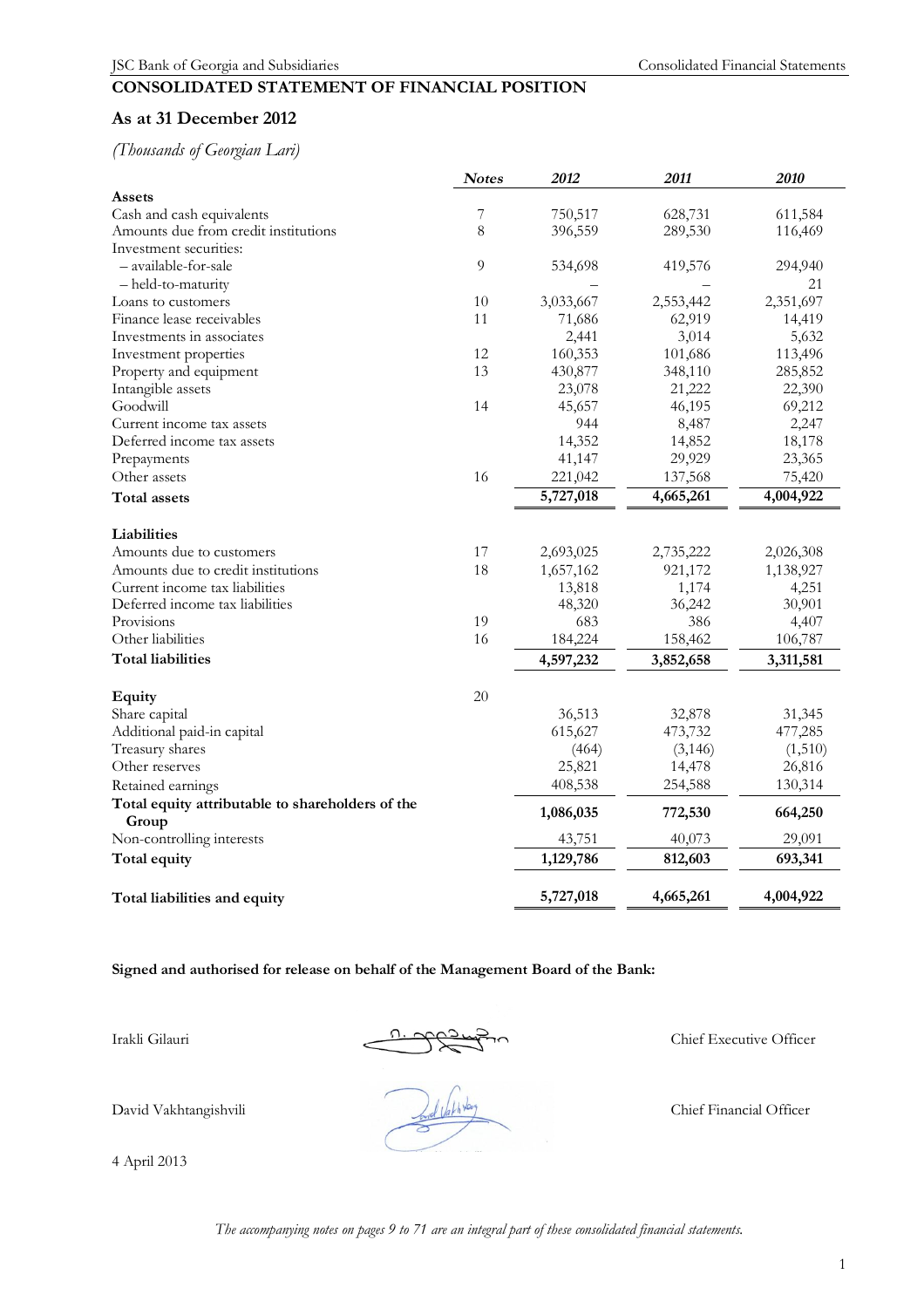# **CONSOLIDATED STATEMENT OF FINANCIAL POSITION**

### **As at 31 December 2012**

# *(Thousands of Georgian Lari)*

|                                                           | <b>Notes</b> | 2012      | 2011      | 2010      |
|-----------------------------------------------------------|--------------|-----------|-----------|-----------|
| Assets                                                    |              |           |           |           |
| Cash and cash equivalents                                 | 7            | 750,517   | 628,731   | 611,584   |
| Amounts due from credit institutions                      | 8            | 396,559   | 289,530   | 116,469   |
| Investment securities:                                    |              |           |           |           |
| - available-for-sale                                      | 9            | 534,698   | 419,576   | 294,940   |
| - held-to-maturity                                        |              |           |           | 21        |
| Loans to customers                                        | 10           | 3,033,667 | 2,553,442 | 2,351,697 |
| Finance lease receivables                                 | 11           | 71,686    | 62,919    | 14,419    |
| Investments in associates                                 |              | 2,441     | 3,014     | 5,632     |
| Investment properties                                     | 12           | 160,353   | 101,686   | 113,496   |
| Property and equipment                                    | 13           | 430,877   | 348,110   | 285,852   |
| Intangible assets                                         |              | 23,078    | 21,222    | 22,390    |
| Goodwill                                                  | 14           | 45,657    | 46,195    | 69,212    |
| Current income tax assets                                 |              | 944       | 8,487     | 2,247     |
| Deferred income tax assets                                |              | 14,352    | 14,852    | 18,178    |
| Prepayments                                               |              | 41,147    | 29,929    | 23,365    |
| Other assets                                              | 16           | 221,042   | 137,568   | 75,420    |
| Total assets                                              |              | 5,727,018 | 4,665,261 | 4,004,922 |
| Liabilities                                               |              |           |           |           |
| Amounts due to customers                                  | 17           | 2,693,025 | 2,735,222 | 2,026,308 |
| Amounts due to credit institutions                        | 18           | 1,657,162 | 921,172   | 1,138,927 |
| Current income tax liabilities                            |              | 13,818    | 1,174     | 4,251     |
| Deferred income tax liabilities                           |              | 48,320    | 36,242    | 30,901    |
| Provisions                                                | 19           | 683       | 386       | 4,407     |
| Other liabilities                                         | 16           | 184,224   | 158,462   | 106,787   |
| <b>Total liabilities</b>                                  |              | 4,597,232 | 3,852,658 | 3,311,581 |
| Equity                                                    | 20           |           |           |           |
| Share capital                                             |              | 36,513    | 32,878    | 31,345    |
| Additional paid-in capital                                |              | 615,627   | 473,732   | 477,285   |
| Treasury shares                                           |              | (464)     | (3, 146)  | (1,510)   |
| Other reserves                                            |              | 25,821    | 14,478    | 26,816    |
|                                                           |              | 408,538   | 254,588   | 130,314   |
| Retained earnings                                         |              |           |           |           |
| Total equity attributable to shareholders of the<br>Group |              | 1,086,035 | 772,530   | 664,250   |
| Non-controlling interests                                 |              | 43,751    | 40,073    | 29,091    |
| Total equity                                              |              | 1,129,786 | 812,603   | 693,341   |
| Total liabilities and equity                              |              | 5,727,018 | 4,665,261 | 4,004,922 |

**Signed and authorised for release on behalf of the Management Board of the Bank:** 

Irakli Gilauri Chief Executive Officer

4 April 2013

David Vakhtangishvili Chief Financial Officer<br>David Vakhtangishvili Chief Financial Officer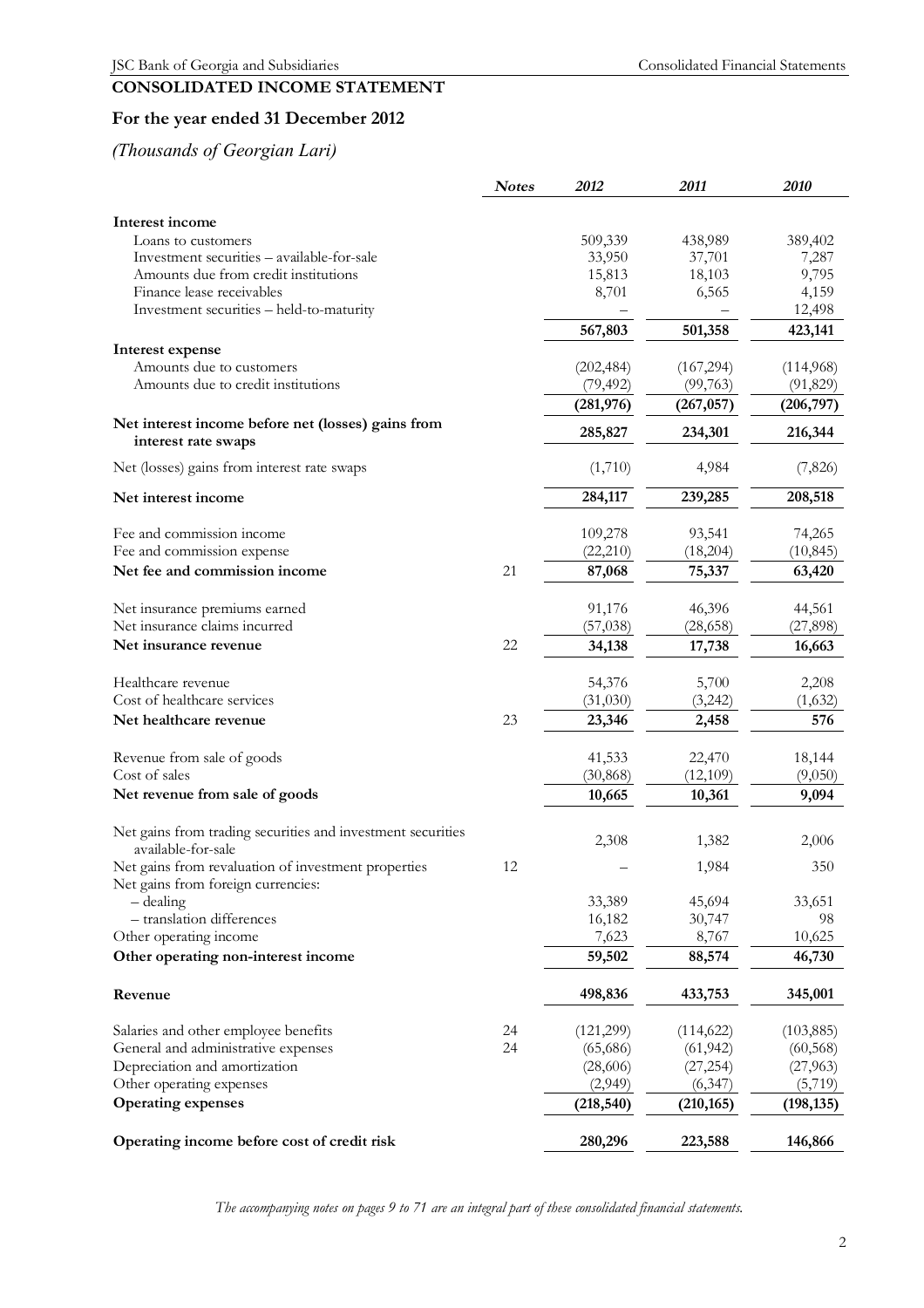# **CONSOLIDATED INCOME STATEMENT**

# **For the year ended 31 December 2012**

# *(Thousands of Georgian Lari)*

|                                                                                           | <b>Notes</b> | 2012              | 2011               | 2010                |
|-------------------------------------------------------------------------------------------|--------------|-------------------|--------------------|---------------------|
|                                                                                           |              |                   |                    |                     |
| Interest income                                                                           |              |                   |                    |                     |
| Loans to customers<br>Investment securities - available-for-sale                          |              | 509,339<br>33,950 | 438,989<br>37,701  | 389,402<br>7,287    |
| Amounts due from credit institutions                                                      |              | 15,813            | 18,103             | 9,795               |
| Finance lease receivables                                                                 |              | 8,701             | 6,565              | 4,159               |
| Investment securities - held-to-maturity                                                  |              |                   |                    | 12,498              |
|                                                                                           |              | 567,803           | 501,358            | 423,141             |
| Interest expense                                                                          |              |                   |                    |                     |
| Amounts due to customers                                                                  |              | (202, 484)        | (167, 294)         | (114,968)           |
| Amounts due to credit institutions                                                        |              | (79, 492)         | (99, 763)          | (91, 829)           |
|                                                                                           |              | (281, 976)        | (267, 057)         | (206, 797)          |
| Net interest income before net (losses) gains from                                        |              | 285,827           | 234,301            | 216,344             |
| interest rate swaps                                                                       |              |                   |                    |                     |
| Net (losses) gains from interest rate swaps                                               |              | (1,710)           | 4,984              | (7,826)             |
| Net interest income                                                                       |              | 284,117           | 239,285            | 208,518             |
|                                                                                           |              | 109,278           |                    |                     |
| Fee and commission income<br>Fee and commission expense                                   |              | (22, 210)         | 93,541<br>(18,204) | 74,265<br>(10, 845) |
| Net fee and commission income                                                             | 21           | 87,068            | 75,337             | 63,420              |
|                                                                                           |              |                   |                    |                     |
| Net insurance premiums earned                                                             |              | 91,176            | 46,396             | 44,561              |
| Net insurance claims incurred                                                             |              | (57,038)          | (28, 658)          | (27,898)            |
| Net insurance revenue                                                                     | 22           | 34,138            | 17,738             | 16,663              |
|                                                                                           |              |                   |                    |                     |
| Healthcare revenue                                                                        |              | 54,376            | 5,700              | 2,208               |
| Cost of healthcare services                                                               |              | (31,030)          | (3,242)            | (1,632)             |
| Net healthcare revenue                                                                    | 23           | 23,346            | 2,458              | 576                 |
| Revenue from sale of goods                                                                |              | 41,533            | 22,470             | 18,144              |
| Cost of sales                                                                             |              | (30, 868)         | (12,109)           | (9,050)             |
| Net revenue from sale of goods                                                            |              | 10,665            | 10,361             | 9,094               |
| Net gains from trading securities and investment securities                               |              | 2,308             | 1,382              | 2,006               |
| available-for-sale                                                                        |              |                   |                    |                     |
| Net gains from revaluation of investment properties<br>Net gains from foreign currencies: | 12           |                   | 1,984              | 350                 |
| $-\$ dealing                                                                              |              | 33,389            | 45,694             | 33,651              |
| - translation differences                                                                 |              | 16,182            | 30,747             | 98                  |
| Other operating income                                                                    |              | 7,623             | 8,767              | 10,625              |
| Other operating non-interest income                                                       |              | 59,502            | 88,574             | 46,730              |
|                                                                                           |              |                   |                    |                     |
| Revenue                                                                                   |              | 498,836           | 433,753            | 345,001             |
| Salaries and other employee benefits                                                      | 24           | (121, 299)        | (114, 622)         | (103, 885)          |
| General and administrative expenses                                                       | 24           | (65,686)          | (61, 942)          | (60, 568)           |
| Depreciation and amortization                                                             |              | (28,606)          | (27, 254)          | (27, 963)           |
| Other operating expenses                                                                  |              | (2,949)           | (6,347)            | (5,719)             |
| <b>Operating expenses</b>                                                                 |              | (218, 540)        | (210, 165)         | (198, 135)          |
| Operating income before cost of credit risk                                               |              | 280,296           | 223,588            | 146,866             |

*The accompanying notes on pages 9 to 71 are an integral part of these consolidated financial statements.*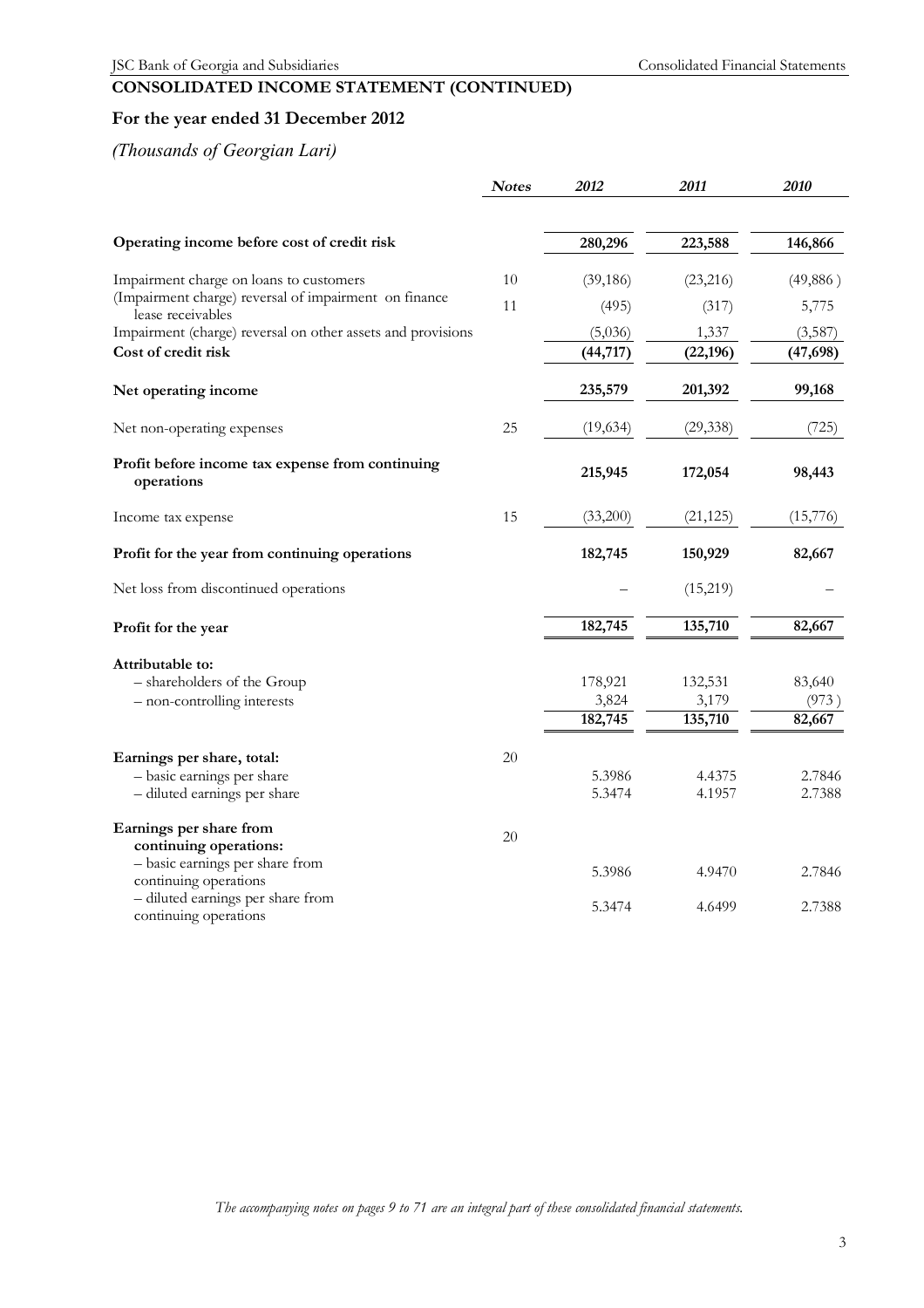# **CONSOLIDATED INCOME STATEMENT (CONTINUED)**

# **For the year ended 31 December 2012**

# *(Thousands of Georgian Lari)*

|                                                                            | <b>Notes</b> | 2012      | 2011      | 2010      |
|----------------------------------------------------------------------------|--------------|-----------|-----------|-----------|
|                                                                            |              |           |           |           |
| Operating income before cost of credit risk                                |              | 280,296   | 223,588   | 146,866   |
| Impairment charge on loans to customers                                    | 10           | (39, 186) | (23, 216) | (49,886)  |
| (Impairment charge) reversal of impairment on finance<br>lease receivables | 11           | (495)     | (317)     | 5,775     |
| Impairment (charge) reversal on other assets and provisions                |              | (5,036)   | 1,337     | (3,587)   |
| Cost of credit risk                                                        |              | (44, 717) | (22, 196) | (47, 698) |
| Net operating income                                                       |              | 235,579   | 201,392   | 99,168    |
| Net non-operating expenses                                                 | 25           | (19, 634) | (29, 338) | (725)     |
| Profit before income tax expense from continuing<br>operations             |              | 215,945   | 172,054   | 98,443    |
| Income tax expense                                                         | 15           | (33,200)  | (21, 125) | (15,776)  |
| Profit for the year from continuing operations                             |              | 182,745   | 150,929   | 82,667    |
| Net loss from discontinued operations                                      |              |           | (15,219)  |           |
| Profit for the year                                                        |              | 182,745   | 135,710   | 82,667    |
| Attributable to:                                                           |              |           |           |           |
| - shareholders of the Group                                                |              | 178,921   | 132,531   | 83,640    |
| - non-controlling interests                                                |              | 3,824     | 3,179     | (973)     |
|                                                                            |              | 182,745   | 135,710   | 82,667    |
| Earnings per share, total:                                                 | 20           |           |           |           |
| - basic earnings per share                                                 |              | 5.3986    | 4.4375    | 2.7846    |
| - diluted earnings per share                                               |              | 5.3474    | 4.1957    | 2.7388    |
| Earnings per share from<br>continuing operations:                          | 20           |           |           |           |
| - basic earnings per share from<br>continuing operations                   |              | 5.3986    | 4.9470    | 2.7846    |
| - diluted earnings per share from<br>continuing operations                 |              | 5.3474    | 4.6499    | 2.7388    |

*The accompanying notes on pages 9 to 71 are an integral part of these consolidated financial statements.*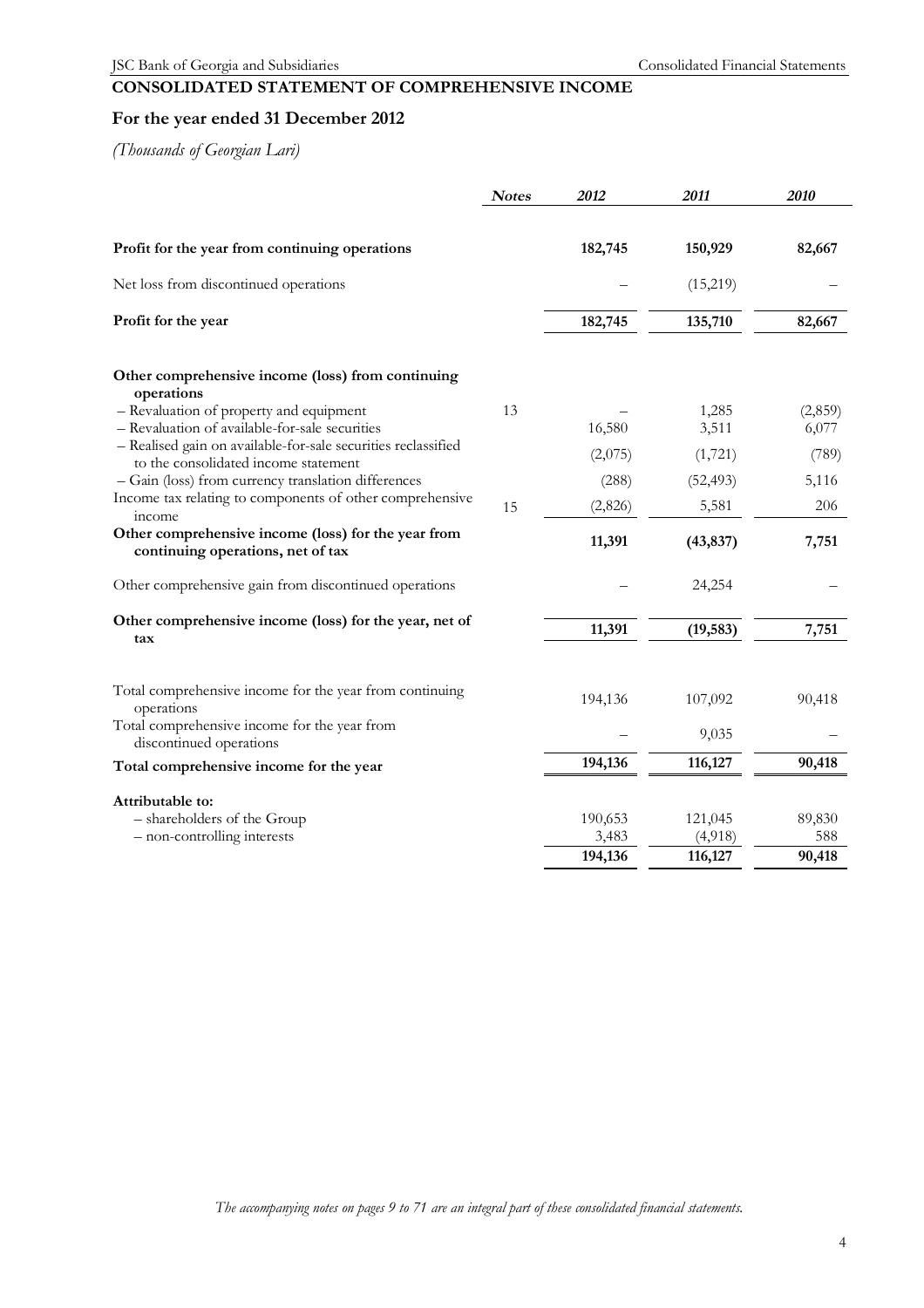# **CONSOLIDATED STATEMENT OF COMPREHENSIVE INCOME**

# **For the year ended 31 December 2012**

|                                                                                                       | <b>Notes</b> | 2012             | 2011               | 2010             |
|-------------------------------------------------------------------------------------------------------|--------------|------------------|--------------------|------------------|
| Profit for the year from continuing operations                                                        |              | 182,745          | 150,929            | 82,667           |
| Net loss from discontinued operations                                                                 |              |                  | (15,219)           |                  |
| Profit for the year                                                                                   |              | 182,745          | 135,710            | 82,667           |
| Other comprehensive income (loss) from continuing<br>operations                                       |              |                  |                    |                  |
| - Revaluation of property and equipment<br>- Revaluation of available-for-sale securities             | 13           | 16,580           | 1,285<br>3,511     | (2,859)<br>6,077 |
| - Realised gain on available-for-sale securities reclassified<br>to the consolidated income statement |              | (2,075)          | (1, 721)           | (789)            |
| - Gain (loss) from currency translation differences                                                   |              | (288)            | (52, 493)          | 5,116            |
| Income tax relating to components of other comprehensive<br>income                                    | 15           | (2,826)          | 5,581              | 206              |
| Other comprehensive income (loss) for the year from<br>continuing operations, net of tax              |              | 11,391           | (43, 837)          | 7,751            |
| Other comprehensive gain from discontinued operations                                                 |              |                  | 24,254             |                  |
| Other comprehensive income (loss) for the year, net of<br>tax                                         |              | 11,391           | (19, 583)          | 7,751            |
| Total comprehensive income for the year from continuing<br>operations                                 |              | 194,136          | 107,092            | 90,418           |
| Total comprehensive income for the year from<br>discontinued operations                               |              |                  | 9,035              |                  |
| Total comprehensive income for the year                                                               |              | 194,136          | 116,127            | 90,418           |
| Attributable to:<br>- shareholders of the Group                                                       |              | 190,653          | 121,045            | 89,830           |
| - non-controlling interests                                                                           |              | 3,483<br>194,136 | (4,918)<br>116,127 | 588<br>90,418    |
|                                                                                                       |              |                  |                    |                  |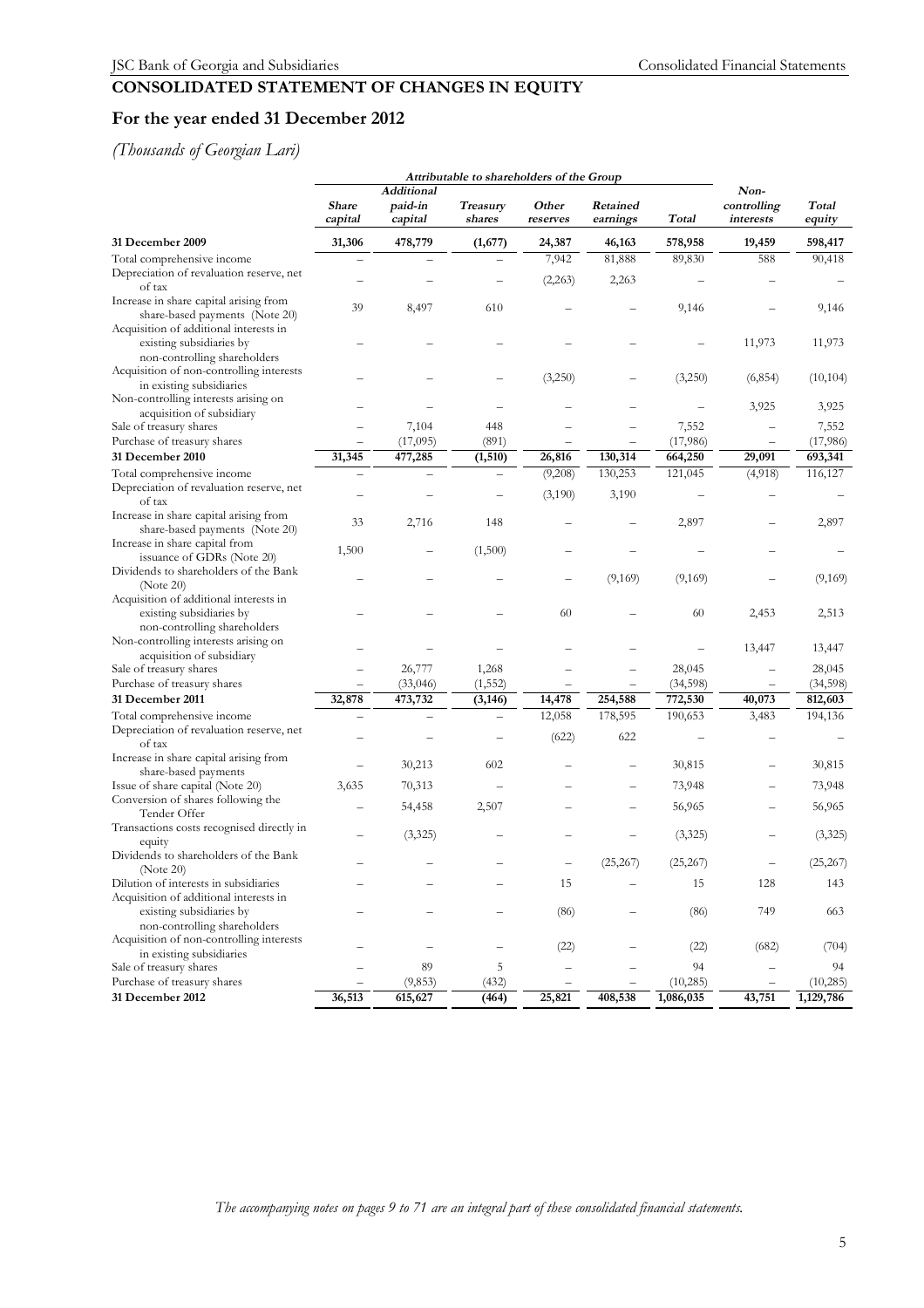# **CONSOLIDATED STATEMENT OF CHANGES IN EQUITY**

# **For the year ended 31 December 2012**

|                                                                                                                    | Attributable to shareholders of the Group |                                         |                           |                   |                          |           |                                  |                 |
|--------------------------------------------------------------------------------------------------------------------|-------------------------------------------|-----------------------------------------|---------------------------|-------------------|--------------------------|-----------|----------------------------------|-----------------|
|                                                                                                                    | <b>Share</b><br>capital                   | <b>Additional</b><br>paid-in<br>capital | <b>Treasury</b><br>shares | Other<br>reserves | Retained<br>earnings     | Total     | Non-<br>controlling<br>interests | Total<br>equity |
| 31 December 2009                                                                                                   | 31,306                                    | 478,779                                 | (1,677)                   | 24,387            | 46,163                   | 578,958   | 19,459                           | 598,417         |
| Total comprehensive income                                                                                         |                                           |                                         |                           | 7,942             | 81,888                   | 89,830    | 588                              | 90,418          |
| Depreciation of revaluation reserve, net<br>of tax                                                                 |                                           |                                         |                           | (2,263)           | 2,263                    |           |                                  |                 |
| Increase in share capital arising from<br>share-based payments (Note 20)<br>Acquisition of additional interests in | 39                                        | 8,497                                   | 610                       |                   |                          | 9,146     |                                  | 9,146           |
| existing subsidiaries by<br>non-controlling shareholders                                                           |                                           |                                         |                           |                   |                          |           | 11,973                           | 11,973          |
| Acquisition of non-controlling interests<br>in existing subsidiaries                                               |                                           |                                         |                           | (3,250)           |                          | (3,250)   | (6,854)                          | (10, 104)       |
| Non-controlling interests arising on<br>acquisition of subsidiary                                                  |                                           |                                         |                           |                   |                          |           | 3,925                            | 3,925           |
| Sale of treasury shares                                                                                            |                                           | 7,104                                   | 448                       |                   |                          | 7,552     |                                  | 7,552           |
| Purchase of treasury shares                                                                                        |                                           | (17,095)                                | (891)                     |                   |                          | (17,986)  | $\overline{\phantom{0}}$         | (17,986)        |
| 31 December 2010                                                                                                   | 31,345                                    | 477,285                                 | (1, 510)                  | 26,816            | 130,314                  | 664,250   | 29,091                           | 693,341         |
| Total comprehensive income                                                                                         | $\equiv$                                  | $\overline{\phantom{0}}$                | $\equiv$                  | (9,208)           | 130,253                  | 121,045   | (4,918)                          | 116,127         |
| Depreciation of revaluation reserve, net<br>of tax                                                                 |                                           |                                         |                           | (3,190)           | 3,190                    |           |                                  |                 |
| Increase in share capital arising from<br>share-based payments (Note 20)                                           | 33                                        | 2,716                                   | 148                       |                   |                          | 2,897     |                                  | 2,897           |
| Increase in share capital from<br>issuance of GDRs (Note 20)                                                       | 1,500                                     |                                         | (1,500)                   |                   |                          |           |                                  |                 |
| Dividends to shareholders of the Bank<br>(Note 20)                                                                 |                                           |                                         |                           |                   | (9,169)                  | (9,169)   |                                  | (9,169)         |
| Acquisition of additional interests in<br>existing subsidiaries by<br>non-controlling shareholders                 |                                           |                                         |                           | 60                |                          | 60        | 2,453                            | 2,513           |
| Non-controlling interests arising on<br>acquisition of subsidiary                                                  |                                           |                                         |                           |                   |                          |           | 13,447                           | 13,447          |
| Sale of treasury shares                                                                                            |                                           | 26,777                                  | 1,268                     |                   |                          | 28,045    |                                  | 28,045          |
| Purchase of treasury shares                                                                                        |                                           | (33, 046)                               | (1, 552)                  |                   | $\overline{\phantom{0}}$ | (34, 598) |                                  | (34, 598)       |
| 31 December 2011                                                                                                   | 32,878                                    | 473,732                                 | (3, 146)                  | 14,478            | 254,588                  | 772,530   | 40,073                           | 812,603         |
| Total comprehensive income<br>Depreciation of revaluation reserve, net                                             | L,                                        | L.                                      | $\equiv$                  | 12,058<br>(622)   | 178,595<br>622           | 190,653   | 3,483                            | 194,136         |
| of tax<br>Increase in share capital arising from<br>share-based payments                                           |                                           | 30,213                                  | 602                       |                   |                          | 30,815    |                                  | 30,815          |
| Issue of share capital (Note 20)                                                                                   | 3,635                                     | 70,313                                  |                           |                   |                          | 73,948    |                                  | 73,948          |
| Conversion of shares following the<br>Tender Offer                                                                 |                                           | 54,458                                  | 2,507                     |                   |                          | 56,965    |                                  | 56,965          |
| Transactions costs recognised directly in<br>equity                                                                |                                           | (3,325)                                 |                           |                   |                          | (3,325)   |                                  | (3,325)         |
| Dividends to shareholders of the Bank<br>(Note 20)                                                                 |                                           |                                         |                           |                   | (25, 267)                | (25, 267) |                                  | (25, 267)       |
| Dilution of interests in subsidiaries                                                                              |                                           |                                         |                           | 15                |                          | 15        | 128                              | 143             |
| Acquisition of additional interests in<br>existing subsidiaries by<br>non-controlling shareholders                 |                                           |                                         |                           | (86)              |                          | (86)      | 749                              | 663             |
| Acquisition of non-controlling interests<br>in existing subsidiaries                                               |                                           |                                         |                           | (22)              |                          | (22)      | (682)                            | (704)           |
| Sale of treasury shares                                                                                            |                                           | 89                                      | 5                         |                   |                          | 94        |                                  | 94              |
| Purchase of treasury shares                                                                                        |                                           | (9,853)                                 | (432)                     |                   |                          | (10, 285) |                                  | (10, 285)       |
| 31 December 2012                                                                                                   | 36,513                                    | 615,627                                 | (464)                     | 25,821            | 408,538                  | 1,086,035 | 43,751                           | 1,129,786       |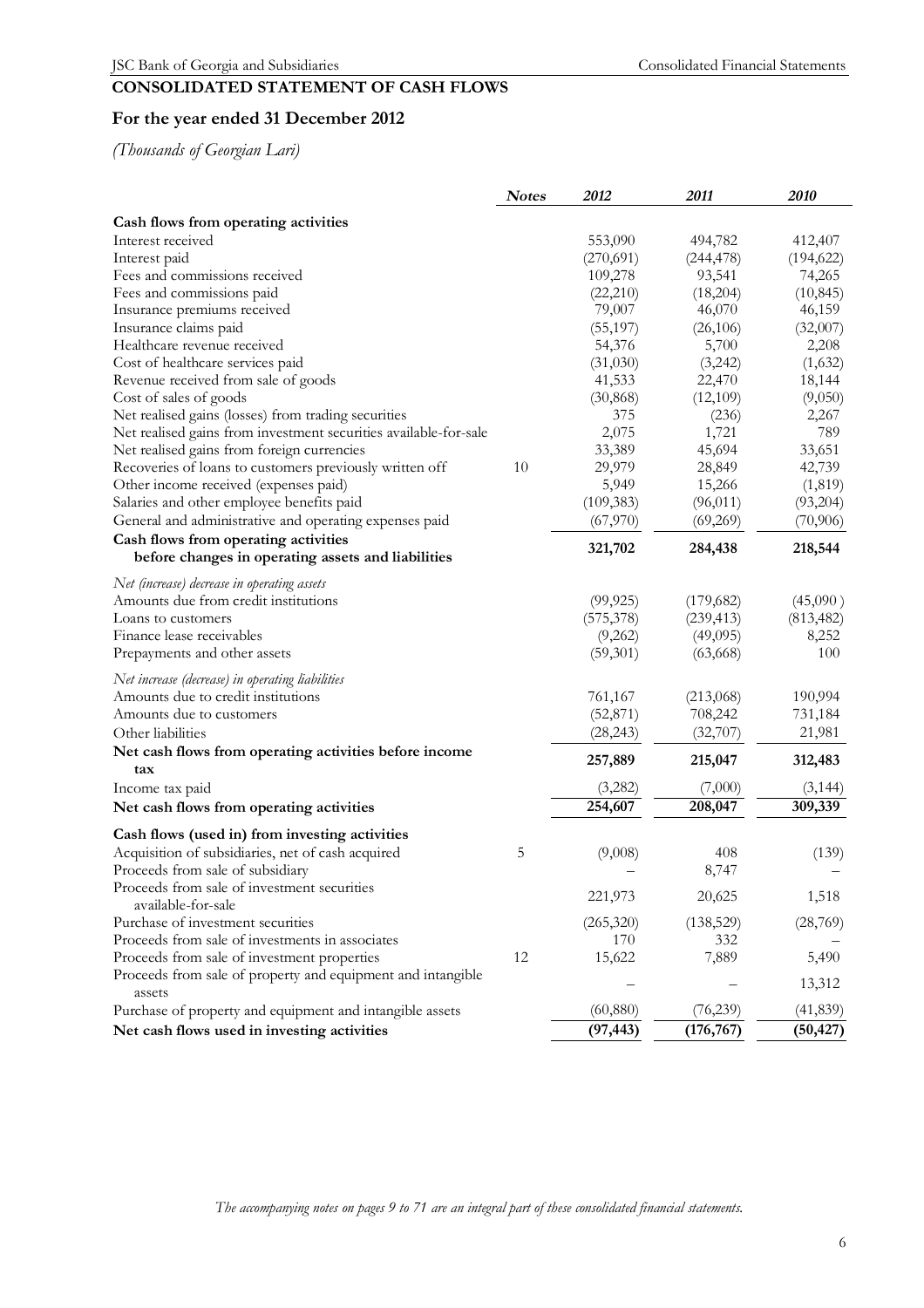# **CONSOLIDATED STATEMENT OF CASH FLOWS**

# **For the year ended 31 December 2012**

|                                                                  | <b>Notes</b> | 2012       | 2011       | 2010       |
|------------------------------------------------------------------|--------------|------------|------------|------------|
| Cash flows from operating activities                             |              |            |            |            |
| Interest received                                                |              | 553,090    | 494,782    | 412,407    |
| Interest paid                                                    |              | (270, 691) | (244, 478) | (194, 622) |
| Fees and commissions received                                    |              | 109,278    | 93,541     | 74,265     |
| Fees and commissions paid                                        |              | (22, 210)  | (18,204)   | (10, 845)  |
| Insurance premiums received                                      |              | 79,007     | 46,070     | 46,159     |
| Insurance claims paid                                            |              | (55, 197)  | (26, 106)  | (32,007)   |
| Healthcare revenue received                                      |              | 54,376     | 5,700      | 2,208      |
| Cost of healthcare services paid                                 |              | (31,030)   | (3,242)    | (1,632)    |
| Revenue received from sale of goods                              |              | 41,533     | 22,470     | 18,144     |
| Cost of sales of goods                                           |              | (30, 868)  | (12,109)   | (9,050)    |
| Net realised gains (losses) from trading securities              |              | 375        | (236)      | 2,267      |
| Net realised gains from investment securities available-for-sale |              | 2,075      | 1,721      | 789        |
| Net realised gains from foreign currencies                       |              | 33,389     | 45,694     | 33,651     |
| Recoveries of loans to customers previously written off          | 10           | 29,979     | 28,849     | 42,739     |
| Other income received (expenses paid)                            |              | 5,949      | 15,266     | (1, 819)   |
| Salaries and other employee benefits paid                        |              | (109, 383) | (96, 011)  | (93,204)   |
| General and administrative and operating expenses paid           |              | (67,970)   | (69,269)   | (70,906)   |
| Cash flows from operating activities                             |              | 321,702    |            |            |
| before changes in operating assets and liabilities               |              |            | 284,438    | 218,544    |
| Net (increase) decrease in operating assets                      |              |            |            |            |
| Amounts due from credit institutions                             |              | (99, 925)  | (179, 682) | (45,090)   |
| Loans to customers                                               |              | (575, 378) | (239, 413) | (813, 482) |
| Finance lease receivables                                        |              | (9,262)    | (49,095)   | 8,252      |
| Prepayments and other assets                                     |              | (59, 301)  | (63, 668)  | 100        |
| Net increase (decrease) in operating liabilities                 |              |            |            |            |
| Amounts due to credit institutions                               |              | 761,167    | (213,068)  | 190,994    |
| Amounts due to customers                                         |              | (52, 871)  | 708,242    | 731,184    |
| Other liabilities                                                |              | (28, 243)  | (32,707)   | 21,981     |
| Net cash flows from operating activities before income           |              |            |            |            |
| tax                                                              |              | 257,889    | 215,047    | 312,483    |
| Income tax paid                                                  |              | (3,282)    | (7,000)    | (3, 144)   |
| Net cash flows from operating activities                         |              | 254,607    | 208,047    | 309,339    |
| Cash flows (used in) from investing activities                   |              |            |            |            |
| Acquisition of subsidiaries, net of cash acquired                | 5            | (9,008)    | 408        | (139)      |
| Proceeds from sale of subsidiary                                 |              |            | 8,747      |            |
| Proceeds from sale of investment securities                      |              |            |            |            |
| available-for-sale                                               |              | 221,973    | 20,625     | 1,518      |
| Purchase of investment securities                                |              | (265,320)  | (138, 529) | (28, 769)  |
| Proceeds from sale of investments in associates                  |              | 170        | 332        |            |
| Proceeds from sale of investment properties                      | 12           | 15,622     | 7,889      | 5,490      |
| Proceeds from sale of property and equipment and intangible      |              |            |            |            |
| assets                                                           |              |            |            | 13,312     |
| Purchase of property and equipment and intangible assets         |              | (60, 880)  | (76, 239)  | (41, 839)  |
| Net cash flows used in investing activities                      |              | (97, 443)  | (176, 767) | (50, 427)  |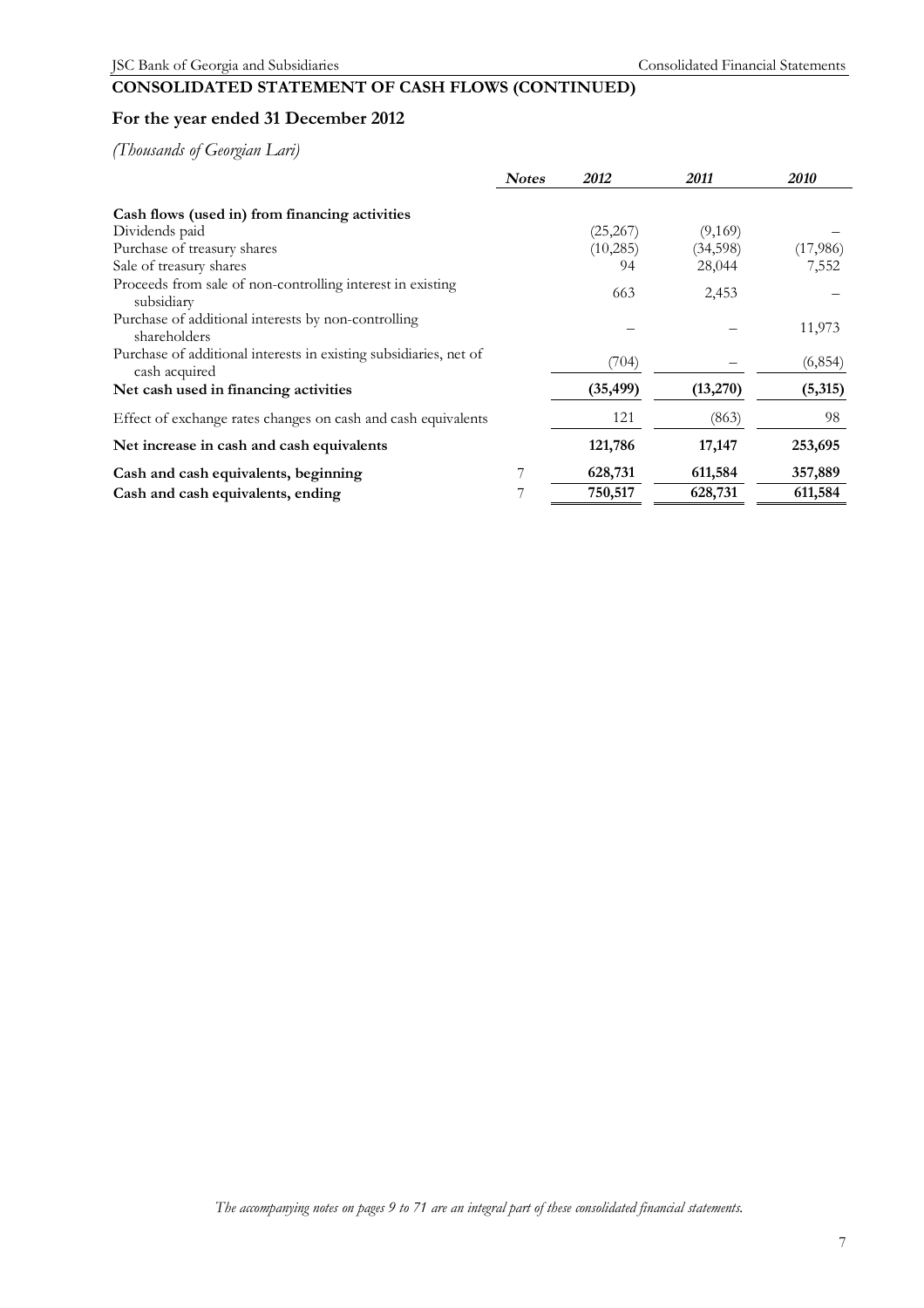# **CONSOLIDATED STATEMENT OF CASH FLOWS (CONTINUED)**

# **For the year ended 31 December 2012**

|                                                                                    | <b>Notes</b> | 2012      | 2011     | 2010     |
|------------------------------------------------------------------------------------|--------------|-----------|----------|----------|
| Cash flows (used in) from financing activities                                     |              |           |          |          |
| Dividends paid                                                                     |              | (25,267)  | (9,169)  |          |
| Purchase of treasury shares                                                        |              | (10, 285) | (34,598) | (17,986) |
| Sale of treasury shares                                                            |              | 94        | 28,044   | 7,552    |
| Proceeds from sale of non-controlling interest in existing<br>subsidiary           |              | 663       | 2,453    |          |
| Purchase of additional interests by non-controlling<br>shareholders                |              |           |          | 11,973   |
| Purchase of additional interests in existing subsidiaries, net of<br>cash acquired |              | (704)     |          | (6, 854) |
| Net cash used in financing activities                                              |              | (35, 499) | (13,270) | (5,315)  |
| Effect of exchange rates changes on cash and cash equivalents                      |              | 121       | (863)    | 98       |
| Net increase in cash and cash equivalents                                          |              | 121,786   | 17,147   | 253,695  |
| Cash and cash equivalents, beginning                                               |              | 628,731   | 611,584  | 357,889  |
| Cash and cash equivalents, ending                                                  |              | 750,517   | 628,731  | 611,584  |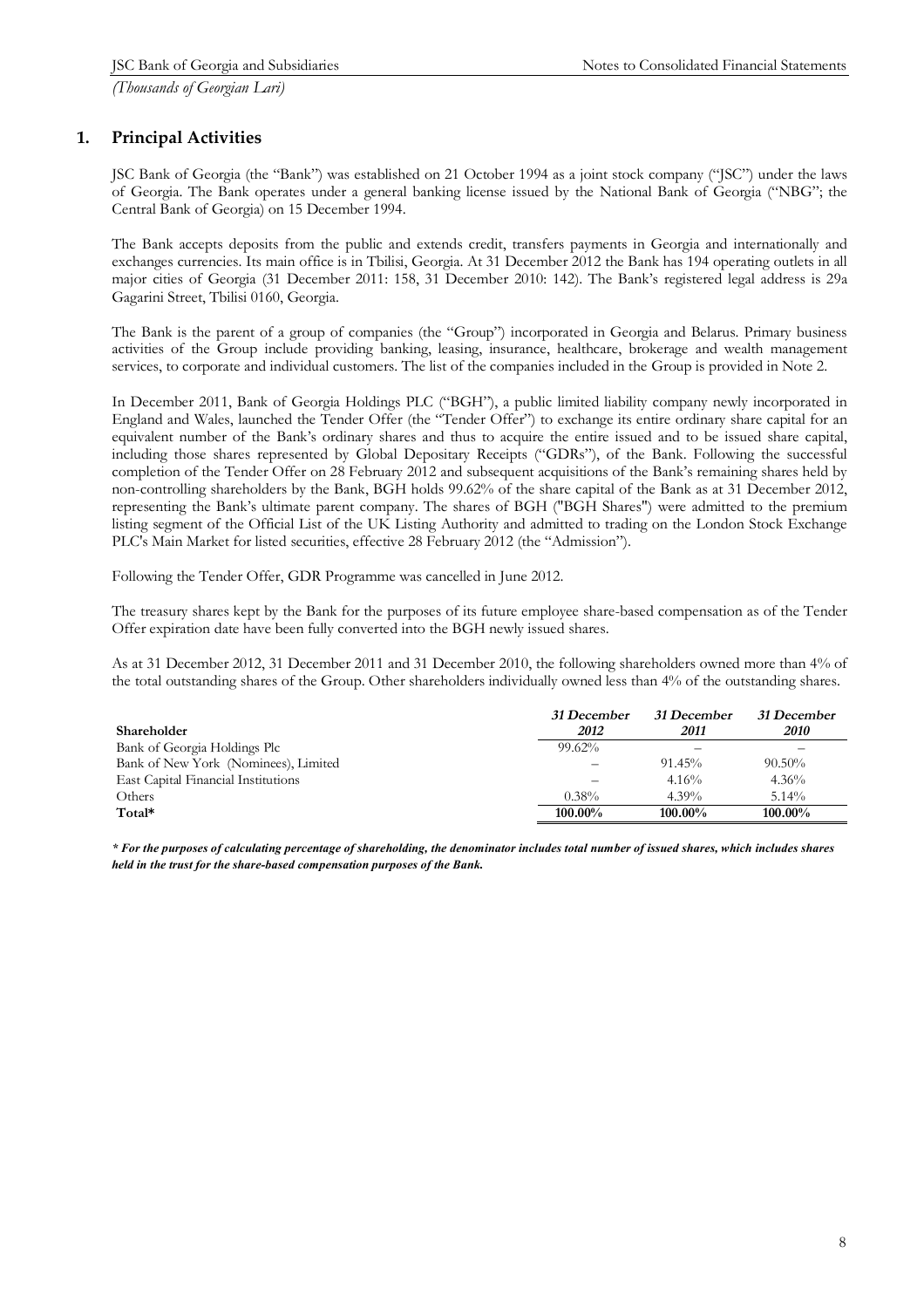# **1. Principal Activities**

JSC Bank of Georgia (the "Bank") was established on 21 October 1994 as a joint stock company ("JSC") under the laws of Georgia. The Bank operates under a general banking license issued by the National Bank of Georgia ("NBG"; the Central Bank of Georgia) on 15 December 1994.

The Bank accepts deposits from the public and extends credit, transfers payments in Georgia and internationally and exchanges currencies. Its main office is in Tbilisi, Georgia. At 31 December 2012 the Bank has 194 operating outlets in all major cities of Georgia (31 December 2011: 158, 31 December 2010: 142). The Bank's registered legal address is 29a Gagarini Street, Tbilisi 0160, Georgia.

The Bank is the parent of a group of companies (the "Group") incorporated in Georgia and Belarus. Primary business activities of the Group include providing banking, leasing, insurance, healthcare, brokerage and wealth management services, to corporate and individual customers. The list of the companies included in the Group is provided in Note 2.

In December 2011, Bank of Georgia Holdings PLC ("BGH"), a public limited liability company newly incorporated in England and Wales, launched the Tender Offer (the "Tender Offer") to exchange its entire ordinary share capital for an equivalent number of the Bank's ordinary shares and thus to acquire the entire issued and to be issued share capital, including those shares represented by Global Depositary Receipts ("GDRs"), of the Bank. Following the successful completion of the Tender Offer on 28 February 2012 and subsequent acquisitions of the Bank's remaining shares held by non-controlling shareholders by the Bank, BGH holds 99.62% of the share capital of the Bank as at 31 December 2012, representing the Bank's ultimate parent company. The shares of BGH ("BGH Shares") were admitted to the premium listing segment of the Official List of the UK Listing Authority and admitted to trading on the London Stock Exchange PLC's Main Market for listed securities, effective 28 February 2012 (the "Admission").

Following the Tender Offer, GDR Programme was cancelled in June 2012.

The treasury shares kept by the Bank for the purposes of its future employee share-based compensation as of the Tender Offer expiration date have been fully converted into the BGH newly issued shares.

As at 31 December 2012, 31 December 2011 and 31 December 2010, the following shareholders owned more than 4% of the total outstanding shares of the Group. Other shareholders individually owned less than 4% of the outstanding shares.

| Shareholder                          | 31 December<br>2012 | 31 December<br>2011 | 31 December<br><i>2010</i> |
|--------------------------------------|---------------------|---------------------|----------------------------|
| Bank of Georgia Holdings Plc         | $99.62\%$           |                     |                            |
| Bank of New York (Nominees), Limited |                     | $91.45\%$           | $90.50\%$                  |
| East Capital Financial Institutions  |                     | 4.16%               | $4.36\%$                   |
| Others                               | $0.38\%$            | $4.39\%$            | $5.14\%$                   |
| Total*                               | 100.00%             | 100.00%             | 100.00%                    |

\* For the purposes of calculating percentage of shareholding, the denominator includes total number of issued shares, which includes shares *held in the trust for the share-based compensation purposes of the Bank.*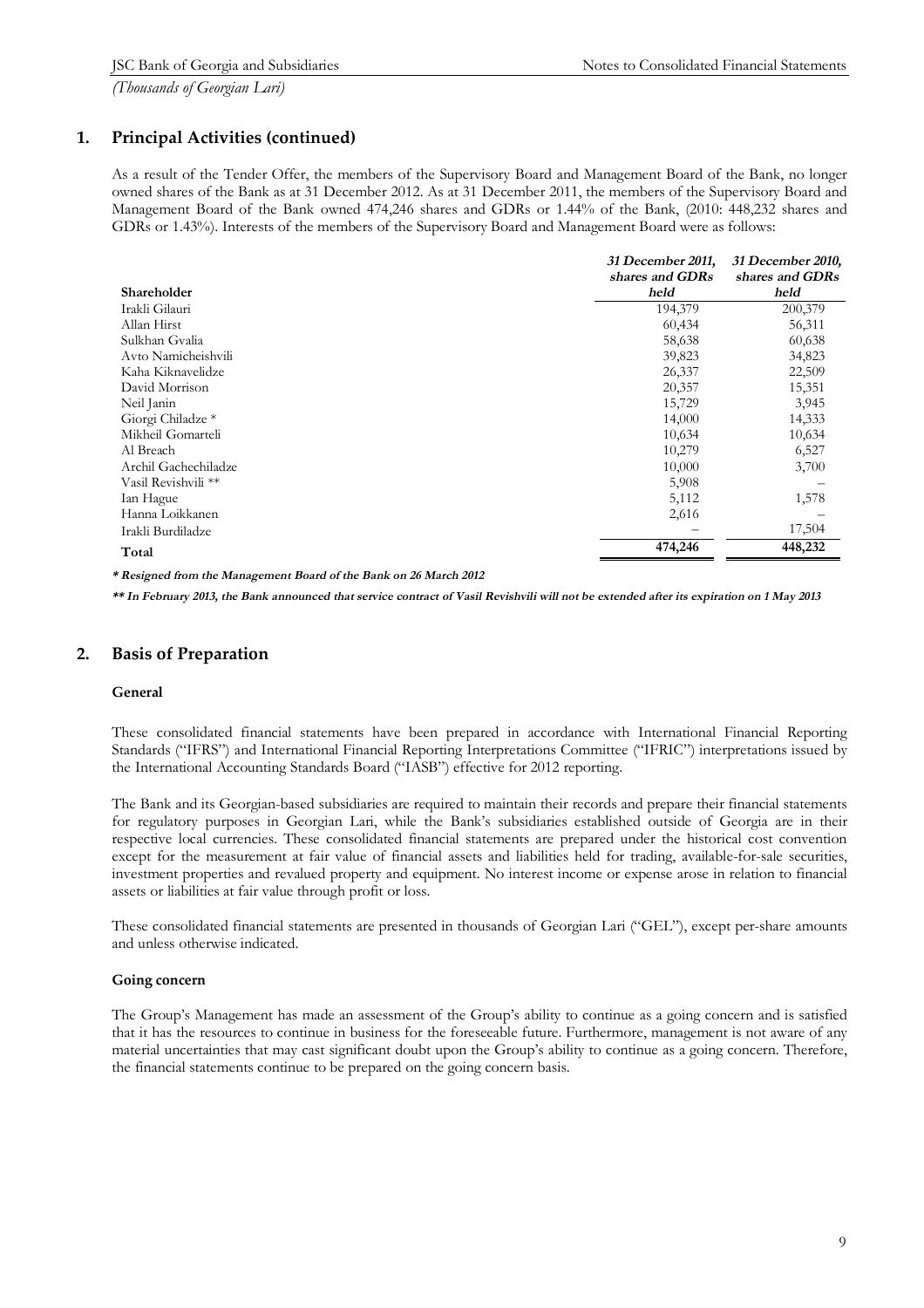### **1. Principal Activities (continued)**

As a result of the Tender Offer, the members of the Supervisory Board and Management Board of the Bank, no longer owned shares of the Bank as at 31 December 2012. As at 31 December 2011, the members of the Supervisory Board and Management Board of the Bank owned 474,246 shares and GDRs or 1.44% of the Bank, (2010: 448,232 shares and GDRs or 1.43%). Interests of the members of the Supervisory Board and Management Board were as follows:

|                                | 31 December 2011, | 31 December 2010, |
|--------------------------------|-------------------|-------------------|
|                                | shares and GDRs   | shares and GDRs   |
| Shareholder                    | held              | held              |
| Irakli Gilauri                 | 194,379           | 200,379           |
| Allan Hirst                    | 60,434            | 56,311            |
| Sulkhan Gvalia                 | 58,638            | 60,638            |
| Avto Namicheishvili            | 39,823            | 34,823            |
| Kaha Kiknavelidze              | 26,337            | 22,509            |
| David Morrison                 | 20,357            | 15,351            |
| Neil Janin                     | 15,729            | 3,945             |
| Giorgi Chiladze *              | 14,000            | 14,333            |
| Mikheil Gomarteli              | 10,634            | 10,634            |
| Al Breach                      | 10,279            | 6,527             |
| Archil Gachechiladze           | 10,000            | 3,700             |
| Vasil Revishvili <sup>**</sup> | 5,908             |                   |
| Ian Hague                      | 5,112             | 1,578             |
| Hanna Loikkanen                | 2,616             |                   |
| Irakli Burdiladze              |                   | 17,504            |
| Total                          | 474,246           | 448,232           |

*\* Resigned from the Management Board of the Bank on 26 March 2012* 

\*\* In February 2013, the Bank announced that service contract of Vasil Revishvili will not be extended after its expiration on 1 May 2013

### **2. Basis of Preparation**

#### **General**

These consolidated financial statements have been prepared in accordance with International Financial Reporting Standards ("IFRS") and International Financial Reporting Interpretations Committee ("IFRIC") interpretations issued by the International Accounting Standards Board ("IASB") effective for 2012 reporting.

The Bank and its Georgian-based subsidiaries are required to maintain their records and prepare their financial statements for regulatory purposes in Georgian Lari, while the Bank's subsidiaries established outside of Georgia are in their respective local currencies. These consolidated financial statements are prepared under the historical cost convention except for the measurement at fair value of financial assets and liabilities held for trading, available-for-sale securities, investment properties and revalued property and equipment. No interest income or expense arose in relation to financial assets or liabilities at fair value through profit or loss.

These consolidated financial statements are presented in thousands of Georgian Lari ("GEL"), except per-share amounts and unless otherwise indicated.

#### **Going concern**

The Group's Management has made an assessment of the Group's ability to continue as a going concern and is satisfied that it has the resources to continue in business for the foreseeable future. Furthermore, management is not aware of any material uncertainties that may cast significant doubt upon the Group's ability to continue as a going concern. Therefore, the financial statements continue to be prepared on the going concern basis.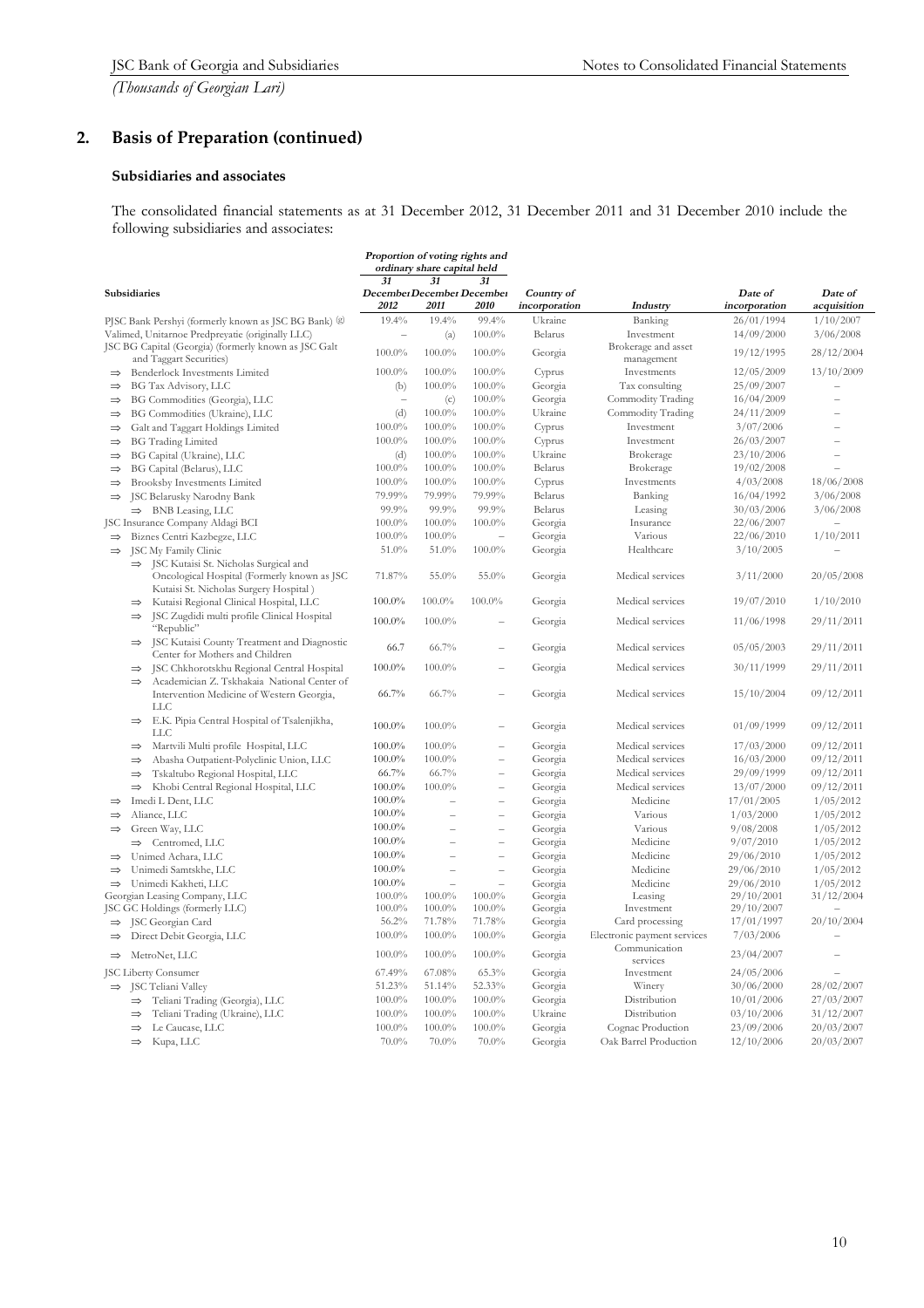# **2. Basis of Preparation (continued)**

#### **Subsidiaries and associates**

The consolidated financial statements as at 31 December 2012, 31 December 2011 and 31 December 2010 include the following subsidiaries and associates:

|               |                                                                                                                             | Proportion of voting rights and<br>ordinary share capital held |                          |                          |                             |                                              |                          |                          |
|---------------|-----------------------------------------------------------------------------------------------------------------------------|----------------------------------------------------------------|--------------------------|--------------------------|-----------------------------|----------------------------------------------|--------------------------|--------------------------|
|               |                                                                                                                             | 31                                                             | 31                       | 31                       |                             |                                              |                          |                          |
|               | <b>Subsidiaries</b>                                                                                                         | December December December<br>2012                             | 2011                     | 2010                     | Country of<br>incorporation | Industry                                     | Date of<br>incorporation | Date of<br>acquisition   |
|               | PJSC Bank Pershyi (formerly known as JSC BG Bank) (g)                                                                       | 19.4%                                                          | 19.4%                    | 99.4%                    | Ukraine                     | Banking                                      | 26/01/1994               | 1/10/2007                |
|               | Valimed, Unitarnoe Predpreyatie (originally LLC)                                                                            | $\overline{\phantom{a}}$                                       | (a)                      | 100.0%                   | <b>Belarus</b>              | Investment                                   | 14/09/2000               | 3/06/2008                |
|               | JSC BG Capital (Georgia) (formerly known as JSC Galt                                                                        | 100.0%                                                         | 100.0%                   | 100.0%                   |                             | Brokerage and asset                          | 19/12/1995               | 28/12/2004               |
|               | and Taggart Securities)                                                                                                     |                                                                |                          |                          | Georgia                     | management                                   |                          |                          |
| $\Rightarrow$ | Benderlock Investments Limited                                                                                              | $100.0\%$                                                      | 100.0%                   | 100.0%                   | Cyprus                      | Investments                                  | 12/05/2009               | 13/10/2009               |
| $\Rightarrow$ | BG Tax Advisory, LLC                                                                                                        | (b)                                                            | 100.0%                   | $100.0\%$                | Georgia                     | Tax consulting                               | 25/09/2007               |                          |
| $\Rightarrow$ | BG Commodities (Georgia), LLC                                                                                               | ÷                                                              | (c)                      | $100.0\%$                | Georgia                     | Commodity Trading                            | 16/04/2009               | $\overline{\phantom{0}}$ |
| $\Rightarrow$ | BG Commodities (Ukraine), LLC                                                                                               | (d)                                                            | $100.0\%$                | 100.0%                   | Ukraine                     | Commodity Trading                            | 24/11/2009               | $\overline{\phantom{0}}$ |
| $\Rightarrow$ | Galt and Taggart Holdings Limited                                                                                           | $100.0\%$                                                      | 100.0%                   | 100.0%                   | Cyprus                      | Investment                                   | 3/07/2006                |                          |
| $\Rightarrow$ | <b>BG</b> Trading Limited                                                                                                   | $100.0\%$                                                      | $100.0\%$                | 100.0%                   | Cyprus                      | Investment                                   | 26/03/2007               | $\overline{a}$           |
| $\Rightarrow$ | BG Capital (Ukraine), LLC                                                                                                   | (d)                                                            | 100.0%                   | 100.0%                   | Ukraine                     | Brokerage                                    | 23/10/2006               | $\overline{a}$           |
| $\Rightarrow$ | BG Capital (Belarus), LLC                                                                                                   | $100.0\%$                                                      | $100.0\%$                | 100.0%                   | Belarus                     | Brokerage                                    | 19/02/2008               |                          |
| $\Rightarrow$ | Brooksby Investments Limited                                                                                                | $100.0\%$                                                      | 100.0%                   | $100.0\%$                | Cyprus                      | Investments                                  | 4/03/2008                | 18/06/2008               |
| $\Rightarrow$ | JSC Belarusky Narodny Bank                                                                                                  | 79.99%                                                         | 79.99%                   | 79.99%                   | Belarus                     | Banking                                      | 16/04/1992               | 3/06/2008                |
|               | $\Rightarrow$ BNB Leasing, LLC                                                                                              | 99.9%                                                          | 99.9%                    | 99.9%                    | Belarus                     | Leasing                                      | 30/03/2006               | 3/06/2008                |
|               | JSC Insurance Company Aldagi BCI                                                                                            | $100.0\%$                                                      | $100.0\%$                | 100.0%                   | Georgia                     | Insurance                                    | 22/06/2007               |                          |
| $\Rightarrow$ | Biznes Centri Kazbegze, LLC                                                                                                 | $100.0\%$                                                      | $100.0\%$                |                          | Georgia                     | Various                                      | 22/06/2010               | 1/10/2011                |
| $\Rightarrow$ | <b>JSC My Family Clinic</b>                                                                                                 | 51.0%                                                          | 51.0%                    | $100.0\%$                | Georgia                     | Healthcare                                   | 3/10/2005                |                          |
|               | JSC Kutaisi St. Nicholas Surgical and<br>$\Rightarrow$                                                                      |                                                                |                          |                          |                             |                                              |                          |                          |
|               | Oncological Hospital (Formerly known as JSC<br>Kutaisi St. Nicholas Surgery Hospital)                                       | 71.87%                                                         | 55.0%                    | 55.0%                    | Georgia                     | Medical services                             | 3/11/2000                | 20/05/2008               |
|               | Kutaisi Regional Clinical Hospital, LLC<br>$\Rightarrow$                                                                    | 100.0%                                                         | $100.0\%$                | $100.0\%$                | Georgia                     | Medical services                             | 19/07/2010               | 1/10/2010                |
|               | JSC Zugdidi multi profile Clinical Hospital<br>$\Rightarrow$<br>"Republic"                                                  | 100.0%                                                         | 100.0%                   |                          | Georgia                     | Medical services                             | 11/06/1998               | 29/11/2011               |
|               | JSC Kutaisi County Treatment and Diagnostic<br>$\Rightarrow$<br>Center for Mothers and Children                             | 66.7                                                           | 66.7%                    |                          | Georgia                     | Medical services                             | 05/05/2003               | 29/11/2011               |
|               | JSC Chkhorotskhu Regional Central Hospital<br>$\Rightarrow$<br>Academician Z. Tskhakaia National Center of<br>$\Rightarrow$ | $100.0\%$                                                      | 100.0%                   | $\overline{\phantom{0}}$ | Georgia                     | Medical services                             | 30/11/1999               | 29/11/2011               |
|               | Intervention Medicine of Western Georgia,<br>LLC                                                                            | 66.7%                                                          | 66.7%                    |                          | Georgia                     | Medical services                             | 15/10/2004               | 09/12/2011               |
|               | E.K. Pipia Central Hospital of Tsalenjikha,<br>$\Rightarrow$<br><b>LLC</b>                                                  | 100.0%                                                         | $100.0\%$                | $\overline{\phantom{0}}$ | Georgia                     | Medical services                             | 01/09/1999               | 09/12/2011               |
|               | Martvili Multi profile Hospital, LLC<br>$\Rightarrow$                                                                       | $100.0\%$                                                      | 100.0%                   | L,                       | Georgia                     | Medical services                             | 17/03/2000               | 09/12/2011               |
|               | Abasha Outpatient-Polyclinic Union, LLC<br>$\Rightarrow$                                                                    | $100.0\%$                                                      | 100.0%                   |                          | Georgia                     | Medical services                             | 16/03/2000               | 09/12/2011               |
|               | Tskaltubo Regional Hospital, LLC<br>$\Rightarrow$                                                                           | 66.7%                                                          | 66.7%                    | L,                       | Georgia                     | Medical services                             | 29/09/1999               | 09/12/2011               |
|               | Khobi Central Regional Hospital, LLC<br>$\Rightarrow$                                                                       | 100.0%                                                         | 100.0%                   | $\overline{\phantom{0}}$ | Georgia                     | Medical services                             | 13/07/2000               | 09/12/2011               |
| $\Rightarrow$ | Imedi L Dent, LLC                                                                                                           | 100.0%                                                         |                          | $\overline{\phantom{0}}$ | Georgia                     | Medicine                                     | 17/01/2005               | 1/05/2012                |
| $\Rightarrow$ | Aliance, LLC                                                                                                                | 100.0%                                                         | $\overline{\phantom{0}}$ | $\overline{a}$           | Georgia                     | Various                                      | 1/03/2000                | 1/05/2012                |
| $\Rightarrow$ | Green Way, LLC                                                                                                              | 100.0%                                                         | $\equiv$                 | $\equiv$                 | Georgia                     | Various                                      | 9/08/2008                | 1/05/2012                |
|               | $\Rightarrow$ Centromed, LLC                                                                                                | 100.0%                                                         |                          | L,                       | Georgia                     | Medicine                                     | 9/07/2010                | 1/05/2012                |
| $\Rightarrow$ | Unimed Achara, LLC                                                                                                          | $100.0\%$                                                      |                          |                          | Georgia                     | Medicine                                     | 29/06/2010               | 1/05/2012                |
| $\Rightarrow$ | Unimedi Samtskhe, LLC                                                                                                       | $100.0\%$                                                      | $\overline{a}$           | $\overline{a}$           | Georgia                     | Medicine                                     | 29/06/2010               | 1/05/2012                |
| $\Rightarrow$ | Unimedi Kakheti, LLC                                                                                                        | 100.0%                                                         | L,                       |                          | Georgia                     | Medicine                                     | 29/06/2010               | 1/05/2012                |
|               | Georgian Leasing Company, LLC                                                                                               | $100.0\%$                                                      | 100.0%                   | 100.0%                   | Georgia                     | Leasing                                      | 29/10/2001               | 31/12/2004               |
|               | JSC GC Holdings (formerly LLC)                                                                                              | $100.0\%$                                                      | $100.0\%$                | 100.0%                   | Georgia                     | Investment                                   | 29/10/2007               |                          |
| $\Rightarrow$ | <b>JSC Georgian Card</b>                                                                                                    | 56.2%                                                          | 71.78%                   | 71.78%                   | Georgia                     | Card processing                              | 17/01/1997               | 20/10/2004               |
| $\Rightarrow$ | Direct Debit Georgia, LLC                                                                                                   | $100.0\%$                                                      | $100.0\%$                | $100.0\%$                | Georgia                     | Electronic payment services<br>Communication | 7/03/2006                |                          |
| $\Rightarrow$ | MetroNet, LLC                                                                                                               | $100.0\%$                                                      | $100.0\%$                | $100.0\%$                | Georgia                     | services                                     | 23/04/2007               |                          |
|               | <b>JSC Liberty Consumer</b>                                                                                                 | 67.49%                                                         | 67.08%                   | 65.3%                    | Georgia                     | Investment                                   | 24/05/2006               |                          |
|               | $\Rightarrow$ JSC Teliani Valley                                                                                            | 51.23%                                                         | 51.14%                   | 52.33%                   | Georgia                     | Winery                                       | 30/06/2000               | 28/02/2007               |
|               | Teliani Trading (Georgia), LLC<br>$\Rightarrow$                                                                             | $100.0\%$                                                      | 100.0%                   | $100.0\%$                | Georgia                     | Distribution                                 | 10/01/2006               | 27/03/2007               |
|               | Teliani Trading (Ukraine), LLC<br>$\Rightarrow$                                                                             | $100.0\%$                                                      | 100.0%                   | 100.0%                   | Ukraine                     | Distribution                                 | 03/10/2006               | 31/12/2007               |
|               | Le Caucase, LLC<br>$\Rightarrow$                                                                                            | $100.0\%$                                                      | 100.0%                   | 100.0%                   | Georgia                     | Cognac Production                            | 23/09/2006               | 20/03/2007               |
|               | Kupa, LLC<br>$\Rightarrow$                                                                                                  | $70.0\%$                                                       | 70.0%                    | 70.0%                    | Georgia                     | Oak Barrel Production                        | 12/10/2006               | 20/03/2007               |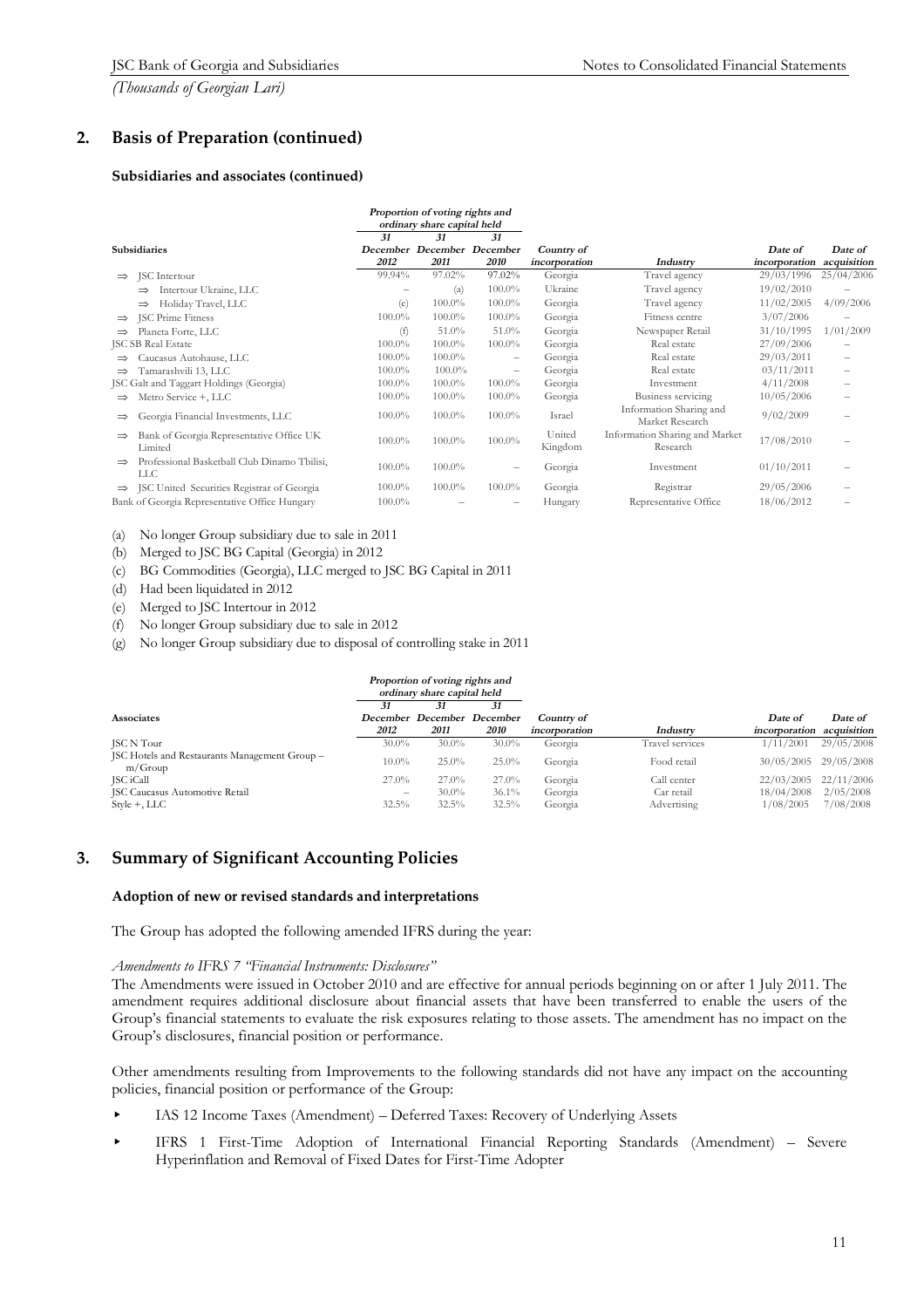### **2. Basis of Preparation (continued)**

#### **Subsidiaries and associates (continued)**

|               |                                                      |           | Proportion of voting rights and<br>ordinary share capital held |                   |                   |                                            |               |                          |
|---------------|------------------------------------------------------|-----------|----------------------------------------------------------------|-------------------|-------------------|--------------------------------------------|---------------|--------------------------|
|               | <b>Subsidiaries</b>                                  | 31        | 31<br>December December December                               | 31                | Country of        |                                            | Date of       | Date of                  |
|               |                                                      | 2012      | 2011                                                           | <i>2010</i>       | incorporation     | Industry                                   | incorporation | acquisition              |
| $\Rightarrow$ | <b>JSC</b> Intertour                                 | 99.94%    | 97.02%                                                         | 97.02%            | Georgia           | Travel agency                              | 29/03/1996    | 25/04/2006               |
|               | Intertour Ukraine, LLC<br>$\Rightarrow$              |           | (a)                                                            | 100.0%            | Ukraine           | Travel agency                              | 19/02/2010    | $\overline{\phantom{0}}$ |
|               | Holiday Travel, LLC                                  | (e)       | $100.0\%$                                                      | 100.0%            | Georgia           | Travel agency                              | 11/02/2005    | 4/09/2006                |
|               | <b>JSC Prime Fitness</b>                             | 100.0%    | $100.0\%$                                                      | 100.0%            | Georgia           | Fitness centre                             | 3/07/2006     |                          |
| $\Rightarrow$ | Planeta Forte, LLC                                   | (f)       | 51.0%                                                          | 51.0%             | Georgia           | Newspaper Retail                           | 31/10/1995    | 1/01/2009                |
|               | <b>JSC SB Real Estate</b>                            | 100.0%    | $100.0\%$                                                      | 100.0%            | Georgia           | Real estate                                | 27/09/2006    |                          |
|               | Caucasus Autohause, LLC                              | 100.0%    | $100.0\%$                                                      | $\qquad \qquad =$ | Georgia           | Real estate                                | 29/03/2011    |                          |
| $\Rightarrow$ | Tamarashvili 13, LLC                                 | $100.0\%$ | 100.0%                                                         | $\qquad \qquad -$ | Georgia           | Real estate                                | 03/11/2011    |                          |
|               | JSC Galt and Taggart Holdings (Georgia)              | $100.0\%$ | 100.0%                                                         | 100.0%            | Georgia           | Investment                                 | 4/11/2008     |                          |
|               | Metro Service +, LLC                                 | $100.0\%$ | $100.0\%$                                                      | 100.0%            | Georgia           | Business servicing                         | 10/05/2006    |                          |
|               | Georgia Financial Investments, LLC                   | 100.0%    | 100.0%                                                         | 100.0%            | Israel            | Information Sharing and<br>Market Research | 9/02/2009     |                          |
|               | Bank of Georgia Representative Office UK<br>Limited  | 100.0%    | 100.0%                                                         | 100.0%            | United<br>Kingdom | Information Sharing and Market<br>Research | 17/08/2010    |                          |
|               | Professional Basketball Club Dinamo Tbilisi,<br>LLC. | 100.0%    | $100.0\%$                                                      |                   | Georgia           | Investment                                 | 01/10/2011    |                          |
| $\Rightarrow$ | JSC United Securities Registrar of Georgia           | 100.0%    | 100.0%                                                         | 100.0%            | Georgia           | Registrar                                  | 29/05/2006    |                          |
|               | Bank of Georgia Representative Office Hungary        | 100.0%    |                                                                |                   | Hungary           | Representative Office                      | 18/06/2012    |                          |

(a) No longer Group subsidiary due to sale in 2011

(b) Merged to JSC BG Capital (Georgia) in 2012

(c) BG Commodities (Georgia), LLC merged to JSC BG Capital in 2011

(d) Had been liquidated in 2012

(e) Merged to JSC Intertour in 2012

(f) No longer Group subsidiary due to sale in 2012

(g) No longer Group subsidiary due to disposal of controlling stake in 2011

|                                               |                          | Proportion of voting rights and<br>ordinary share capital held |          |               |                 |                           |            |  |  |
|-----------------------------------------------|--------------------------|----------------------------------------------------------------|----------|---------------|-----------------|---------------------------|------------|--|--|
|                                               |                          | 31                                                             | 31       |               |                 |                           |            |  |  |
| Associates                                    |                          | December December December                                     |          | Country of    |                 | Date of                   | Date of    |  |  |
|                                               | 2012                     | 2011                                                           | 2010     | incorporation | Industry        | incorporation acquisition |            |  |  |
| <b>ISC</b> N Tour                             | $30.0\%$                 | $30.0\%$                                                       | $30.0\%$ | Georgia       | Travel services | 1/11/2001                 | 29/05/2008 |  |  |
| JSC Hotels and Restaurants Management Group - | $10.0\%$                 | $25.0\%$                                                       | 25.0%    | Georgia       | Food retail     | 30/05/2005 29/05/2008     |            |  |  |
| $m/G$ roup                                    |                          |                                                                |          |               |                 |                           |            |  |  |
| ISC iCall                                     | 27.0%                    | 27.0%                                                          | 27.0%    | Georgia       | Call center     | 22/03/2005                | 22/11/2006 |  |  |
| <b>ISC Caucasus Automotive Retail</b>         | $\overline{\phantom{0}}$ | $30.0\%$                                                       | 36.1%    | Georgia       | Car retail      | 18/04/2008                | 2/05/2008  |  |  |
| $Stvle +$ , LLC                               | 32.5%                    | 32.5%                                                          | 32.5%    | Georgia       | Advertising     | 1/08/2005                 | 7/08/2008  |  |  |

### **3. Summary of Significant Accounting Policies**

#### **Adoption of new or revised standards and interpretations**

The Group has adopted the following amended IFRS during the year:

#### *Amendments to IFRS 7 "Financial Instruments: Disclosures"*

The Amendments were issued in October 2010 and are effective for annual periods beginning on or after 1 July 2011. The amendment requires additional disclosure about financial assets that have been transferred to enable the users of the Group's financial statements to evaluate the risk exposures relating to those assets. The amendment has no impact on the Group's disclosures, financial position or performance.

Other amendments resulting from Improvements to the following standards did not have any impact on the accounting policies, financial position or performance of the Group:

- IAS 12 Income Taxes (Amendment) Deferred Taxes: Recovery of Underlying Assets
- IFRS 1 First-Time Adoption of International Financial Reporting Standards (Amendment) Severe Hyperinflation and Removal of Fixed Dates for First-Time Adopter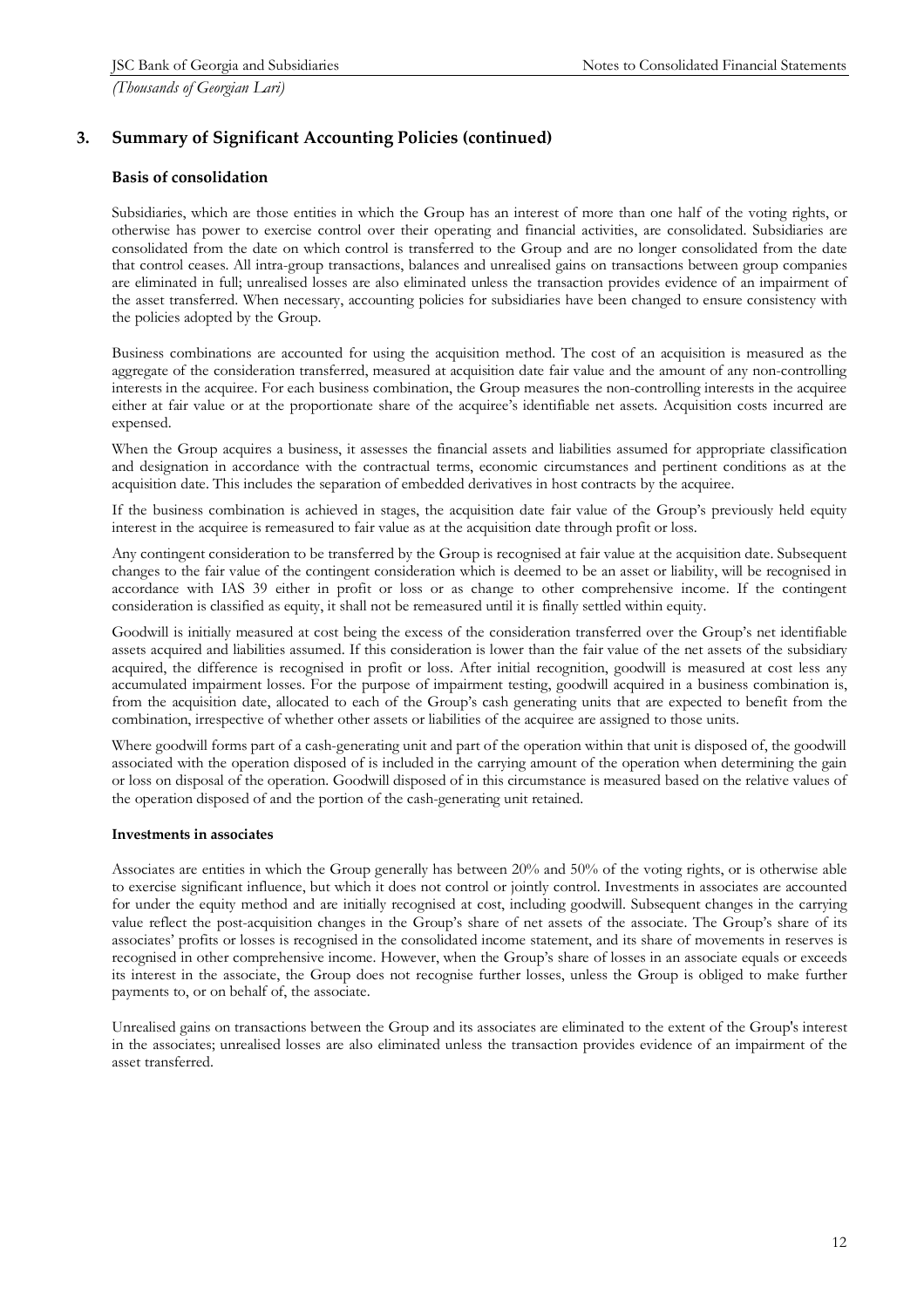# **3. Summary of Significant Accounting Policies (continued)**

### **Basis of consolidation**

Subsidiaries, which are those entities in which the Group has an interest of more than one half of the voting rights, or otherwise has power to exercise control over their operating and financial activities, are consolidated. Subsidiaries are consolidated from the date on which control is transferred to the Group and are no longer consolidated from the date that control ceases. All intra-group transactions, balances and unrealised gains on transactions between group companies are eliminated in full; unrealised losses are also eliminated unless the transaction provides evidence of an impairment of the asset transferred. When necessary, accounting policies for subsidiaries have been changed to ensure consistency with the policies adopted by the Group.

Business combinations are accounted for using the acquisition method. The cost of an acquisition is measured as the aggregate of the consideration transferred, measured at acquisition date fair value and the amount of any non-controlling interests in the acquiree. For each business combination, the Group measures the non-controlling interests in the acquiree either at fair value or at the proportionate share of the acquiree's identifiable net assets. Acquisition costs incurred are expensed.

When the Group acquires a business, it assesses the financial assets and liabilities assumed for appropriate classification and designation in accordance with the contractual terms, economic circumstances and pertinent conditions as at the acquisition date. This includes the separation of embedded derivatives in host contracts by the acquiree.

If the business combination is achieved in stages, the acquisition date fair value of the Group's previously held equity interest in the acquiree is remeasured to fair value as at the acquisition date through profit or loss.

Any contingent consideration to be transferred by the Group is recognised at fair value at the acquisition date. Subsequent changes to the fair value of the contingent consideration which is deemed to be an asset or liability, will be recognised in accordance with IAS 39 either in profit or loss or as change to other comprehensive income. If the contingent consideration is classified as equity, it shall not be remeasured until it is finally settled within equity.

Goodwill is initially measured at cost being the excess of the consideration transferred over the Group's net identifiable assets acquired and liabilities assumed. If this consideration is lower than the fair value of the net assets of the subsidiary acquired, the difference is recognised in profit or loss. After initial recognition, goodwill is measured at cost less any accumulated impairment losses. For the purpose of impairment testing, goodwill acquired in a business combination is, from the acquisition date, allocated to each of the Group's cash generating units that are expected to benefit from the combination, irrespective of whether other assets or liabilities of the acquiree are assigned to those units.

Where goodwill forms part of a cash-generating unit and part of the operation within that unit is disposed of, the goodwill associated with the operation disposed of is included in the carrying amount of the operation when determining the gain or loss on disposal of the operation. Goodwill disposed of in this circumstance is measured based on the relative values of the operation disposed of and the portion of the cash-generating unit retained.

### **Investments in associates**

Associates are entities in which the Group generally has between 20% and 50% of the voting rights, or is otherwise able to exercise significant influence, but which it does not control or jointly control. Investments in associates are accounted for under the equity method and are initially recognised at cost, including goodwill. Subsequent changes in the carrying value reflect the post-acquisition changes in the Group's share of net assets of the associate. The Group's share of its associates' profits or losses is recognised in the consolidated income statement, and its share of movements in reserves is recognised in other comprehensive income. However, when the Group's share of losses in an associate equals or exceeds its interest in the associate, the Group does not recognise further losses, unless the Group is obliged to make further payments to, or on behalf of, the associate.

Unrealised gains on transactions between the Group and its associates are eliminated to the extent of the Group's interest in the associates; unrealised losses are also eliminated unless the transaction provides evidence of an impairment of the asset transferred.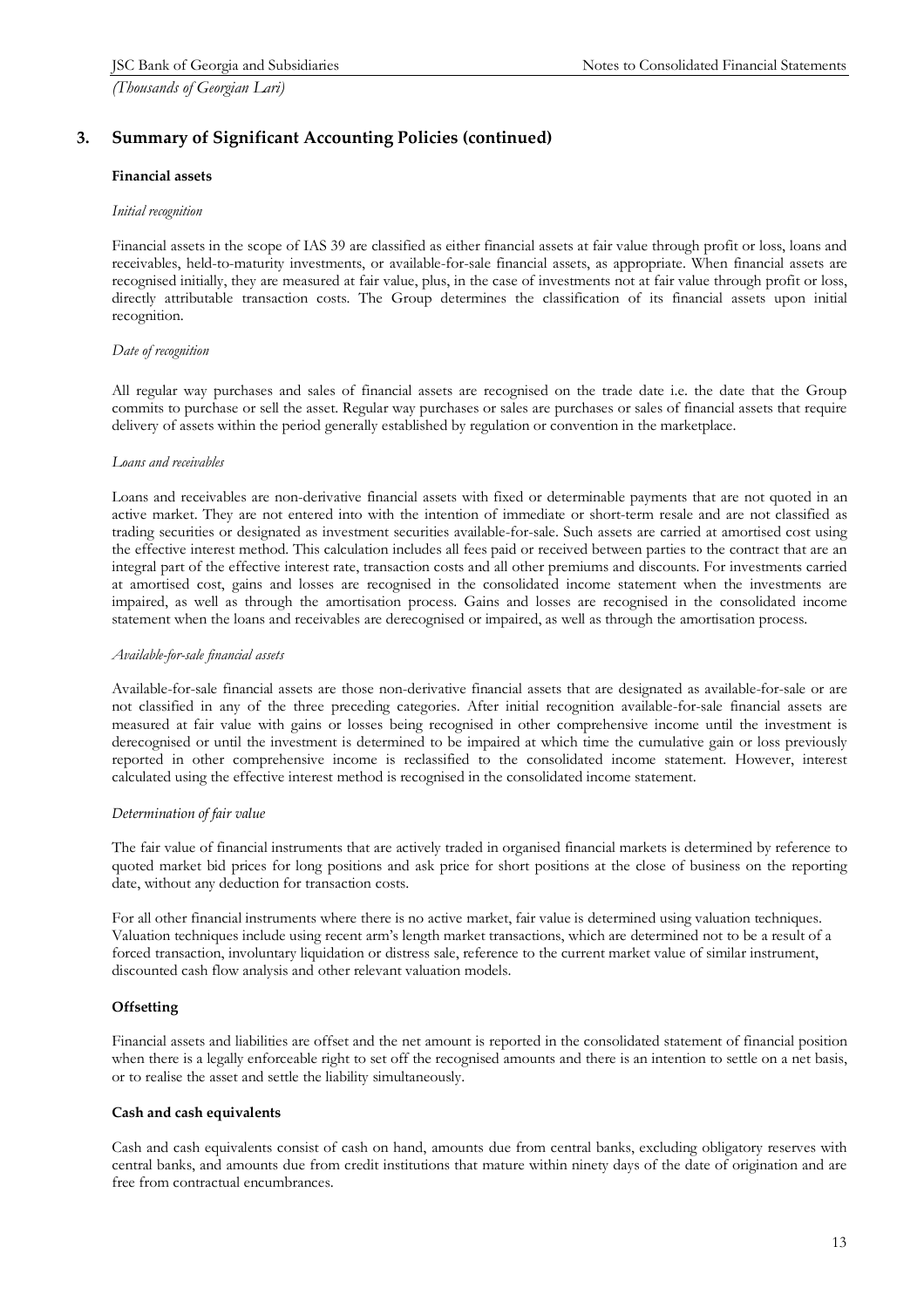### **3. Summary of Significant Accounting Policies (continued)**

#### **Financial assets**

#### *Initial recognition*

Financial assets in the scope of IAS 39 are classified as either financial assets at fair value through profit or loss, loans and receivables, held-to-maturity investments, or available-for-sale financial assets, as appropriate. When financial assets are recognised initially, they are measured at fair value, plus, in the case of investments not at fair value through profit or loss, directly attributable transaction costs. The Group determines the classification of its financial assets upon initial recognition.

#### *Date of recognition*

All regular way purchases and sales of financial assets are recognised on the trade date i.e. the date that the Group commits to purchase or sell the asset. Regular way purchases or sales are purchases or sales of financial assets that require delivery of assets within the period generally established by regulation or convention in the marketplace.

#### *Loans and receivables*

Loans and receivables are non-derivative financial assets with fixed or determinable payments that are not quoted in an active market. They are not entered into with the intention of immediate or short-term resale and are not classified as trading securities or designated as investment securities available-for-sale. Such assets are carried at amortised cost using the effective interest method. This calculation includes all fees paid or received between parties to the contract that are an integral part of the effective interest rate, transaction costs and all other premiums and discounts. For investments carried at amortised cost, gains and losses are recognised in the consolidated income statement when the investments are impaired, as well as through the amortisation process. Gains and losses are recognised in the consolidated income statement when the loans and receivables are derecognised or impaired, as well as through the amortisation process.

#### *Available-for-sale financial assets*

Available-for-sale financial assets are those non-derivative financial assets that are designated as available-for-sale or are not classified in any of the three preceding categories. After initial recognition available-for-sale financial assets are measured at fair value with gains or losses being recognised in other comprehensive income until the investment is derecognised or until the investment is determined to be impaired at which time the cumulative gain or loss previously reported in other comprehensive income is reclassified to the consolidated income statement. However, interest calculated using the effective interest method is recognised in the consolidated income statement.

#### *Determination of fair value*

The fair value of financial instruments that are actively traded in organised financial markets is determined by reference to quoted market bid prices for long positions and ask price for short positions at the close of business on the reporting date, without any deduction for transaction costs.

For all other financial instruments where there is no active market, fair value is determined using valuation techniques. Valuation techniques include using recent arm's length market transactions, which are determined not to be a result of a forced transaction, involuntary liquidation or distress sale, reference to the current market value of similar instrument, discounted cash flow analysis and other relevant valuation models.

### **Offsetting**

Financial assets and liabilities are offset and the net amount is reported in the consolidated statement of financial position when there is a legally enforceable right to set off the recognised amounts and there is an intention to settle on a net basis, or to realise the asset and settle the liability simultaneously.

#### **Cash and cash equivalents**

Cash and cash equivalents consist of cash on hand, amounts due from central banks, excluding obligatory reserves with central banks, and amounts due from credit institutions that mature within ninety days of the date of origination and are free from contractual encumbrances.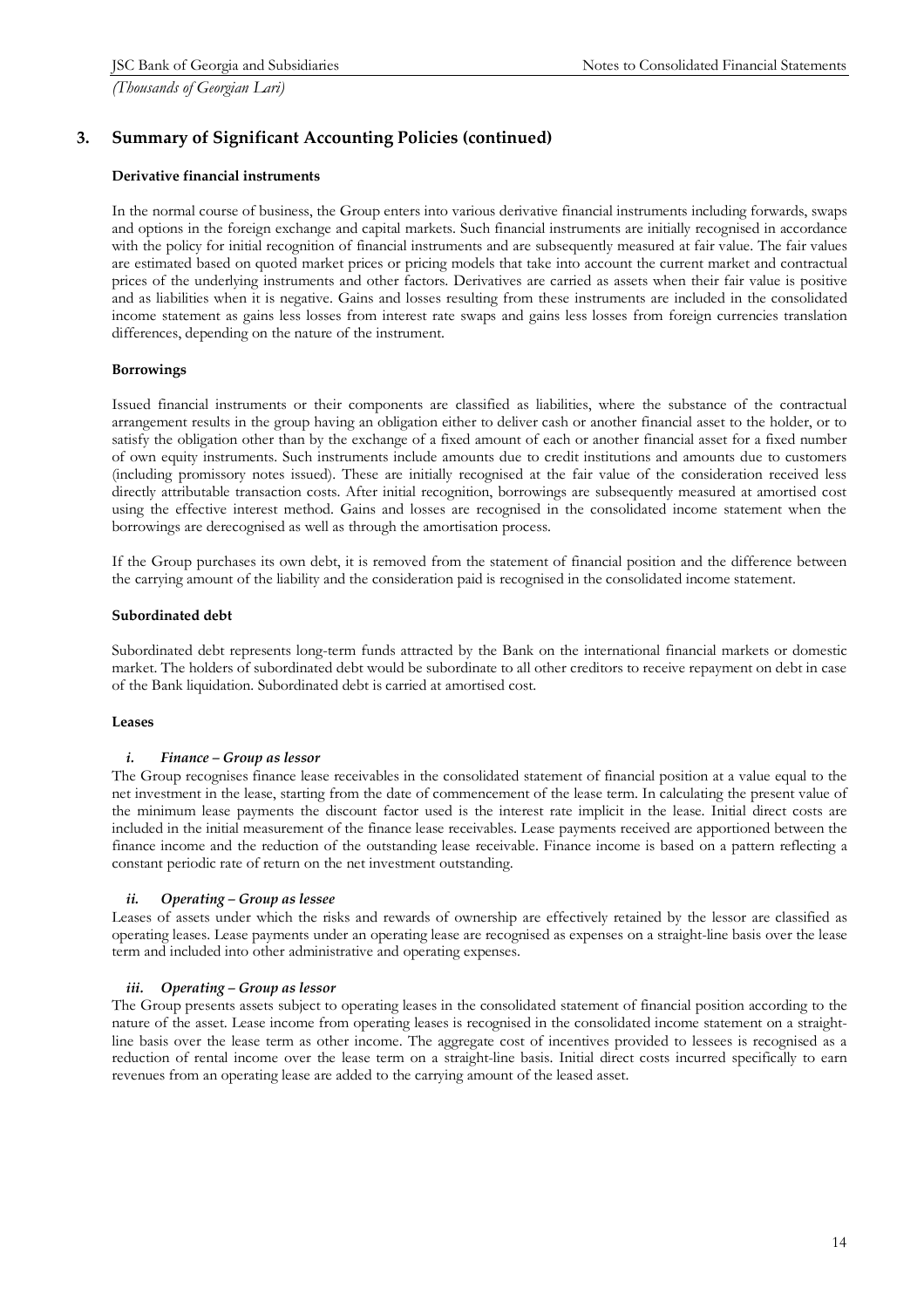# **3. Summary of Significant Accounting Policies (continued)**

### **Derivative financial instruments**

In the normal course of business, the Group enters into various derivative financial instruments including forwards, swaps and options in the foreign exchange and capital markets. Such financial instruments are initially recognised in accordance with the policy for initial recognition of financial instruments and are subsequently measured at fair value. The fair values are estimated based on quoted market prices or pricing models that take into account the current market and contractual prices of the underlying instruments and other factors. Derivatives are carried as assets when their fair value is positive and as liabilities when it is negative. Gains and losses resulting from these instruments are included in the consolidated income statement as gains less losses from interest rate swaps and gains less losses from foreign currencies translation differences, depending on the nature of the instrument.

### **Borrowings**

Issued financial instruments or their components are classified as liabilities, where the substance of the contractual arrangement results in the group having an obligation either to deliver cash or another financial asset to the holder, or to satisfy the obligation other than by the exchange of a fixed amount of each or another financial asset for a fixed number of own equity instruments. Such instruments include amounts due to credit institutions and amounts due to customers (including promissory notes issued). These are initially recognised at the fair value of the consideration received less directly attributable transaction costs. After initial recognition, borrowings are subsequently measured at amortised cost using the effective interest method. Gains and losses are recognised in the consolidated income statement when the borrowings are derecognised as well as through the amortisation process.

If the Group purchases its own debt, it is removed from the statement of financial position and the difference between the carrying amount of the liability and the consideration paid is recognised in the consolidated income statement.

#### **Subordinated debt**

Subordinated debt represents long-term funds attracted by the Bank on the international financial markets or domestic market. The holders of subordinated debt would be subordinate to all other creditors to receive repayment on debt in case of the Bank liquidation. Subordinated debt is carried at amortised cost.

#### **Leases**

#### *i. Finance – Group as lessor*

The Group recognises finance lease receivables in the consolidated statement of financial position at a value equal to the net investment in the lease, starting from the date of commencement of the lease term. In calculating the present value of the minimum lease payments the discount factor used is the interest rate implicit in the lease. Initial direct costs are included in the initial measurement of the finance lease receivables. Lease payments received are apportioned between the finance income and the reduction of the outstanding lease receivable. Finance income is based on a pattern reflecting a constant periodic rate of return on the net investment outstanding.

#### *ii. Operating – Group as lessee*

Leases of assets under which the risks and rewards of ownership are effectively retained by the lessor are classified as operating leases. Lease payments under an operating lease are recognised as expenses on a straight-line basis over the lease term and included into other administrative and operating expenses.

#### *iii. Operating – Group as lessor*

The Group presents assets subject to operating leases in the consolidated statement of financial position according to the nature of the asset. Lease income from operating leases is recognised in the consolidated income statement on a straightline basis over the lease term as other income. The aggregate cost of incentives provided to lessees is recognised as a reduction of rental income over the lease term on a straight-line basis. Initial direct costs incurred specifically to earn revenues from an operating lease are added to the carrying amount of the leased asset.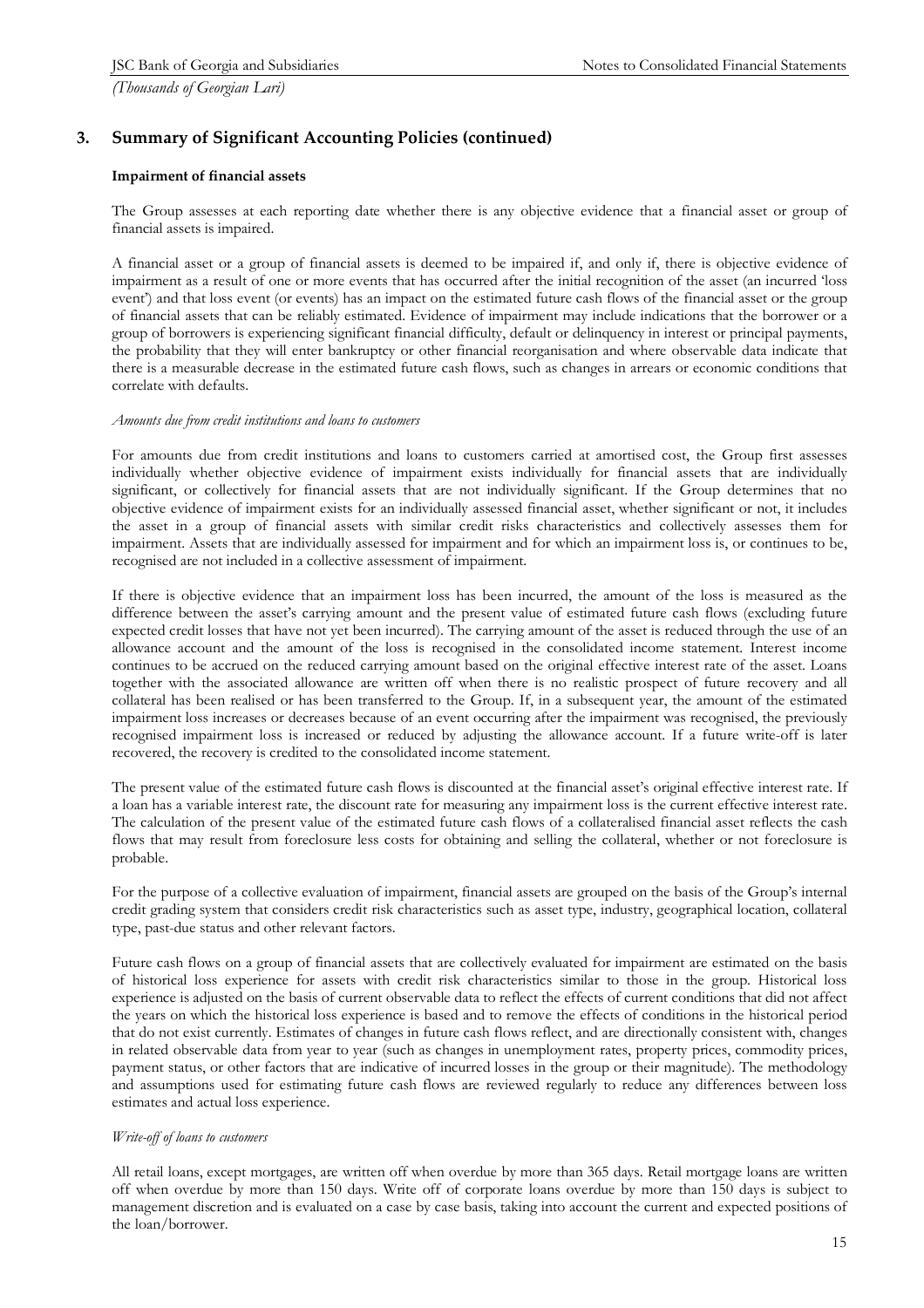# **3. Summary of Significant Accounting Policies (continued)**

#### **Impairment of financial assets**

The Group assesses at each reporting date whether there is any objective evidence that a financial asset or group of financial assets is impaired.

A financial asset or a group of financial assets is deemed to be impaired if, and only if, there is objective evidence of impairment as a result of one or more events that has occurred after the initial recognition of the asset (an incurred 'loss event') and that loss event (or events) has an impact on the estimated future cash flows of the financial asset or the group of financial assets that can be reliably estimated. Evidence of impairment may include indications that the borrower or a group of borrowers is experiencing significant financial difficulty, default or delinquency in interest or principal payments, the probability that they will enter bankruptcy or other financial reorganisation and where observable data indicate that there is a measurable decrease in the estimated future cash flows, such as changes in arrears or economic conditions that correlate with defaults.

#### *Amounts due from credit institutions and loans to customers*

For amounts due from credit institutions and loans to customers carried at amortised cost, the Group first assesses individually whether objective evidence of impairment exists individually for financial assets that are individually significant, or collectively for financial assets that are not individually significant. If the Group determines that no objective evidence of impairment exists for an individually assessed financial asset, whether significant or not, it includes the asset in a group of financial assets with similar credit risks characteristics and collectively assesses them for impairment. Assets that are individually assessed for impairment and for which an impairment loss is, or continues to be, recognised are not included in a collective assessment of impairment.

If there is objective evidence that an impairment loss has been incurred, the amount of the loss is measured as the difference between the asset's carrying amount and the present value of estimated future cash flows (excluding future expected credit losses that have not yet been incurred). The carrying amount of the asset is reduced through the use of an allowance account and the amount of the loss is recognised in the consolidated income statement. Interest income continues to be accrued on the reduced carrying amount based on the original effective interest rate of the asset. Loans together with the associated allowance are written off when there is no realistic prospect of future recovery and all collateral has been realised or has been transferred to the Group. If, in a subsequent year, the amount of the estimated impairment loss increases or decreases because of an event occurring after the impairment was recognised, the previously recognised impairment loss is increased or reduced by adjusting the allowance account. If a future write-off is later recovered, the recovery is credited to the consolidated income statement.

The present value of the estimated future cash flows is discounted at the financial asset's original effective interest rate. If a loan has a variable interest rate, the discount rate for measuring any impairment loss is the current effective interest rate. The calculation of the present value of the estimated future cash flows of a collateralised financial asset reflects the cash flows that may result from foreclosure less costs for obtaining and selling the collateral, whether or not foreclosure is probable.

For the purpose of a collective evaluation of impairment, financial assets are grouped on the basis of the Group's internal credit grading system that considers credit risk characteristics such as asset type, industry, geographical location, collateral type, past-due status and other relevant factors.

Future cash flows on a group of financial assets that are collectively evaluated for impairment are estimated on the basis of historical loss experience for assets with credit risk characteristics similar to those in the group. Historical loss experience is adjusted on the basis of current observable data to reflect the effects of current conditions that did not affect the years on which the historical loss experience is based and to remove the effects of conditions in the historical period that do not exist currently. Estimates of changes in future cash flows reflect, and are directionally consistent with, changes in related observable data from year to year (such as changes in unemployment rates, property prices, commodity prices, payment status, or other factors that are indicative of incurred losses in the group or their magnitude). The methodology and assumptions used for estimating future cash flows are reviewed regularly to reduce any differences between loss estimates and actual loss experience.

#### *Write-off of loans to customers*

All retail loans, except mortgages, are written off when overdue by more than 365 days. Retail mortgage loans are written off when overdue by more than 150 days. Write off of corporate loans overdue by more than 150 days is subject to management discretion and is evaluated on a case by case basis, taking into account the current and expected positions of the loan/borrower.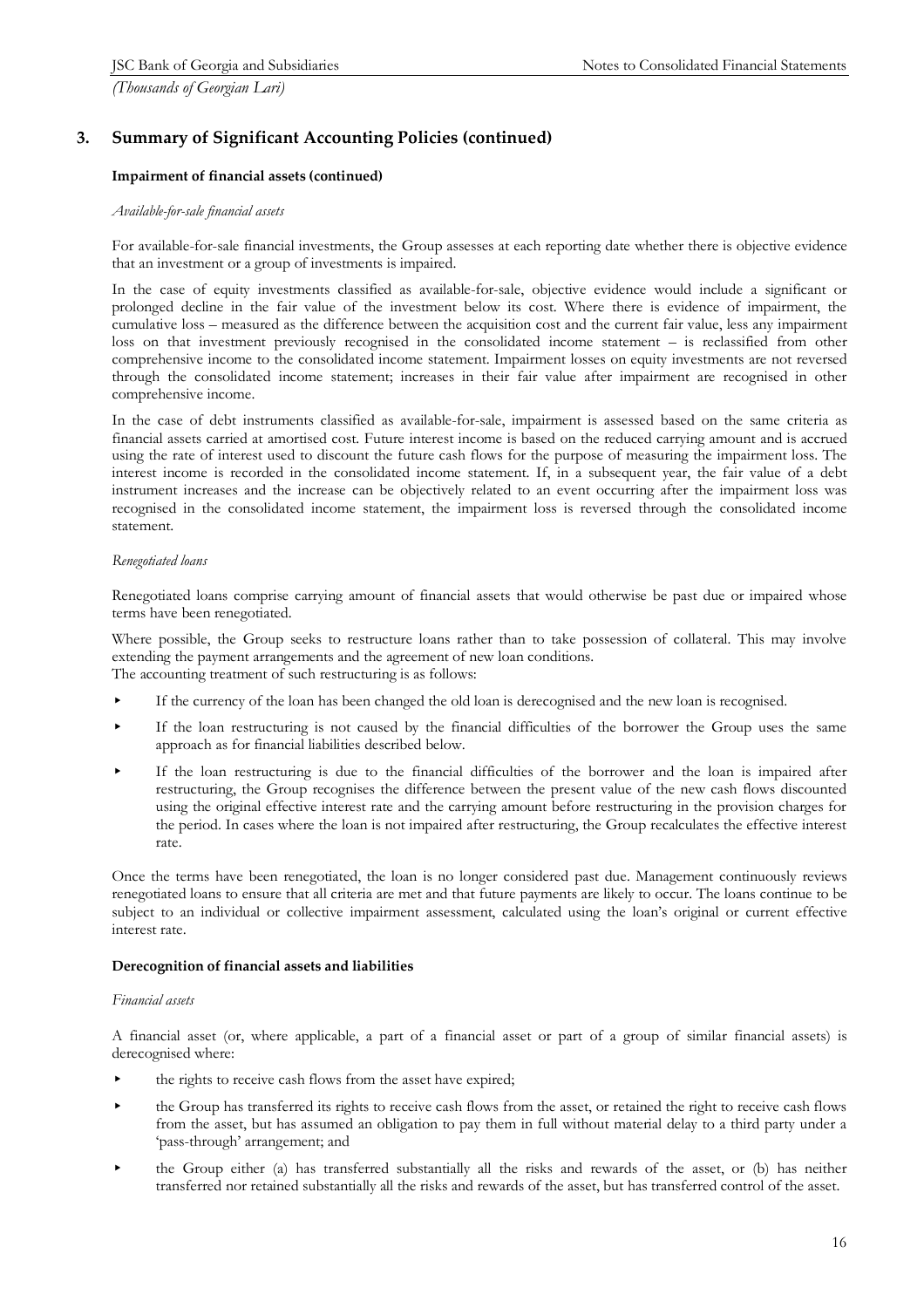# **3. Summary of Significant Accounting Policies (continued)**

#### **Impairment of financial assets (continued)**

#### *Available-for-sale financial assets*

For available-for-sale financial investments, the Group assesses at each reporting date whether there is objective evidence that an investment or a group of investments is impaired.

In the case of equity investments classified as available-for-sale, objective evidence would include a significant or prolonged decline in the fair value of the investment below its cost. Where there is evidence of impairment, the cumulative loss – measured as the difference between the acquisition cost and the current fair value, less any impairment loss on that investment previously recognised in the consolidated income statement – is reclassified from other comprehensive income to the consolidated income statement. Impairment losses on equity investments are not reversed through the consolidated income statement; increases in their fair value after impairment are recognised in other comprehensive income.

In the case of debt instruments classified as available-for-sale, impairment is assessed based on the same criteria as financial assets carried at amortised cost. Future interest income is based on the reduced carrying amount and is accrued using the rate of interest used to discount the future cash flows for the purpose of measuring the impairment loss. The interest income is recorded in the consolidated income statement. If, in a subsequent year, the fair value of a debt instrument increases and the increase can be objectively related to an event occurring after the impairment loss was recognised in the consolidated income statement, the impairment loss is reversed through the consolidated income statement.

#### *Renegotiated loans*

Renegotiated loans comprise carrying amount of financial assets that would otherwise be past due or impaired whose terms have been renegotiated.

Where possible, the Group seeks to restructure loans rather than to take possession of collateral. This may involve extending the payment arrangements and the agreement of new loan conditions. The accounting treatment of such restructuring is as follows:

- If the currency of the loan has been changed the old loan is derecognised and the new loan is recognised.
- If the loan restructuring is not caused by the financial difficulties of the borrower the Group uses the same approach as for financial liabilities described below.
- If the loan restructuring is due to the financial difficulties of the borrower and the loan is impaired after restructuring, the Group recognises the difference between the present value of the new cash flows discounted using the original effective interest rate and the carrying amount before restructuring in the provision charges for the period. In cases where the loan is not impaired after restructuring, the Group recalculates the effective interest rate.

Once the terms have been renegotiated, the loan is no longer considered past due. Management continuously reviews renegotiated loans to ensure that all criteria are met and that future payments are likely to occur. The loans continue to be subject to an individual or collective impairment assessment, calculated using the loan's original or current effective interest rate.

#### **Derecognition of financial assets and liabilities**

#### *Financial assets*

A financial asset (or, where applicable, a part of a financial asset or part of a group of similar financial assets) is derecognised where:

- the rights to receive cash flows from the asset have expired;
- the Group has transferred its rights to receive cash flows from the asset, or retained the right to receive cash flows from the asset, but has assumed an obligation to pay them in full without material delay to a third party under a 'pass-through' arrangement; and
- the Group either (a) has transferred substantially all the risks and rewards of the asset, or (b) has neither transferred nor retained substantially all the risks and rewards of the asset, but has transferred control of the asset.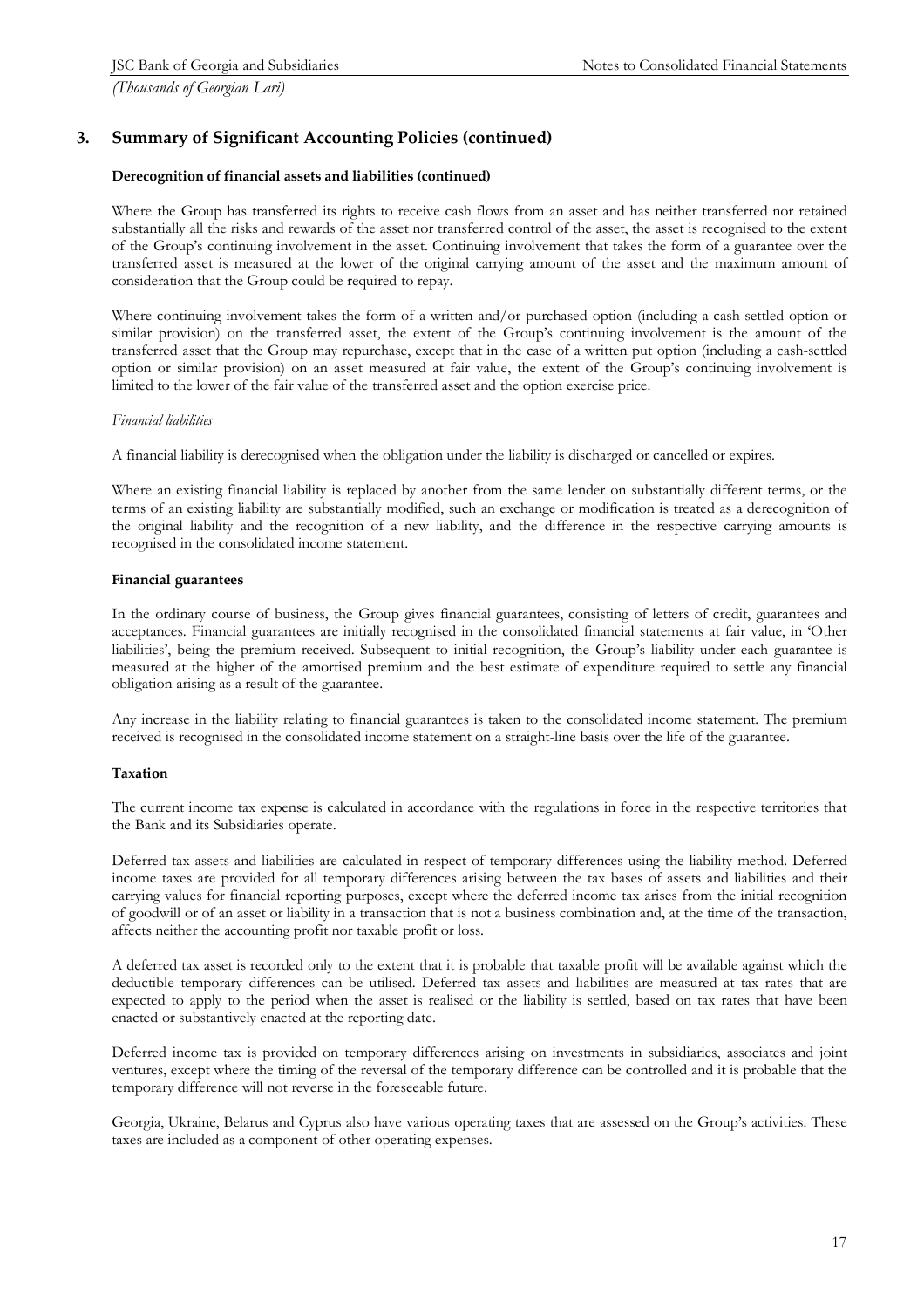# **3. Summary of Significant Accounting Policies (continued)**

### **Derecognition of financial assets and liabilities (continued)**

Where the Group has transferred its rights to receive cash flows from an asset and has neither transferred nor retained substantially all the risks and rewards of the asset nor transferred control of the asset, the asset is recognised to the extent of the Group's continuing involvement in the asset. Continuing involvement that takes the form of a guarantee over the transferred asset is measured at the lower of the original carrying amount of the asset and the maximum amount of consideration that the Group could be required to repay.

Where continuing involvement takes the form of a written and/or purchased option (including a cash-settled option or similar provision) on the transferred asset, the extent of the Group's continuing involvement is the amount of the transferred asset that the Group may repurchase, except that in the case of a written put option (including a cash-settled option or similar provision) on an asset measured at fair value, the extent of the Group's continuing involvement is limited to the lower of the fair value of the transferred asset and the option exercise price.

#### *Financial liabilities*

A financial liability is derecognised when the obligation under the liability is discharged or cancelled or expires.

Where an existing financial liability is replaced by another from the same lender on substantially different terms, or the terms of an existing liability are substantially modified, such an exchange or modification is treated as a derecognition of the original liability and the recognition of a new liability, and the difference in the respective carrying amounts is recognised in the consolidated income statement.

#### **Financial guarantees**

In the ordinary course of business, the Group gives financial guarantees, consisting of letters of credit, guarantees and acceptances. Financial guarantees are initially recognised in the consolidated financial statements at fair value, in 'Other liabilities', being the premium received. Subsequent to initial recognition, the Group's liability under each guarantee is measured at the higher of the amortised premium and the best estimate of expenditure required to settle any financial obligation arising as a result of the guarantee.

Any increase in the liability relating to financial guarantees is taken to the consolidated income statement. The premium received is recognised in the consolidated income statement on a straight-line basis over the life of the guarantee.

### **Taxation**

The current income tax expense is calculated in accordance with the regulations in force in the respective territories that the Bank and its Subsidiaries operate.

Deferred tax assets and liabilities are calculated in respect of temporary differences using the liability method. Deferred income taxes are provided for all temporary differences arising between the tax bases of assets and liabilities and their carrying values for financial reporting purposes, except where the deferred income tax arises from the initial recognition of goodwill or of an asset or liability in a transaction that is not a business combination and, at the time of the transaction, affects neither the accounting profit nor taxable profit or loss.

A deferred tax asset is recorded only to the extent that it is probable that taxable profit will be available against which the deductible temporary differences can be utilised. Deferred tax assets and liabilities are measured at tax rates that are expected to apply to the period when the asset is realised or the liability is settled, based on tax rates that have been enacted or substantively enacted at the reporting date.

Deferred income tax is provided on temporary differences arising on investments in subsidiaries, associates and joint ventures, except where the timing of the reversal of the temporary difference can be controlled and it is probable that the temporary difference will not reverse in the foreseeable future.

Georgia, Ukraine, Belarus and Cyprus also have various operating taxes that are assessed on the Group's activities. These taxes are included as a component of other operating expenses.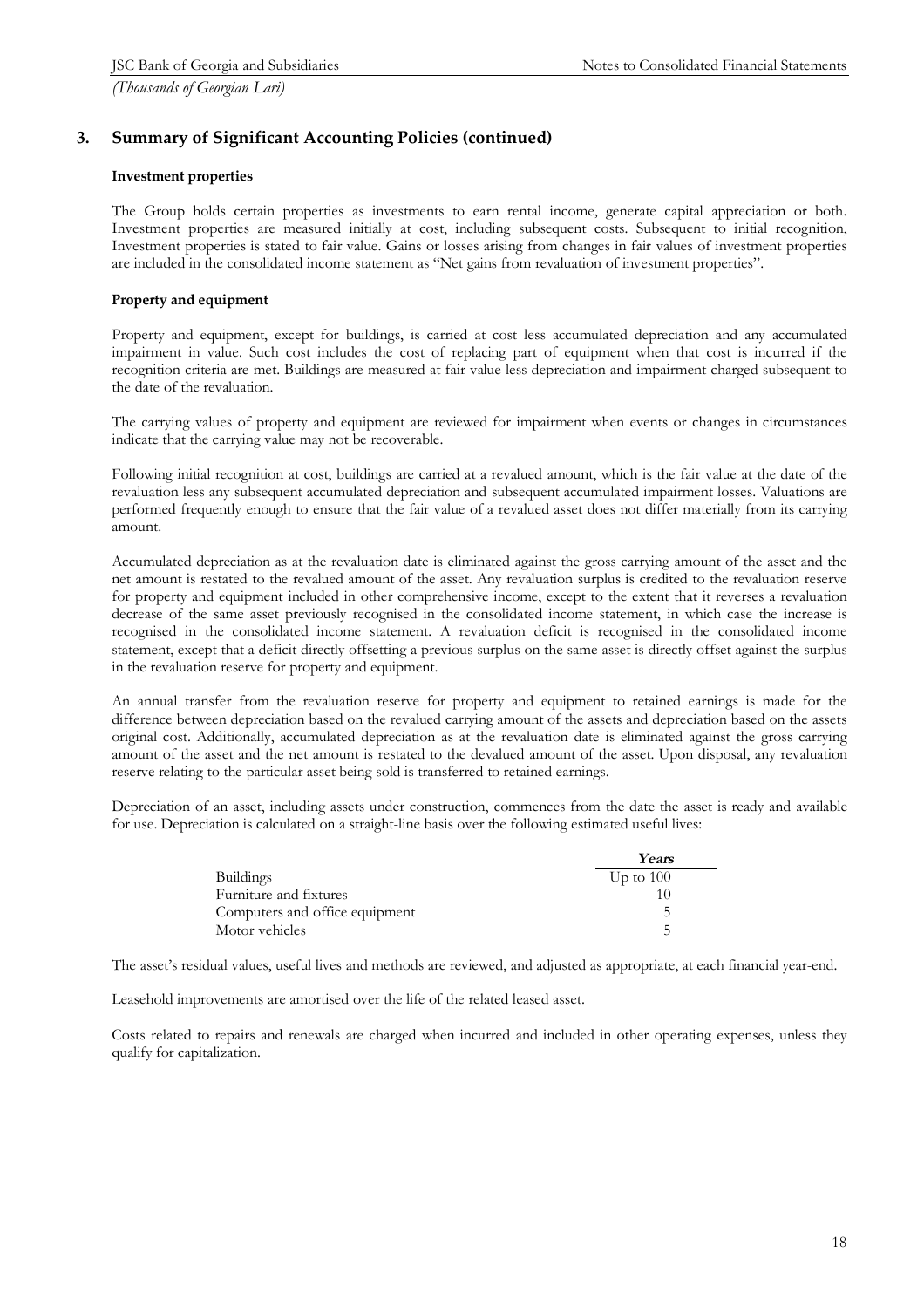# **3. Summary of Significant Accounting Policies (continued)**

#### **Investment properties**

The Group holds certain properties as investments to earn rental income, generate capital appreciation or both. Investment properties are measured initially at cost, including subsequent costs. Subsequent to initial recognition, Investment properties is stated to fair value. Gains or losses arising from changes in fair values of investment properties are included in the consolidated income statement as "Net gains from revaluation of investment properties".

#### **Property and equipment**

Property and equipment, except for buildings, is carried at cost less accumulated depreciation and any accumulated impairment in value. Such cost includes the cost of replacing part of equipment when that cost is incurred if the recognition criteria are met. Buildings are measured at fair value less depreciation and impairment charged subsequent to the date of the revaluation.

The carrying values of property and equipment are reviewed for impairment when events or changes in circumstances indicate that the carrying value may not be recoverable.

Following initial recognition at cost, buildings are carried at a revalued amount, which is the fair value at the date of the revaluation less any subsequent accumulated depreciation and subsequent accumulated impairment losses. Valuations are performed frequently enough to ensure that the fair value of a revalued asset does not differ materially from its carrying amount.

Accumulated depreciation as at the revaluation date is eliminated against the gross carrying amount of the asset and the net amount is restated to the revalued amount of the asset. Any revaluation surplus is credited to the revaluation reserve for property and equipment included in other comprehensive income, except to the extent that it reverses a revaluation decrease of the same asset previously recognised in the consolidated income statement, in which case the increase is recognised in the consolidated income statement. A revaluation deficit is recognised in the consolidated income statement, except that a deficit directly offsetting a previous surplus on the same asset is directly offset against the surplus in the revaluation reserve for property and equipment.

An annual transfer from the revaluation reserve for property and equipment to retained earnings is made for the difference between depreciation based on the revalued carrying amount of the assets and depreciation based on the assets original cost. Additionally, accumulated depreciation as at the revaluation date is eliminated against the gross carrying amount of the asset and the net amount is restated to the devalued amount of the asset. Upon disposal, any revaluation reserve relating to the particular asset being sold is transferred to retained earnings.

Depreciation of an asset, including assets under construction, commences from the date the asset is ready and available for use. Depreciation is calculated on a straight-line basis over the following estimated useful lives:

|                                | Years       |
|--------------------------------|-------------|
| <b>Buildings</b>               | Up to $100$ |
| Furniture and fixtures         |             |
| Computers and office equipment | 5           |
| Motor vehicles                 | 5           |

The asset's residual values, useful lives and methods are reviewed, and adjusted as appropriate, at each financial year-end.

Leasehold improvements are amortised over the life of the related leased asset.

Costs related to repairs and renewals are charged when incurred and included in other operating expenses, unless they qualify for capitalization.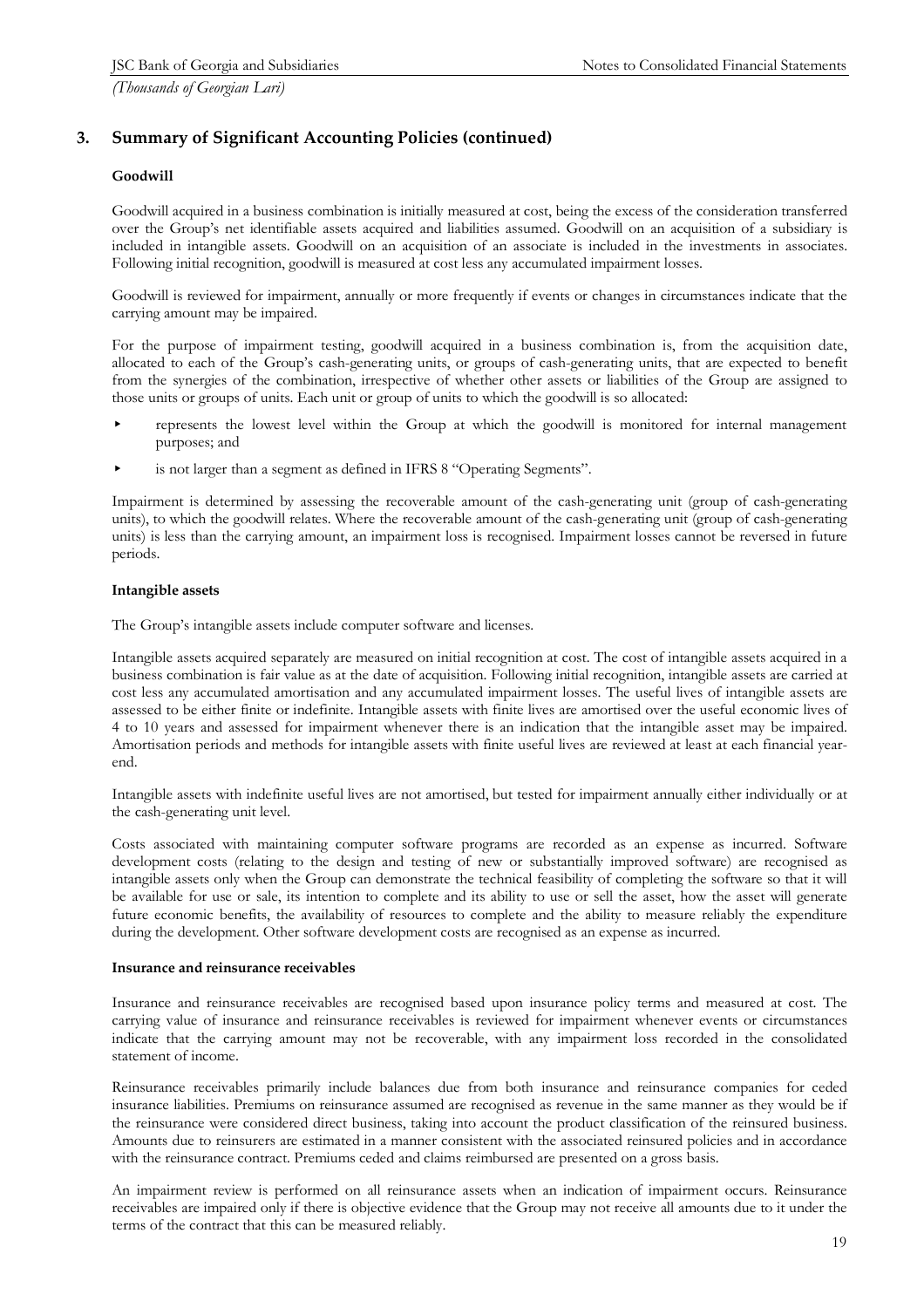# **3. Summary of Significant Accounting Policies (continued)**

#### **Goodwill**

Goodwill acquired in a business combination is initially measured at cost, being the excess of the consideration transferred over the Group's net identifiable assets acquired and liabilities assumed. Goodwill on an acquisition of a subsidiary is included in intangible assets. Goodwill on an acquisition of an associate is included in the investments in associates. Following initial recognition, goodwill is measured at cost less any accumulated impairment losses.

Goodwill is reviewed for impairment, annually or more frequently if events or changes in circumstances indicate that the carrying amount may be impaired.

For the purpose of impairment testing, goodwill acquired in a business combination is, from the acquisition date, allocated to each of the Group's cash-generating units, or groups of cash-generating units, that are expected to benefit from the synergies of the combination, irrespective of whether other assets or liabilities of the Group are assigned to those units or groups of units. Each unit or group of units to which the goodwill is so allocated:

- represents the lowest level within the Group at which the goodwill is monitored for internal management purposes; and
- is not larger than a segment as defined in IFRS 8 "Operating Segments".

Impairment is determined by assessing the recoverable amount of the cash-generating unit (group of cash-generating units), to which the goodwill relates. Where the recoverable amount of the cash-generating unit (group of cash-generating units) is less than the carrying amount, an impairment loss is recognised. Impairment losses cannot be reversed in future periods.

#### **Intangible assets**

The Group's intangible assets include computer software and licenses.

Intangible assets acquired separately are measured on initial recognition at cost. The cost of intangible assets acquired in a business combination is fair value as at the date of acquisition. Following initial recognition, intangible assets are carried at cost less any accumulated amortisation and any accumulated impairment losses. The useful lives of intangible assets are assessed to be either finite or indefinite. Intangible assets with finite lives are amortised over the useful economic lives of 4 to 10 years and assessed for impairment whenever there is an indication that the intangible asset may be impaired. Amortisation periods and methods for intangible assets with finite useful lives are reviewed at least at each financial yearend.

Intangible assets with indefinite useful lives are not amortised, but tested for impairment annually either individually or at the cash-generating unit level.

Costs associated with maintaining computer software programs are recorded as an expense as incurred. Software development costs (relating to the design and testing of new or substantially improved software) are recognised as intangible assets only when the Group can demonstrate the technical feasibility of completing the software so that it will be available for use or sale, its intention to complete and its ability to use or sell the asset, how the asset will generate future economic benefits, the availability of resources to complete and the ability to measure reliably the expenditure during the development. Other software development costs are recognised as an expense as incurred.

#### **Insurance and reinsurance receivables**

Insurance and reinsurance receivables are recognised based upon insurance policy terms and measured at cost. The carrying value of insurance and reinsurance receivables is reviewed for impairment whenever events or circumstances indicate that the carrying amount may not be recoverable, with any impairment loss recorded in the consolidated statement of income.

Reinsurance receivables primarily include balances due from both insurance and reinsurance companies for ceded insurance liabilities. Premiums on reinsurance assumed are recognised as revenue in the same manner as they would be if the reinsurance were considered direct business, taking into account the product classification of the reinsured business. Amounts due to reinsurers are estimated in a manner consistent with the associated reinsured policies and in accordance with the reinsurance contract. Premiums ceded and claims reimbursed are presented on a gross basis.

An impairment review is performed on all reinsurance assets when an indication of impairment occurs. Reinsurance receivables are impaired only if there is objective evidence that the Group may not receive all amounts due to it under the terms of the contract that this can be measured reliably.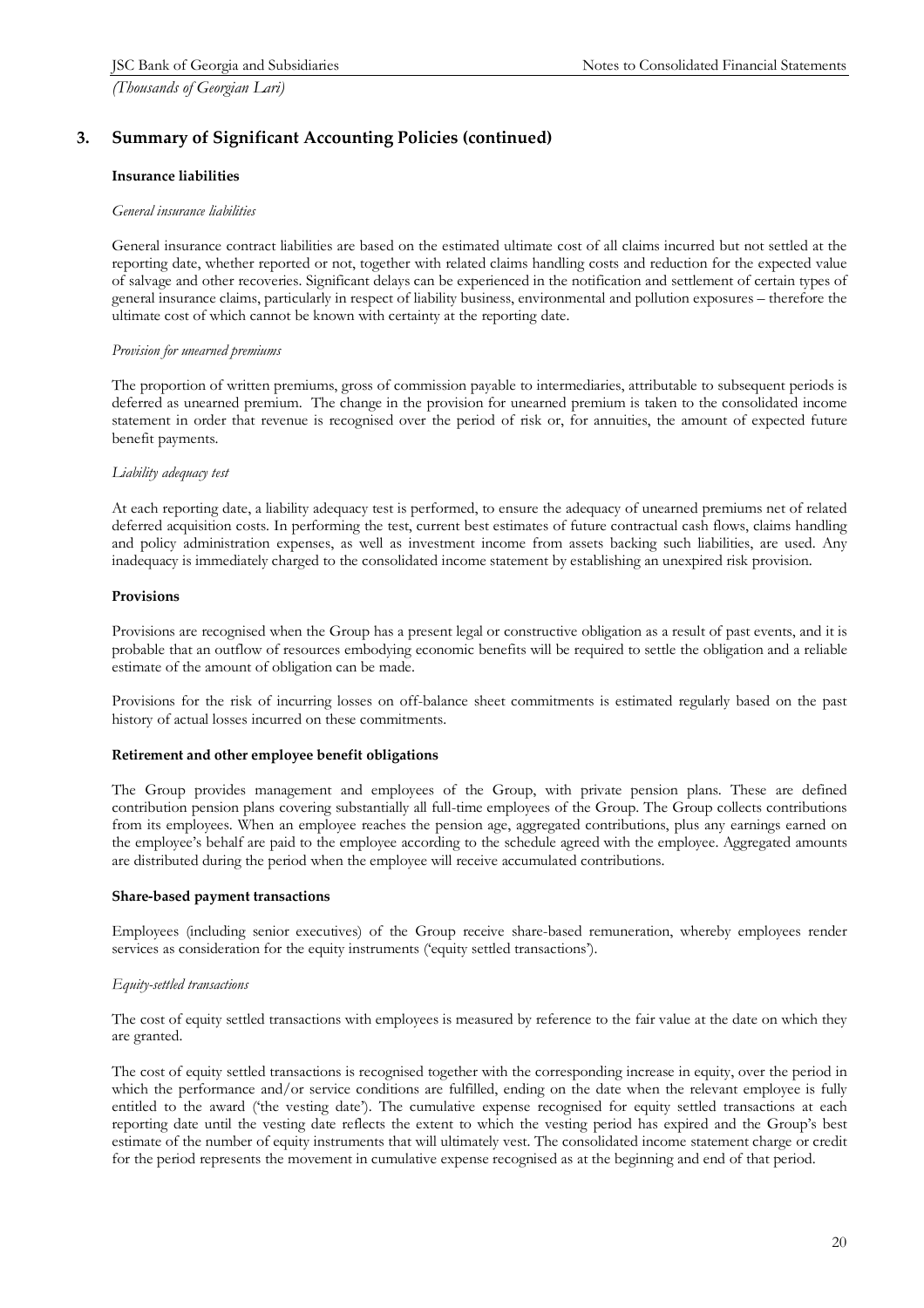# **3. Summary of Significant Accounting Policies (continued)**

#### **Insurance liabilities**

#### *General insurance liabilities*

General insurance contract liabilities are based on the estimated ultimate cost of all claims incurred but not settled at the reporting date, whether reported or not, together with related claims handling costs and reduction for the expected value of salvage and other recoveries. Significant delays can be experienced in the notification and settlement of certain types of general insurance claims, particularly in respect of liability business, environmental and pollution exposures – therefore the ultimate cost of which cannot be known with certainty at the reporting date.

#### *Provision for unearned premiums*

The proportion of written premiums, gross of commission payable to intermediaries, attributable to subsequent periods is deferred as unearned premium. The change in the provision for unearned premium is taken to the consolidated income statement in order that revenue is recognised over the period of risk or, for annuities, the amount of expected future benefit payments.

#### *Liability adequacy test*

At each reporting date, a liability adequacy test is performed, to ensure the adequacy of unearned premiums net of related deferred acquisition costs. In performing the test, current best estimates of future contractual cash flows, claims handling and policy administration expenses, as well as investment income from assets backing such liabilities, are used. Any inadequacy is immediately charged to the consolidated income statement by establishing an unexpired risk provision.

#### **Provisions**

Provisions are recognised when the Group has a present legal or constructive obligation as a result of past events, and it is probable that an outflow of resources embodying economic benefits will be required to settle the obligation and a reliable estimate of the amount of obligation can be made.

Provisions for the risk of incurring losses on off-balance sheet commitments is estimated regularly based on the past history of actual losses incurred on these commitments.

#### **Retirement and other employee benefit obligations**

The Group provides management and employees of the Group, with private pension plans. These are defined contribution pension plans covering substantially all full-time employees of the Group. The Group collects contributions from its employees. When an employee reaches the pension age, aggregated contributions, plus any earnings earned on the employee's behalf are paid to the employee according to the schedule agreed with the employee. Aggregated amounts are distributed during the period when the employee will receive accumulated contributions.

#### **Share-based payment transactions**

Employees (including senior executives) of the Group receive share-based remuneration, whereby employees render services as consideration for the equity instruments ('equity settled transactions').

#### *Equity-settled transactions*

The cost of equity settled transactions with employees is measured by reference to the fair value at the date on which they are granted.

The cost of equity settled transactions is recognised together with the corresponding increase in equity, over the period in which the performance and/or service conditions are fulfilled, ending on the date when the relevant employee is fully entitled to the award ('the vesting date'). The cumulative expense recognised for equity settled transactions at each reporting date until the vesting date reflects the extent to which the vesting period has expired and the Group's best estimate of the number of equity instruments that will ultimately vest. The consolidated income statement charge or credit for the period represents the movement in cumulative expense recognised as at the beginning and end of that period.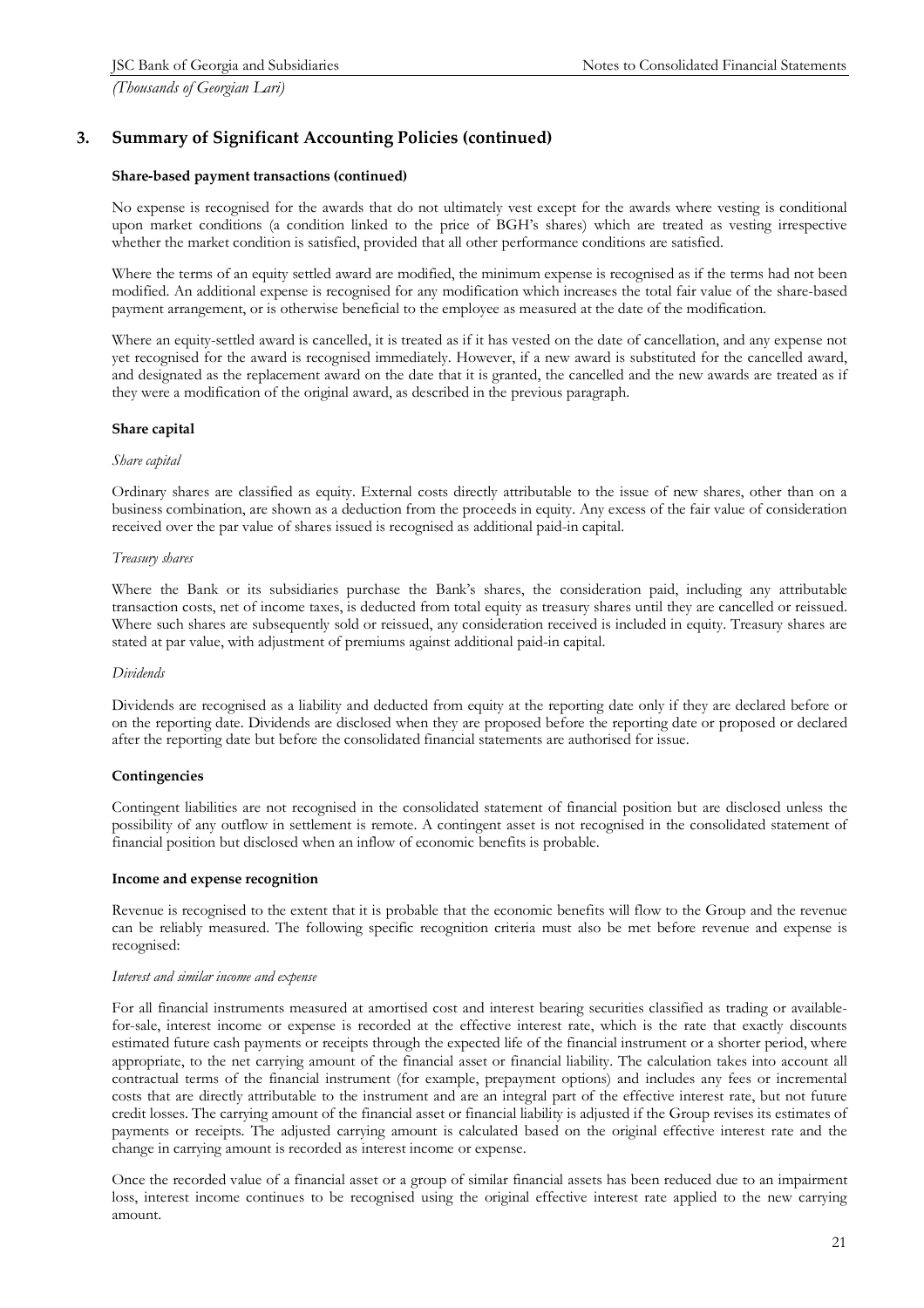# **3. Summary of Significant Accounting Policies (continued)**

#### **Share-based payment transactions (continued)**

No expense is recognised for the awards that do not ultimately vest except for the awards where vesting is conditional upon market conditions (a condition linked to the price of BGH's shares) which are treated as vesting irrespective whether the market condition is satisfied, provided that all other performance conditions are satisfied.

Where the terms of an equity settled award are modified, the minimum expense is recognised as if the terms had not been modified. An additional expense is recognised for any modification which increases the total fair value of the share-based payment arrangement, or is otherwise beneficial to the employee as measured at the date of the modification.

Where an equity-settled award is cancelled, it is treated as if it has vested on the date of cancellation, and any expense not yet recognised for the award is recognised immediately. However, if a new award is substituted for the cancelled award, and designated as the replacement award on the date that it is granted, the cancelled and the new awards are treated as if they were a modification of the original award, as described in the previous paragraph.

#### **Share capital**

#### *Share capital*

Ordinary shares are classified as equity. External costs directly attributable to the issue of new shares, other than on a business combination, are shown as a deduction from the proceeds in equity. Any excess of the fair value of consideration received over the par value of shares issued is recognised as additional paid-in capital.

#### *Treasury shares*

Where the Bank or its subsidiaries purchase the Bank's shares, the consideration paid, including any attributable transaction costs, net of income taxes, is deducted from total equity as treasury shares until they are cancelled or reissued. Where such shares are subsequently sold or reissued, any consideration received is included in equity. Treasury shares are stated at par value, with adjustment of premiums against additional paid-in capital.

#### *Dividends*

Dividends are recognised as a liability and deducted from equity at the reporting date only if they are declared before or on the reporting date. Dividends are disclosed when they are proposed before the reporting date or proposed or declared after the reporting date but before the consolidated financial statements are authorised for issue.

#### **Contingencies**

Contingent liabilities are not recognised in the consolidated statement of financial position but are disclosed unless the possibility of any outflow in settlement is remote. A contingent asset is not recognised in the consolidated statement of financial position but disclosed when an inflow of economic benefits is probable.

#### **Income and expense recognition**

Revenue is recognised to the extent that it is probable that the economic benefits will flow to the Group and the revenue can be reliably measured. The following specific recognition criteria must also be met before revenue and expense is recognised:

#### *Interest and similar income and expense*

For all financial instruments measured at amortised cost and interest bearing securities classified as trading or availablefor-sale, interest income or expense is recorded at the effective interest rate, which is the rate that exactly discounts estimated future cash payments or receipts through the expected life of the financial instrument or a shorter period, where appropriate, to the net carrying amount of the financial asset or financial liability. The calculation takes into account all contractual terms of the financial instrument (for example, prepayment options) and includes any fees or incremental costs that are directly attributable to the instrument and are an integral part of the effective interest rate, but not future credit losses. The carrying amount of the financial asset or financial liability is adjusted if the Group revises its estimates of payments or receipts. The adjusted carrying amount is calculated based on the original effective interest rate and the change in carrying amount is recorded as interest income or expense.

Once the recorded value of a financial asset or a group of similar financial assets has been reduced due to an impairment loss, interest income continues to be recognised using the original effective interest rate applied to the new carrying amount.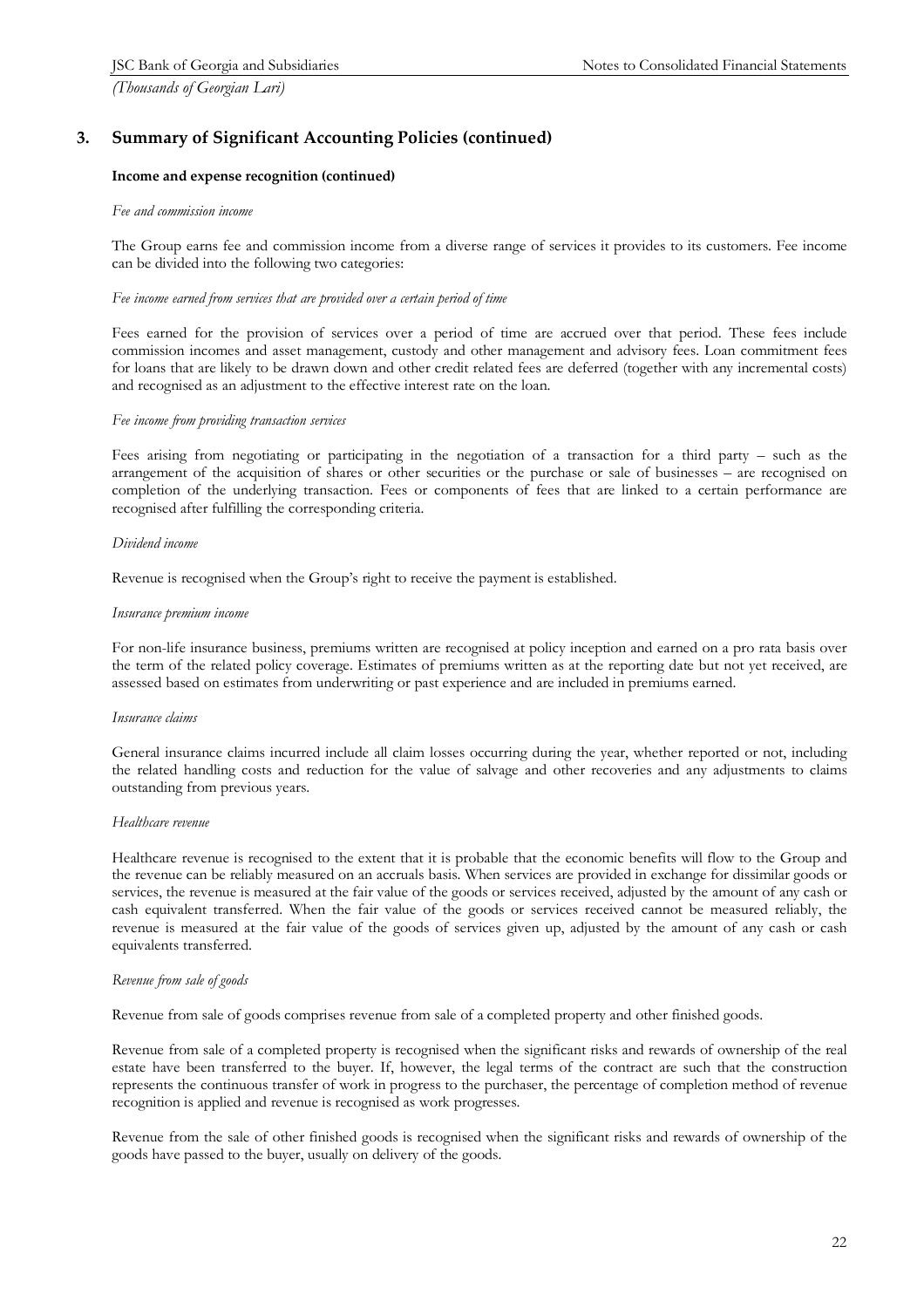# **3. Summary of Significant Accounting Policies (continued)**

#### **Income and expense recognition (continued)**

#### *Fee and commission income*

The Group earns fee and commission income from a diverse range of services it provides to its customers. Fee income can be divided into the following two categories:

#### *Fee income earned from services that are provided over a certain period of time*

Fees earned for the provision of services over a period of time are accrued over that period. These fees include commission incomes and asset management, custody and other management and advisory fees. Loan commitment fees for loans that are likely to be drawn down and other credit related fees are deferred (together with any incremental costs) and recognised as an adjustment to the effective interest rate on the loan.

#### *Fee income from providing transaction services*

Fees arising from negotiating or participating in the negotiation of a transaction for a third party – such as the arrangement of the acquisition of shares or other securities or the purchase or sale of businesses – are recognised on completion of the underlying transaction. Fees or components of fees that are linked to a certain performance are recognised after fulfilling the corresponding criteria.

#### *Dividend income*

Revenue is recognised when the Group's right to receive the payment is established.

#### *Insurance premium income*

For non-life insurance business, premiums written are recognised at policy inception and earned on a pro rata basis over the term of the related policy coverage. Estimates of premiums written as at the reporting date but not yet received, are assessed based on estimates from underwriting or past experience and are included in premiums earned.

#### *Insurance claims*

General insurance claims incurred include all claim losses occurring during the year, whether reported or not, including the related handling costs and reduction for the value of salvage and other recoveries and any adjustments to claims outstanding from previous years.

#### *Healthcare revenue*

Healthcare revenue is recognised to the extent that it is probable that the economic benefits will flow to the Group and the revenue can be reliably measured on an accruals basis. When services are provided in exchange for dissimilar goods or services, the revenue is measured at the fair value of the goods or services received, adjusted by the amount of any cash or cash equivalent transferred. When the fair value of the goods or services received cannot be measured reliably, the revenue is measured at the fair value of the goods of services given up, adjusted by the amount of any cash or cash equivalents transferred.

#### *Revenue from sale of goods*

Revenue from sale of goods comprises revenue from sale of a completed property and other finished goods.

Revenue from sale of a completed property is recognised when the significant risks and rewards of ownership of the real estate have been transferred to the buyer. If, however, the legal terms of the contract are such that the construction represents the continuous transfer of work in progress to the purchaser, the percentage of completion method of revenue recognition is applied and revenue is recognised as work progresses.

Revenue from the sale of other finished goods is recognised when the significant risks and rewards of ownership of the goods have passed to the buyer, usually on delivery of the goods.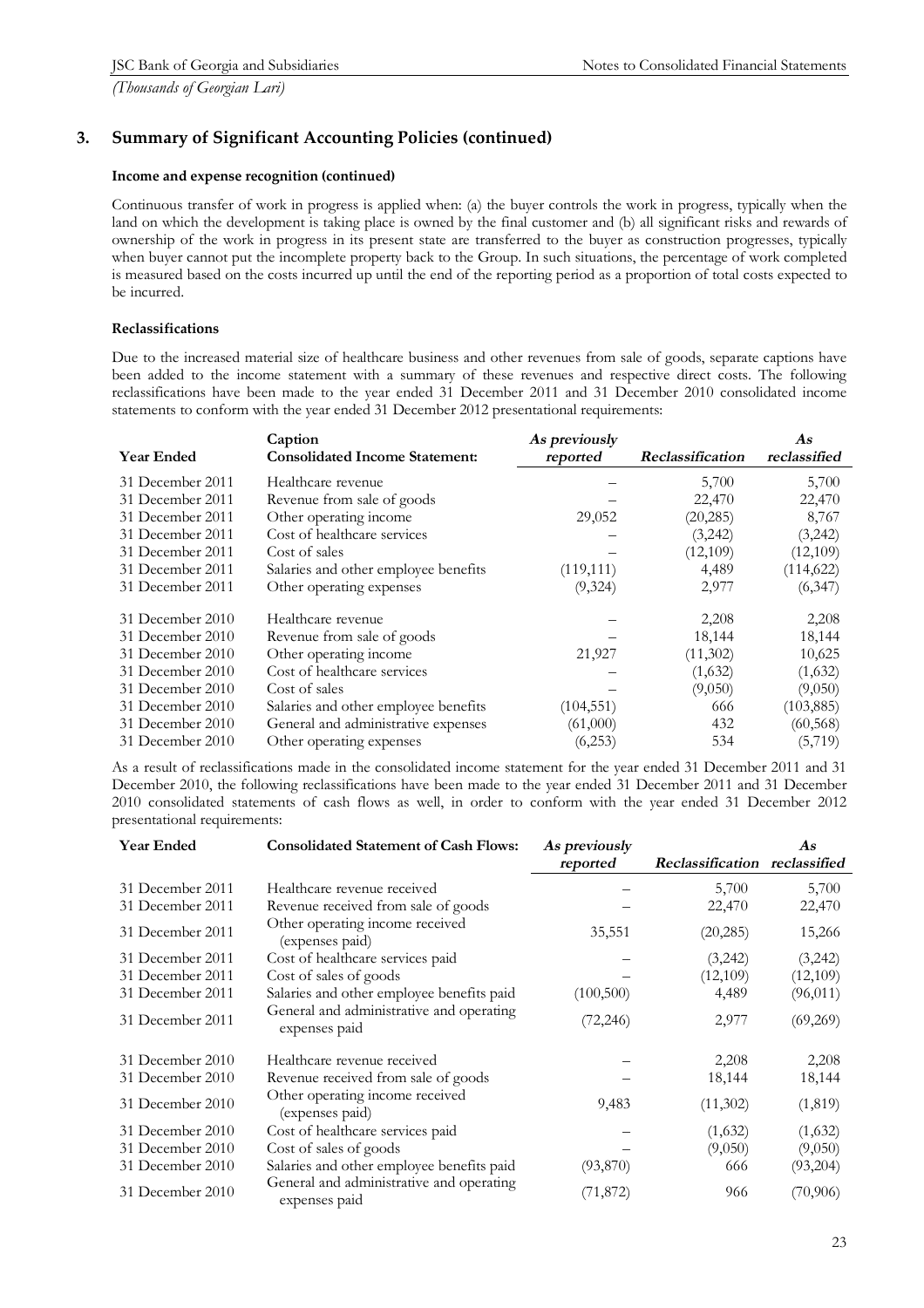# **3. Summary of Significant Accounting Policies (continued)**

#### **Income and expense recognition (continued)**

Continuous transfer of work in progress is applied when: (a) the buyer controls the work in progress, typically when the land on which the development is taking place is owned by the final customer and (b) all significant risks and rewards of ownership of the work in progress in its present state are transferred to the buyer as construction progresses, typically when buyer cannot put the incomplete property back to the Group. In such situations, the percentage of work completed is measured based on the costs incurred up until the end of the reporting period as a proportion of total costs expected to be incurred.

### **Reclassifications**

Due to the increased material size of healthcare business and other revenues from sale of goods, separate captions have been added to the income statement with a summary of these revenues and respective direct costs. The following reclassifications have been made to the year ended 31 December 2011 and 31 December 2010 consolidated income statements to conform with the year ended 31 December 2012 presentational requirements:

| <b>Year Ended</b> | Caption<br><b>Consolidated Income Statement:</b> | As previously<br>reported | Reclassification | As<br>reclassified |
|-------------------|--------------------------------------------------|---------------------------|------------------|--------------------|
| 31 December 2011  | Healthcare revenue                               |                           | 5,700            | 5,700              |
| 31 December 2011  | Revenue from sale of goods                       |                           | 22,470           | 22,470             |
| 31 December 2011  | Other operating income                           | 29,052                    | (20, 285)        | 8,767              |
| 31 December 2011  | Cost of healthcare services                      |                           | (3,242)          | (3,242)            |
| 31 December 2011  | Cost of sales                                    |                           | (12,109)         | (12,109)           |
| 31 December 2011  | Salaries and other employee benefits             | (119,111)                 | 4,489            | (114, 622)         |
| 31 December 2011  | Other operating expenses                         | (9,324)                   | 2,977            | (6,347)            |
| 31 December 2010  | Healthcare revenue                               |                           | 2,208            | 2,208              |
| 31 December 2010  | Revenue from sale of goods                       |                           | 18,144           | 18,144             |
| 31 December 2010  | Other operating income                           | 21,927                    | (11,302)         | 10,625             |
| 31 December 2010  | Cost of healthcare services                      |                           | (1,632)          | (1,632)            |
| 31 December 2010  | Cost of sales                                    |                           | (9,050)          | (9,050)            |
| 31 December 2010  | Salaries and other employee benefits             | (104, 551)                | 666              | (103, 885)         |
| 31 December 2010  | General and administrative expenses              | (61,000)                  | 432              | (60, 568)          |
| 31 December 2010  | Other operating expenses                         | (6,253)                   | 534              | (5,719)            |

As a result of reclassifications made in the consolidated income statement for the year ended 31 December 2011 and 31 December 2010, the following reclassifications have been made to the year ended 31 December 2011 and 31 December 2010 consolidated statements of cash flows as well, in order to conform with the year ended 31 December 2012 presentational requirements:

| <b>Year Ended</b> | <b>Consolidated Statement of Cash Flows:</b>              | As previously |                               | As        |
|-------------------|-----------------------------------------------------------|---------------|-------------------------------|-----------|
|                   |                                                           | reported      | Reclassification reclassified |           |
| 31 December 2011  | Healthcare revenue received                               |               | 5,700                         | 5,700     |
| 31 December 2011  | Revenue received from sale of goods                       |               | 22,470                        | 22,470    |
| 31 December 2011  | Other operating income received<br>(expenses paid)        | 35,551        | (20, 285)                     | 15,266    |
| 31 December 2011  | Cost of healthcare services paid                          |               | (3,242)                       | (3,242)   |
| 31 December 2011  | Cost of sales of goods                                    |               | (12,109)                      | (12, 109) |
| 31 December 2011  | Salaries and other employee benefits paid                 | (100,500)     | 4,489                         | (96, 011) |
| 31 December 2011  | General and administrative and operating<br>expenses paid | (72, 246)     | 2,977                         | (69,269)  |
| 31 December 2010  | Healthcare revenue received                               |               | 2,208                         | 2,208     |
| 31 December 2010  | Revenue received from sale of goods                       |               | 18,144                        | 18,144    |
| 31 December 2010  | Other operating income received<br>(expenses paid)        | 9,483         | (11,302)                      | (1,819)   |
| 31 December 2010  | Cost of healthcare services paid                          |               | (1,632)                       | (1,632)   |
| 31 December 2010  | Cost of sales of goods                                    |               | (9,050)                       | (9,050)   |
| 31 December 2010  | Salaries and other employee benefits paid                 | (93, 870)     | 666                           | (93,204)  |
| 31 December 2010  | General and administrative and operating<br>expenses paid | (71,872)      | 966                           | (70, 906) |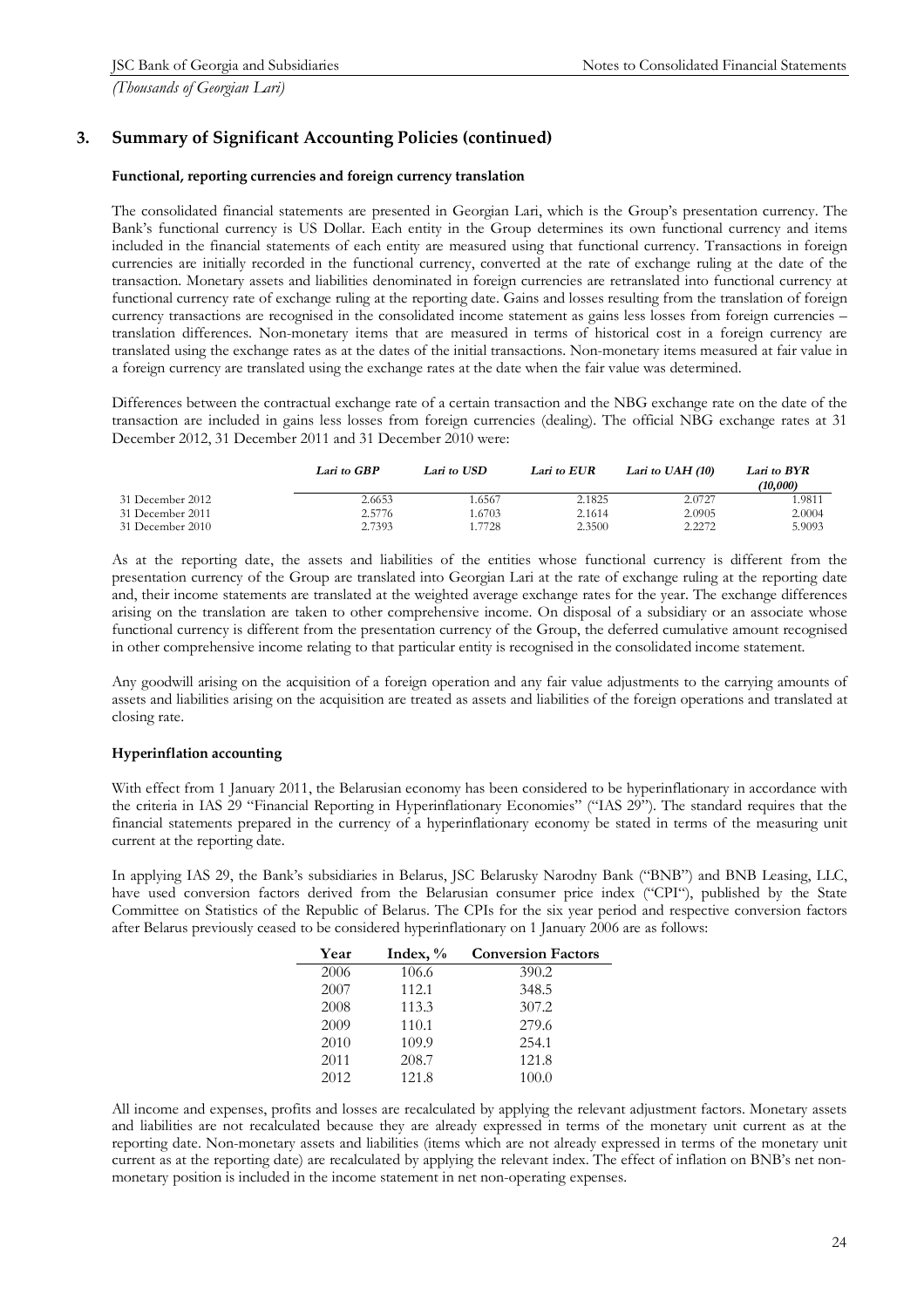### **3. Summary of Significant Accounting Policies (continued)**

#### **Functional, reporting currencies and foreign currency translation**

The consolidated financial statements are presented in Georgian Lari, which is the Group's presentation currency. The Bank's functional currency is US Dollar. Each entity in the Group determines its own functional currency and items included in the financial statements of each entity are measured using that functional currency. Transactions in foreign currencies are initially recorded in the functional currency, converted at the rate of exchange ruling at the date of the transaction. Monetary assets and liabilities denominated in foreign currencies are retranslated into functional currency at functional currency rate of exchange ruling at the reporting date. Gains and losses resulting from the translation of foreign currency transactions are recognised in the consolidated income statement as gains less losses from foreign currencies – translation differences. Non-monetary items that are measured in terms of historical cost in a foreign currency are translated using the exchange rates as at the dates of the initial transactions. Non-monetary items measured at fair value in a foreign currency are translated using the exchange rates at the date when the fair value was determined.

Differences between the contractual exchange rate of a certain transaction and the NBG exchange rate on the date of the transaction are included in gains less losses from foreign currencies (dealing). The official NBG exchange rates at 31 December 2012, 31 December 2011 and 31 December 2010 were:

|                  | Lari to GBP | Lari to USD | Lari to EUR | Lari to UAH (10) | Lari to BYR<br>(10.000) |
|------------------|-------------|-------------|-------------|------------------|-------------------------|
| 31 December 2012 | 2.6653      | .6567       | 2.1825      | 2.0727           | 1.981.                  |
| 31 December 2011 | 2.5776      | 1.6703      | 2.1614      | 2.0905           | 2.0004                  |
| 31 December 2010 | 2.7393      | 1.7728      | 2.3500      | 2.2272           | 5.9093                  |

As at the reporting date, the assets and liabilities of the entities whose functional currency is different from the presentation currency of the Group are translated into Georgian Lari at the rate of exchange ruling at the reporting date and, their income statements are translated at the weighted average exchange rates for the year. The exchange differences arising on the translation are taken to other comprehensive income. On disposal of a subsidiary or an associate whose functional currency is different from the presentation currency of the Group, the deferred cumulative amount recognised in other comprehensive income relating to that particular entity is recognised in the consolidated income statement.

Any goodwill arising on the acquisition of a foreign operation and any fair value adjustments to the carrying amounts of assets and liabilities arising on the acquisition are treated as assets and liabilities of the foreign operations and translated at closing rate.

### **Hyperinflation accounting**

With effect from 1 January 2011, the Belarusian economy has been considered to be hyperinflationary in accordance with the criteria in IAS 29 "Financial Reporting in Hyperinflationary Economies" ("IAS 29"). The standard requires that the financial statements prepared in the currency of a hyperinflationary economy be stated in terms of the measuring unit current at the reporting date.

In applying IAS 29, the Bank's subsidiaries in Belarus, JSC Belarusky Narodny Bank ("BNB") and BNB Leasing, LLC, have used conversion factors derived from the Belarusian consumer price index ("CPI"), published by the State Committee on Statistics of the Republic of Belarus. The CPIs for the six year period and respective conversion factors after Belarus previously ceased to be considered hyperinflationary on 1 January 2006 are as follows:

| Year | Index, $\%$ | <b>Conversion Factors</b> |
|------|-------------|---------------------------|
| 2006 | 106.6       | 390.2                     |
| 2007 | 112.1       | 348.5                     |
| 2008 | 113.3       | 307.2                     |
| 2009 | 110.1       | 279.6                     |
| 2010 | 109.9       | 254.1                     |
| 2011 | 208.7       | 121.8                     |
| 2012 | 121.8       | 100.0                     |

All income and expenses, profits and losses are recalculated by applying the relevant adjustment factors. Monetary assets and liabilities are not recalculated because they are already expressed in terms of the monetary unit current as at the reporting date. Non-monetary assets and liabilities (items which are not already expressed in terms of the monetary unit current as at the reporting date) are recalculated by applying the relevant index. The effect of inflation on BNB's net nonmonetary position is included in the income statement in net non-operating expenses.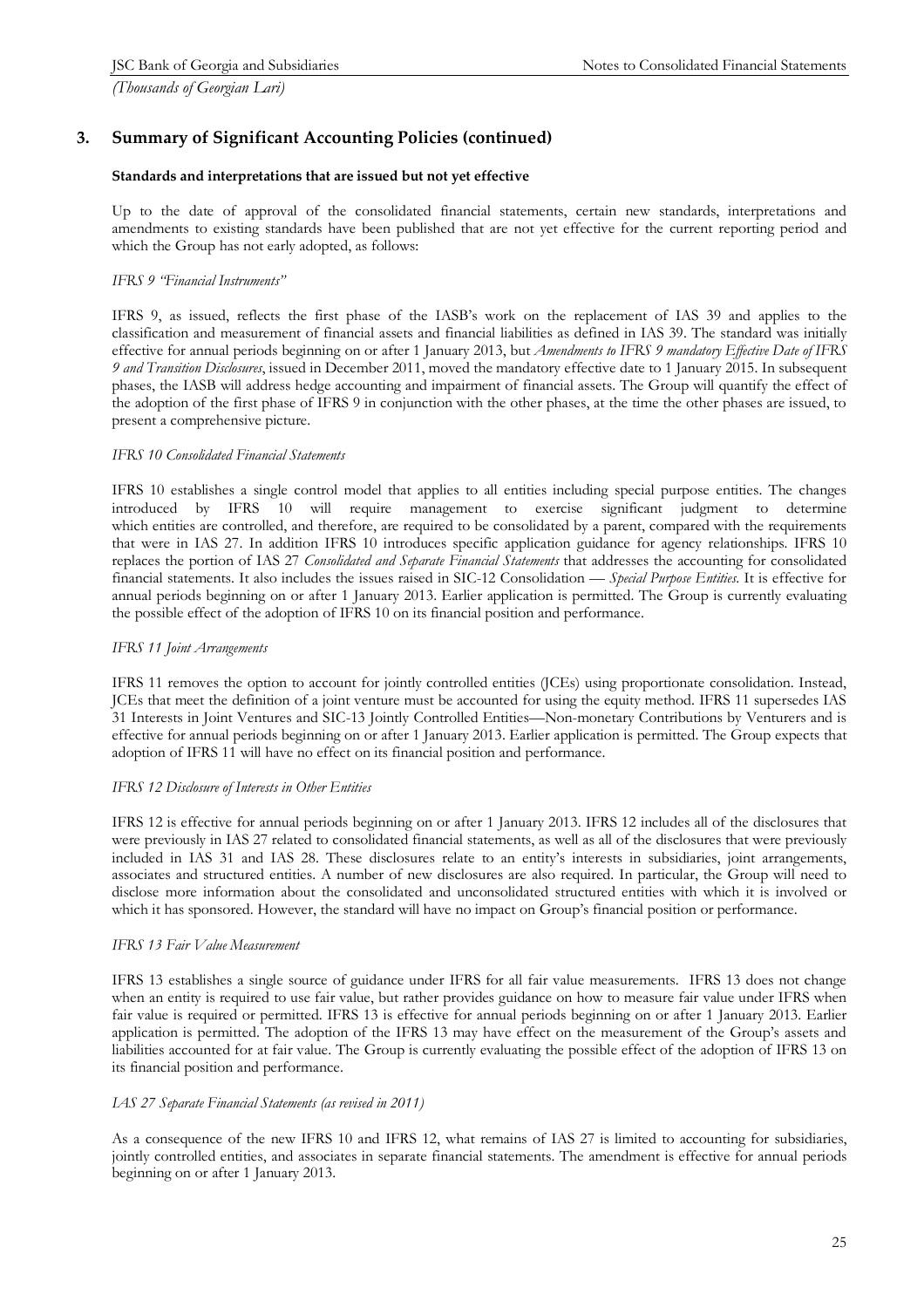# **3. Summary of Significant Accounting Policies (continued)**

### **Standards and interpretations that are issued but not yet effective**

Up to the date of approval of the consolidated financial statements, certain new standards, interpretations and amendments to existing standards have been published that are not yet effective for the current reporting period and which the Group has not early adopted, as follows:

### *IFRS 9 "Financial Instruments"*

IFRS 9, as issued, reflects the first phase of the IASB's work on the replacement of IAS 39 and applies to the classification and measurement of financial assets and financial liabilities as defined in IAS 39. The standard was initially effective for annual periods beginning on or after 1 January 2013, but *Amendments to IFRS 9 mandatory Effective Date of IFRS 9 and Transition Disclosures*, issued in December 2011, moved the mandatory effective date to 1 January 2015. In subsequent phases, the IASB will address hedge accounting and impairment of financial assets. The Group will quantify the effect of the adoption of the first phase of IFRS 9 in conjunction with the other phases, at the time the other phases are issued, to present a comprehensive picture.

#### *IFRS 10 Consolidated Financial Statements*

IFRS 10 establishes a single control model that applies to all entities including special purpose entities. The changes introduced by IFRS 10 will require management to exercise significant judgment to determine which entities are controlled, and therefore, are required to be consolidated by a parent, compared with the requirements that were in IAS 27. In addition IFRS 10 introduces specific application guidance for agency relationships. IFRS 10 replaces the portion of IAS 27 *Consolidated and Separate Financial Statements* that addresses the accounting for consolidated financial statements. It also includes the issues raised in SIC-12 Consolidation — *Special Purpose Entities*. It is effective for annual periods beginning on or after 1 January 2013. Earlier application is permitted. The Group is currently evaluating the possible effect of the adoption of IFRS 10 on its financial position and performance.

#### *IFRS 11 Joint Arrangements*

IFRS 11 removes the option to account for jointly controlled entities (JCEs) using proportionate consolidation. Instead, JCEs that meet the definition of a joint venture must be accounted for using the equity method. IFRS 11 supersedes IAS 31 Interests in Joint Ventures and SIC-13 Jointly Controlled Entities—Non-monetary Contributions by Venturers and is effective for annual periods beginning on or after 1 January 2013. Earlier application is permitted. The Group expects that adoption of IFRS 11 will have no effect on its financial position and performance.

### *IFRS 12 Disclosure of Interests in Other Entities*

IFRS 12 is effective for annual periods beginning on or after 1 January 2013. IFRS 12 includes all of the disclosures that were previously in IAS 27 related to consolidated financial statements, as well as all of the disclosures that were previously included in IAS 31 and IAS 28. These disclosures relate to an entity's interests in subsidiaries, joint arrangements, associates and structured entities. A number of new disclosures are also required. In particular, the Group will need to disclose more information about the consolidated and unconsolidated structured entities with which it is involved or which it has sponsored. However, the standard will have no impact on Group's financial position or performance.

### *IFRS 13 Fair Value Measurement*

IFRS 13 establishes a single source of guidance under IFRS for all fair value measurements. IFRS 13 does not change when an entity is required to use fair value, but rather provides guidance on how to measure fair value under IFRS when fair value is required or permitted. IFRS 13 is effective for annual periods beginning on or after 1 January 2013. Earlier application is permitted. The adoption of the IFRS 13 may have effect on the measurement of the Group's assets and liabilities accounted for at fair value. The Group is currently evaluating the possible effect of the adoption of IFRS 13 on its financial position and performance.

### *IAS 27 Separate Financial Statements (as revised in 2011)*

As a consequence of the new IFRS 10 and IFRS 12, what remains of IAS 27 is limited to accounting for subsidiaries, jointly controlled entities, and associates in separate financial statements. The amendment is effective for annual periods beginning on or after 1 January 2013.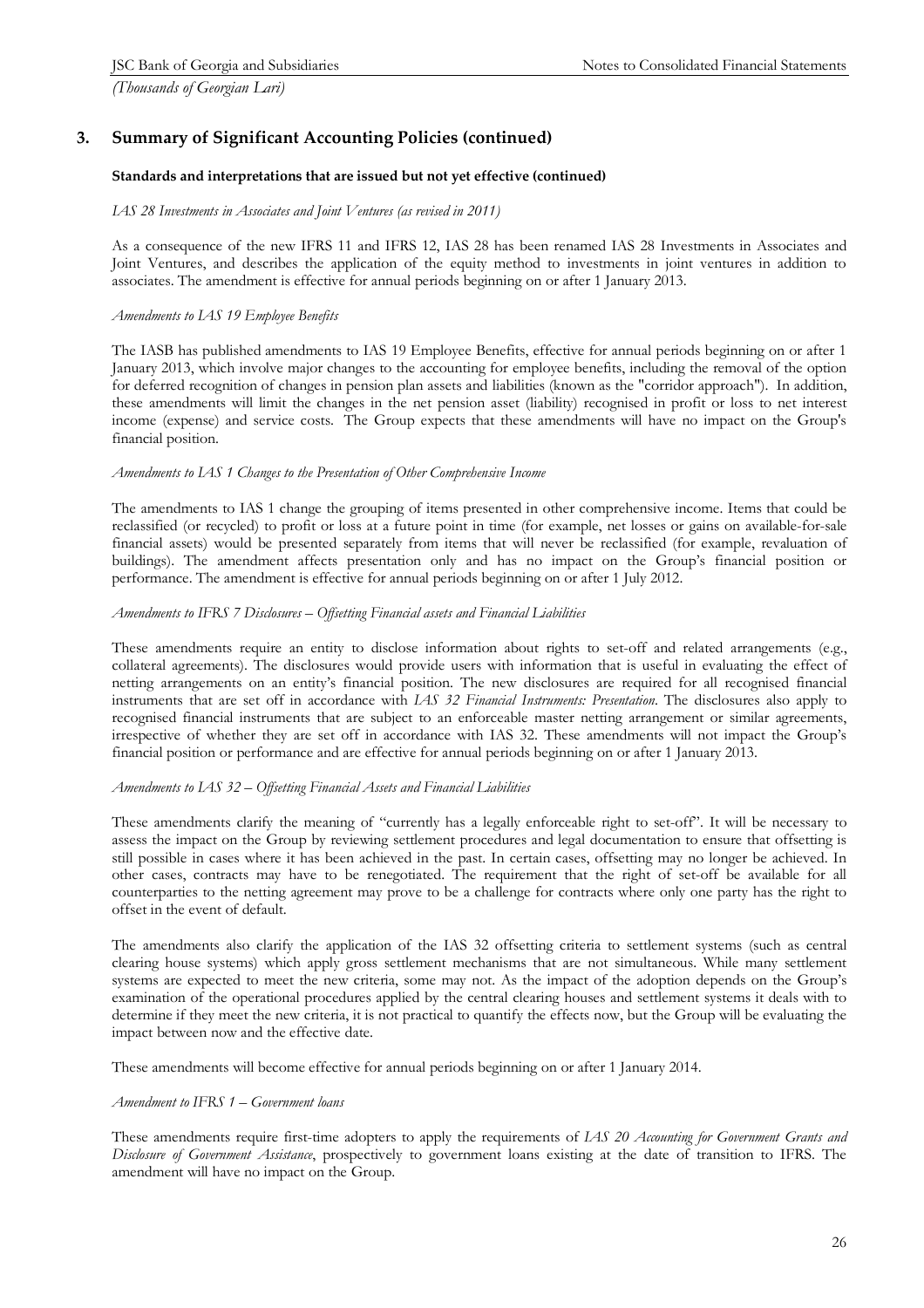### **3. Summary of Significant Accounting Policies (continued)**

#### **Standards and interpretations that are issued but not yet effective (continued)**

#### *IAS 28 Investments in Associates and Joint Ventures (as revised in 2011)*

As a consequence of the new IFRS 11 and IFRS 12, IAS 28 has been renamed IAS 28 Investments in Associates and Joint Ventures, and describes the application of the equity method to investments in joint ventures in addition to associates. The amendment is effective for annual periods beginning on or after 1 January 2013.

#### *Amendments to IAS 19 Employee Benefits*

The IASB has published amendments to IAS 19 Employee Benefits, effective for annual periods beginning on or after 1 January 2013, which involve major changes to the accounting for employee benefits, including the removal of the option for deferred recognition of changes in pension plan assets and liabilities (known as the "corridor approach"). In addition, these amendments will limit the changes in the net pension asset (liability) recognised in profit or loss to net interest income (expense) and service costs. The Group expects that these amendments will have no impact on the Group's financial position.

#### *Amendments to IAS 1 Changes to the Presentation of Other Comprehensive Income*

The amendments to IAS 1 change the grouping of items presented in other comprehensive income. Items that could be reclassified (or recycled) to profit or loss at a future point in time (for example, net losses or gains on available-for-sale financial assets) would be presented separately from items that will never be reclassified (for example, revaluation of buildings). The amendment affects presentation only and has no impact on the Group's financial position or performance. The amendment is effective for annual periods beginning on or after 1 July 2012.

#### *Amendments to IFRS 7 Disclosures – Offsetting Financial assets and Financial Liabilities*

These amendments require an entity to disclose information about rights to set-off and related arrangements (e.g., collateral agreements). The disclosures would provide users with information that is useful in evaluating the effect of netting arrangements on an entity's financial position. The new disclosures are required for all recognised financial instruments that are set off in accordance with *IAS 32 Financial Instruments: Presentation*. The disclosures also apply to recognised financial instruments that are subject to an enforceable master netting arrangement or similar agreements, irrespective of whether they are set off in accordance with IAS 32. These amendments will not impact the Group's financial position or performance and are effective for annual periods beginning on or after 1 January 2013.

#### *Amendments to IAS 32 – Offsetting Financial Assets and Financial Liabilities*

These amendments clarify the meaning of "currently has a legally enforceable right to set-off". It will be necessary to assess the impact on the Group by reviewing settlement procedures and legal documentation to ensure that offsetting is still possible in cases where it has been achieved in the past. In certain cases, offsetting may no longer be achieved. In other cases, contracts may have to be renegotiated. The requirement that the right of set-off be available for all counterparties to the netting agreement may prove to be a challenge for contracts where only one party has the right to offset in the event of default.

The amendments also clarify the application of the IAS 32 offsetting criteria to settlement systems (such as central clearing house systems) which apply gross settlement mechanisms that are not simultaneous. While many settlement systems are expected to meet the new criteria, some may not. As the impact of the adoption depends on the Group's examination of the operational procedures applied by the central clearing houses and settlement systems it deals with to determine if they meet the new criteria, it is not practical to quantify the effects now, but the Group will be evaluating the impact between now and the effective date.

These amendments will become effective for annual periods beginning on or after 1 January 2014.

#### *Amendment to IFRS 1 – Government loans*

These amendments require first-time adopters to apply the requirements of *IAS 20 Accounting for Government Grants and Disclosure of Government Assistance*, prospectively to government loans existing at the date of transition to IFRS. The amendment will have no impact on the Group.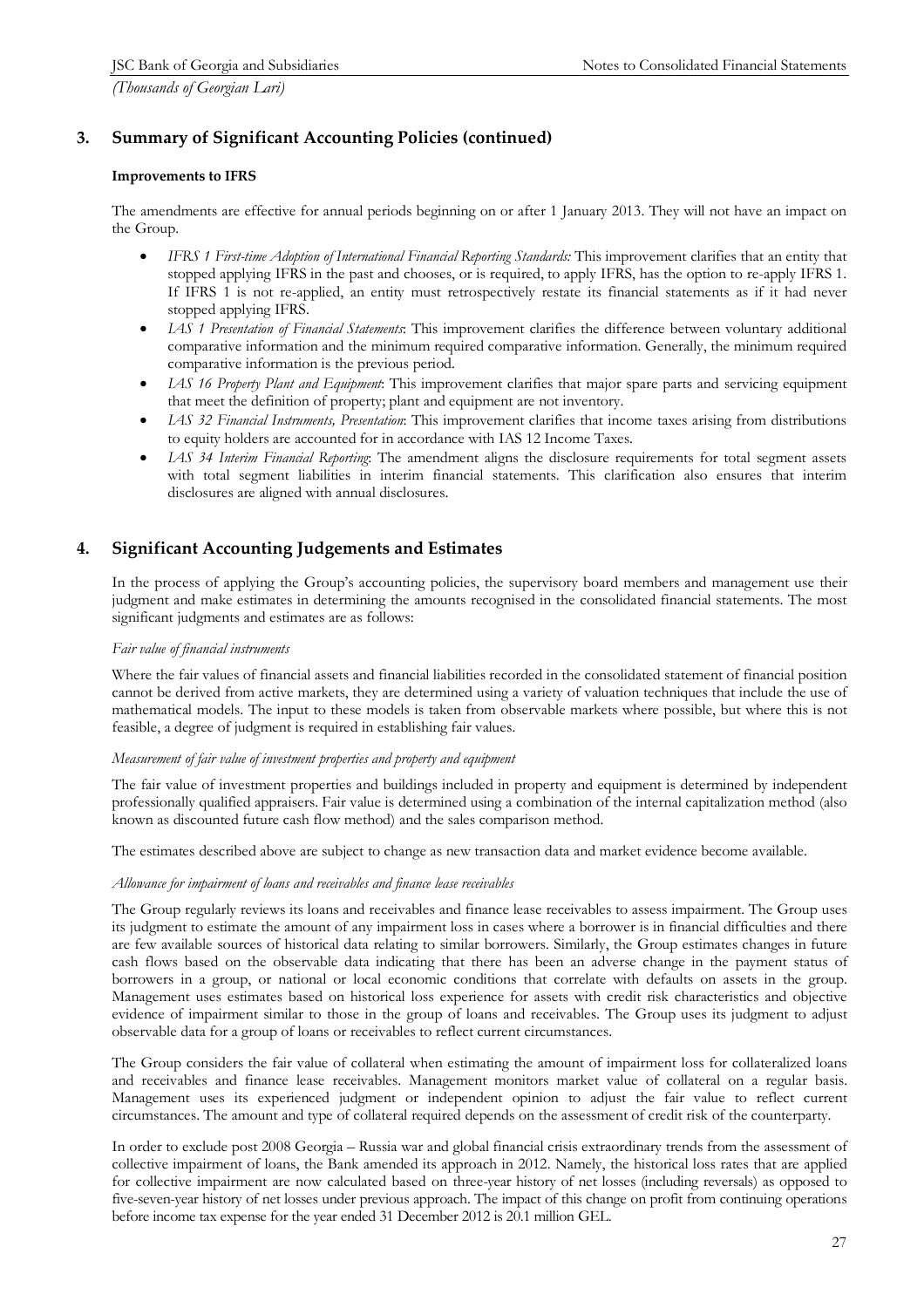# **3. Summary of Significant Accounting Policies (continued)**

#### **Improvements to IFRS**

The amendments are effective for annual periods beginning on or after 1 January 2013. They will not have an impact on the Group.

- · *IFRS 1 First-time Adoption of International Financial Reporting Standards:* This improvement clarifies that an entity that stopped applying IFRS in the past and chooses, or is required, to apply IFRS, has the option to re-apply IFRS 1. If IFRS 1 is not re-applied, an entity must retrospectively restate its financial statements as if it had never stopped applying IFRS.
- · *IAS 1 Presentation of Financial Statements*: This improvement clarifies the difference between voluntary additional comparative information and the minimum required comparative information. Generally, the minimum required comparative information is the previous period.
- · *IAS 16 Property Plant and Equipment*: This improvement clarifies that major spare parts and servicing equipment that meet the definition of property; plant and equipment are not inventory.
- · *IAS 32 Financial Instruments, Presentation*: This improvement clarifies that income taxes arising from distributions to equity holders are accounted for in accordance with IAS 12 Income Taxes.
- · *IAS 34 Interim Financial Reporting*: The amendment aligns the disclosure requirements for total segment assets with total segment liabilities in interim financial statements. This clarification also ensures that interim disclosures are aligned with annual disclosures.

### **4. Significant Accounting Judgements and Estimates**

In the process of applying the Group's accounting policies, the supervisory board members and management use their judgment and make estimates in determining the amounts recognised in the consolidated financial statements. The most significant judgments and estimates are as follows:

#### *Fair value of financial instruments*

Where the fair values of financial assets and financial liabilities recorded in the consolidated statement of financial position cannot be derived from active markets, they are determined using a variety of valuation techniques that include the use of mathematical models. The input to these models is taken from observable markets where possible, but where this is not feasible, a degree of judgment is required in establishing fair values.

#### *Measurement of fair value of investment properties and property and equipment*

The fair value of investment properties and buildings included in property and equipment is determined by independent professionally qualified appraisers. Fair value is determined using a combination of the internal capitalization method (also known as discounted future cash flow method) and the sales comparison method.

The estimates described above are subject to change as new transaction data and market evidence become available.

#### *Allowance for impairment of loans and receivables and finance lease receivables*

The Group regularly reviews its loans and receivables and finance lease receivables to assess impairment. The Group uses its judgment to estimate the amount of any impairment loss in cases where a borrower is in financial difficulties and there are few available sources of historical data relating to similar borrowers. Similarly, the Group estimates changes in future cash flows based on the observable data indicating that there has been an adverse change in the payment status of borrowers in a group, or national or local economic conditions that correlate with defaults on assets in the group. Management uses estimates based on historical loss experience for assets with credit risk characteristics and objective evidence of impairment similar to those in the group of loans and receivables. The Group uses its judgment to adjust observable data for a group of loans or receivables to reflect current circumstances.

The Group considers the fair value of collateral when estimating the amount of impairment loss for collateralized loans and receivables and finance lease receivables. Management monitors market value of collateral on a regular basis. Management uses its experienced judgment or independent opinion to adjust the fair value to reflect current circumstances. The amount and type of collateral required depends on the assessment of credit risk of the counterparty.

In order to exclude post 2008 Georgia – Russia war and global financial crisis extraordinary trends from the assessment of collective impairment of loans, the Bank amended its approach in 2012. Namely, the historical loss rates that are applied for collective impairment are now calculated based on three-year history of net losses (including reversals) as opposed to five-seven-year history of net losses under previous approach. The impact of this change on profit from continuing operations before income tax expense for the year ended 31 December 2012 is 20.1 million GEL.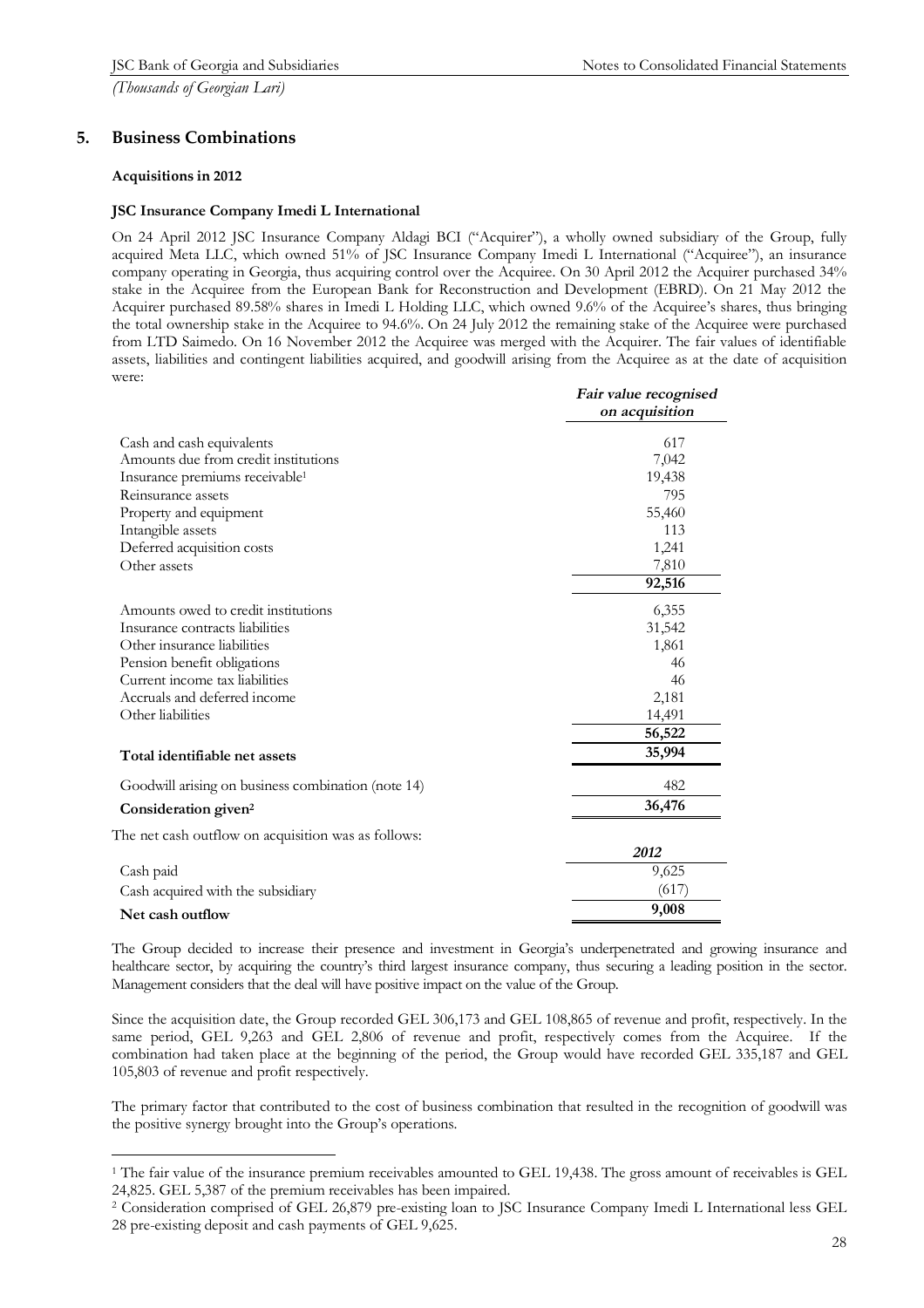### **5. Business Combinations**

### **Acquisitions in 2012**

 $\overline{a}$ 

### **JSC Insurance Company Imedi L International**

On 24 April 2012 JSC Insurance Company Aldagi BCI ("Acquirer"), a wholly owned subsidiary of the Group, fully acquired Meta LLC, which owned 51% of JSC Insurance Company Imedi L International ("Acquiree"), an insurance company operating in Georgia, thus acquiring control over the Acquiree. On 30 April 2012 the Acquirer purchased 34% stake in the Acquiree from the European Bank for Reconstruction and Development (EBRD). On 21 May 2012 the Acquirer purchased 89.58% shares in Imedi L Holding LLC, which owned 9.6% of the Acquiree's shares, thus bringing the total ownership stake in the Acquiree to 94.6%. On 24 July 2012 the remaining stake of the Acquiree were purchased from LTD Saimedo. On 16 November 2012 the Acquiree was merged with the Acquirer. The fair values of identifiable assets, liabilities and contingent liabilities acquired, and goodwill arising from the Acquiree as at the date of acquisition were:

|                                                     | Fair value recognised<br>on acquisition |
|-----------------------------------------------------|-----------------------------------------|
| Cash and cash equivalents                           | 617                                     |
| Amounts due from credit institutions                | 7,042                                   |
| Insurance premiums receivable <sup>1</sup>          | 19,438                                  |
| Reinsurance assets                                  | 795                                     |
| Property and equipment                              | 55,460                                  |
| Intangible assets                                   | 113                                     |
| Deferred acquisition costs                          | 1,241                                   |
| Other assets                                        | 7,810                                   |
|                                                     | 92,516                                  |
| Amounts owed to credit institutions                 | 6,355                                   |
| Insurance contracts liabilities                     | 31,542                                  |
| Other insurance liabilities                         | 1,861                                   |
| Pension benefit obligations                         | 46                                      |
| Current income tax liabilities                      | 46                                      |
| Accruals and deferred income                        | 2,181                                   |
| Other liabilities                                   | 14,491                                  |
|                                                     | 56,522                                  |
| Total identifiable net assets                       | 35,994                                  |
| Goodwill arising on business combination (note 14)  | 482                                     |
| Consideration given <sup>2</sup>                    | 36,476                                  |
| The net cash outflow on acquisition was as follows: |                                         |
|                                                     | 2012                                    |
| Cash paid                                           | 9,625                                   |
| Cash acquired with the subsidiary                   | (617)                                   |
| Net cash outflow                                    | 9,008                                   |

The Group decided to increase their presence and investment in Georgia's underpenetrated and growing insurance and healthcare sector, by acquiring the country's third largest insurance company, thus securing a leading position in the sector. Management considers that the deal will have positive impact on the value of the Group.

Since the acquisition date, the Group recorded GEL 306,173 and GEL 108,865 of revenue and profit, respectively. In the same period, GEL 9,263 and GEL 2,806 of revenue and profit, respectively comes from the Acquiree. If the combination had taken place at the beginning of the period, the Group would have recorded GEL 335,187 and GEL 105,803 of revenue and profit respectively.

The primary factor that contributed to the cost of business combination that resulted in the recognition of goodwill was the positive synergy brought into the Group's operations.

<sup>1</sup> The fair value of the insurance premium receivables amounted to GEL 19,438. The gross amount of receivables is GEL 24,825. GEL 5,387 of the premium receivables has been impaired.

<sup>2</sup> Consideration comprised of GEL 26,879 pre-existing loan to JSC Insurance Company Imedi L International less GEL 28 pre-existing deposit and cash payments of GEL 9,625.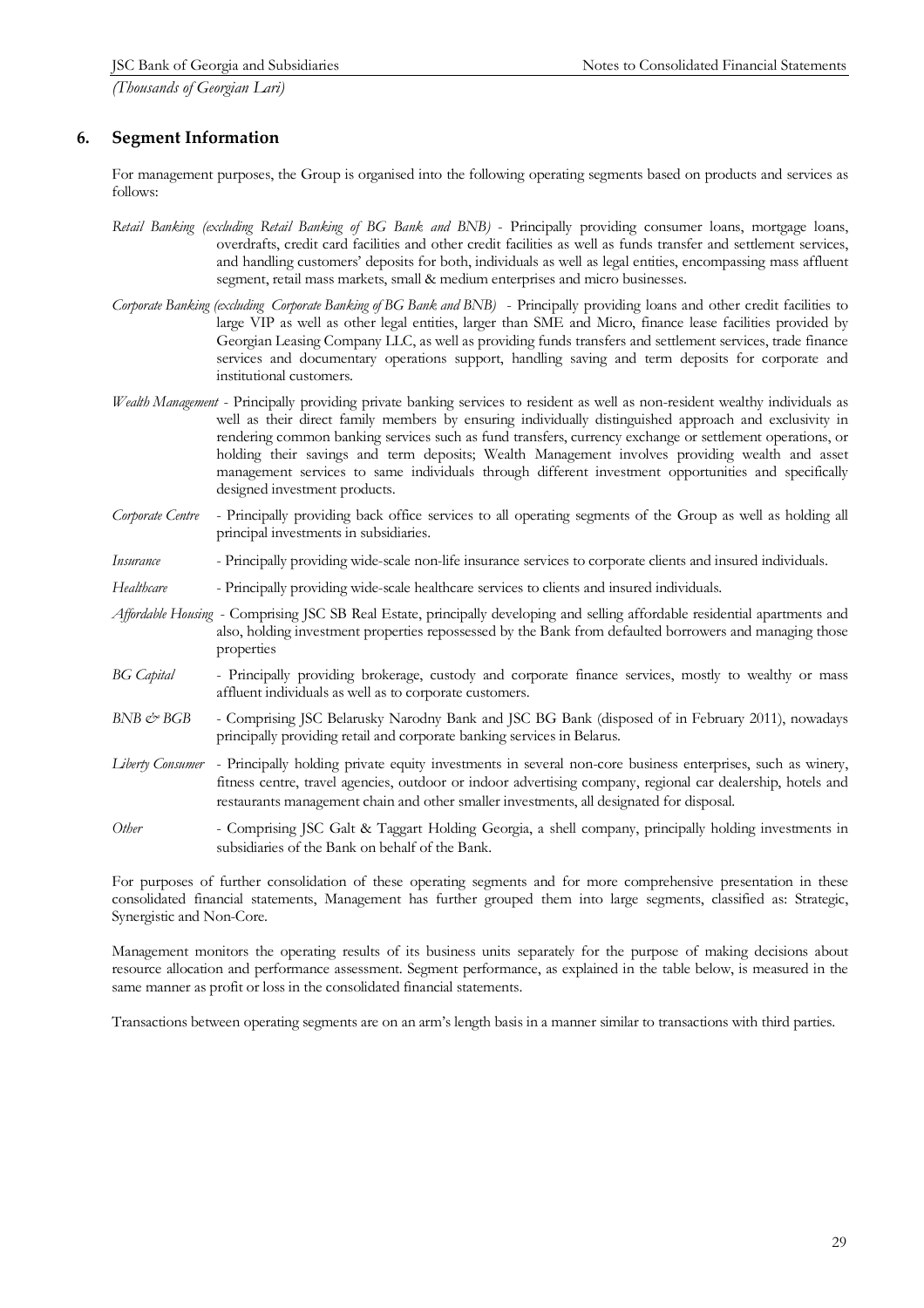### **6. Segment Information**

For management purposes, the Group is organised into the following operating segments based on products and services as follows:

- *Retail Banking (excluding Retail Banking of BG Bank and BNB)* Principally providing consumer loans, mortgage loans, overdrafts, credit card facilities and other credit facilities as well as funds transfer and settlement services, and handling customers' deposits for both, individuals as well as legal entities, encompassing mass affluent segment, retail mass markets, small & medium enterprises and micro businesses.
- *Corporate Banking (excluding Corporate Banking of BG Bank and BNB)*  Principally providing loans and other credit facilities to large VIP as well as other legal entities, larger than SME and Micro, finance lease facilities provided by Georgian Leasing Company LLC, as well as providing funds transfers and settlement services, trade finance services and documentary operations support, handling saving and term deposits for corporate and institutional customers.
- *Wealth Management* Principally providing private banking services to resident as well as non-resident wealthy individuals as well as their direct family members by ensuring individually distinguished approach and exclusivity in rendering common banking services such as fund transfers, currency exchange or settlement operations, or holding their savings and term deposits; Wealth Management involves providing wealth and asset management services to same individuals through different investment opportunities and specifically designed investment products.
- *Corporate Centre* Principally providing back office services to all operating segments of the Group as well as holding all principal investments in subsidiaries.
- *Insurance*  Principally providing wide-scale non-life insurance services to corporate clients and insured individuals.
- *Healthcare*  Principally providing wide-scale healthcare services to clients and insured individuals.
- *Affordable Housing*  Comprising JSC SB Real Estate, principally developing and selling affordable residential apartments and also, holding investment properties repossessed by the Bank from defaulted borrowers and managing those properties
- *BG Capital* Principally providing brokerage, custody and corporate finance services, mostly to wealthy or mass affluent individuals as well as to corporate customers.
- *BNB*  $\dot{\mathcal{O}}$  *BGB* Comprising JSC Belarusky Narodny Bank and JSC BG Bank (disposed of in February 2011), nowadays principally providing retail and corporate banking services in Belarus.
- *Liberty Consumer*  Principally holding private equity investments in several non-core business enterprises, such as winery, fitness centre, travel agencies, outdoor or indoor advertising company, regional car dealership, hotels and restaurants management chain and other smaller investments, all designated for disposal.
- *Other* Comprising JSC Galt & Taggart Holding Georgia, a shell company, principally holding investments in subsidiaries of the Bank on behalf of the Bank.

For purposes of further consolidation of these operating segments and for more comprehensive presentation in these consolidated financial statements, Management has further grouped them into large segments, classified as: Strategic, Synergistic and Non-Core.

Management monitors the operating results of its business units separately for the purpose of making decisions about resource allocation and performance assessment. Segment performance, as explained in the table below, is measured in the same manner as profit or loss in the consolidated financial statements.

Transactions between operating segments are on an arm's length basis in a manner similar to transactions with third parties.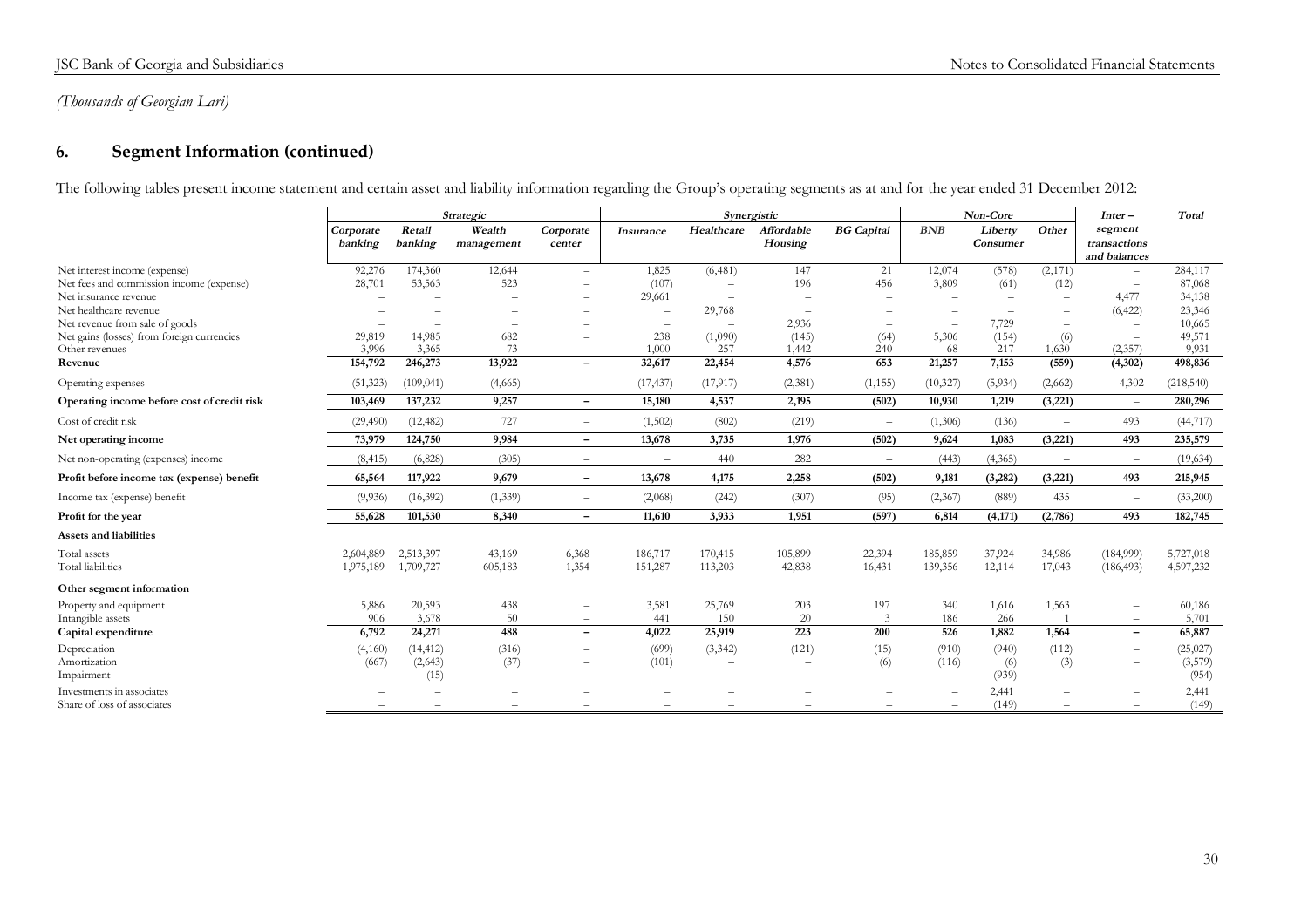# **6. Segment Information (continued)**

The following tables present income statement and certain asset and liability information regarding the Group's operating segments as at and for the year ended 31 December 2012:

|                                                              | Strategic              |                        |                          |                                       | Non-Core                 |                          |                       | $Inter-$                 | <b>Total</b>             |                     |                          |                                         |                        |
|--------------------------------------------------------------|------------------------|------------------------|--------------------------|---------------------------------------|--------------------------|--------------------------|-----------------------|--------------------------|--------------------------|---------------------|--------------------------|-----------------------------------------|------------------------|
|                                                              | Corporate<br>banking   | Retail<br>banking      | Wealth<br>management     | Corporate<br>center                   | <b>Insurance</b>         | Healthcare               | Affordable<br>Housing | <b>BG</b> Capital        | BNB                      | Liberty<br>Consumer | Other                    | segment<br>transactions<br>and balances |                        |
| Net interest income (expense)                                | 92,276                 | 174,360                | 12,644                   | $\qquad \qquad -$                     | 1,825                    | (6, 481)                 | 147                   | 21                       | 12,074                   | (578)               | (2,171)                  |                                         | 284,117                |
| Net fees and commission income (expense)                     | 28,701                 | 53,563                 | 523                      |                                       | (107)                    | $\equiv$                 | 196                   | 456                      | 3,809                    | (61)                | (12)                     | $\overline{\phantom{a}}$                | 87,068                 |
| Net insurance revenue                                        |                        |                        |                          |                                       | 29,661                   |                          |                       |                          |                          |                     | $\overline{\phantom{a}}$ | 4,477                                   | 34,138                 |
| Net healthcare revenue                                       |                        |                        |                          |                                       | $\overline{\phantom{0}}$ | 29,768                   |                       |                          |                          |                     |                          | (6, 422)                                | 23,346                 |
| Net revenue from sale of goods                               |                        |                        | $\overline{\phantom{0}}$ |                                       | $\overline{\phantom{0}}$ |                          | 2,936                 |                          | $\overline{\phantom{0}}$ | 7,729               |                          | $\overline{\phantom{a}}$                | 10,665                 |
| Net gains (losses) from foreign currencies<br>Other revenues | 29,819<br>3,996        | 14,985<br>3,365        | 682<br>73                |                                       | 238<br>1,000             | (1,090)<br>257           | (145)<br>1,442        | (64)<br>240              | 5,306<br>68              | (154)<br>217        | (6)<br>1,630             | (2,357)                                 | 49,571<br>9,931        |
| Revenue                                                      | 154,792                | 246,273                | 13,922                   | $-$                                   | 32,617                   | 22,454                   | 4,576                 | 653                      | 21,257                   | 7,153               | (559)                    | (4,302)                                 | 498,836                |
| Operating expenses                                           | (51, 323)              | (109, 041)             | (4,665)                  | $\overline{\phantom{m}}$              | (17, 437)                | (17, 917)                | (2,381)               | (1, 155)                 | (10,327)                 | (5,934)             | (2,662)                  | 4,302                                   | (218,540)              |
| Operating income before cost of credit risk                  | 103,469                | 137,232                | 9,257                    | $\overline{\phantom{0}}$              | 15,180                   | 4,537                    | 2,195                 | (502)                    | 10,930                   | 1,219               | (3,221)                  | $\overline{\phantom{m}}$                | 280,296                |
| Cost of credit risk                                          | (29,490)               | (12, 482)              | 727                      | $\qquad \qquad -$                     | (1,502)                  | (802)                    | (219)                 | $\overline{\phantom{m}}$ | (1,306)                  | (136)               | $\overline{\phantom{a}}$ | 493                                     | (44, 717)              |
| Net operating income                                         | 73,979                 | 124,750                | 9,984                    | $\qquad \qquad -$                     | 13,678                   | 3,735                    | 1,976                 | (502)                    | 9,624                    | 1,083               | (3,221)                  | 493                                     | 235,579                |
| Net non-operating (expenses) income                          | (8, 415)               | (6,828)                | (305)                    | $\overline{\phantom{a}}$              | $\overline{\phantom{0}}$ | 440                      | 282                   | $\overline{\phantom{m}}$ | (443)                    | (4,365)             |                          | $\overline{\phantom{a}}$                | (19,634)               |
| Profit before income tax (expense) benefit                   | 65,564                 | 117,922                | 9,679                    | $\overline{\phantom{m}}$              | 13,678                   | 4,175                    | 2,258                 | (502)                    | 9,181                    | (3,282)             | (3,221)                  | 493                                     | 215,945                |
| Income tax (expense) benefit                                 | (9,936)                | (16,392)               | (1,339)                  | $\overline{\phantom{m}}$              | (2,068)                  | (242)                    | (307)                 | (95)                     | (2,367)                  | (889)               | 435                      | $\overline{\phantom{a}}$                | (33,200)               |
| Profit for the year                                          | 55,628                 | 101,530                | 8,340                    | $\overline{\phantom{m}}$              | 11,610                   | 3,933                    | 1,951                 | (597)                    | 6,814                    | (4, 171)            | (2,786)                  | 493                                     | 182,745                |
| Assets and liabilities                                       |                        |                        |                          |                                       |                          |                          |                       |                          |                          |                     |                          |                                         |                        |
| Total assets<br>Total liabilities                            | 2,604,889<br>1,975,189 | 2,513,397<br>1,709,727 | 43,169<br>605,183        | 6,368<br>1,354                        | 186,717<br>151,287       | 170,415<br>113,203       | 105,899<br>42,838     | 22,394<br>16,431         | 185,859<br>139,356       | 37,924<br>12,114    | 34,986<br>17,043         | (184,999)<br>(186, 493)                 | 5,727,018<br>4,597,232 |
| Other segment information                                    |                        |                        |                          |                                       |                          |                          |                       |                          |                          |                     |                          |                                         |                        |
| Property and equipment                                       | 5,886                  | 20,593                 | 438                      | $\hspace{1.0cm} \rule{1.5cm}{0.15cm}$ | 3,581                    | 25,769                   | 203                   | 197                      | 340                      | 1,616               | 1,563                    | $\overline{\phantom{0}}$                | 60,186                 |
| Intangible assets                                            | 906                    | 3,678                  | 50                       | $\overline{\phantom{m}}$              | 441                      | 150                      | 20                    | 3                        | 186                      | 266                 |                          | $\overline{\phantom{a}}$                | 5,701                  |
| Capital expenditure                                          | 6,792                  | 24,271                 | 488                      | $\qquad \qquad -$                     | 4,022                    | 25,919                   | 223                   | 200                      | 526                      | 1,882               | 1,564                    | $\qquad \qquad -$                       | 65,887                 |
| Depreciation                                                 | (4,160)                | (14, 412)              | (316)                    |                                       | (699)                    | (3, 342)                 | (121)                 | (15)                     | (910)                    | (940)               | (112)                    | $\overline{\phantom{m}}$                | (25,027)               |
| Amortization                                                 | (667)                  | (2,643)                | (37)                     |                                       | (101)                    | $\overline{\phantom{a}}$ |                       | (6)                      | (116)                    | (6)                 | (3)                      |                                         | (3,579)                |
| Impairment                                                   |                        | (15)                   |                          |                                       | $\overline{\phantom{0}}$ |                          |                       | $\overline{\phantom{a}}$ |                          | (939)               | $\overline{\phantom{a}}$ |                                         | (954)                  |
| Investments in associates                                    |                        |                        |                          |                                       |                          |                          |                       |                          |                          | 2,441               |                          |                                         | 2,441                  |
| Share of loss of associates                                  |                        |                        |                          |                                       |                          |                          |                       |                          |                          | (149)               |                          |                                         | (149)                  |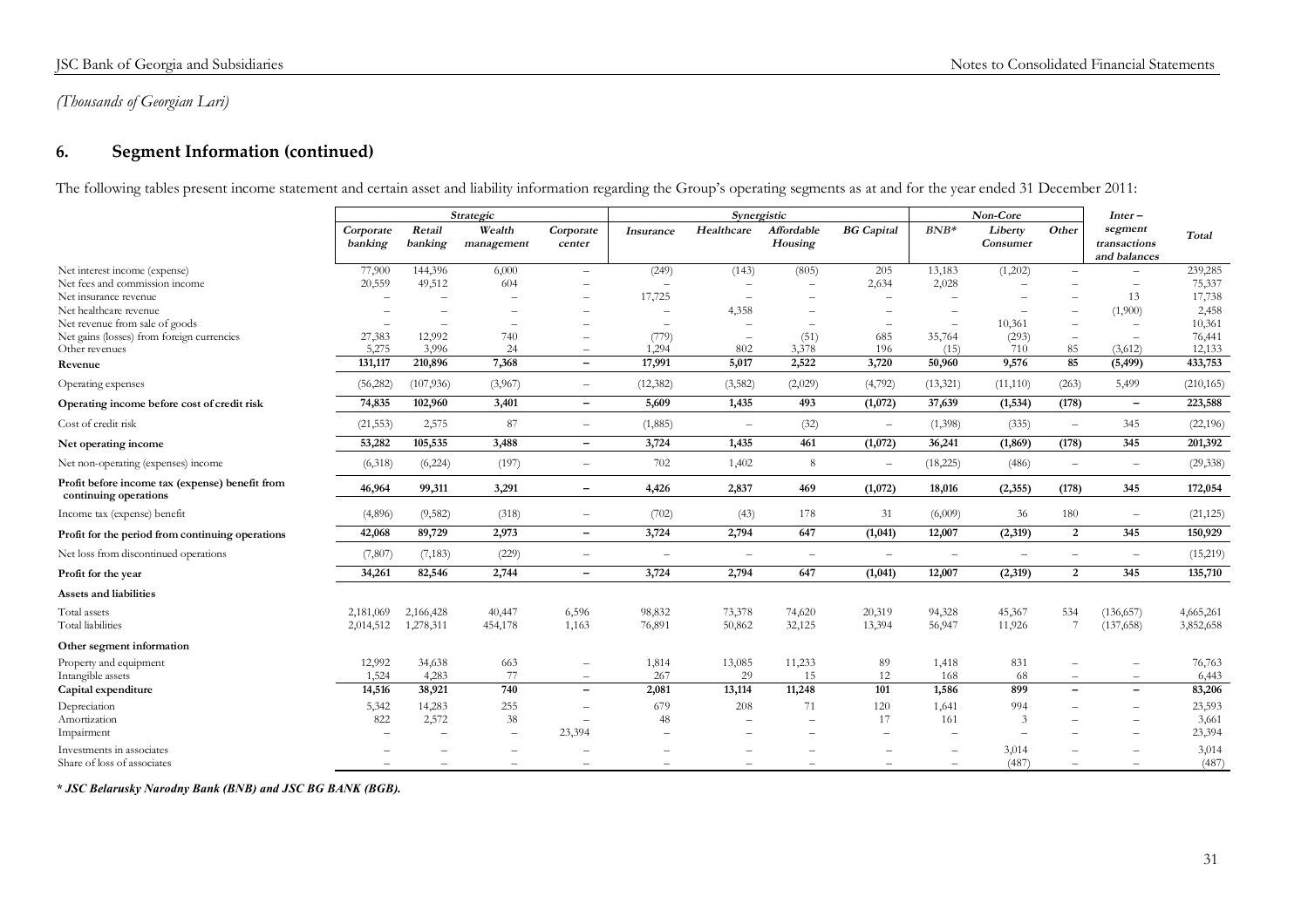# **6. Segment Information (continued)**

The following tables present income statement and certain asset and liability information regarding the Group's operating segments as at and for the year ended 31 December 2011:

|                                                                          |           | Strategic                          |                                                      |                          |                          | Synergistic              |                                  |                                 |                          | Non-Core            |                          |                          |                 |
|--------------------------------------------------------------------------|-----------|------------------------------------|------------------------------------------------------|--------------------------|--------------------------|--------------------------|----------------------------------|---------------------------------|--------------------------|---------------------|--------------------------|--------------------------|-----------------|
|                                                                          | Corporate | Retail                             | Wealth                                               | Corporate                | <i>Insurance</i>         | Healthcare               | Affordable                       | <b>BG</b> Capital               | $BNB*$                   | Liberty<br>Consumer | Other                    | segment<br>transactions  | Total           |
|                                                                          | banking   | banking                            | management                                           | center                   |                          |                          | Housing                          |                                 |                          |                     |                          |                          |                 |
|                                                                          |           |                                    |                                                      |                          |                          |                          |                                  |                                 |                          |                     |                          | and balances             |                 |
| Net interest income (expense)                                            | 77,900    | 144,396                            | 6,000                                                | $\overline{\phantom{a}}$ | (249)                    | (143)                    | (805)                            | 205                             | 13,183                   | (1,202)             |                          |                          | 239,285         |
| Net fees and commission income                                           | 20,559    | 49,512                             | 604                                                  |                          |                          |                          | $\overline{\phantom{m}}$         | 2,634                           | 2,028                    |                     |                          |                          | 75,337          |
| Net insurance revenue<br>Net healthcare revenue                          |           |                                    |                                                      | $\overline{\phantom{a}}$ | 17,725                   | $\overline{\phantom{a}}$ |                                  | $\overline{\phantom{a}}$        |                          |                     |                          | 13                       | 17,738<br>2,458 |
| Net revenue from sale of goods                                           |           |                                    | $\overline{\phantom{m}}$<br>$\overline{\phantom{a}}$ |                          |                          | 4,358                    |                                  | $\overline{\phantom{m}}$        | $\overline{\phantom{a}}$ | 10,361              | $\overline{\phantom{0}}$ | (1,900)                  | 10,361          |
| Net gains (losses) from foreign currencies                               | 27,383    | $\overline{\phantom{m}}$<br>12,992 | 740                                                  |                          | (779)                    |                          | $\overline{\phantom{m}}$<br>(51) | $\overline{\phantom{a}}$<br>685 | 35,764                   | (293)               | $\qquad \qquad -$        | $\overline{\phantom{m}}$ | 76,441          |
| Other revenues                                                           | 5,275     | 3,996                              | 24                                                   | $\overline{\phantom{a}}$ | 1,294                    | 802                      | 3,378                            | 196                             | (15)                     | 710                 | 85                       | (3,612)                  | 12,133          |
| Revenue                                                                  | 131,117   | 210,896                            | 7,368                                                | $\overline{\phantom{m}}$ | 17,991                   | 5,017                    | 2,522                            | 3,720                           | 50,960                   | 9,576               | 85                       | (5, 499)                 | 433,753         |
| Operating expenses                                                       | (56, 282) | (107,936)                          | (3,967)                                              | $\overline{\phantom{m}}$ | (12,382)                 | (3, 582)                 | (2,029)                          | (4,792)                         | (13, 321)                | (11, 110)           | (263)                    | 5,499                    | (210, 165)      |
| Operating income before cost of credit risk                              | 74,835    | 102,960                            | 3,401                                                | $\overline{\phantom{m}}$ | 5,609                    | 1,435                    | 493                              | (1,072)                         | 37,639                   | (1, 534)            | (178)                    | $\overline{\phantom{m}}$ | 223,588         |
| Cost of credit risk                                                      | (21, 553) | 2,575                              | 87                                                   | $\overline{\phantom{a}}$ | (1,885)                  | $\overline{\phantom{m}}$ | (32)                             | $\overline{\phantom{m}}$        | (1,398)                  | (335)               | $\overline{\phantom{m}}$ | 345                      | (22, 196)       |
| Net operating income                                                     | 53,282    | 105,535                            | 3,488                                                | $\overline{\phantom{a}}$ | 3,724                    | 1,435                    | 461                              | (1,072)                         | 36,241                   | (1, 869)            | (178)                    | 345                      | 201,392         |
| Net non-operating (expenses) income                                      | (6,318)   | (6,224)                            | (197)                                                | $\overline{\phantom{a}}$ | 702                      | 1,402                    | 8                                | $\overline{\phantom{0}}$        | (18,225)                 | (486)               | $\overline{\phantom{a}}$ | $\overline{\phantom{0}}$ | (29, 338)       |
| Profit before income tax (expense) benefit from<br>continuing operations | 46,964    | 99,311                             | 3,291                                                | $\overline{\phantom{m}}$ | 4,426                    | 2,837                    | 469                              | (1,072)                         | 18,016                   | (2,355)             | (178)                    | 345                      | 172,054         |
| Income tax (expense) benefit                                             | (4,896)   | (9, 582)                           | (318)                                                | $\overline{\phantom{a}}$ | (702)                    | (43)                     | 178                              | 31                              | (6,009)                  | 36                  | 180                      | $\overline{\phantom{m}}$ | (21, 125)       |
| Profit for the period from continuing operations                         | 42,068    | 89,729                             | 2,973                                                | $\overline{\phantom{a}}$ | 3,724                    | 2,794                    | 647                              | (1,041)                         | 12,007                   | (2,319)             | 2                        | 345                      | 150,929         |
| Net loss from discontinued operations                                    | (7,807)   | (7, 183)                           | (229)                                                | $\overline{\phantom{a}}$ | $\overline{\phantom{0}}$ | $\overline{\phantom{m}}$ |                                  |                                 |                          |                     |                          |                          | (15,219)        |
| Profit for the year                                                      | 34,261    | 82,546                             | 2,744                                                | $\overline{\phantom{a}}$ | 3,724                    | 2,794                    | 647                              | (1,041)                         | 12,007                   | (2,319)             | $\overline{2}$           | 345                      | 135,710         |
| <b>Assets and liabilities</b>                                            |           |                                    |                                                      |                          |                          |                          |                                  |                                 |                          |                     |                          |                          |                 |
| Total assets                                                             | 2,181,069 | 2,166,428                          | 40,447                                               | 6,596                    | 98,832                   | 73,378                   | 74,620                           | 20,319                          | 94,328                   | 45,367              | 534                      | (136, 657)               | 4,665,261       |
| <b>Total</b> liabilities                                                 | 2,014,512 | 1,278,311                          | 454,178                                              | 1,163                    | 76,891                   | 50,862                   | 32,125                           | 13,394                          | 56,947                   | 11,926              |                          | (137, 658)               | 3,852,658       |
| Other segment information                                                |           |                                    |                                                      |                          |                          |                          |                                  |                                 |                          |                     |                          |                          |                 |
| Property and equipment                                                   | 12,992    | 34,638                             | 663                                                  | $\overline{\phantom{a}}$ | 1,814                    | 13,085                   | 11,233                           | 89                              | 1,418                    | 831                 |                          |                          | 76,763          |
| Intangible assets                                                        | 1,524     | 4,283                              | 77                                                   | $\overline{\phantom{a}}$ | 267                      | 29                       | 15                               | 12                              | 168                      | 68                  | $\overline{\phantom{a}}$ | $\overline{\phantom{a}}$ | 6,443           |
| Capital expenditure                                                      | 14,516    | 38,921                             | 740                                                  | $\overline{\phantom{m}}$ | 2,081                    | 13,114                   | 11,248                           | 101                             | 1,586                    | 899                 | $\overline{\phantom{0}}$ | $\overline{\phantom{0}}$ | 83,206          |
| Depreciation                                                             | 5,342     | 14,283                             | 255                                                  | $\overline{\phantom{a}}$ | 679                      | 208                      | 71                               | 120                             | 1,641                    | 994                 |                          | $\overline{\phantom{0}}$ | 23,593          |
| Amortization                                                             | 822       | 2,572                              | 38                                                   |                          | 48                       |                          |                                  | 17                              | 161                      | 3                   |                          |                          | 3,661           |
| Impairment                                                               |           |                                    |                                                      | 23,394                   |                          |                          |                                  |                                 |                          |                     |                          |                          | 23,394          |
| Investments in associates<br>Share of loss of associates                 |           |                                    |                                                      |                          |                          |                          |                                  |                                 |                          | 3,014<br>(487)      |                          |                          | 3,014<br>(487)  |
|                                                                          |           |                                    |                                                      |                          |                          |                          |                                  |                                 |                          |                     |                          |                          |                 |

*\* JSC Belarusky Narodny Bank (BNB) and JSC BG BANK (BGB).*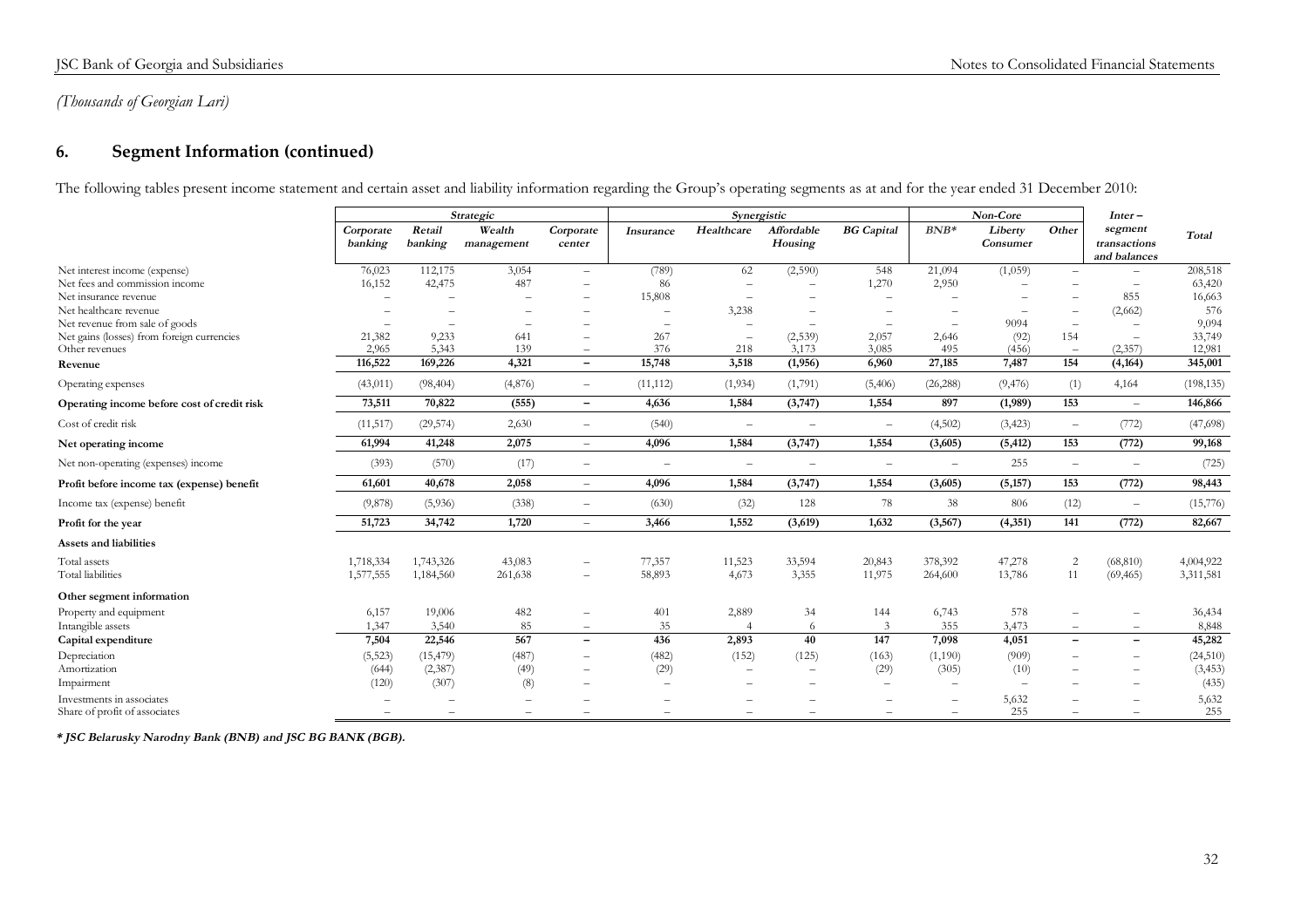# **6. Segment Information (continued)**

The following tables present income statement and certain asset and liability information regarding the Group's operating segments as at and for the year ended 31 December 2010:

|                                             | Strategic                |                          |                          | Synergistic                                   | Non-Core                 |                          |                          | $Inter-$                 |                          |                          |                                 |                                         |                   |
|---------------------------------------------|--------------------------|--------------------------|--------------------------|-----------------------------------------------|--------------------------|--------------------------|--------------------------|--------------------------|--------------------------|--------------------------|---------------------------------|-----------------------------------------|-------------------|
|                                             | Corporate<br>banking     | Retail<br>banking        | Wealth<br>management     | Corporate<br>center                           | Insurance                | Healthcare               | Affordable<br>Housing    | <b>BG</b> Capital        | $BNB*$                   | Liberty<br>Consumer      | Other                           | segment<br>transactions<br>and balances | Total             |
| Net interest income (expense)               | 76,023                   | 112,175                  | 3,054                    | $\overline{\phantom{a}}$                      | (789)                    | 62                       | (2,590)                  | 548                      | 21,094                   | (1,059)                  |                                 |                                         | 208,518           |
| Net fees and commission income              | 16,152                   | 42,475                   | 487                      |                                               | 86                       |                          |                          | 1,270                    | 2,950                    |                          |                                 |                                         | 63,420            |
| Net insurance revenue                       | $\overline{\phantom{a}}$ |                          |                          | $\overline{\phantom{a}}$                      | 15,808                   | $\equiv$                 |                          | $\sim$                   | $\sim$                   |                          |                                 | 855                                     | 16,663            |
| Net healthcare revenue                      |                          | $\overline{\phantom{a}}$ |                          |                                               | $\overline{\phantom{a}}$ | 3,238                    | $\overline{\phantom{0}}$ |                          |                          |                          |                                 | (2,662)                                 | 576               |
| Net revenue from sale of goods              |                          | $\overline{\phantom{0}}$ |                          |                                               |                          |                          |                          |                          |                          | 9094                     | $\overline{\phantom{0}}$        | $\overline{\phantom{a}}$                | 9,094             |
| Net gains (losses) from foreign currencies  | 21,382                   | 9,233                    | 641                      | ۰                                             | 267                      | $\overline{\phantom{m}}$ | (2,539)                  | 2,057                    | 2,646                    | (92)                     | 154                             | $\overline{\phantom{a}}$                | 33,749            |
| Other revenues                              | 2,965<br>116,522         | 5,343<br>169,226         | 139<br>4,321             | $\overline{\phantom{a}}$<br>$\qquad \qquad -$ | 376<br>15,748            | 218<br>3,518             | 3,173                    | 3,085                    | 495                      | (456)<br>7,487           | $\overline{\phantom{a}}$<br>154 | (2, 357)                                | 12,981<br>345,001 |
| Revenue                                     |                          |                          |                          |                                               |                          |                          | (1,956)                  | 6,960                    | 27,185                   |                          |                                 | (4, 164)                                |                   |
| Operating expenses                          | (43, 011)                | (98, 404)                | (4,876)                  | $\overline{\phantom{m}}$                      | (11, 112)                | (1, 934)                 | (1,791)                  | (5,406)                  | (26, 288)                | (9, 476)                 | (1)                             | 4,164                                   | (198, 135)        |
| Operating income before cost of credit risk | 73,511                   | 70,822                   | (555)                    | $\overline{\phantom{m}}$                      | 4,636                    | 1,584                    | (3,747)                  | 1,554                    | 897                      | (1,989)                  | 153                             | $\overline{\phantom{m}}$                | 146,866           |
| Cost of credit risk                         | (11, 517)                | (29, 574)                | 2,630                    | $\overline{\phantom{m}}$                      | (540)                    | $\overline{\phantom{a}}$ | $\overline{\phantom{0}}$ | $\overline{\phantom{m}}$ | (4,502)                  | (3, 423)                 | $\overline{\phantom{m}}$        | (772)                                   | (47, 698)         |
| Net operating income                        | 61,994                   | 41,248                   | 2,075                    | $\overline{\phantom{m}}$                      | 4,096                    | 1,584                    | (3,747)                  | 1,554                    | (3,605)                  | (5, 412)                 | 153                             | (772)                                   | 99,168            |
| Net non-operating (expenses) income         | (393)                    | (570)                    | (17)                     | $\overline{\phantom{a}}$                      | $\overline{\phantom{m}}$ | $\overline{\phantom{m}}$ | $\overline{\phantom{0}}$ | $\overline{\phantom{a}}$ | $\qquad \qquad -$        | 255                      |                                 | $\overline{\phantom{a}}$                | (725)             |
| Profit before income tax (expense) benefit  | 61,601                   | 40,678                   | 2,058                    | $\overline{\phantom{m}}$                      | 4,096                    | 1,584                    | (3,747)                  | 1,554                    | (3,605)                  | (5, 157)                 | 153                             | (772)                                   | 98,443            |
| Income tax (expense) benefit                | (9,878)                  | (5,936)                  | (338)                    | $\overline{\phantom{a}}$                      | (630)                    | (32)                     | 128                      | 78                       | 38                       | 806                      | (12)                            | $\overline{\phantom{a}}$                | (15,776)          |
| Profit for the year                         | 51,723                   | 34,742                   | 1,720                    | $\overline{\phantom{a}}$                      | 3,466                    | 1,552                    | (3,619)                  | 1,632                    | (3, 567)                 | (4,351)                  | 141                             | (772)                                   | 82,667            |
| <b>Assets and liabilities</b>               |                          |                          |                          |                                               |                          |                          |                          |                          |                          |                          |                                 |                                         |                   |
| Total assets                                | 1,718,334                | 1,743,326                | 43,083                   | $\overline{\phantom{a}}$                      | 77,357                   | 11,523                   | 33,594                   | 20,843                   | 378,392                  | 47,278                   | 2                               | (68, 810)                               | 4,004,922         |
| Total liabilities                           | 1,577,555                | 1,184,560                | 261,638                  | $\overline{\phantom{m}}$                      | 58,893                   | 4,673                    | 3,355                    | 11,975                   | 264,600                  | 13,786                   | 11                              | (69, 465)                               | 3,311,581         |
| Other segment information                   |                          |                          |                          |                                               |                          |                          |                          |                          |                          |                          |                                 |                                         |                   |
| Property and equipment                      | 6,157                    | 19,006                   | 482                      | $\overline{\phantom{a}}$                      | 401                      | 2,889                    | 34                       | 144                      | 6,743                    | 578                      |                                 | $\overline{\phantom{a}}$                | 36,434            |
| Intangible assets                           | 1,347                    | 3,540                    | 85                       | $\overline{\phantom{a}}$                      | 35                       |                          | 6                        | 3                        | 355                      | 3,473                    |                                 |                                         | 8,848             |
| Capital expenditure                         | 7,504                    | 22,546                   | 567                      | $\qquad \qquad -$                             | 436                      | 2,893                    | 40                       | 147                      | 7,098                    | 4,051                    | $\overline{\phantom{0}}$        | $\overline{\phantom{a}}$                | 45,282            |
| Depreciation                                | (5, 523)                 | (15, 479)                | (487)                    |                                               | (482)                    | (152)                    | (125)                    | (163)                    | (1,190)                  | (909)                    |                                 | $\overline{\phantom{a}}$                | (24, 510)         |
| Amortization                                | (644)                    | (2,387)                  | (49)                     | $\overline{\phantom{a}}$                      | (29)                     | $\overline{\phantom{0}}$ | $\overline{\phantom{0}}$ | (29)                     | (305)                    | (10)                     |                                 | $\overline{\phantom{a}}$                | (3, 453)          |
| Impairment                                  | (120)                    | (307)                    | (8)                      |                                               | $\overline{\phantom{a}}$ |                          |                          |                          |                          | $\overline{\phantom{a}}$ |                                 |                                         | (435)             |
| Investments in associates                   |                          |                          |                          |                                               |                          |                          |                          |                          |                          | 5,632                    |                                 |                                         | 5,632             |
| Share of profit of associates               |                          |                          | $\overline{\phantom{a}}$ |                                               |                          | $\overline{\phantom{a}}$ |                          |                          | $\overline{\phantom{0}}$ | 255                      |                                 | $\overline{\phantom{a}}$                | 255               |

*\* JSC Belarusky Narodny Bank (BNB) and JSC BG BANK (BGB).*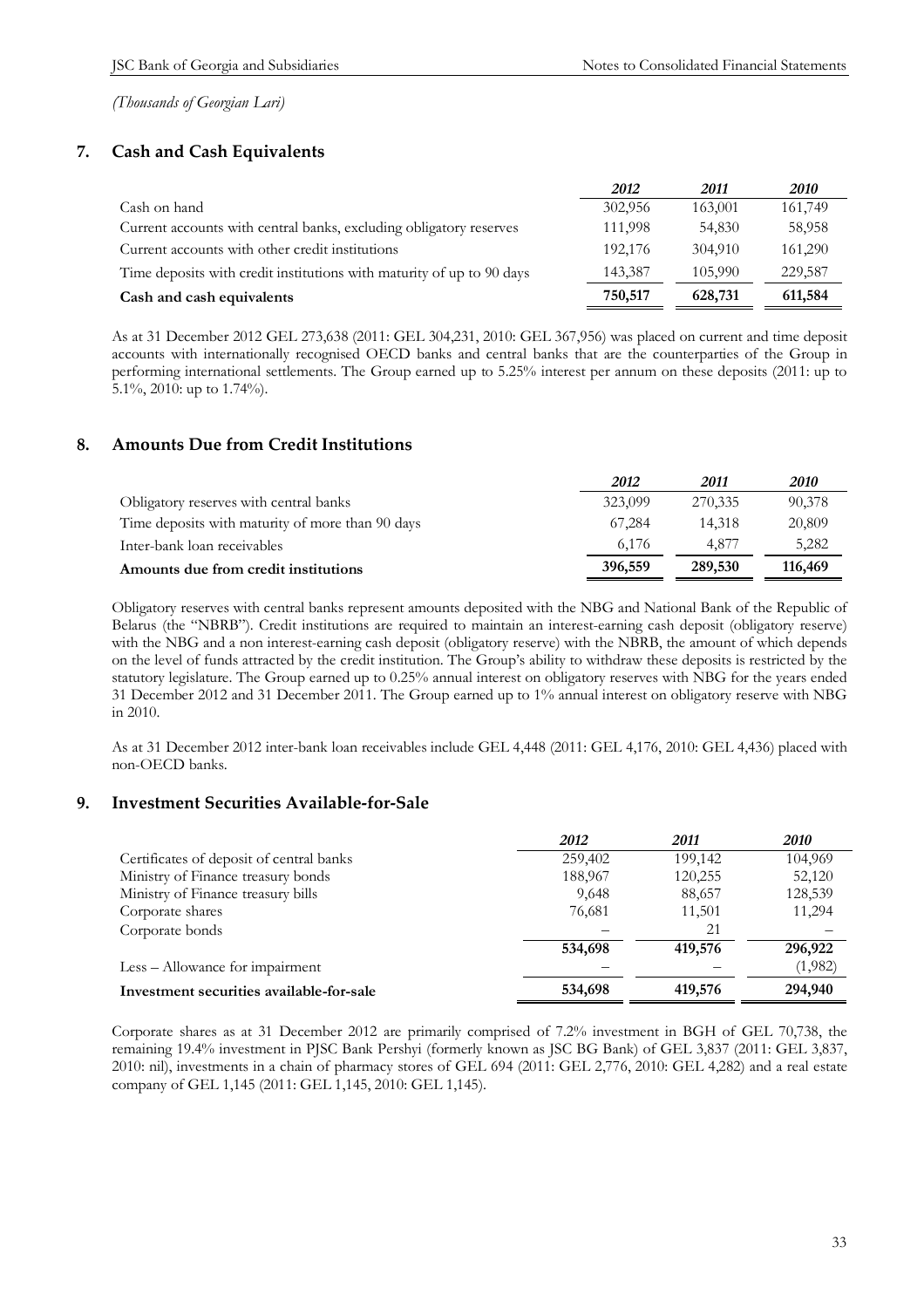# **7. Cash and Cash Equivalents**

|                                                                       | 2012    | 2011    | <i>2010</i> |
|-----------------------------------------------------------------------|---------|---------|-------------|
| Cash on hand                                                          | 302,956 | 163,001 | 161,749     |
| Current accounts with central banks, excluding obligatory reserves    | 111,998 | 54.830  | 58,958      |
| Current accounts with other credit institutions                       | 192,176 | 304,910 | 161,290     |
| Time deposits with credit institutions with maturity of up to 90 days | 143,387 | 105.990 | 229,587     |
| Cash and cash equivalents                                             | 750,517 | 628,731 | 611,584     |

As at 31 December 2012 GEL 273,638 (2011: GEL 304,231, 2010: GEL 367,956) was placed on current and time deposit accounts with internationally recognised OECD banks and central banks that are the counterparties of the Group in performing international settlements. The Group earned up to 5.25% interest per annum on these deposits (2011: up to 5.1%, 2010: up to 1.74%).

# **8. Amounts Due from Credit Institutions**

|                                                  | 2012    | 2011    | 2010    |
|--------------------------------------------------|---------|---------|---------|
| Obligatory reserves with central banks           | 323,099 | 270.335 | 90,378  |
| Time deposits with maturity of more than 90 days | 67.284  | 14.318  | 20,809  |
| Inter-bank loan receivables                      | 6.176   | 4.877   | 5,282   |
| Amounts due from credit institutions             | 396,559 | 289,530 | 116,469 |

Obligatory reserves with central banks represent amounts deposited with the NBG and National Bank of the Republic of Belarus (the "NBRB"). Credit institutions are required to maintain an interest-earning cash deposit (obligatory reserve) with the NBG and a non interest-earning cash deposit (obligatory reserve) with the NBRB, the amount of which depends on the level of funds attracted by the credit institution. The Group's ability to withdraw these deposits is restricted by the statutory legislature. The Group earned up to 0.25% annual interest on obligatory reserves with NBG for the years ended 31 December 2012 and 31 December 2011. The Group earned up to 1% annual interest on obligatory reserve with NBG in 2010.

As at 31 December 2012 inter-bank loan receivables include GEL 4,448 (2011: GEL 4,176, 2010: GEL 4,436) placed with non-OECD banks.

## **9. Investment Securities Available-for-Sale**

|                                          | 2012    | 2011    | 2010    |
|------------------------------------------|---------|---------|---------|
| Certificates of deposit of central banks | 259,402 | 199.142 | 104,969 |
| Ministry of Finance treasury bonds       | 188,967 | 120,255 | 52,120  |
| Ministry of Finance treasury bills       | 9,648   | 88,657  | 128,539 |
| Corporate shares                         | 76,681  | 11,501  | 11,294  |
| Corporate bonds                          |         | 21      |         |
|                                          | 534,698 | 419,576 | 296,922 |
| Less – Allowance for impairment          |         |         | (1,982) |
| Investment securities available-for-sale | 534,698 | 419,576 | 294,940 |

Corporate shares as at 31 December 2012 are primarily comprised of 7.2% investment in BGH of GEL 70,738, the remaining 19.4% investment in PJSC Bank Pershyi (formerly known as JSC BG Bank) of GEL 3,837 (2011: GEL 3,837, 2010: nil), investments in a chain of pharmacy stores of GEL 694 (2011: GEL 2,776, 2010: GEL 4,282) and a real estate company of GEL 1,145 (2011: GEL 1,145, 2010: GEL 1,145).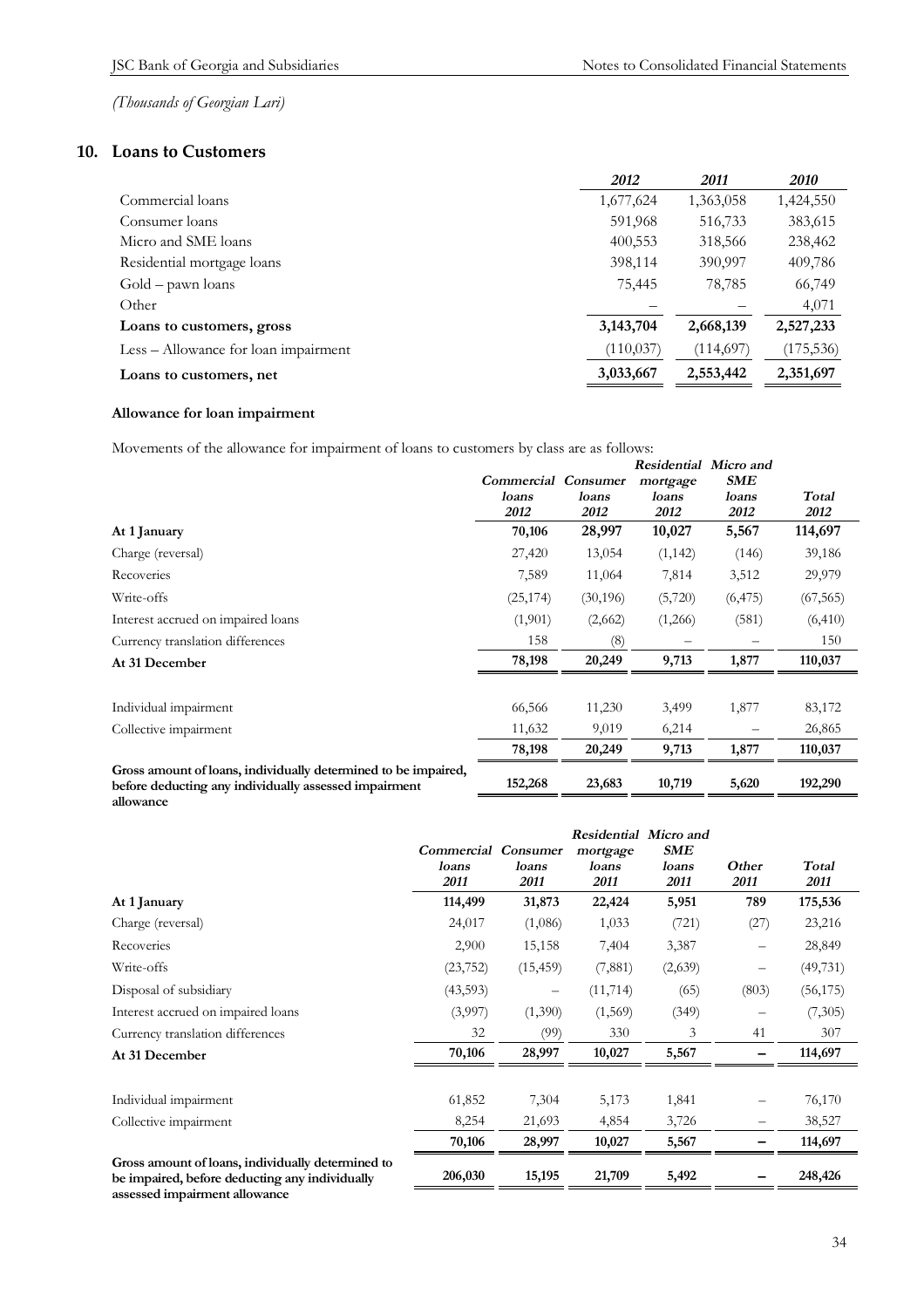## **10. Loans to Customers**

|                                      | 2012       | 2011      | 2010       |
|--------------------------------------|------------|-----------|------------|
| Commercial loans                     | 1,677,624  | 1,363,058 | 1,424,550  |
| Consumer loans                       | 591,968    | 516,733   | 383,615    |
| Micro and SME loans                  | 400,553    | 318,566   | 238,462    |
| Residential mortgage loans           | 398,114    | 390,997   | 409,786    |
| Gold – pawn loans                    | 75,445     | 78,785    | 66,749     |
| Other                                |            |           | 4,071      |
| Loans to customers, gross            | 3,143,704  | 2,668,139 | 2,527,233  |
| Less - Allowance for loan impairment | (110, 037) | (114,697) | (175, 536) |
| Loans to customers, net              | 3,033,667  | 2,553,442 | 2,351,697  |

## **Allowance for loan impairment**

Movements of the allowance for impairment of loans to customers by class are as follows:

|                                                                                                                         | <b>Commercial Consumer</b><br>loans<br>2012 | loans<br>2012 | Residential<br>mortgage<br>loans<br>2012 | Micro and<br>SME<br>loans<br>2012 | Total<br>2012 |
|-------------------------------------------------------------------------------------------------------------------------|---------------------------------------------|---------------|------------------------------------------|-----------------------------------|---------------|
| At 1 January                                                                                                            | 70,106                                      | 28,997        | 10,027                                   | 5,567                             | 114,697       |
| Charge (reversal)                                                                                                       | 27,420                                      | 13,054        | (1, 142)                                 | (146)                             | 39,186        |
| Recoveries                                                                                                              | 7,589                                       | 11,064        | 7,814                                    | 3,512                             | 29,979        |
| Write-offs                                                                                                              | (25, 174)                                   | (30, 196)     | (5,720)                                  | (6, 475)                          | (67, 565)     |
| Interest accrued on impaired loans                                                                                      | (1,901)                                     | (2,662)       | (1,266)                                  | (581)                             | (6, 410)      |
| Currency translation differences                                                                                        | 158                                         | (8)           |                                          |                                   | 150           |
| At 31 December                                                                                                          | 78,198                                      | 20,249        | 9,713                                    | 1,877                             | 110,037       |
|                                                                                                                         |                                             |               |                                          |                                   |               |
| Individual impairment                                                                                                   | 66,566                                      | 11,230        | 3,499                                    | 1,877                             | 83,172        |
| Collective impairment                                                                                                   | 11,632                                      | 9,019         | 6,214                                    |                                   | 26,865        |
|                                                                                                                         | 78,198                                      | 20,249        | 9,713                                    | 1,877                             | 110,037       |
| Gross amount of loans, individually determined to be impaired,<br>before deducting any individually assessed impairment | 152,268                                     | 23,683        | 10,719                                   | 5,620                             | 192,290       |

**allowance** 

|                                                                                                     | <b>Commercial Consumer</b><br>loans<br>2011 | loans<br>2011 | Residential Micro and<br>mortgage<br>loans<br>2011 | <b>SME</b><br>loans<br>2011 | Other<br>2011   | Total<br>2011 |
|-----------------------------------------------------------------------------------------------------|---------------------------------------------|---------------|----------------------------------------------------|-----------------------------|-----------------|---------------|
| At 1 January                                                                                        | 114,499                                     | 31,873        | 22,424                                             | 5,951                       | 789             | 175,536       |
| Charge (reversal)                                                                                   | 24,017                                      | (1,086)       | 1,033                                              | (721)                       | (27)            | 23,216        |
| Recoveries                                                                                          | 2,900                                       | 15,158        | 7,404                                              | 3,387                       |                 | 28,849        |
| Write-offs                                                                                          | (23, 752)                                   | (15, 459)     | (7,881)                                            | (2,639)                     | $\qquad \qquad$ | (49, 731)     |
| Disposal of subsidiary                                                                              | (43,593)                                    |               | (11, 714)                                          | (65)                        | (803)           | (56, 175)     |
| Interest accrued on impaired loans                                                                  | (3,997)                                     | (1,390)       | (1,569)                                            | (349)                       |                 | (7,305)       |
| Currency translation differences                                                                    | 32                                          | (99)          | 330                                                | 3                           | 41              | 307           |
| At 31 December                                                                                      | 70,106                                      | 28,997        | 10,027                                             | 5,567                       |                 | 114,697       |
|                                                                                                     |                                             |               |                                                    |                             |                 |               |
| Individual impairment                                                                               | 61,852                                      | 7,304         | 5,173                                              | 1,841                       |                 | 76,170        |
| Collective impairment                                                                               | 8,254                                       | 21,693        | 4,854                                              | 3,726                       |                 | 38,527        |
|                                                                                                     | 70,106                                      | 28,997        | 10,027                                             | 5,567                       |                 | 114,697       |
| Gross amount of loans, individually determined to<br>be impaired, before deducting any individually | 206,030                                     | 15,195        | 21,709                                             | 5,492                       |                 | 248,426       |

**assessed impairment allowance**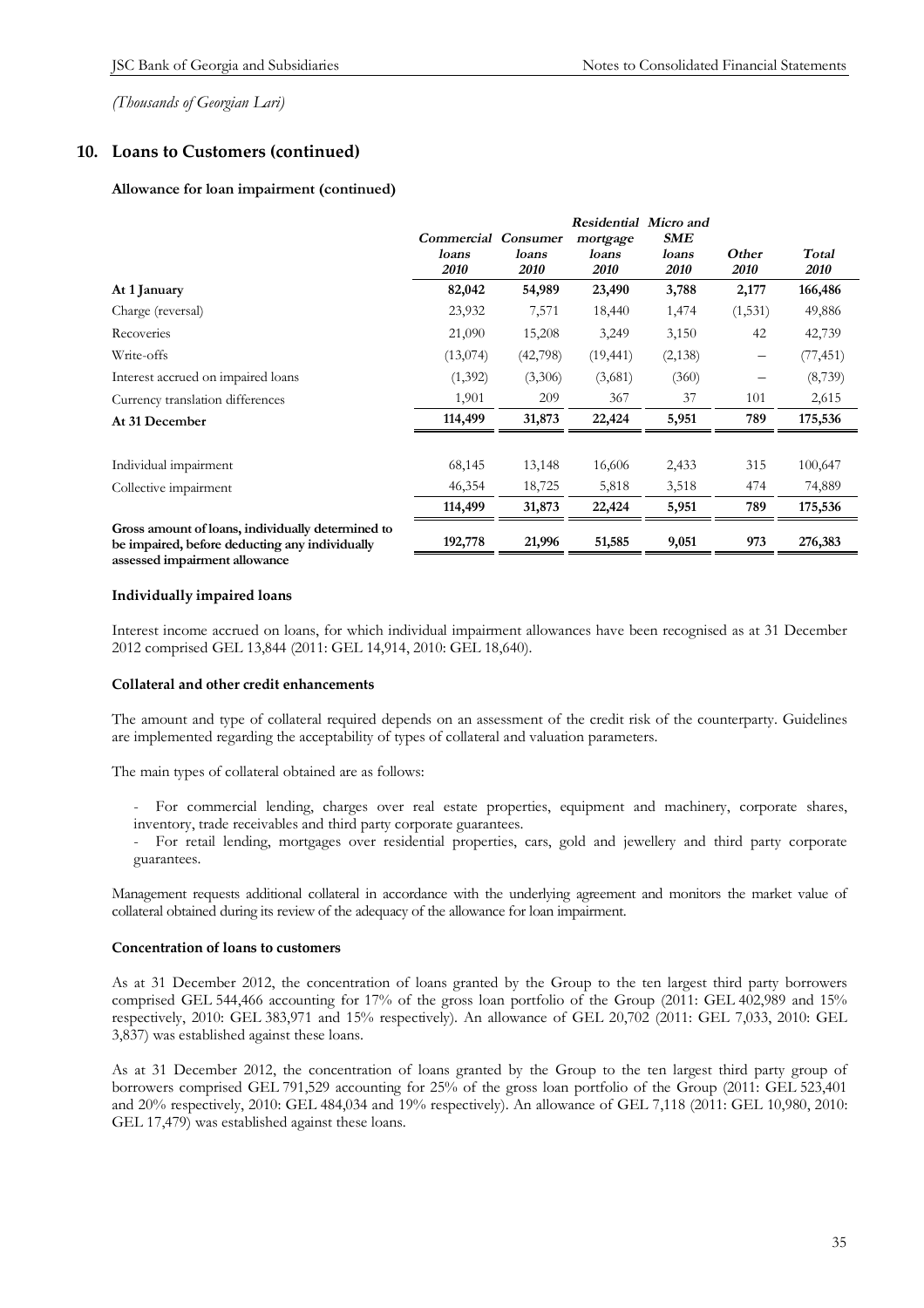## **10. Loans to Customers (continued)**

## **Allowance for loan impairment (continued)**

|                                                                                                     | Commercial Consumer<br>loans<br><i>2010</i> | loans<br><i>2010</i> | Residential Micro and<br>mortgage<br>loans<br><i>2010</i> | SME<br>loans<br>2010 | Other<br><i>2010</i> | Total<br><i>2010</i> |
|-----------------------------------------------------------------------------------------------------|---------------------------------------------|----------------------|-----------------------------------------------------------|----------------------|----------------------|----------------------|
| At 1 January                                                                                        | 82,042                                      | 54,989               | 23,490                                                    | 3,788                | 2,177                | 166,486              |
| Charge (reversal)                                                                                   | 23,932                                      | 7,571                | 18,440                                                    | 1,474                | (1,531)              | 49,886               |
| Recoveries                                                                                          | 21,090                                      | 15,208               | 3,249                                                     | 3,150                | 42                   | 42,739               |
| Write-offs                                                                                          | (13,074)                                    | (42,798)             | (19, 441)                                                 | (2, 138)             |                      | (77, 451)            |
| Interest accrued on impaired loans                                                                  | (1,392)                                     | (3,306)              | (3,681)                                                   | (360)                |                      | (8,739)              |
| Currency translation differences                                                                    | 1,901                                       | 209                  | 367                                                       | 37                   | 101                  | 2,615                |
| At 31 December                                                                                      | 114,499                                     | 31,873               | 22,424                                                    | 5,951                | 789                  | 175,536              |
| Individual impairment                                                                               | 68,145                                      | 13,148               | 16,606                                                    | 2,433                | 315                  | 100,647              |
| Collective impairment                                                                               | 46,354                                      | 18,725               | 5,818                                                     | 3,518                | 474                  | 74,889               |
|                                                                                                     | 114,499                                     | 31,873               | 22,424                                                    | 5,951                | 789                  | 175,536              |
| Gross amount of loans, individually determined to<br>be impaired, before deducting any individually | 192,778                                     | 21,996               | 51,585                                                    | 9,051                | 973                  | 276,383              |
| assessed impairment allowance                                                                       |                                             |                      |                                                           |                      |                      |                      |

#### **Individually impaired loans**

Interest income accrued on loans, for which individual impairment allowances have been recognised as at 31 December 2012 comprised GEL 13,844 (2011: GEL 14,914, 2010: GEL 18,640).

#### **Collateral and other credit enhancements**

The amount and type of collateral required depends on an assessment of the credit risk of the counterparty. Guidelines are implemented regarding the acceptability of types of collateral and valuation parameters.

The main types of collateral obtained are as follows:

- For commercial lending, charges over real estate properties, equipment and machinery, corporate shares, inventory, trade receivables and third party corporate guarantees.
- For retail lending, mortgages over residential properties, cars, gold and jewellery and third party corporate guarantees.

Management requests additional collateral in accordance with the underlying agreement and monitors the market value of collateral obtained during its review of the adequacy of the allowance for loan impairment.

#### **Concentration of loans to customers**

As at 31 December 2012, the concentration of loans granted by the Group to the ten largest third party borrowers comprised GEL 544,466 accounting for 17% of the gross loan portfolio of the Group (2011: GEL 402,989 and 15% respectively, 2010: GEL 383,971 and 15% respectively). An allowance of GEL 20,702 (2011: GEL 7,033, 2010: GEL 3,837) was established against these loans.

As at 31 December 2012, the concentration of loans granted by the Group to the ten largest third party group of borrowers comprised GEL 791,529 accounting for 25% of the gross loan portfolio of the Group (2011: GEL 523,401 and 20% respectively, 2010: GEL 484,034 and 19% respectively). An allowance of GEL 7,118 (2011: GEL 10,980, 2010: GEL 17,479) was established against these loans.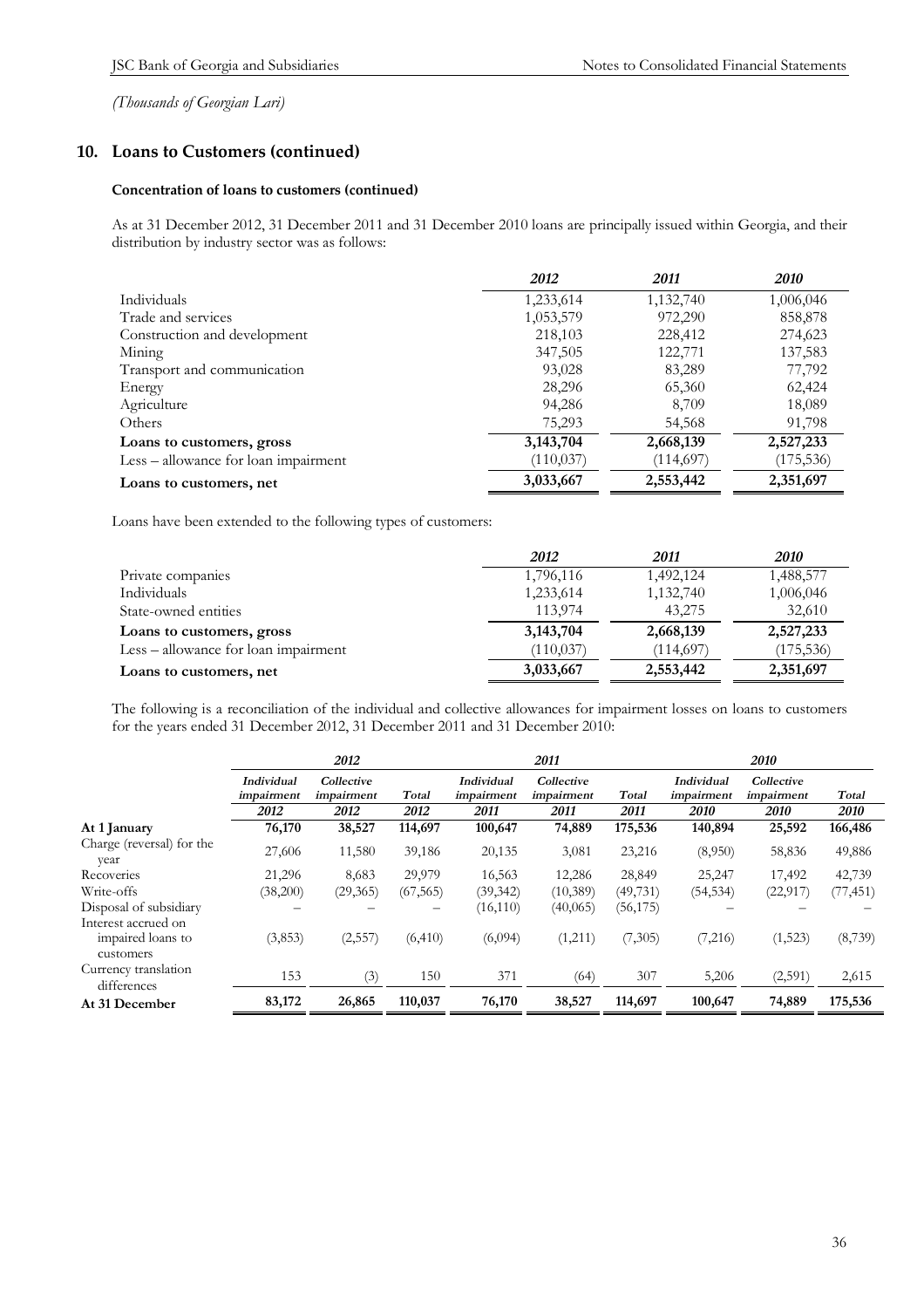## **10. Loans to Customers (continued)**

## **Concentration of loans to customers (continued)**

As at 31 December 2012, 31 December 2011 and 31 December 2010 loans are principally issued within Georgia, and their distribution by industry sector was as follows:

|                                      | 2012        | 2011       | 2010       |
|--------------------------------------|-------------|------------|------------|
| Individuals                          | 1,233,614   | 1,132,740  | 1,006,046  |
| Trade and services                   | 1,053,579   | 972,290    | 858,878    |
| Construction and development         | 218,103     | 228,412    | 274,623    |
| Mining                               | 347,505     | 122,771    | 137,583    |
| Transport and communication          | 93,028      | 83,289     | 77,792     |
| Energy                               | 28,296      | 65,360     | 62,424     |
| Agriculture                          | 94,286      | 8,709      | 18,089     |
| Others                               | 75,293      | 54,568     | 91,798     |
| Loans to customers, gross            | 3, 143, 704 | 2,668,139  | 2,527,233  |
| Less – allowance for loan impairment | (110, 037)  | (114, 697) | (175, 536) |
| Loans to customers, net              | 3,033,667   | 2,553,442  | 2,351,697  |

Loans have been extended to the following types of customers:

|                                      | 2012        | 2011      | <i>2010</i> |
|--------------------------------------|-------------|-----------|-------------|
| Private companies                    | 1,796,116   | 1,492,124 | 1,488,577   |
| Individuals                          | 1,233,614   | 1,132,740 | 1,006,046   |
| State-owned entities                 | 113.974     | 43,275    | 32,610      |
| Loans to customers, gross            | 3, 143, 704 | 2,668,139 | 2,527,233   |
| Less – allowance for loan impairment | (110, 037)  | (114,697) | (175, 536)  |
| Loans to customers, net              | 3,033,667   | 2,553,442 | 2,351,697   |

The following is a reconciliation of the individual and collective allowances for impairment losses on loans to customers for the years ended 31 December 2012, 31 December 2011 and 31 December 2010:

|                                     |                          | 2012                     |           | 2011                     |                          |           | 2010                            |                          |           |
|-------------------------------------|--------------------------|--------------------------|-----------|--------------------------|--------------------------|-----------|---------------------------------|--------------------------|-----------|
|                                     | Individual<br>impairment | Collective<br>impairment | Total     | Individual<br>impairment | Collective<br>impairment | Total     | <b>Individual</b><br>impairment | Collective<br>impairment | Total     |
|                                     | 2012                     | 2012                     | 2012      | 2011                     | 2011                     | 2011      | 2010                            | 2010                     | 2010      |
| At 1 January                        | 76,170                   | 38,527                   | 114,697   | 100,647                  | 74,889                   | 175,536   | 140,894                         | 25,592                   | 166,486   |
| Charge (reversal) for the<br>year   | 27,606                   | 11,580                   | 39,186    | 20,135                   | 3,081                    | 23,216    | (8,950)                         | 58,836                   | 49,886    |
| Recoveries                          | 21,296                   | 8,683                    | 29,979    | 16,563                   | 12,286                   | 28,849    | 25,247                          | 17,492                   | 42,739    |
| Write-offs                          | (38,200)                 | (29,365)                 | (67, 565) | (39, 342)                | (10,389)                 | (49, 731) | (54, 534)                       | (22, 917)                | (77, 451) |
| Disposal of subsidiary              |                          |                          |           | (16, 110)                | (40,065)                 | (56, 175) |                                 |                          |           |
| Interest accrued on                 |                          |                          |           |                          |                          |           |                                 |                          |           |
| impaired loans to<br>customers      | (3,853)                  | (2, 557)                 | (6, 410)  | (6,094)                  | (1,211)                  | (7,305)   | (7,216)                         | (1, 523)                 | (8,739)   |
| Currency translation<br>differences | 153                      | (3)                      | 150       | 371                      | (64)                     | 307       | 5,206                           | (2,591)                  | 2,615     |
| At 31 December                      | 83,172                   | 26,865                   | 110,037   | 76,170                   | 38,527                   | 114,697   | 100,647                         | 74,889                   | 175,536   |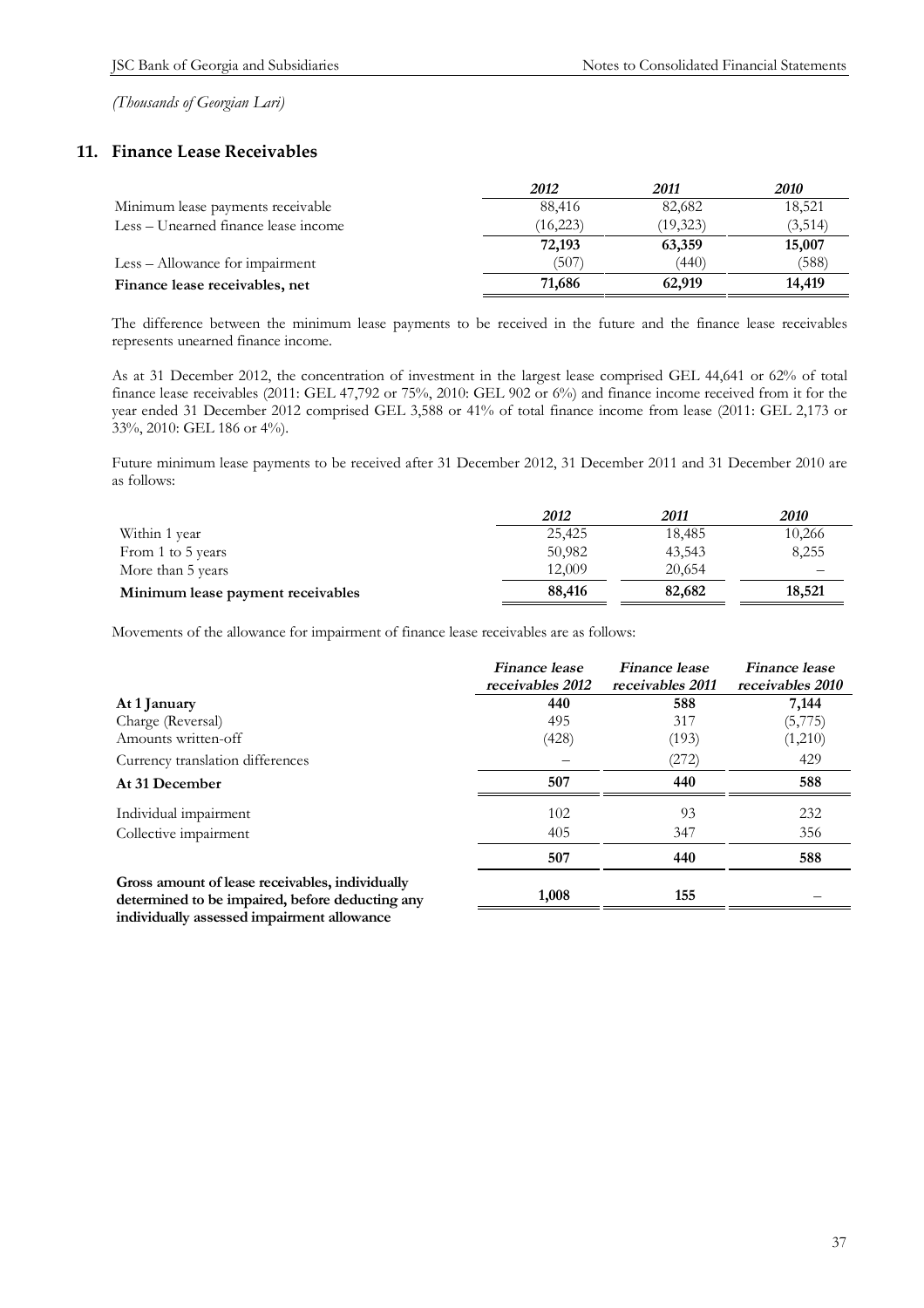## **11. Finance Lease Receivables**

| 2012     | 2011      | 2010    |
|----------|-----------|---------|
| 88.416   | 82,682    | 18,521  |
| (16,223) | (19, 323) | (3,514) |
| 72,193   | 63,359    | 15,007  |
| (507)    | (440)     | (588)   |
| 71,686   | 62,919    | 14,419  |
|          |           |         |

The difference between the minimum lease payments to be received in the future and the finance lease receivables represents unearned finance income.

As at 31 December 2012, the concentration of investment in the largest lease comprised GEL 44,641 or 62% of total finance lease receivables (2011: GEL 47,792 or 75%, 2010: GEL 902 or 6%) and finance income received from it for the year ended 31 December 2012 comprised GEL 3,588 or 41% of total finance income from lease (2011: GEL 2,173 or 33%, 2010: GEL 186 or 4%).

Future minimum lease payments to be received after 31 December 2012, 31 December 2011 and 31 December 2010 are as follows:

|                                   | 2012   | 2011   | <i>2010</i> |
|-----------------------------------|--------|--------|-------------|
| Within 1 year                     | 25,425 | 18,485 | 10,266      |
| From 1 to 5 years                 | 50.982 | 43.543 | 8.255       |
| More than 5 years                 | 12,009 | 20,654 |             |
| Minimum lease payment receivables | 88,416 | 82,682 | 18,521      |

Movements of the allowance for impairment of finance lease receivables are as follows:

|                                                                                                    | Finance lease<br>receivables 2012 | <b>Finance lease</b><br>receivables 2011 | Finance lease<br>receivables 2010 |
|----------------------------------------------------------------------------------------------------|-----------------------------------|------------------------------------------|-----------------------------------|
| At 1 January                                                                                       | 440                               | 588                                      | 7,144                             |
| Charge (Reversal)                                                                                  | 495                               | 317                                      | (5, 775)                          |
| Amounts written-off                                                                                | (428)                             | (193)                                    | (1,210)                           |
| Currency translation differences                                                                   |                                   | (272)                                    | 429                               |
| At 31 December                                                                                     | 507                               | 440                                      | 588                               |
| Individual impairment                                                                              | 102                               | 93                                       | 232                               |
| Collective impairment                                                                              | 405                               | 347                                      | 356                               |
|                                                                                                    | 507                               | 440                                      | 588                               |
| Gross amount of lease receivables, individually<br>determined to be impaired, before deducting any | 1,008                             | 155                                      |                                   |
| individually assessed impairment allowance                                                         |                                   |                                          |                                   |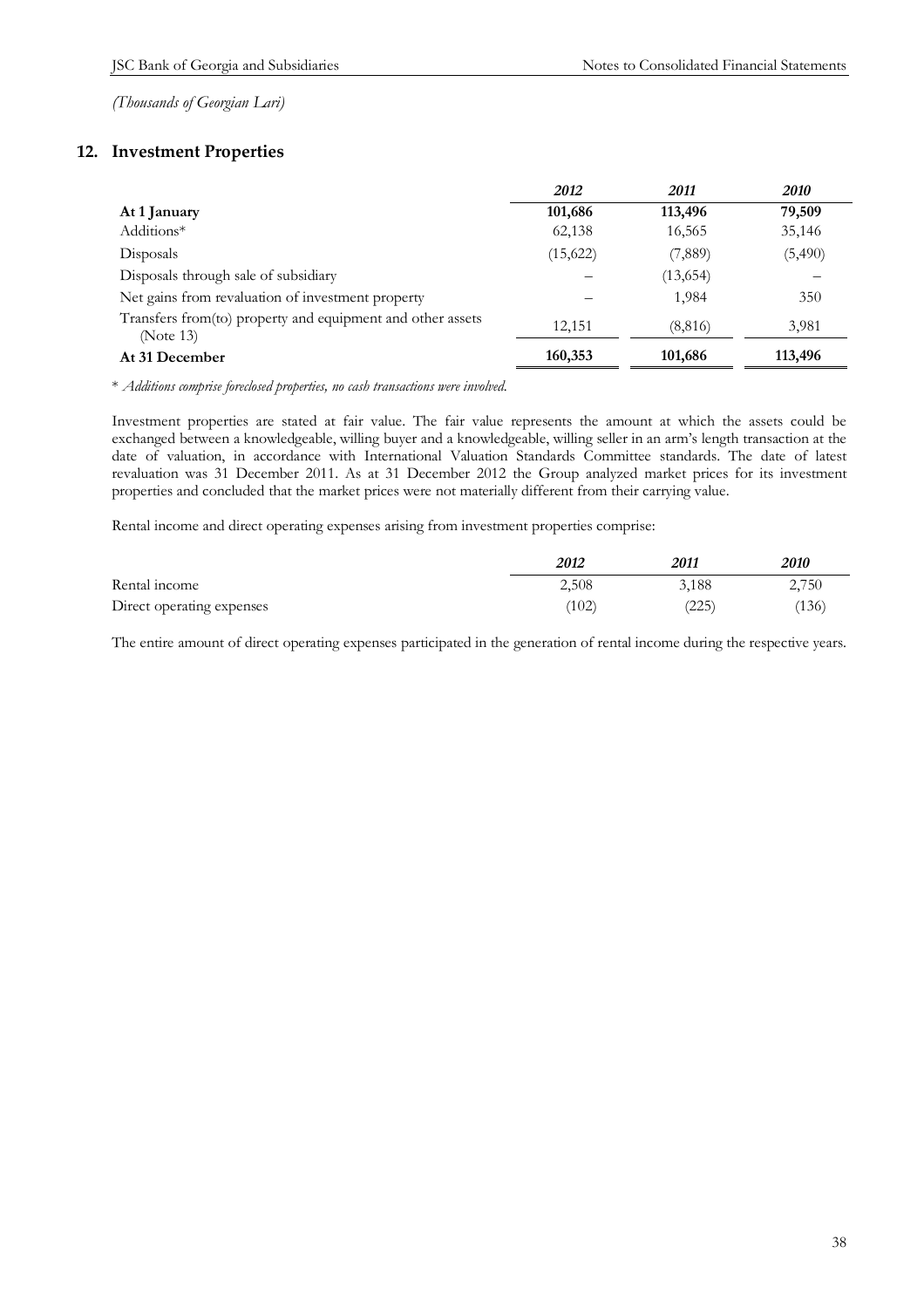# **12. Investment Properties**

|                                                                         | 2012     | 2011      | 2010    |
|-------------------------------------------------------------------------|----------|-----------|---------|
| At 1 January                                                            | 101,686  | 113,496   | 79,509  |
| Additions*                                                              | 62,138   | 16,565    | 35,146  |
| Disposals                                                               | (15,622) | (7,889)   | (5,490) |
| Disposals through sale of subsidiary                                    |          | (13, 654) |         |
| Net gains from revaluation of investment property                       |          | 1,984     | 350     |
| Transfers from(to) property and equipment and other assets<br>(Note 13) | 12,151   | (8, 816)  | 3,981   |
| At 31 December                                                          | 160,353  | 101,686   | 113,496 |

\* *Additions comprise foreclosed properties, no cash transactions were involved.* 

Investment properties are stated at fair value. The fair value represents the amount at which the assets could be exchanged between a knowledgeable, willing buyer and a knowledgeable, willing seller in an arm's length transaction at the date of valuation, in accordance with International Valuation Standards Committee standards. The date of latest revaluation was 31 December 2011. As at 31 December 2012 the Group analyzed market prices for its investment properties and concluded that the market prices were not materially different from their carrying value.

Rental income and direct operating expenses arising from investment properties comprise:

|                           | 2012  | 2011  | <i>2010</i> |
|---------------------------|-------|-------|-------------|
| Rental income             | 2,508 | 3,188 | 2,750       |
| Direct operating expenses | (102) | (225) | (136)       |

The entire amount of direct operating expenses participated in the generation of rental income during the respective years.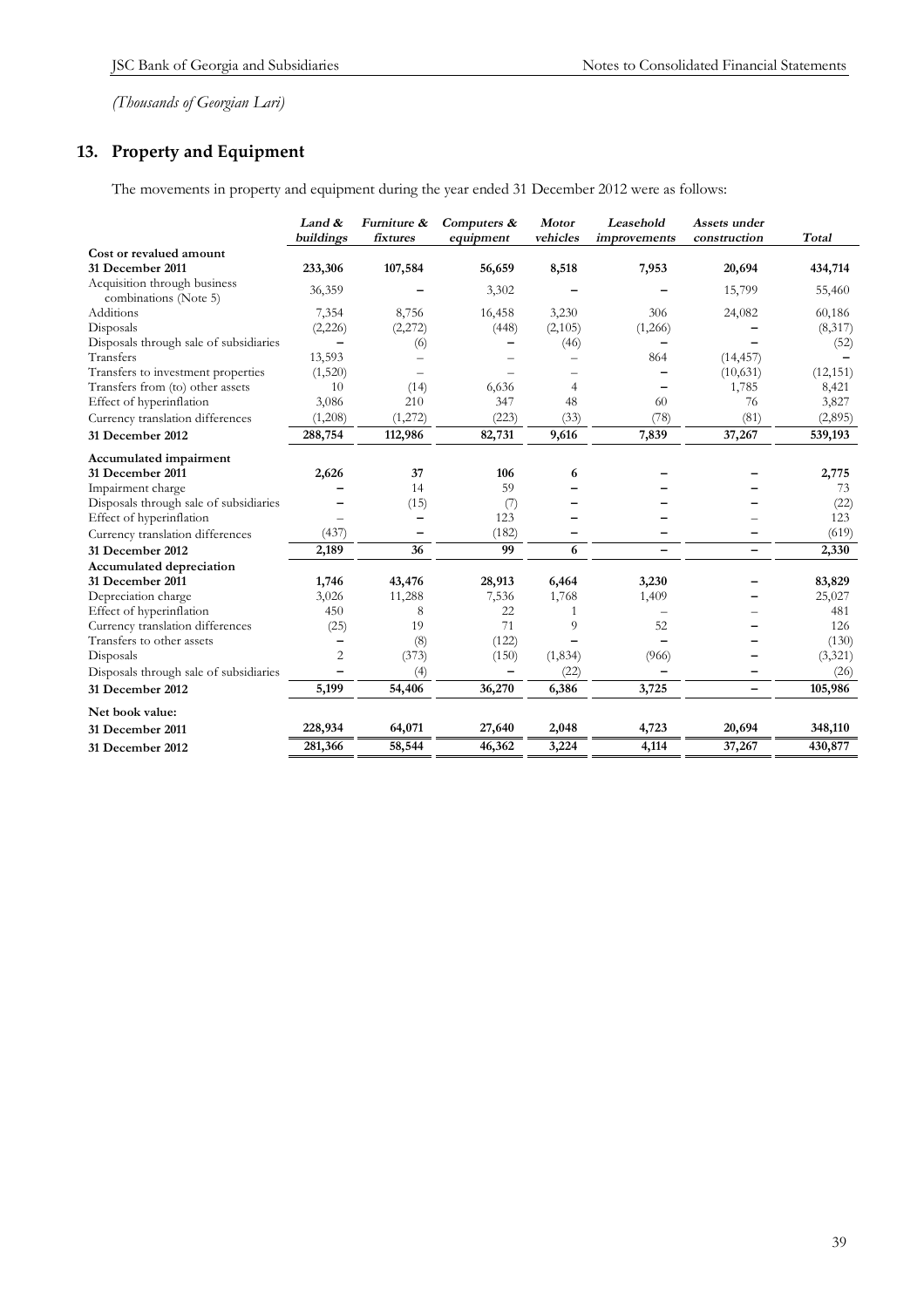# **13. Property and Equipment**

The movements in property and equipment during the year ended 31 December 2012 were as follows:

|                                                       | Land $\&$<br>buildings | Furniture &<br>fixtures | Computers &<br>equipment | <b>Motor</b><br>vehicles | Leasehold<br>improvements | Assets under<br>construction | Total     |
|-------------------------------------------------------|------------------------|-------------------------|--------------------------|--------------------------|---------------------------|------------------------------|-----------|
| Cost or revalued amount                               |                        |                         |                          |                          |                           |                              |           |
| 31 December 2011                                      | 233,306                | 107,584                 | 56,659                   | 8,518                    | 7,953                     | 20,694                       | 434,714   |
| Acquisition through business<br>combinations (Note 5) | 36,359                 |                         | 3,302                    |                          |                           | 15,799                       | 55,460    |
| Additions                                             | 7,354                  | 8,756                   | 16,458                   | 3,230                    | 306                       | 24,082                       | 60,186    |
| Disposals                                             | (2, 226)               | (2,272)                 | (448)                    | (2,105)                  | (1,266)                   |                              | (8,317)   |
| Disposals through sale of subsidiaries                |                        | (6)                     |                          | (46)                     |                           |                              | (52)      |
| Transfers                                             | 13,593                 |                         |                          |                          | 864                       | (14, 457)                    |           |
| Transfers to investment properties                    | (1,520)                |                         |                          |                          |                           | (10, 631)                    | (12, 151) |
| Transfers from (to) other assets                      | 10                     | (14)                    | 6,636                    | $\overline{4}$           |                           | 1,785                        | 8,421     |
| Effect of hyperinflation                              | 3,086                  | 210                     | 347                      | 48                       | 60                        | 76                           | 3,827     |
| Currency translation differences                      | (1,208)                | (1,272)                 | (223)                    | (33)                     | (78)                      | (81)                         | (2,895)   |
| 31 December 2012                                      | 288,754                | 112,986                 | 82,731                   | 9,616                    | 7,839                     | 37,267                       | 539,193   |
| Accumulated impairment                                |                        |                         |                          |                          |                           |                              |           |
| 31 December 2011                                      | 2,626                  | 37                      | 106                      | 6                        |                           |                              | 2,775     |
| Impairment charge                                     |                        | 14                      | 59                       |                          |                           |                              | 73        |
| Disposals through sale of subsidiaries                |                        | (15)                    | (7)                      |                          |                           |                              | (22)      |
| Effect of hyperinflation                              |                        | —                       | 123                      |                          |                           |                              | 123       |
| Currency translation differences                      | (437)                  |                         | (182)                    |                          |                           |                              | (619)     |
| 31 December 2012                                      | 2,189                  | 36                      | 99                       | 6                        |                           | $\overline{\phantom{0}}$     | 2,330     |
| <b>Accumulated depreciation</b>                       |                        |                         |                          |                          |                           |                              |           |
| 31 December 2011                                      | 1,746                  | 43,476                  | 28,913                   | 6,464                    | 3,230                     |                              | 83,829    |
| Depreciation charge                                   | 3,026                  | 11,288                  | 7,536                    | 1,768                    | 1,409                     |                              | 25,027    |
| Effect of hyperinflation                              | 450                    | 8                       | 22                       | 1                        |                           |                              | 481       |
| Currency translation differences                      | (25)                   | 19                      | 71                       | 9                        | 52                        |                              | 126       |
| Transfers to other assets                             |                        | (8)                     | (122)                    |                          |                           |                              | (130)     |
| Disposals                                             | 2                      | (373)                   | (150)                    | (1, 834)                 | (966)                     |                              | (3,321)   |
| Disposals through sale of subsidiaries                |                        | (4)                     |                          | (22)                     |                           |                              | (26)      |
| 31 December 2012                                      | 5,199                  | 54,406                  | 36,270                   | 6,386                    | 3,725                     |                              | 105,986   |
| Net book value:                                       |                        |                         |                          |                          |                           |                              |           |
| 31 December 2011                                      | 228,934                | 64,071                  | 27,640                   | 2,048                    | 4,723                     | 20,694                       | 348,110   |
| 31 December 2012                                      | 281,366                | 58,544                  | 46,362                   | 3,224                    | 4,114                     | 37,267                       | 430,877   |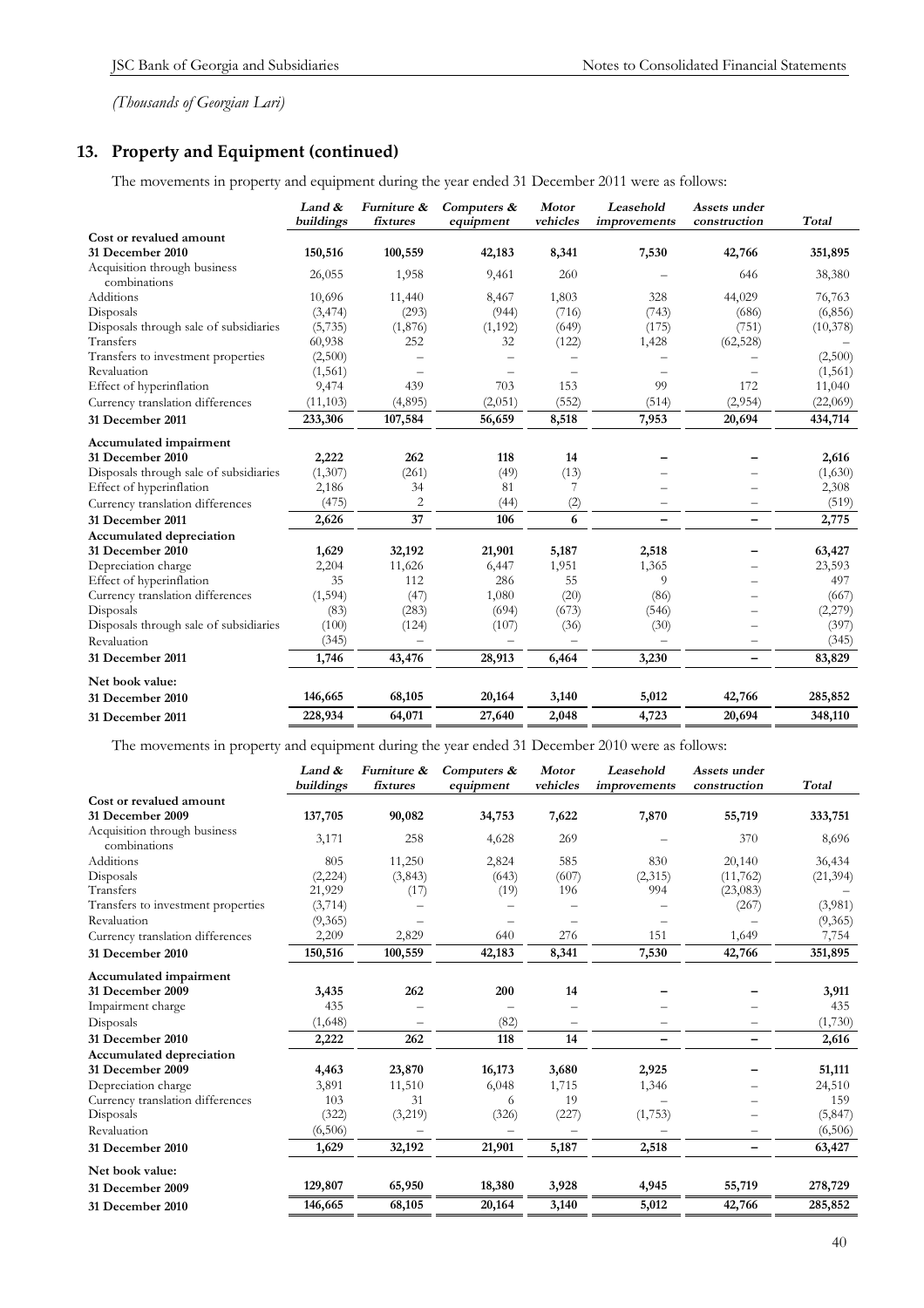# **13. Property and Equipment (continued)**

The movements in property and equipment during the year ended 31 December 2011 were as follows:

|                                              | Land &<br>buildings | Furniture &<br>fixtures | Computers &<br>equipment | <b>Motor</b><br>vehicles | Leasehold<br>improvements | Assets under<br>construction | Total    |
|----------------------------------------------|---------------------|-------------------------|--------------------------|--------------------------|---------------------------|------------------------------|----------|
| Cost or revalued amount                      |                     |                         |                          |                          |                           |                              |          |
| 31 December 2010                             | 150,516             | 100,559                 | 42,183                   | 8,341                    | 7,530                     | 42,766                       | 351,895  |
| Acquisition through business<br>combinations | 26,055              | 1,958                   | 9,461                    | 260                      |                           | 646                          | 38,380   |
| Additions                                    | 10,696              | 11,440                  | 8,467                    | 1,803                    | 328                       | 44,029                       | 76,763   |
| Disposals                                    | (3, 474)            | (293)                   | (944)                    | (716)                    | (743)                     | (686)                        | (6,856)  |
| Disposals through sale of subsidiaries       | (5,735)             | (1,876)                 | (1, 192)                 | (649)                    | (175)                     | (751)                        | (10,378) |
| Transfers                                    | 60,938              | 252                     | 32                       | (122)                    | 1,428                     | (62, 528)                    |          |
| Transfers to investment properties           | (2,500)             |                         |                          |                          |                           |                              | (2,500)  |
| Revaluation                                  | (1, 561)            |                         |                          |                          |                           |                              | (1,561)  |
| Effect of hyperinflation                     | 9,474               | 439                     | 703                      | 153                      | 99                        | 172                          | 11,040   |
| Currency translation differences             | (11, 103)           | (4,895)                 | (2,051)                  | (552)                    | (514)                     | (2,954)                      | (22,069) |
| 31 December 2011                             | 233,306             | 107,584                 | 56,659                   | 8,518                    | 7,953                     | 20,694                       | 434,714  |
| Accumulated impairment                       |                     |                         |                          |                          |                           |                              |          |
| 31 December 2010                             | 2,222               | 262                     | 118                      | 14                       |                           |                              | 2,616    |
| Disposals through sale of subsidiaries       | (1,307)             | (261)                   | (49)                     | (13)                     |                           |                              | (1,630)  |
| Effect of hyperinflation                     | 2,186               | 34                      | 81                       | 7                        |                           |                              | 2,308    |
| Currency translation differences             | (475)               | 2                       | (44)                     | (2)                      |                           |                              | (519)    |
| 31 December 2011                             | 2,626               | 37                      | 106                      | 6                        | $\overline{\phantom{0}}$  | $\overline{\phantom{0}}$     | 2,775    |
| Accumulated depreciation                     |                     |                         |                          |                          |                           |                              |          |
| 31 December 2010                             | 1,629               | 32,192                  | 21,901                   | 5,187                    | 2,518                     |                              | 63,427   |
| Depreciation charge                          | 2,204               | 11,626                  | 6,447                    | 1,951                    | 1,365                     |                              | 23,593   |
| Effect of hyperinflation                     | 35                  | 112                     | 286                      | 55                       | 9                         |                              | 497      |
| Currency translation differences             | (1, 594)            | (47)                    | 1,080                    | (20)                     | (86)                      |                              | (667)    |
| Disposals                                    | (83)                | (283)                   | (694)                    | (673)                    | (546)                     |                              | (2,279)  |
| Disposals through sale of subsidiaries       | (100)               | (124)                   | (107)                    | (36)                     | (30)                      |                              | (397)    |
| Revaluation                                  | (345)               |                         |                          |                          |                           |                              | (345)    |
| 31 December 2011                             | 1,746               | 43,476                  | 28,913                   | 6,464                    | 3,230                     | $\overline{\phantom{0}}$     | 83,829   |
| Net book value:                              |                     |                         |                          |                          |                           |                              |          |
| 31 December 2010                             | 146,665             | 68,105                  | 20,164                   | 3,140                    | 5,012                     | 42,766                       | 285,852  |
| 31 December 2011                             | 228,934             | 64,071                  | 27,640                   | 2,048                    | 4,723                     | 20,694                       | 348,110  |

The movements in property and equipment during the year ended 31 December 2010 were as follows:

|                                              | Land &<br>buildings | Furniture &<br>fixtures | Computers &<br>equipment | <b>Motor</b><br>vehicles | Leasehold<br>improvements | Assets under<br>construction | Total     |
|----------------------------------------------|---------------------|-------------------------|--------------------------|--------------------------|---------------------------|------------------------------|-----------|
| Cost or revalued amount                      |                     |                         |                          |                          |                           |                              |           |
| 31 December 2009                             | 137,705             | 90,082                  | 34,753                   | 7,622                    | 7,870                     | 55,719                       | 333,751   |
| Acquisition through business<br>combinations | 3,171               | 258                     | 4,628                    | 269                      |                           | 370                          | 8,696     |
| Additions                                    | 805                 | 11,250                  | 2,824                    | 585                      | 830                       | 20,140                       | 36,434    |
| Disposals                                    | (2, 224)            | (3,843)                 | (643)                    | (607)                    | (2,315)                   | (11, 762)                    | (21, 394) |
| Transfers                                    | 21,929              | (17)                    | (19)                     | 196                      | 994                       | (23,083)                     |           |
| Transfers to investment properties           | (3,714)             |                         |                          |                          |                           | (267)                        | (3,981)   |
| Revaluation                                  | (9,365)             |                         |                          |                          |                           |                              | (9,365)   |
| Currency translation differences             | 2,209               | 2,829                   | 640                      | 276                      | 151                       | 1,649                        | 7,754     |
| 31 December 2010                             | 150,516             | 100,559                 | 42,183                   | 8,341                    | 7,530                     | 42,766                       | 351,895   |
| Accumulated impairment                       |                     |                         |                          |                          |                           |                              |           |
| 31 December 2009                             | 3,435               | 262                     | 200                      | 14                       |                           |                              | 3,911     |
| Impairment charge                            | 435                 |                         |                          |                          |                           |                              | 435       |
| Disposals                                    | (1,648)             |                         | (82)                     | $\overline{\phantom{0}}$ |                           |                              | (1,730)   |
| 31 December 2010                             | 2,222               | 262                     | 118                      | 14                       | $\overline{\phantom{0}}$  | $\overline{\phantom{0}}$     | 2,616     |
| Accumulated depreciation                     |                     |                         |                          |                          |                           |                              |           |
| 31 December 2009                             | 4,463               | 23,870                  | 16,173                   | 3,680                    | 2,925                     |                              | 51,111    |
| Depreciation charge                          | 3,891               | 11,510                  | 6,048                    | 1,715                    | 1,346                     |                              | 24,510    |
| Currency translation differences             | 103                 | 31                      | 6                        | 19                       |                           |                              | 159       |
| Disposals                                    | (322)               | (3,219)                 | (326)                    | (227)                    | (1,753)                   |                              | (5,847)   |
| Revaluation                                  | (6,506)             |                         |                          |                          |                           | $\overline{\phantom{0}}$     | (6,506)   |
| 31 December 2010                             | 1,629               | 32,192                  | 21,901                   | 5,187                    | 2,518                     | —                            | 63,427    |
| Net book value:                              |                     |                         |                          |                          |                           |                              |           |
| 31 December 2009                             | 129,807             | 65,950                  | 18,380                   | 3,928                    | 4,945                     | 55,719                       | 278,729   |
| 31 December 2010                             | 146,665             | 68,105                  | 20,164                   | 3,140                    | 5,012                     | 42,766                       | 285,852   |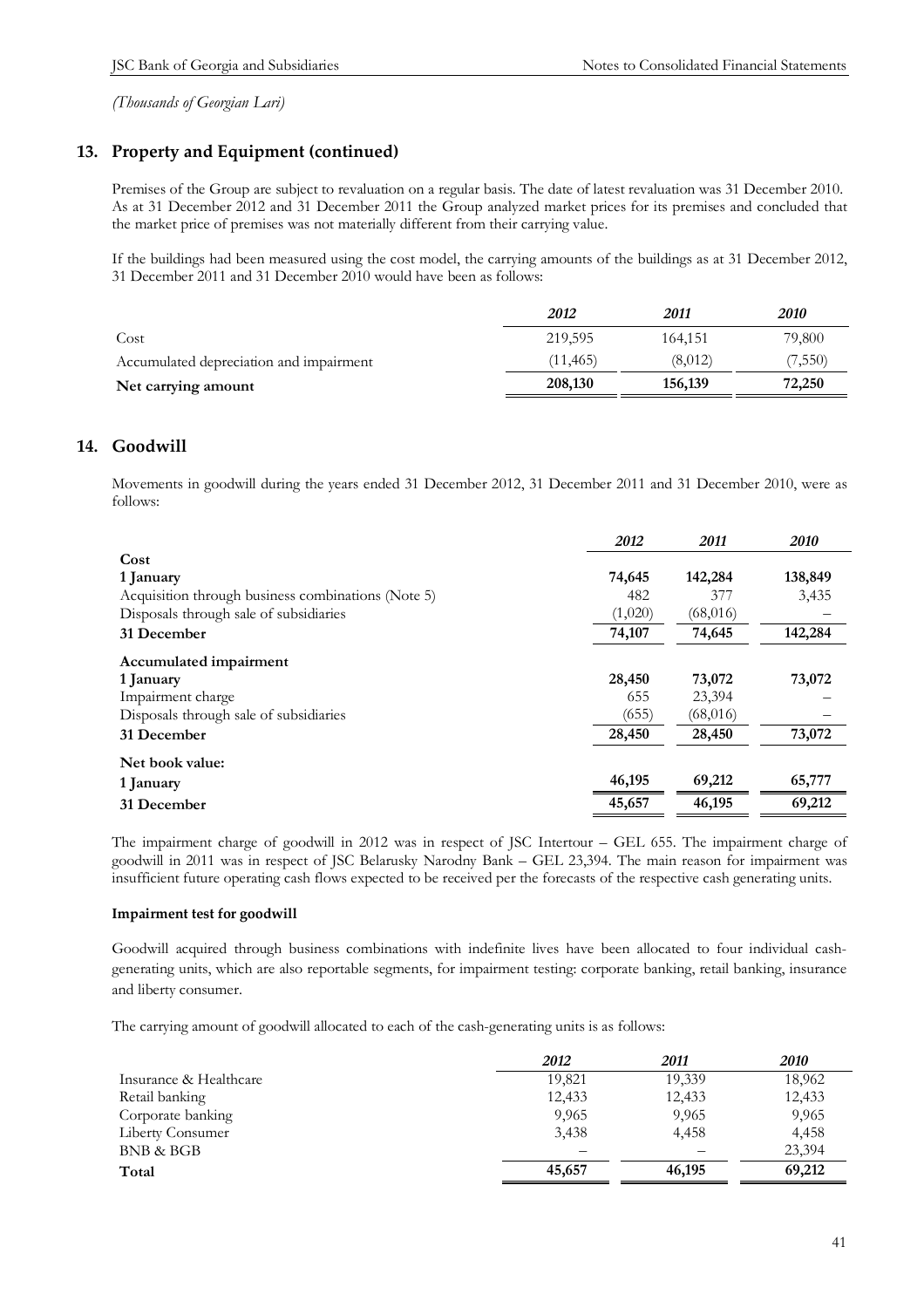# **13. Property and Equipment (continued)**

Premises of the Group are subject to revaluation on a regular basis. The date of latest revaluation was 31 December 2010. As at 31 December 2012 and 31 December 2011 the Group analyzed market prices for its premises and concluded that the market price of premises was not materially different from their carrying value.

If the buildings had been measured using the cost model, the carrying amounts of the buildings as at 31 December 2012, 31 December 2011 and 31 December 2010 would have been as follows:

|                                         | 2012      | 2011    | 2010    |
|-----------------------------------------|-----------|---------|---------|
| Cost                                    | 219,595   | 164.151 | 79,800  |
| Accumulated depreciation and impairment | (11, 465) | (8.012) | (7,550) |
| Net carrying amount                     | 208,130   | 156,139 | 72,250  |

# **14. Goodwill**

Movements in goodwill during the years ended 31 December 2012, 31 December 2011 and 31 December 2010, were as follows:

|                                                    | 2012    | 2011     | 2010    |
|----------------------------------------------------|---------|----------|---------|
| Cost                                               |         |          |         |
| 1 January                                          | 74,645  | 142,284  | 138,849 |
| Acquisition through business combinations (Note 5) | 482     | 377      | 3,435   |
| Disposals through sale of subsidiaries             | (1,020) | (68,016) |         |
| 31 December                                        | 74,107  | 74,645   | 142,284 |
| Accumulated impairment                             |         |          |         |
| 1 January                                          | 28,450  | 73,072   | 73,072  |
| Impairment charge                                  | 655     | 23,394   |         |
| Disposals through sale of subsidiaries             | (655)   | (68,016) |         |
| 31 December                                        | 28,450  | 28,450   | 73,072  |
| Net book value:                                    |         |          |         |
| 1 January                                          | 46,195  | 69,212   | 65,777  |
| 31 December                                        | 45,657  | 46,195   | 69,212  |

The impairment charge of goodwill in 2012 was in respect of JSC Intertour – GEL 655. The impairment charge of goodwill in 2011 was in respect of JSC Belarusky Narodny Bank – GEL 23,394. The main reason for impairment was insufficient future operating cash flows expected to be received per the forecasts of the respective cash generating units.

## **Impairment test for goodwill**

Goodwill acquired through business combinations with indefinite lives have been allocated to four individual cashgenerating units, which are also reportable segments, for impairment testing: corporate banking, retail banking, insurance and liberty consumer.

The carrying amount of goodwill allocated to each of the cash-generating units is as follows:

|                        | 2012   | 2011   | 2010   |
|------------------------|--------|--------|--------|
| Insurance & Healthcare | 19,821 | 19,339 | 18,962 |
| Retail banking         | 12,433 | 12,433 | 12,433 |
| Corporate banking      | 9,965  | 9,965  | 9,965  |
| Liberty Consumer       | 3,438  | 4,458  | 4,458  |
| BNB & BGB              |        |        | 23,394 |
| Total                  | 45,657 | 46,195 | 69,212 |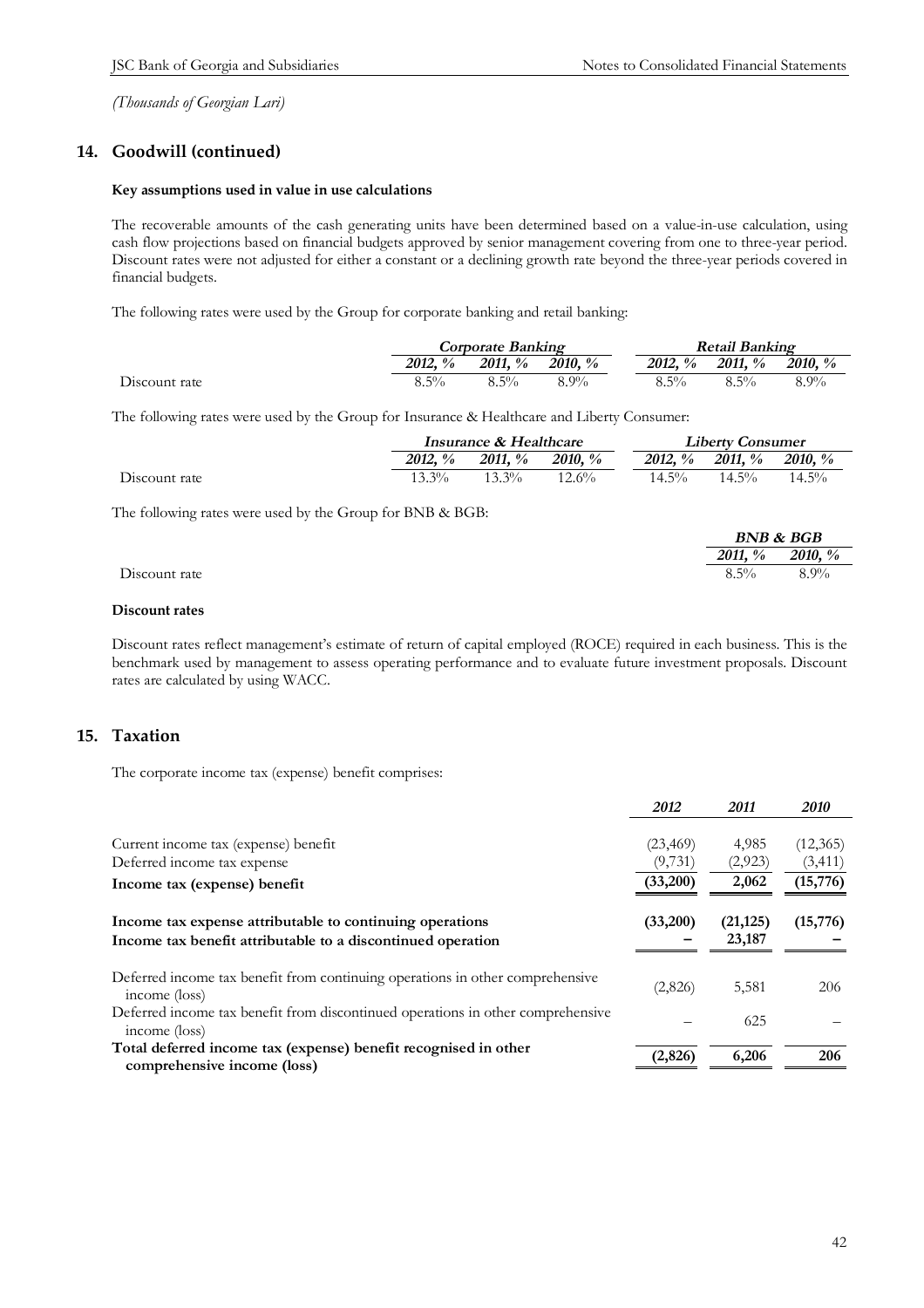## **14. Goodwill (continued)**

#### **Key assumptions used in value in use calculations**

The recoverable amounts of the cash generating units have been determined based on a value-in-use calculation, using cash flow projections based on financial budgets approved by senior management covering from one to three-year period. Discount rates were not adjusted for either a constant or a declining growth rate beyond the three-year periods covered in financial budgets.

The following rates were used by the Group for corporate banking and retail banking:

|               | Corporate Banking |                    |         |         | <b>Retail Banking</b>            |         |
|---------------|-------------------|--------------------|---------|---------|----------------------------------|---------|
|               | 2012, %           | $2011, \%$ 2010, % |         |         | 2012, $\%$ 2011, $\%$ 2010, $\%$ |         |
| Discount rate | $8.5\%$           | $8.5\%$            | $8.9\%$ | $8.5\%$ | $8.5\%$                          | $8.9\%$ |

The following rates were used by the Group for Insurance & Healthcare and Liberty Consumer:

|               | Insurance & Healthcare |                       |          |          | <b>Liberty Consumer</b>          |          |  |
|---------------|------------------------|-----------------------|----------|----------|----------------------------------|----------|--|
|               | <b>2012.</b> %         | $2011.~\%$ 2010. $\%$ |          |          | 2012, $\%$ 2011, $\%$ 2010, $\%$ |          |  |
| Discount rate | $13.3\%$               | $13.3\%$              | $12.6\%$ | $14.5\%$ | $14.5\%$                         | $14.5\%$ |  |

The following rates were used by the Group for BNB & BGB:

|               |         | <b>BNB &amp; BGB</b> |
|---------------|---------|----------------------|
|               | 2011, % | 2010, %              |
| Discount rate | $8.5\%$ | $8.9\%$              |

#### **Discount rates**

Discount rates reflect management's estimate of return of capital employed (ROCE) required in each business. This is the benchmark used by management to assess operating performance and to evaluate future investment proposals. Discount rates are calculated by using WACC.

## **15. Taxation**

The corporate income tax (expense) benefit comprises:

|                                                                                                  | 2012      | 2011      | <i>2010</i> |
|--------------------------------------------------------------------------------------------------|-----------|-----------|-------------|
|                                                                                                  |           |           |             |
| Current income tax (expense) benefit                                                             | (23, 469) | 4,985     | (12,365)    |
| Deferred income tax expense                                                                      | (9,731)   | (2,923)   | (3, 411)    |
| Income tax (expense) benefit                                                                     | (33,200)  | 2,062     | (15, 776)   |
| Income tax expense attributable to continuing operations                                         | (33,200)  | (21, 125) | (15,776)    |
| Income tax benefit attributable to a discontinued operation                                      |           | 23,187    |             |
| Deferred income tax benefit from continuing operations in other comprehensive<br>income (loss)   | (2,826)   | 5,581     | 206         |
| Deferred income tax benefit from discontinued operations in other comprehensive<br>income (loss) |           | 625       |             |
| Total deferred income tax (expense) benefit recognised in other<br>comprehensive income (loss)   | (2, 826)  | 6,206     | 206         |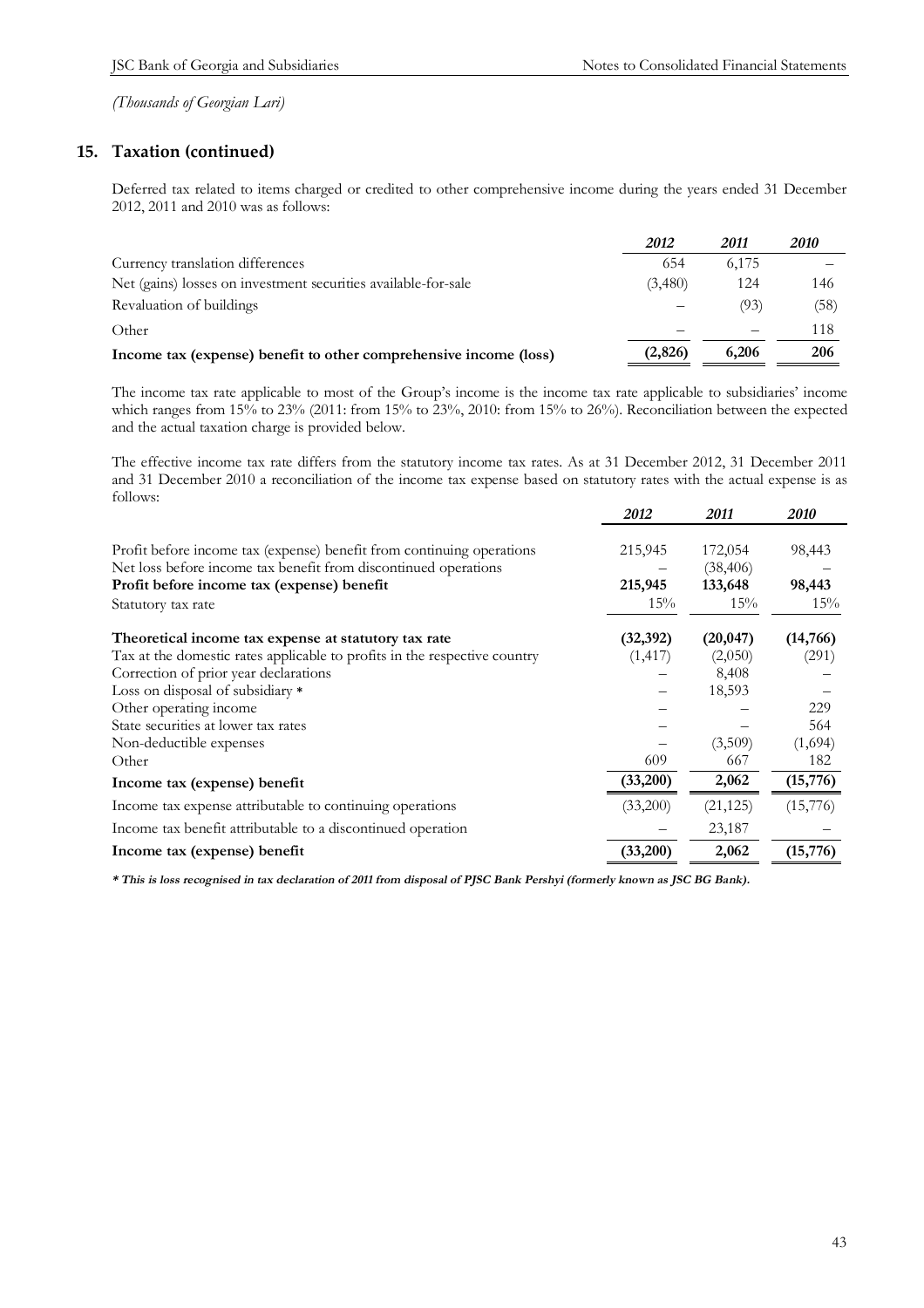## **15. Taxation (continued)**

Deferred tax related to items charged or credited to other comprehensive income during the years ended 31 December 2012, 2011 and 2010 was as follows:

|                                                                   | 2012    | 2011  | <i>2010</i> |
|-------------------------------------------------------------------|---------|-------|-------------|
| Currency translation differences                                  | 654     | 6,175 |             |
| Net (gains) losses on investment securities available-for-sale    | (3,480) | 124   | 146         |
| Revaluation of buildings                                          |         | (93)  | (58)        |
| Other                                                             |         |       | 118         |
| Income tax (expense) benefit to other comprehensive income (loss) | (2,826) | 6.206 | 206         |

The income tax rate applicable to most of the Group's income is the income tax rate applicable to subsidiaries' income which ranges from 15% to 23% (2011: from 15% to 23%, 2010: from 15% to 26%). Reconciliation between the expected and the actual taxation charge is provided below.

The effective income tax rate differs from the statutory income tax rates. As at 31 December 2012, 31 December 2011 and 31 December 2010 a reconciliation of the income tax expense based on statutory rates with the actual expense is as follows:

|                                                                                                                                                                                                              | 2012                      | 2011                                   | <i>2010</i>                |
|--------------------------------------------------------------------------------------------------------------------------------------------------------------------------------------------------------------|---------------------------|----------------------------------------|----------------------------|
| Profit before income tax (expense) benefit from continuing operations<br>Net loss before income tax benefit from discontinued operations<br>Profit before income tax (expense) benefit<br>Statutory tax rate | 215,945<br>215,945<br>15% | 172,054<br>(38, 406)<br>133,648<br>15% | 98,443<br>98,443<br>$15\%$ |
| Theoretical income tax expense at statutory tax rate                                                                                                                                                         | (32, 392)                 | (20, 047)                              | (14,766)                   |
| Tax at the domestic rates applicable to profits in the respective country                                                                                                                                    | (1, 417)                  | (2,050)                                | (291)                      |
| Correction of prior year declarations                                                                                                                                                                        |                           | 8,408                                  |                            |
| Loss on disposal of subsidiary *                                                                                                                                                                             |                           | 18,593                                 |                            |
| Other operating income                                                                                                                                                                                       |                           |                                        | 229                        |
| State securities at lower tax rates                                                                                                                                                                          |                           |                                        | 564                        |
| Non-deductible expenses                                                                                                                                                                                      |                           | (3,509)                                | (1,694)                    |
| Other                                                                                                                                                                                                        | 609                       | 667                                    | 182                        |
| Income tax (expense) benefit                                                                                                                                                                                 | (33,200)                  | 2,062                                  | (15,776)                   |
| Income tax expense attributable to continuing operations                                                                                                                                                     | (33,200)                  | (21, 125)                              | (15,776)                   |
| Income tax benefit attributable to a discontinued operation                                                                                                                                                  |                           | 23,187                                 |                            |
| Income tax (expense) benefit                                                                                                                                                                                 | (33,200)                  | 2,062                                  | (15,776)                   |

\* This is loss recognised in tax declaration of 2011 from disposal of PJSC Bank Pershyi (formerly known as JSC BG Bank).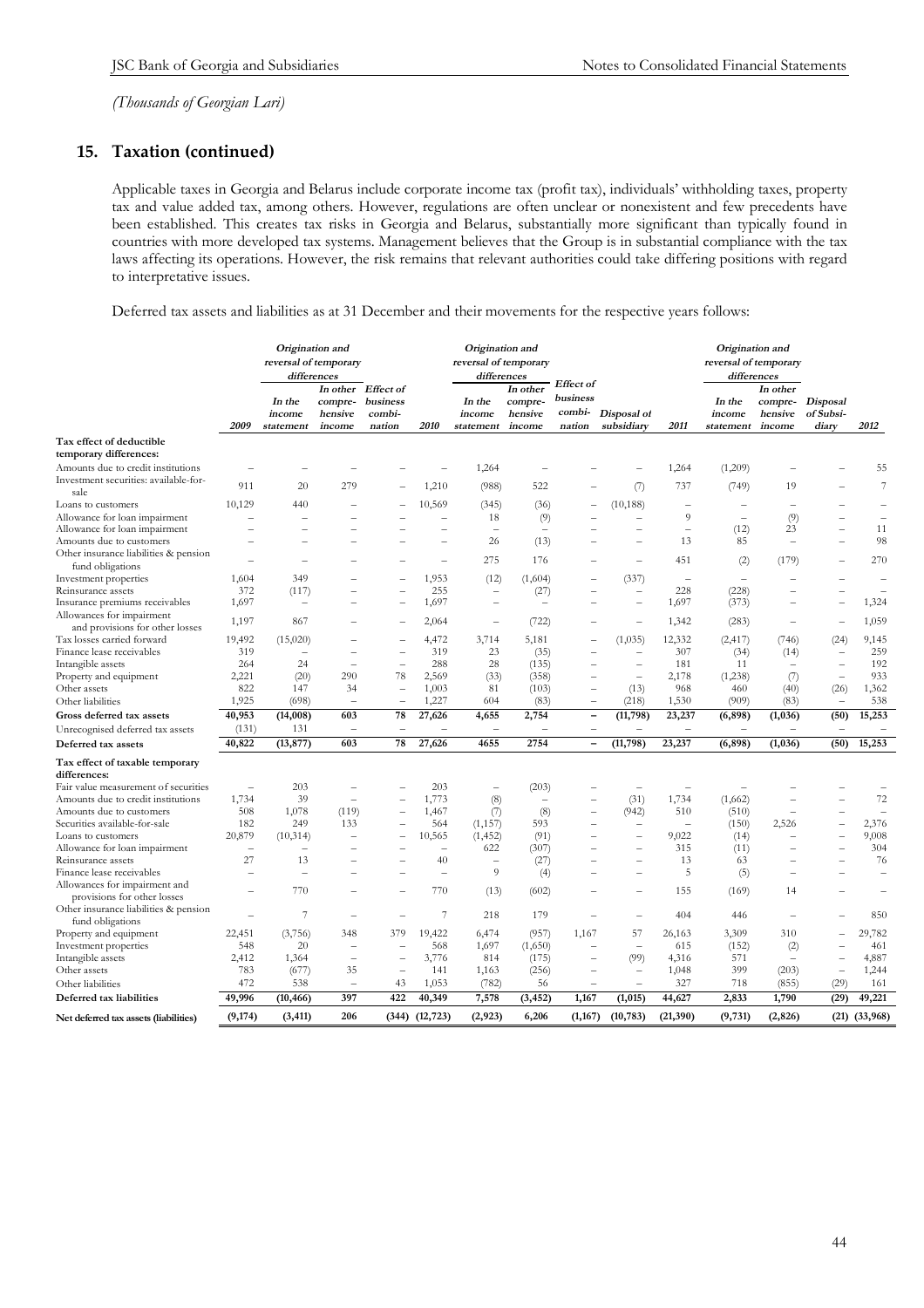## **15. Taxation (continued)**

Applicable taxes in Georgia and Belarus include corporate income tax (profit tax), individuals' withholding taxes, property tax and value added tax, among others. However, regulations are often unclear or nonexistent and few precedents have been established. This creates tax risks in Georgia and Belarus, substantially more significant than typically found in countries with more developed tax systems. Management believes that the Group is in substantial compliance with the tax laws affecting its operations. However, the risk remains that relevant authorities could take differing positions with regard to interpretative issues.

Deferred tax assets and liabilities as at 31 December and their movements for the respective years follows:

|                                                              |                          | Origination and<br>reversal of temporary<br>differences |                              |                                                    |                          | Origination and<br>reversal of temporary<br>differences |                                          |                                                  |                           |                          | Origination and<br>reversal of temporary<br>differences |                               |                                        |                          |
|--------------------------------------------------------------|--------------------------|---------------------------------------------------------|------------------------------|----------------------------------------------------|--------------------------|---------------------------------------------------------|------------------------------------------|--------------------------------------------------|---------------------------|--------------------------|---------------------------------------------------------|-------------------------------|----------------------------------------|--------------------------|
|                                                              | 2009                     | In the<br>income<br>statement                           | compre-<br>hensive<br>income | In other Effect of<br>business<br>combi-<br>nation | 2010                     | In the<br>income<br>statement                           | In other<br>compre-<br>hensive<br>income | <b>Effect</b> of<br>business<br>combi-<br>nation | Disposal of<br>subsidiary | 2011                     | In the<br>income<br>statement                           | In other<br>hensive<br>income | compre- Disposal<br>of Subsi-<br>diary | 2012                     |
| Tax effect of deductible<br>temporary differences:           |                          |                                                         |                              |                                                    |                          |                                                         |                                          |                                                  |                           |                          |                                                         |                               |                                        |                          |
| Amounts due to credit institutions                           |                          |                                                         |                              |                                                    |                          | 1,264                                                   |                                          |                                                  |                           | 1,264                    | (1,209)                                                 |                               |                                        | 55                       |
| Investment securities: available-for-<br>sale                | 911                      | 20                                                      | 279                          |                                                    | 1,210                    | (988)                                                   | 522                                      |                                                  | (7)                       | 737                      | (749)                                                   | 19                            |                                        | $\overline{\phantom{a}}$ |
| Loans to customers                                           | 10,129                   | 440                                                     |                              |                                                    | 10,569                   | (345)                                                   | (36)                                     |                                                  | (10, 188)                 | ÷                        |                                                         |                               |                                        | $\equiv$                 |
| Allowance for loan impairment                                | $\overline{\phantom{0}}$ | $\overline{\phantom{a}}$                                | $\overline{\phantom{0}}$     | $\overline{\phantom{0}}$                           | $\overline{\phantom{0}}$ | 18                                                      | (9)                                      | ÷                                                | $\overline{\phantom{0}}$  | $\overline{Q}$           | $\equiv$                                                | (9)                           | $\overline{\phantom{0}}$               | $\overline{\phantom{0}}$ |
| Allowance for loan impairment                                | $\equiv$                 | ÷                                                       | $\equiv$                     |                                                    | $\equiv$                 | $\equiv$                                                | $\equiv$                                 | ÷                                                | $\sim$                    | $\overline{\phantom{0}}$ | (12)                                                    | 23                            | $\equiv$                               | 11                       |
| Amounts due to customers                                     | L.                       |                                                         |                              |                                                    | ÷                        | 26                                                      | (13)                                     |                                                  | Ē.                        | 13                       | 85                                                      | L.                            | ÷                                      | 98                       |
| Other insurance liabilities & pension<br>fund obligations    | $\overline{\phantom{0}}$ |                                                         |                              |                                                    |                          | 275                                                     | 176                                      |                                                  |                           | 451                      | (2)                                                     | (179)                         |                                        | 270                      |
| Investment properties                                        | 1,604                    | 349                                                     |                              |                                                    | 1,953                    | (12)                                                    | (1,604)                                  |                                                  | (337)                     | Ē.                       |                                                         |                               |                                        |                          |
| Reinsurance assets                                           | 372                      | (117)                                                   | $\overline{\phantom{a}}$     | $\overline{\phantom{0}}$                           | 255                      | $\overline{\phantom{a}}$                                | (27)                                     | $\overline{\phantom{a}}$                         | $\overline{\phantom{a}}$  | 228                      | (228)                                                   | $\overline{\phantom{0}}$      | $\overline{\phantom{0}}$               | $\sim$                   |
| Insurance premiums receivables                               | 1,697                    | $\overline{a}$                                          |                              |                                                    | 1,697                    | ÷                                                       | $\overline{ }$                           |                                                  | $\equiv$                  | 1,697                    | (373)                                                   | $\overline{a}$                | $\overline{\phantom{0}}$               | 1,324                    |
| Allowances for impairment<br>and provisions for other losses | 1,197                    | 867                                                     |                              |                                                    | 2,064                    | ÷                                                       | (722)                                    |                                                  | $\overline{\phantom{0}}$  | 1,342                    | (283)                                                   | $\overline{\phantom{0}}$      | ÷                                      | 1,059                    |
| Tax losses carried forward                                   | 19,492                   | (15,020)                                                |                              |                                                    | 4,472                    | 3,714                                                   | 5,181                                    |                                                  | (1, 035)                  | 12,332                   | (2, 417)                                                | (746)                         | (24)                                   | 9,145                    |
| Finance lease receivables                                    | 319                      |                                                         |                              | $\overline{\phantom{0}}$                           | 319                      | 23                                                      | (35)                                     | $\overline{\phantom{a}}$                         | $\overline{\phantom{0}}$  | 307                      | (34)                                                    | (14)                          | $\overline{\phantom{0}}$               | 259                      |
| Intangible assets                                            | 264                      | 24                                                      | $\sim$                       | ÷                                                  | 288                      | 28                                                      | (135)                                    | $\overline{\phantom{a}}$                         | $\overline{\phantom{m}}$  | 181                      | 11                                                      | $\equiv$                      | $\overline{\phantom{m}}$               | 192                      |
| Property and equipment                                       | 2,221                    | (20)                                                    | 290                          | 78                                                 | 2,569                    | (33)                                                    | (358)                                    | ÷                                                | $\frac{1}{2}$             | 2,178                    | (1,238)                                                 | (7)                           | ÷                                      | 933                      |
| Other assets                                                 | 822                      | 147                                                     | 34                           | $\overline{\phantom{0}}$                           | 1,003                    | 81                                                      | (103)                                    | $\equiv$                                         | (13)                      | 968                      | 460                                                     | (40)                          | (26)                                   | 1,362                    |
| Other liabilities                                            | 1,925                    | (698)                                                   | $\overline{\phantom{0}}$     | $\overline{\phantom{0}}$                           | 1,227                    | 604                                                     | (83)                                     | $\overline{\phantom{0}}$                         | (218)                     | 1,530                    | (909)                                                   | (83)                          | $\overline{\phantom{a}}$               | 538                      |
| Gross deferred tax assets                                    | 40,953                   | (14, 008)                                               | 603                          | 78                                                 | 27,626                   | 4,655                                                   | 2,754                                    | $\qquad \qquad -$                                | (11, 798)                 | 23,237                   | (6, 898)                                                | (1,036)                       | (50)                                   | 15,253                   |
| Unrecognised deferred tax assets                             | (131)                    | 131                                                     | $\overline{\phantom{m}}$     | $\overline{\phantom{0}}$                           | $\equiv$                 | $\frac{1}{2}$                                           | $\overline{\phantom{0}}$                 | $\overline{\phantom{0}}$                         | $\frac{1}{2}$             | $\overline{\phantom{0}}$ | $\overline{\phantom{m}}$                                | $\equiv$                      | ÷                                      | $\overline{\phantom{0}}$ |
| Deferred tax assets                                          | 40,822                   | (13, 877)                                               | 603                          | 78                                                 | 27,626                   | 4655                                                    | 2754                                     | $\overline{\phantom{m}}$                         | (11, 798)                 | 23,237                   | (6, 898)                                                | (1,036)                       | (50)                                   | 15,253                   |
| Tax effect of taxable temporary<br>differences:              |                          |                                                         |                              |                                                    |                          |                                                         |                                          |                                                  |                           |                          |                                                         |                               |                                        |                          |
| Fair value measurement of securities                         | $\qquad \qquad -$        | 203                                                     |                              |                                                    | 203                      | ÷                                                       | (203)                                    |                                                  | $\overline{\phantom{m}}$  | $\overline{\phantom{0}}$ | L,                                                      |                               |                                        |                          |
| Amounts due to credit institutions                           | 1,734                    | 39                                                      | $\overline{\phantom{a}}$     | $\overline{\phantom{0}}$                           | 1,773                    | (8)                                                     | $\sim$                                   | Ē.                                               | (31)                      | 1,734                    | (1,662)                                                 | $\overline{\phantom{0}}$      |                                        | 72                       |
| Amounts due to customers                                     | 508                      | 1,078                                                   | (119)                        | $\overline{\phantom{0}}$                           | 1,467                    | (7)                                                     | (8)                                      | Ē.                                               | (942)                     | 510                      | (510)                                                   | $\overline{\phantom{a}}$      | $\overline{\phantom{0}}$               | $\sim$                   |
| Securities available-for-sale                                | 182                      | 249                                                     | 133                          |                                                    | 564                      | (1, 157)                                                | 593                                      |                                                  | ÷                         | ÷                        | (150)                                                   | 2,526                         | $\overline{\phantom{0}}$               | 2,376                    |
| Loans to customers                                           | 20,879                   | (10,314)                                                |                              | $\overline{\phantom{0}}$                           | 10,565                   | (1, 452)                                                | (91)                                     | $\overline{\phantom{a}}$                         | $\equiv$                  | 9,022                    | (14)                                                    | ۳                             | $\equiv$                               | 9,008                    |
| Allowance for loan impairment                                |                          | ÷                                                       |                              |                                                    | ÷                        | 622                                                     | (307)                                    | ÷                                                | Ē.                        | 315                      | (11)                                                    |                               | $\overline{\phantom{0}}$               | 304                      |
| Reinsurance assets                                           | 27                       | 13                                                      |                              |                                                    | 40                       | $\overline{ }$                                          | (27)                                     | $\overline{\phantom{0}}$                         | $\overline{\phantom{0}}$  | 13                       | 63                                                      | $\overline{\phantom{0}}$      | $\overline{\phantom{0}}$               | 76                       |
| Finance lease receivables                                    | $\overline{\phantom{a}}$ | $\sim$                                                  | $\sim$                       | $\overline{\phantom{0}}$                           | $\sim$                   | 9                                                       | (4)                                      | ÷                                                | د د                       | 5                        | (5)                                                     | $\overline{\phantom{0}}$      | $\equiv$                               | $\sim$                   |
| Allowances for impairment and<br>provisions for other losses | $\equiv$                 | 770                                                     |                              |                                                    | 770                      | (13)                                                    | (602)                                    |                                                  | $\equiv$                  | 155                      | (169)                                                   | 14                            |                                        |                          |
| Other insurance liabilities & pension                        |                          | 7                                                       |                              |                                                    | 7                        | 218                                                     | 179                                      | $\overline{\phantom{a}}$                         | $\overline{\phantom{0}}$  | 404                      | 446                                                     |                               |                                        | 850                      |
| fund obligations                                             |                          |                                                         |                              |                                                    |                          |                                                         |                                          |                                                  |                           |                          |                                                         |                               |                                        |                          |
| Property and equipment                                       | 22,451                   | (3,756)                                                 | 348                          | 379                                                | 19,422                   | 6,474                                                   | (957)                                    | 1,167                                            | 57                        | 26,163                   | 3,309                                                   | 310                           |                                        | 29,782                   |
| Investment properties                                        | 548                      | 20                                                      |                              |                                                    | 568                      | 1,697                                                   | (1,650)                                  |                                                  | $\frac{1}{2}$             | 615                      | (152)                                                   | (2)                           |                                        | 461                      |
| Intangible assets                                            | 2,412                    | 1,364                                                   | $\sim$                       | ÷                                                  | 3,776                    | 814                                                     | (175)                                    | Ē.                                               | (99)                      | 4,316                    | 571                                                     | $\equiv$                      | $\overline{\phantom{0}}$               | 4,887                    |
| Other assets                                                 | 783                      | (677)                                                   | 35                           | $\qquad \qquad -$                                  | 141                      | 1,163                                                   | (256)                                    | ÷                                                | $\overline{\phantom{m}}$  | 1,048                    | 399                                                     | (203)                         | $\overline{\phantom{m}}$               | 1,244                    |
| Other liabilities                                            | 472                      | 538                                                     | $\overline{\phantom{0}}$     | 43                                                 | 1,053                    | (782)                                                   | 56                                       | $\overline{\phantom{a}}$                         | $\equiv$                  | 327                      | 718                                                     | (855)                         | (29)                                   | 161                      |
| Deferred tax liabilities                                     | 49,996                   | (10, 466)                                               | 397                          | 422                                                | 40,349                   | 7,578                                                   | (3, 452)                                 | 1,167                                            | (1, 015)                  | 44,627                   | 2,833                                                   | 1,790                         | (29)                                   | 49,221                   |
| Net deferred tax assets (liabilities)                        | (9, 174)                 | (3, 411)                                                | 206                          |                                                    | $(344)$ $(12,723)$       | (2, 923)                                                | 6,206                                    | (1,167)                                          | (10, 783)                 | (21, 390)                | (9, 731)                                                | (2, 826)                      |                                        | $(21)$ $(33,968)$        |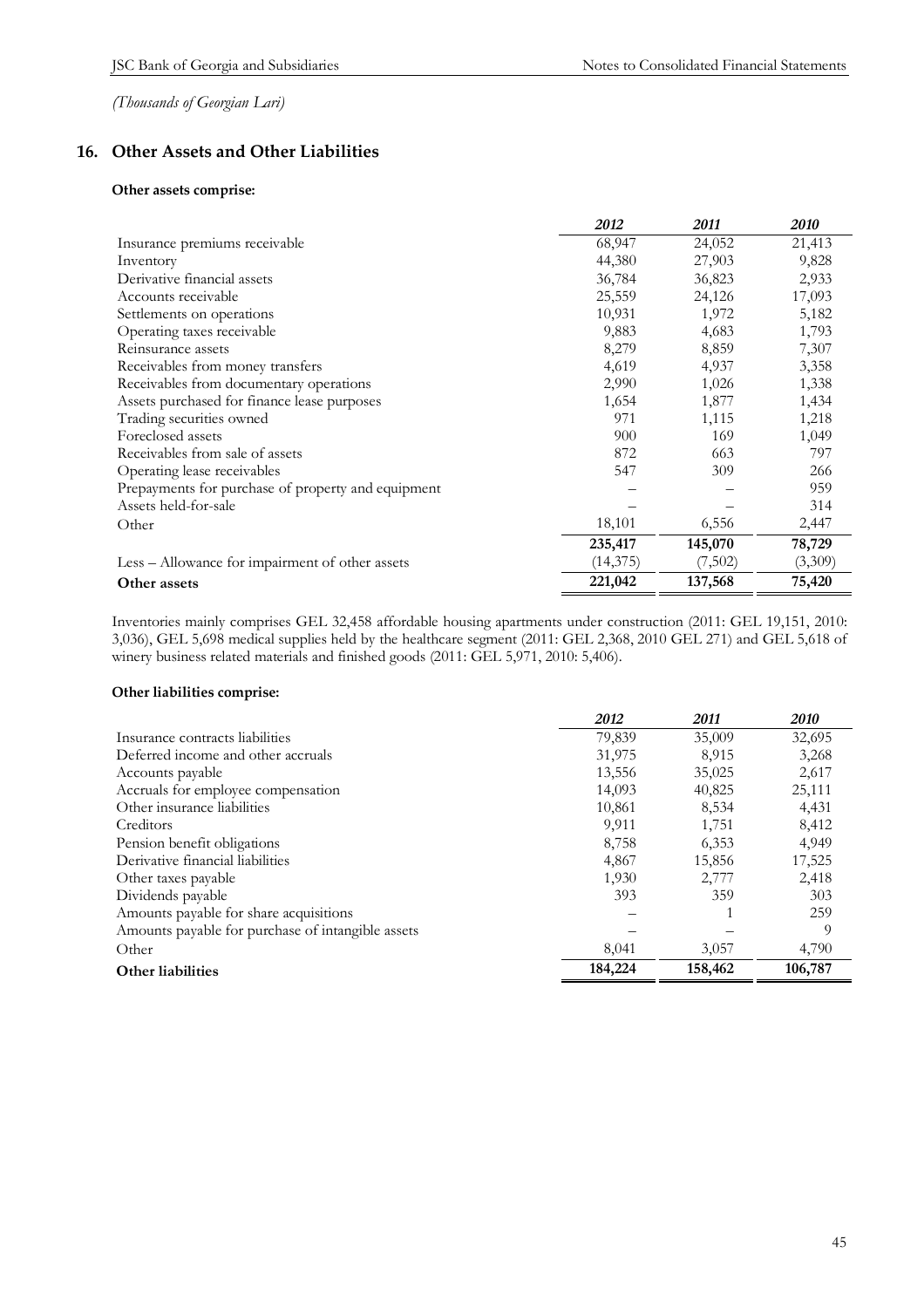# **16. Other Assets and Other Liabilities**

## **Other assets comprise:**

|                                                    | 2012     | 2011    | 2010    |
|----------------------------------------------------|----------|---------|---------|
| Insurance premiums receivable                      | 68,947   | 24,052  | 21,413  |
| Inventory                                          | 44,380   | 27,903  | 9,828   |
| Derivative financial assets                        | 36,784   | 36,823  | 2,933   |
| Accounts receivable                                | 25,559   | 24,126  | 17,093  |
| Settlements on operations                          | 10,931   | 1,972   | 5,182   |
| Operating taxes receivable                         | 9,883    | 4,683   | 1,793   |
| Reinsurance assets                                 | 8,279    | 8,859   | 7,307   |
| Receivables from money transfers                   | 4,619    | 4,937   | 3,358   |
| Receivables from documentary operations            | 2,990    | 1,026   | 1,338   |
| Assets purchased for finance lease purposes        | 1,654    | 1,877   | 1,434   |
| Trading securities owned                           | 971      | 1,115   | 1,218   |
| Foreclosed assets                                  | 900      | 169     | 1,049   |
| Receivables from sale of assets                    | 872      | 663     | 797     |
| Operating lease receivables                        | 547      | 309     | 266     |
| Prepayments for purchase of property and equipment |          |         | 959     |
| Assets held-for-sale                               |          |         | 314     |
| Other                                              | 18,101   | 6,556   | 2,447   |
|                                                    | 235,417  | 145,070 | 78,729  |
| Less – Allowance for impairment of other assets    | (14,375) | (7,502) | (3,309) |
| Other assets                                       | 221,042  | 137,568 | 75,420  |

Inventories mainly comprises GEL 32,458 affordable housing apartments under construction (2011: GEL 19,151, 2010: 3,036), GEL 5,698 medical supplies held by the healthcare segment (2011: GEL 2,368, 2010 GEL 271) and GEL 5,618 of winery business related materials and finished goods (2011: GEL 5,971, 2010: 5,406).

## **Other liabilities comprise:**

|                                                   | 2012    | 2011    | 2010    |
|---------------------------------------------------|---------|---------|---------|
| Insurance contracts liabilities                   | 79,839  | 35,009  | 32,695  |
| Deferred income and other accruals                | 31,975  | 8,915   | 3,268   |
| Accounts payable                                  | 13,556  | 35,025  | 2,617   |
| Accruals for employee compensation                | 14,093  | 40,825  | 25,111  |
| Other insurance liabilities                       | 10,861  | 8,534   | 4,431   |
| Creditors                                         | 9,911   | 1,751   | 8,412   |
| Pension benefit obligations                       | 8,758   | 6,353   | 4,949   |
| Derivative financial liabilities                  | 4,867   | 15,856  | 17,525  |
| Other taxes payable                               | 1,930   | 2,777   | 2,418   |
| Dividends payable                                 | 393     | 359     | 303     |
| Amounts payable for share acquisitions            |         |         | 259     |
| Amounts payable for purchase of intangible assets |         |         | 9       |
| Other                                             | 8,041   | 3,057   | 4,790   |
| <b>Other liabilities</b>                          | 184,224 | 158,462 | 106,787 |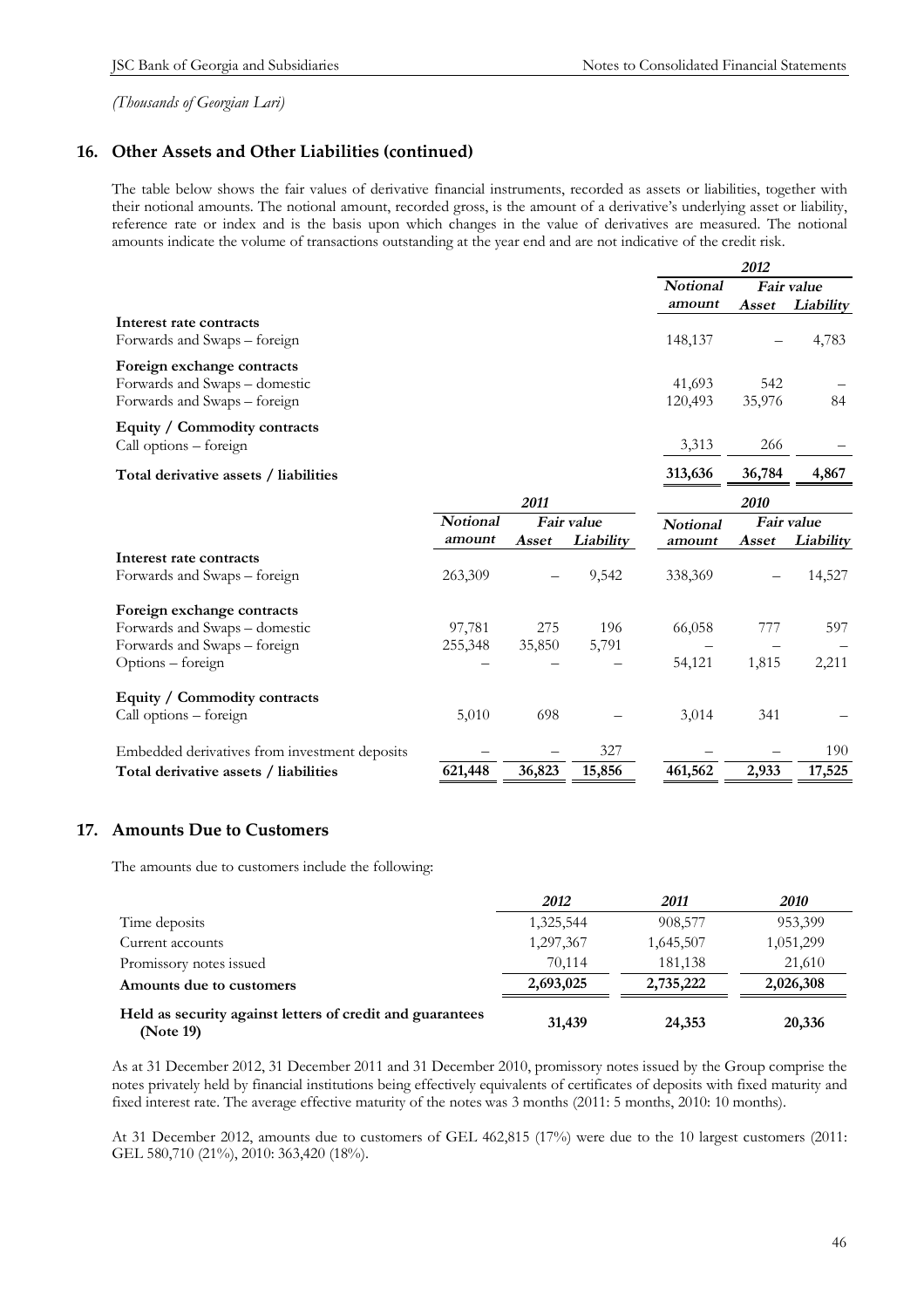## **16. Other Assets and Other Liabilities (continued)**

The table below shows the fair values of derivative financial instruments, recorded as assets or liabilities, together with their notional amounts. The notional amount, recorded gross, is the amount of a derivative's underlying asset or liability, reference rate or index and is the basis upon which changes in the value of derivatives are measured. The notional amounts indicate the volume of transactions outstanding at the year end and are not indicative of the credit risk.

|                                       | 2012            |        |            |  |
|---------------------------------------|-----------------|--------|------------|--|
|                                       | <b>Notional</b> |        | Fair value |  |
|                                       | amount          | Asset  | Liability  |  |
| Interest rate contracts               |                 |        |            |  |
| Forwards and Swaps – foreign          | 148,137         |        | 4,783      |  |
| Foreign exchange contracts            |                 |        |            |  |
| Forwards and Swaps – domestic         | 41,693          | 542    |            |  |
| Forwards and Swaps - foreign          | 120,493         | 35,976 | 84         |  |
| Equity / Commodity contracts          |                 |        |            |  |
| Call options - foreign                | 3,313           | 266    |            |  |
| Total derivative assets / liabilities | 313,636         | 36,784 | 4,867      |  |

|                                               |                 | 2011       |           |                 | 2010         |            |
|-----------------------------------------------|-----------------|------------|-----------|-----------------|--------------|------------|
|                                               | <b>Notional</b> | Fair value |           | <b>Notional</b> |              | Fair value |
|                                               | amount          | Asset      | Liability | amount          | <b>Asset</b> | Liability  |
| Interest rate contracts                       |                 |            |           |                 |              |            |
| Forwards and Swaps – foreign                  | 263,309         |            | 9,542     | 338,369         |              | 14,527     |
| Foreign exchange contracts                    |                 |            |           |                 |              |            |
| Forwards and Swaps – domestic                 | 97,781          | 275        | 196       | 66,058          | 777          | 597        |
| Forwards and Swaps - foreign                  | 255,348         | 35,850     | 5,791     |                 |              |            |
| Options – foreign                             |                 |            |           | 54,121          | 1,815        | 2,211      |
| <b>Equity / Commodity contracts</b>           |                 |            |           |                 |              |            |
| Call options – foreign                        | 5,010           | 698        |           | 3,014           | 341          |            |
| Embedded derivatives from investment deposits |                 |            | 327       |                 |              | 190        |
| Total derivative assets / liabilities         | 621,448         | 36,823     | 15,856    | 461,562         | 2,933        | 17,525     |

## **17. Amounts Due to Customers**

The amounts due to customers include the following:

|                                                                        | 2012      | 2011      | <i>2010</i> |
|------------------------------------------------------------------------|-----------|-----------|-------------|
| Time deposits                                                          | 1,325,544 | 908,577   | 953,399     |
| Current accounts                                                       | 1,297,367 | 1,645,507 | 1,051,299   |
| Promissory notes issued                                                | 70.114    | 181,138   | 21,610      |
| Amounts due to customers                                               | 2,693,025 | 2,735,222 | 2,026,308   |
| Held as security against letters of credit and guarantees<br>(Note 19) | 31,439    | 24,353    | 20,336      |

As at 31 December 2012, 31 December 2011 and 31 December 2010, promissory notes issued by the Group comprise the notes privately held by financial institutions being effectively equivalents of certificates of deposits with fixed maturity and fixed interest rate. The average effective maturity of the notes was 3 months (2011: 5 months, 2010: 10 months).

At 31 December 2012, amounts due to customers of GEL 462,815 (17%) were due to the 10 largest customers (2011: GEL 580,710 (21%), 2010: 363,420 (18%).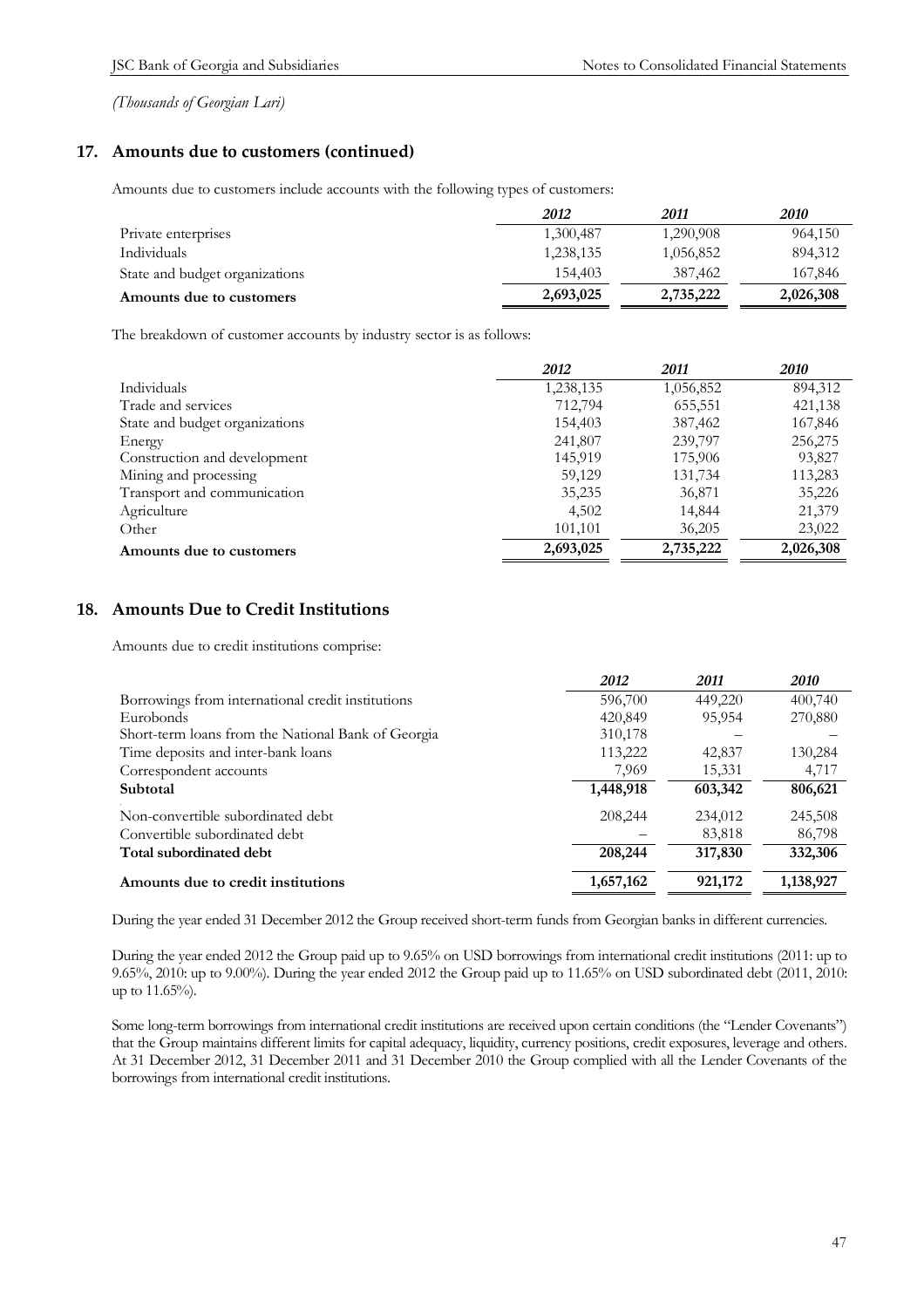## **17. Amounts due to customers (continued)**

Amounts due to customers include accounts with the following types of customers:

|                                | 2012      | 2011      | <i>2010</i> |
|--------------------------------|-----------|-----------|-------------|
| Private enterprises            | 1,300,487 | 1,290,908 | 964,150     |
| Individuals                    | 1,238,135 | 1,056,852 | 894,312     |
| State and budget organizations | 154,403   | 387.462   | 167,846     |
| Amounts due to customers       | 2,693,025 | 2,735,222 | 2,026,308   |

The breakdown of customer accounts by industry sector is as follows:

|                                | 2012      | 2011      | 2010      |
|--------------------------------|-----------|-----------|-----------|
| Individuals                    | 1,238,135 | 1,056,852 | 894,312   |
| Trade and services             | 712,794   | 655,551   | 421,138   |
| State and budget organizations | 154,403   | 387,462   | 167,846   |
| Energy                         | 241,807   | 239,797   | 256,275   |
| Construction and development   | 145,919   | 175,906   | 93,827    |
| Mining and processing          | 59,129    | 131,734   | 113,283   |
| Transport and communication    | 35,235    | 36,871    | 35,226    |
| Agriculture                    | 4,502     | 14,844    | 21,379    |
| Other                          | 101,101   | 36,205    | 23,022    |
| Amounts due to customers       | 2,693,025 | 2,735,222 | 2,026,308 |

# **18. Amounts Due to Credit Institutions**

Amounts due to credit institutions comprise:

|                                                    | 2012      | 2011    | 2010      |
|----------------------------------------------------|-----------|---------|-----------|
| Borrowings from international credit institutions  | 596,700   | 449,220 | 400,740   |
| Eurobonds                                          | 420,849   | 95,954  | 270,880   |
| Short-term loans from the National Bank of Georgia | 310,178   |         |           |
| Time deposits and inter-bank loans                 | 113,222   | 42,837  | 130,284   |
| Correspondent accounts                             | 7,969     | 15,331  | 4,717     |
| Subtotal                                           | 1,448,918 | 603,342 | 806,621   |
| Non-convertible subordinated debt                  | 208,244   | 234,012 | 245,508   |
| Convertible subordinated debt                      |           | 83,818  | 86,798    |
| Total subordinated debt                            | 208,244   | 317,830 | 332,306   |
| Amounts due to credit institutions                 | 1,657,162 | 921,172 | 1,138,927 |

During the year ended 31 December 2012 the Group received short-term funds from Georgian banks in different currencies.

During the year ended 2012 the Group paid up to 9.65% on USD borrowings from international credit institutions (2011: up to 9.65%, 2010: up to 9.00%). During the year ended 2012 the Group paid up to 11.65% on USD subordinated debt (2011, 2010: up to 11.65%).

Some long-term borrowings from international credit institutions are received upon certain conditions (the "Lender Covenants") that the Group maintains different limits for capital adequacy, liquidity, currency positions, credit exposures, leverage and others. At 31 December 2012, 31 December 2011 and 31 December 2010 the Group complied with all the Lender Covenants of the borrowings from international credit institutions.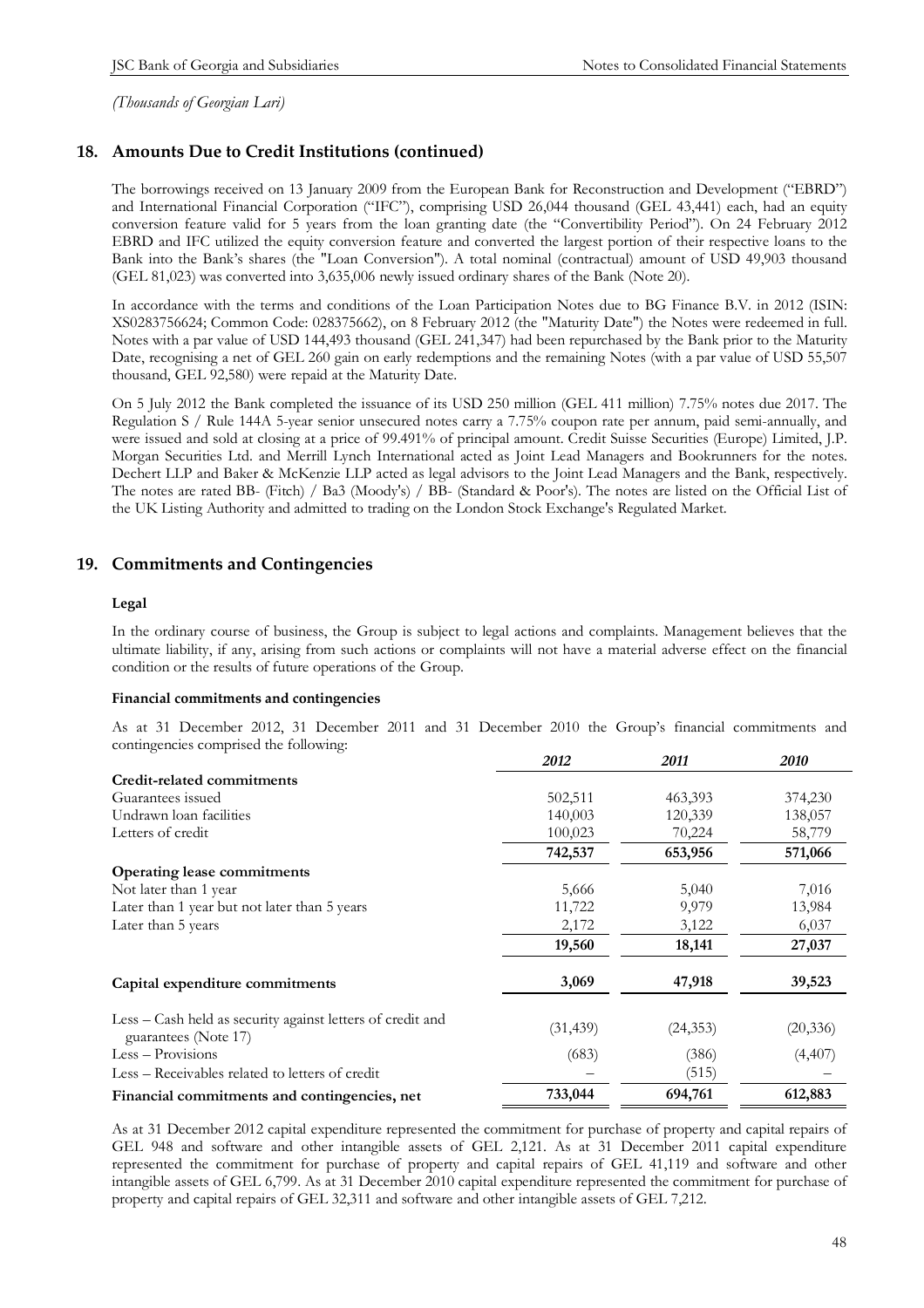## **18. Amounts Due to Credit Institutions (continued)**

The borrowings received on 13 January 2009 from the European Bank for Reconstruction and Development ("EBRD") and International Financial Corporation ("IFC"), comprising USD 26,044 thousand (GEL 43,441) each, had an equity conversion feature valid for 5 years from the loan granting date (the "Convertibility Period"). On 24 February 2012 EBRD and IFC utilized the equity conversion feature and converted the largest portion of their respective loans to the Bank into the Bank's shares (the "Loan Conversion"). A total nominal (contractual) amount of USD 49,903 thousand (GEL 81,023) was converted into 3,635,006 newly issued ordinary shares of the Bank (Note 20).

In accordance with the terms and conditions of the Loan Participation Notes due to BG Finance B.V. in 2012 (ISIN: XS0283756624; Common Code: 028375662), on 8 February 2012 (the "Maturity Date") the Notes were redeemed in full. Notes with a par value of USD 144,493 thousand (GEL 241,347) had been repurchased by the Bank prior to the Maturity Date, recognising a net of GEL 260 gain on early redemptions and the remaining Notes (with a par value of USD 55,507 thousand, GEL 92,580) were repaid at the Maturity Date.

On 5 July 2012 the Bank completed the issuance of its USD 250 million (GEL 411 million) 7.75% notes due 2017. The Regulation S / Rule 144A 5-year senior unsecured notes carry a 7.75% coupon rate per annum, paid semi-annually, and were issued and sold at closing at a price of 99.491% of principal amount. Credit Suisse Securities (Europe) Limited, J.P. Morgan Securities Ltd. and Merrill Lynch International acted as Joint Lead Managers and Bookrunners for the notes. Dechert LLP and Baker & McKenzie LLP acted as legal advisors to the Joint Lead Managers and the Bank, respectively. The notes are rated BB- (Fitch) / Ba3 (Moody's) / BB- (Standard & Poor's). The notes are listed on the Official List of the UK Listing Authority and admitted to trading on the London Stock Exchange's Regulated Market.

## **19. Commitments and Contingencies**

## **Legal**

In the ordinary course of business, the Group is subject to legal actions and complaints. Management believes that the ultimate liability, if any, arising from such actions or complaints will not have a material adverse effect on the financial condition or the results of future operations of the Group.

## **Financial commitments and contingencies**

As at 31 December 2012, 31 December 2011 and 31 December 2010 the Group's financial commitments and contingencies comprised the following:

|                                                                                    | 2012      | 2011      | 2010      |
|------------------------------------------------------------------------------------|-----------|-----------|-----------|
| Credit-related commitments                                                         |           |           |           |
| Guarantees issued                                                                  | 502,511   | 463,393   | 374,230   |
| Undrawn loan facilities                                                            | 140,003   | 120,339   | 138,057   |
| Letters of credit                                                                  | 100,023   | 70,224    | 58,779    |
|                                                                                    | 742,537   | 653,956   | 571,066   |
| <b>Operating lease commitments</b>                                                 |           |           |           |
| Not later than 1 year                                                              | 5,666     | 5,040     | 7,016     |
| Later than 1 year but not later than 5 years                                       | 11,722    | 9,979     | 13,984    |
| Later than 5 years                                                                 | 2,172     | 3,122     | 6,037     |
|                                                                                    | 19,560    | 18,141    | 27,037    |
| Capital expenditure commitments                                                    | 3,069     | 47,918    | 39,523    |
| Less - Cash held as security against letters of credit and<br>guarantees (Note 17) | (31, 439) | (24, 353) | (20, 336) |
| $Less - Provisions$                                                                | (683)     | (386)     | (4, 407)  |
| Less – Receivables related to letters of credit                                    |           | (515)     |           |
| Financial commitments and contingencies, net                                       | 733,044   | 694,761   | 612,883   |

As at 31 December 2012 capital expenditure represented the commitment for purchase of property and capital repairs of GEL 948 and software and other intangible assets of GEL 2,121. As at 31 December 2011 capital expenditure represented the commitment for purchase of property and capital repairs of GEL 41,119 and software and other intangible assets of GEL 6,799. As at 31 December 2010 capital expenditure represented the commitment for purchase of property and capital repairs of GEL 32,311 and software and other intangible assets of GEL 7,212.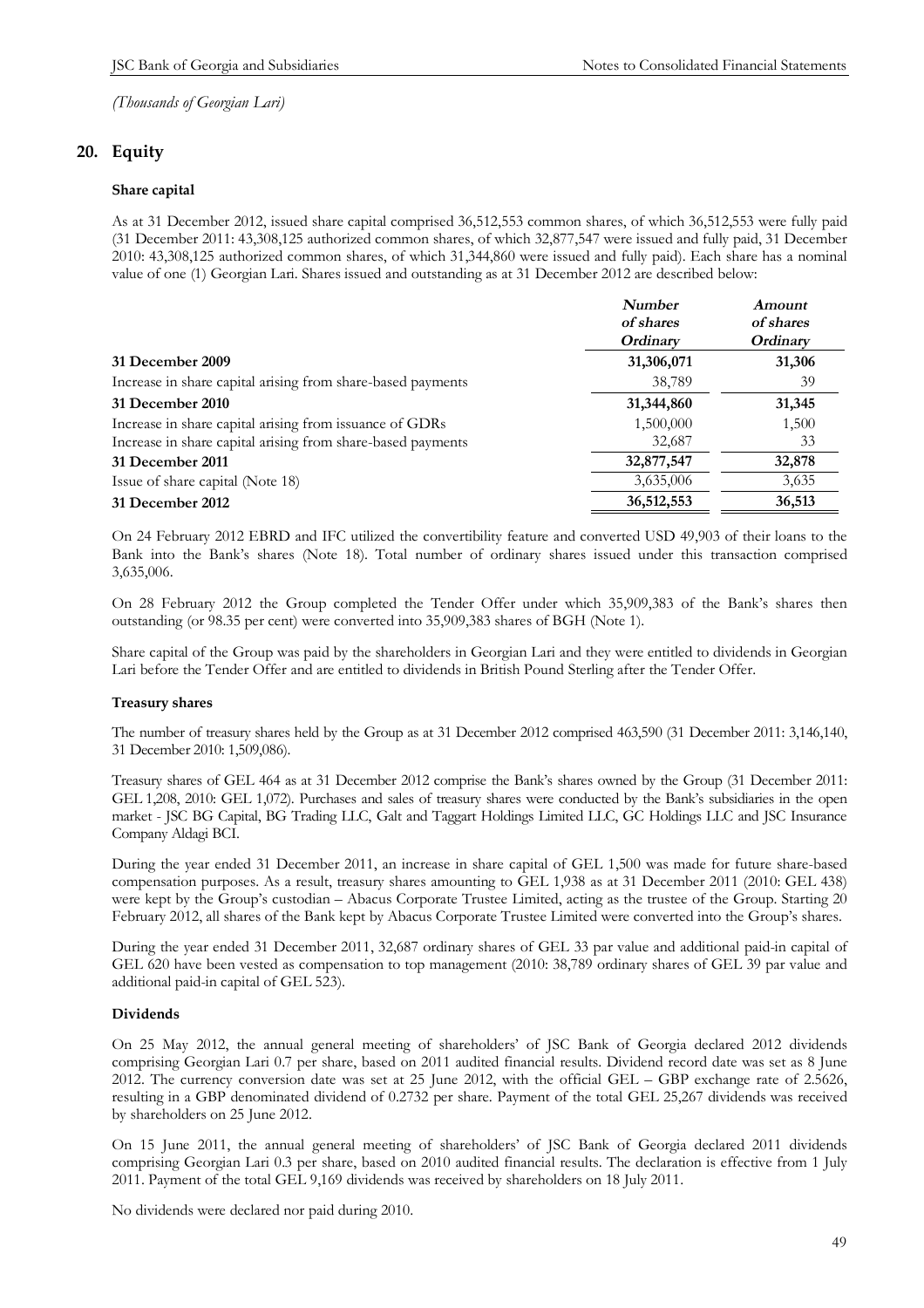# **20. Equity**

## **Share capital**

As at 31 December 2012, issued share capital comprised 36,512,553 common shares, of which 36,512,553 were fully paid (31 December 2011: 43,308,125 authorized common shares, of which 32,877,547 were issued and fully paid, 31 December 2010: 43,308,125 authorized common shares, of which 31,344,860 were issued and fully paid). Each share has a nominal value of one (1) Georgian Lari. Shares issued and outstanding as at 31 December 2012 are described below:

|                                                             | <b>Number</b> | Amount    |
|-------------------------------------------------------------|---------------|-----------|
|                                                             | of shares     | of shares |
|                                                             | Ordinary      | Ordinary  |
| 31 December 2009                                            | 31,306,071    | 31,306    |
| Increase in share capital arising from share-based payments | 38,789        | 39        |
| 31 December 2010                                            | 31,344,860    | 31,345    |
| Increase in share capital arising from issuance of GDRs     | 1,500,000     | 1,500     |
| Increase in share capital arising from share-based payments | 32,687        | 33        |
| 31 December 2011                                            | 32,877,547    | 32,878    |
| Issue of share capital (Note 18)                            | 3,635,006     | 3,635     |
| 31 December 2012                                            | 36,512,553    | 36,513    |

On 24 February 2012 EBRD and IFC utilized the convertibility feature and converted USD 49,903 of their loans to the Bank into the Bank's shares (Note 18). Total number of ordinary shares issued under this transaction comprised 3,635,006.

On 28 February 2012 the Group completed the Tender Offer under which 35,909,383 of the Bank's shares then outstanding (or 98.35 per cent) were converted into 35,909,383 shares of BGH (Note 1).

Share capital of the Group was paid by the shareholders in Georgian Lari and they were entitled to dividends in Georgian Lari before the Tender Offer and are entitled to dividends in British Pound Sterling after the Tender Offer.

## **Treasury shares**

The number of treasury shares held by the Group as at 31 December 2012 comprised 463,590 (31 December 2011: 3,146,140, 31 December 2010: 1,509,086).

Treasury shares of GEL 464 as at 31 December 2012 comprise the Bank's shares owned by the Group (31 December 2011: GEL 1,208, 2010: GEL 1,072). Purchases and sales of treasury shares were conducted by the Bank's subsidiaries in the open market - JSC BG Capital, BG Trading LLC, Galt and Taggart Holdings Limited LLC, GC Holdings LLC and JSC Insurance Company Aldagi BCI.

During the year ended 31 December 2011, an increase in share capital of GEL 1,500 was made for future share-based compensation purposes. As a result, treasury shares amounting to GEL 1,938 as at 31 December 2011 (2010: GEL 438) were kept by the Group's custodian – Abacus Corporate Trustee Limited, acting as the trustee of the Group. Starting 20 February 2012, all shares of the Bank kept by Abacus Corporate Trustee Limited were converted into the Group's shares.

During the year ended 31 December 2011, 32,687 ordinary shares of GEL 33 par value and additional paid-in capital of GEL 620 have been vested as compensation to top management (2010: 38,789 ordinary shares of GEL 39 par value and additional paid-in capital of GEL 523).

## **Dividends**

On 25 May 2012, the annual general meeting of shareholders' of JSC Bank of Georgia declared 2012 dividends comprising Georgian Lari 0.7 per share, based on 2011 audited financial results. Dividend record date was set as 8 June 2012. The currency conversion date was set at 25 June 2012, with the official GEL – GBP exchange rate of 2.5626, resulting in a GBP denominated dividend of 0.2732 per share. Payment of the total GEL 25,267 dividends was received by shareholders on 25 June 2012.

On 15 June 2011, the annual general meeting of shareholders' of JSC Bank of Georgia declared 2011 dividends comprising Georgian Lari 0.3 per share, based on 2010 audited financial results. The declaration is effective from 1 July 2011. Payment of the total GEL 9,169 dividends was received by shareholders on 18 July 2011.

No dividends were declared nor paid during 2010.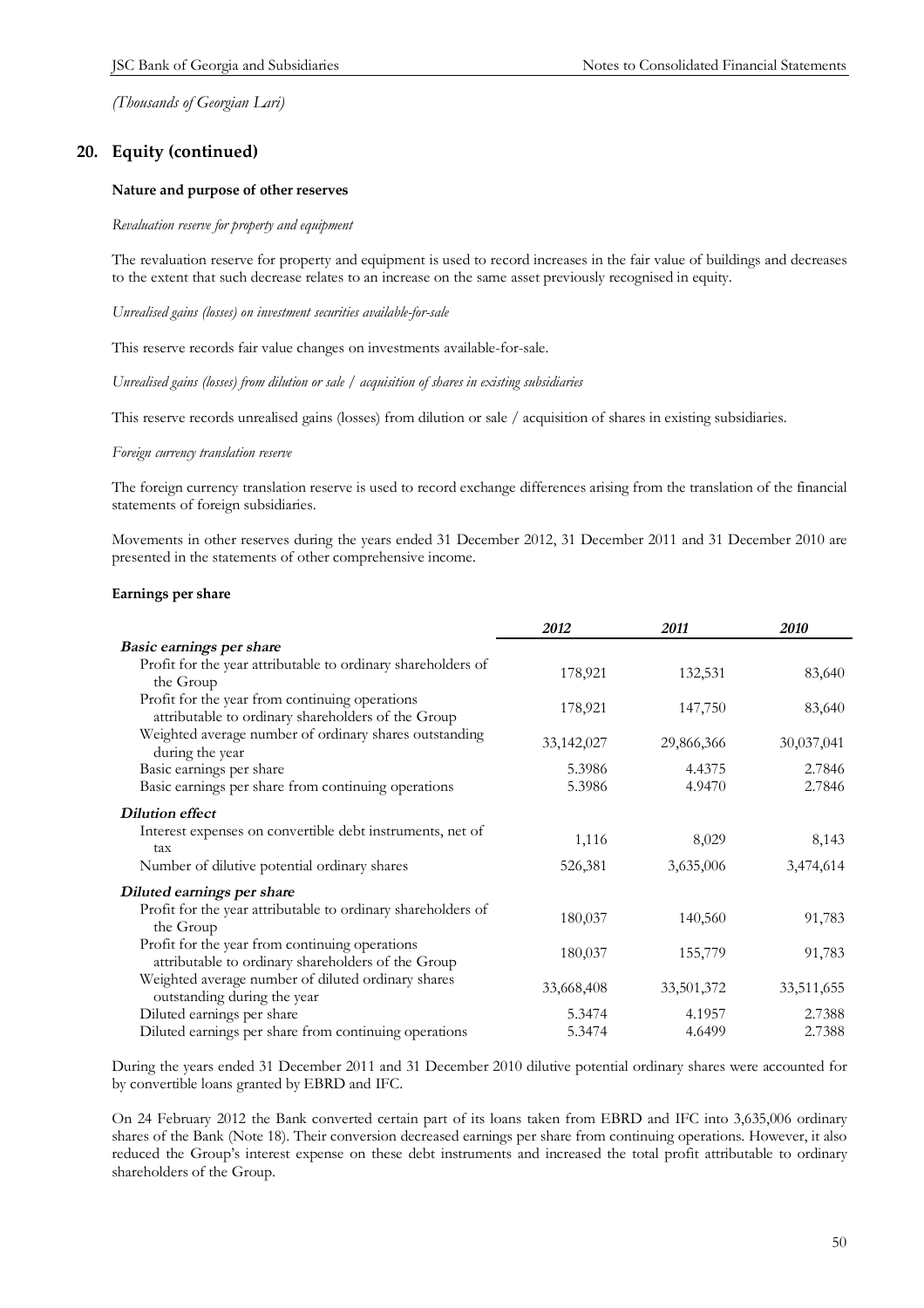## **20. Equity (continued)**

#### **Nature and purpose of other reserves**

#### *Revaluation reserve for property and equipment*

The revaluation reserve for property and equipment is used to record increases in the fair value of buildings and decreases to the extent that such decrease relates to an increase on the same asset previously recognised in equity.

*Unrealised gains (losses) on investment securities available-for-sale* 

This reserve records fair value changes on investments available-for-sale.

*Unrealised gains (losses) from dilution or sale / acquisition of shares in existing subsidiaries* 

This reserve records unrealised gains (losses) from dilution or sale / acquisition of shares in existing subsidiaries.

#### *Foreign currency translation reserve*

The foreign currency translation reserve is used to record exchange differences arising from the translation of the financial statements of foreign subsidiaries.

Movements in other reserves during the years ended 31 December 2012, 31 December 2011 and 31 December 2010 are presented in the statements of other comprehensive income.

## **Earnings per share**

|                                                                                                      | 2012       | 2011       | 2010       |
|------------------------------------------------------------------------------------------------------|------------|------------|------------|
| Basic earnings per share                                                                             |            |            |            |
| Profit for the year attributable to ordinary shareholders of<br>the Group                            | 178,921    | 132,531    | 83,640     |
| Profit for the year from continuing operations<br>attributable to ordinary shareholders of the Group | 178,921    | 147,750    | 83,640     |
| Weighted average number of ordinary shares outstanding<br>during the year                            | 33,142,027 | 29,866,366 | 30,037,041 |
| Basic earnings per share                                                                             | 5.3986     | 4.4375     | 2.7846     |
| Basic earnings per share from continuing operations                                                  | 5.3986     | 4.9470     | 2.7846     |
| <b>Dilution</b> effect                                                                               |            |            |            |
| Interest expenses on convertible debt instruments, net of<br>tax                                     | 1,116      | 8,029      | 8,143      |
| Number of dilutive potential ordinary shares                                                         | 526,381    | 3,635,006  | 3,474,614  |
| Diluted earnings per share                                                                           |            |            |            |
| Profit for the year attributable to ordinary shareholders of<br>the Group                            | 180,037    | 140,560    | 91,783     |
| Profit for the year from continuing operations<br>attributable to ordinary shareholders of the Group | 180,037    | 155,779    | 91,783     |
| Weighted average number of diluted ordinary shares<br>outstanding during the year                    | 33,668,408 | 33,501,372 | 33,511,655 |
| Diluted earnings per share                                                                           | 5.3474     | 4.1957     | 2.7388     |
| Diluted earnings per share from continuing operations                                                | 5.3474     | 4.6499     | 2.7388     |

During the years ended 31 December 2011 and 31 December 2010 dilutive potential ordinary shares were accounted for by convertible loans granted by EBRD and IFC.

On 24 February 2012 the Bank converted certain part of its loans taken from EBRD and IFC into 3,635,006 ordinary shares of the Bank (Note 18). Their conversion decreased earnings per share from continuing operations. However, it also reduced the Group's interest expense on these debt instruments and increased the total profit attributable to ordinary shareholders of the Group.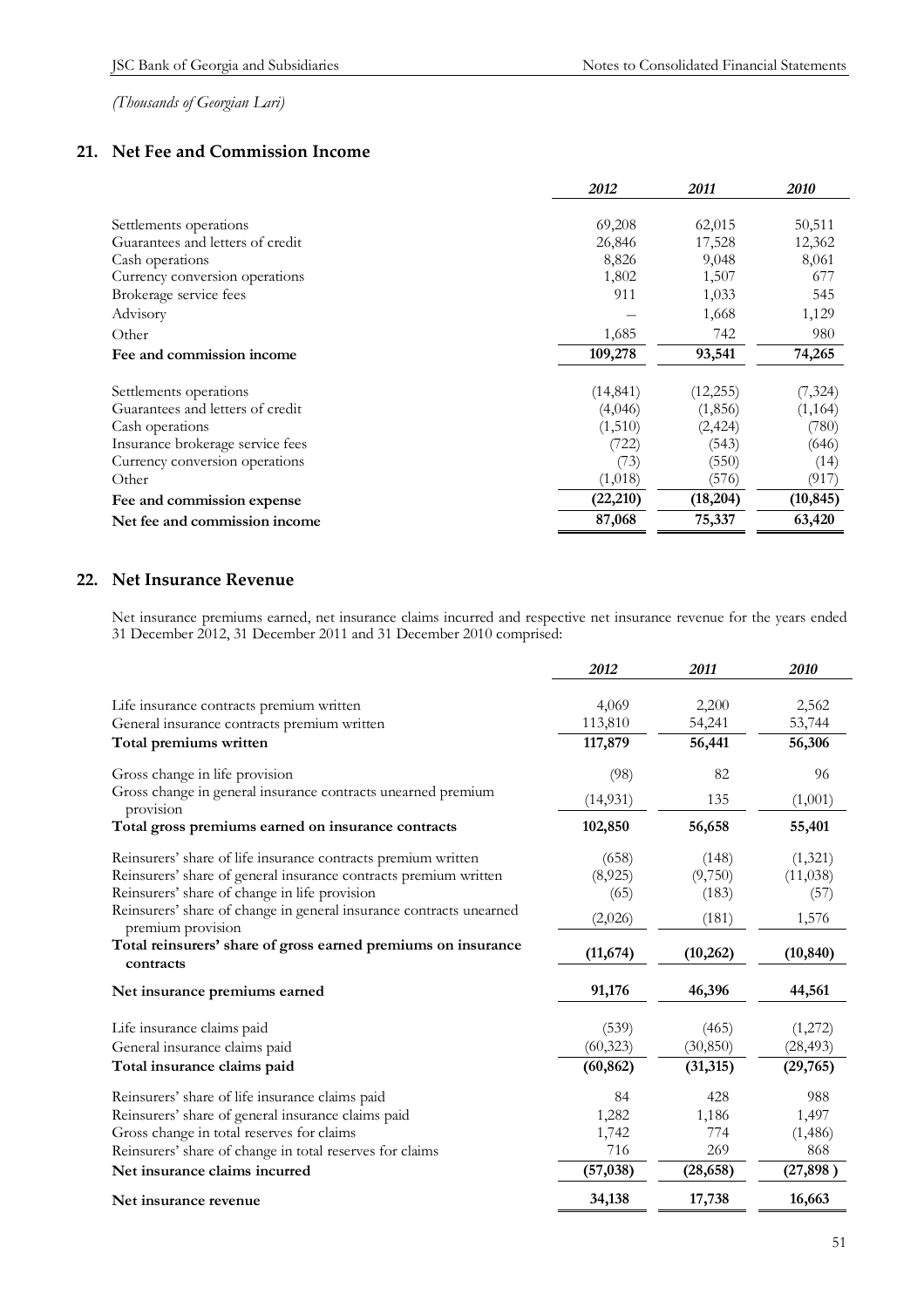# **21. Net Fee and Commission Income**

|                                  | 2012      | 2011     | <i><b>2010</b></i> |
|----------------------------------|-----------|----------|--------------------|
|                                  |           |          |                    |
| Settlements operations           | 69,208    | 62,015   | 50,511             |
| Guarantees and letters of credit | 26,846    | 17,528   | 12,362             |
| Cash operations                  | 8,826     | 9,048    | 8,061              |
| Currency conversion operations   | 1,802     | 1,507    | 677                |
| Brokerage service fees           | 911       | 1,033    | 545                |
| Advisory                         |           | 1,668    | 1,129              |
| Other                            | 1,685     | 742      | 980                |
| Fee and commission income        | 109,278   | 93,541   | 74,265             |
| Settlements operations           | (14,841)  | (12,255) | (7, 324)           |
| Guarantees and letters of credit | (4,046)   | (1,856)  | (1, 164)           |
| Cash operations                  | (1,510)   | (2, 424) | (780)              |
| Insurance brokerage service fees | (722)     | (543)    | (646)              |
| Currency conversion operations   | (73)      | (550)    | (14)               |
| Other                            | (1,018)   | (576)    | (917)              |
| Fee and commission expense       | (22, 210) | (18,204) | (10, 845)          |
| Net fee and commission income    | 87,068    | 75,337   | 63,420             |

## **22. Net Insurance Revenue**

Net insurance premiums earned, net insurance claims incurred and respective net insurance revenue for the years ended 31 December 2012, 31 December 2011 and 31 December 2010 comprised:

|                                                                                          | 2012      | 2011      | 2010      |
|------------------------------------------------------------------------------------------|-----------|-----------|-----------|
| Life insurance contracts premium written                                                 | 4,069     | 2,200     | 2,562     |
| General insurance contracts premium written                                              | 113,810   | 54,241    | 53,744    |
| Total premiums written                                                                   | 117,879   | 56,441    | 56,306    |
| Gross change in life provision                                                           | (98)      | 82        | 96        |
| Gross change in general insurance contracts unearned premium<br>provision                | (14, 931) | 135       | (1,001)   |
| Total gross premiums earned on insurance contracts                                       | 102,850   | 56,658    | 55,401    |
| Reinsurers' share of life insurance contracts premium written                            | (658)     | (148)     | (1,321)   |
| Reinsurers' share of general insurance contracts premium written                         | (8,925)   | (9,750)   | (11,038)  |
| Reinsurers' share of change in life provision                                            | (65)      | (183)     | (57)      |
| Reinsurers' share of change in general insurance contracts unearned<br>premium provision | (2,026)   | (181)     | 1,576     |
| Total reinsurers' share of gross earned premiums on insurance<br>contracts               | (11, 674) | (10, 262) | (10, 840) |
| Net insurance premiums earned                                                            | 91,176    | 46,396    | 44,561    |
| Life insurance claims paid                                                               | (539)     | (465)     | (1,272)   |
| General insurance claims paid                                                            | (60, 323) | (30, 850) | (28, 493) |
| Total insurance claims paid                                                              | (60, 862) | (31, 315) | (29,765)  |
| Reinsurers' share of life insurance claims paid                                          | 84        | 428       | 988       |
| Reinsurers' share of general insurance claims paid                                       | 1,282     | 1,186     | 1,497     |
| Gross change in total reserves for claims                                                | 1,742     | 774       | (1,486)   |
| Reinsurers' share of change in total reserves for claims                                 | 716       | 269       | 868       |
| Net insurance claims incurred                                                            | (57, 038) | (28, 658) | (27, 898) |
| Net insurance revenue                                                                    | 34,138    | 17,738    | 16,663    |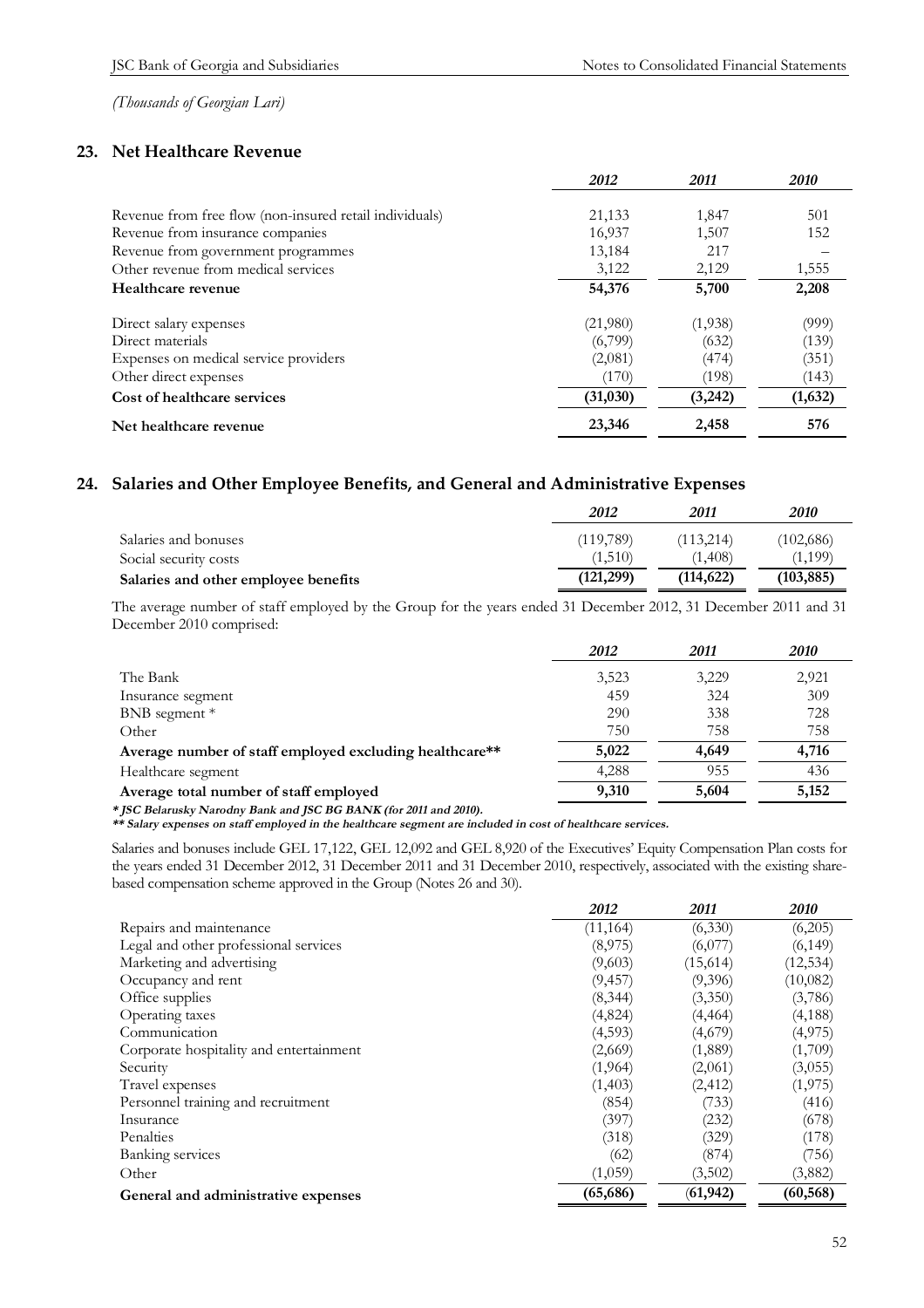## **23. Net Healthcare Revenue**

|                                                         | 2012     | 2011    | <i>2010</i> |
|---------------------------------------------------------|----------|---------|-------------|
|                                                         |          |         |             |
| Revenue from free flow (non-insured retail individuals) | 21,133   | 1,847   | 501         |
| Revenue from insurance companies                        | 16,937   | 1,507   | 152         |
| Revenue from government programmes                      | 13,184   | 217     |             |
| Other revenue from medical services                     | 3,122    | 2,129   | 1,555       |
| Healthcare revenue                                      | 54,376   | 5,700   | 2,208       |
| Direct salary expenses                                  | (21,980) | (1,938) | (999)       |
| Direct materials                                        | (6,799)  | (632)   | (139)       |
| Expenses on medical service providers                   | (2,081)  | (474)   | (351)       |
| Other direct expenses                                   | (170)    | 198)    | (143)       |
| Cost of healthcare services                             | (31,030) | (3,242) | (1,632)     |
| Net healthcare revenue                                  | 23,346   | 2,458   | 576         |

# **24. Salaries and Other Employee Benefits, and General and Administrative Expenses**

|                                      | 2012       | 2011      | 2010       |
|--------------------------------------|------------|-----------|------------|
| Salaries and bonuses                 | (119,789)  | (113,214) | (102,686)  |
| Social security costs                | (1.510)    | (1.408)   | (1.199)    |
| Salaries and other employee benefits | (121, 299) | (114,622) | (103, 885) |

The average number of staff employed by the Group for the years ended 31 December 2012, 31 December 2011 and 31 December 2010 comprised:

|                                                                                                                                                                                                                                                                                                                                                                     | 2012  | 2011  | 2010  |
|---------------------------------------------------------------------------------------------------------------------------------------------------------------------------------------------------------------------------------------------------------------------------------------------------------------------------------------------------------------------|-------|-------|-------|
| The Bank                                                                                                                                                                                                                                                                                                                                                            | 3,523 | 3,229 | 2,921 |
| Insurance segment                                                                                                                                                                                                                                                                                                                                                   | 459   | 324   | 309   |
| BNB segment $*$                                                                                                                                                                                                                                                                                                                                                     | 290   | 338   | 728   |
| Other                                                                                                                                                                                                                                                                                                                                                               | 750   | 758   | 758   |
| Average number of staff employed excluding healthcare**                                                                                                                                                                                                                                                                                                             | 5,022 | 4,649 | 4,716 |
| Healthcare segment                                                                                                                                                                                                                                                                                                                                                  | 4,288 | 955   | 436   |
| Average total number of staff employed                                                                                                                                                                                                                                                                                                                              | 9,310 | 5,604 | 5,152 |
| $\mathcal{L}$ radius $\mathcal{L}$ , $\mathcal{L}$ , $\mathcal{L}$ , $\mathcal{L}$ , $\mathcal{L}$ , $\mathcal{L}$ , $\mathcal{L}$ , $\mathcal{L}$ , $\mathcal{L}$ , $\mathcal{L}$ , $\mathcal{L}$ , $\mathcal{L}$ , $\mathcal{L}$ , $\mathcal{L}$ , $\mathcal{L}$ , $\mathcal{L}$ , $\mathcal{L}$ , $\mathcal{L}$ , $\mathcal{L}$<br>$\mathbf{z}$ and $\mathbf{z}$ |       |       |       |

*\* JSC Belarusky Narodny Bank and JSC BG BANK (for 2011 and 2010). \*\* Salary expenses on staff employed in the healthcare segment are included in cost of healthcare services.*

Salaries and bonuses include GEL 17,122, GEL 12,092 and GEL 8,920 of the Executives' Equity Compensation Plan costs for the years ended 31 December 2012, 31 December 2011 and 31 December 2010, respectively, associated with the existing sharebased compensation scheme approved in the Group (Notes 26 and 30).

|                                         | 2012      | 2011      | 2010      |
|-----------------------------------------|-----------|-----------|-----------|
| Repairs and maintenance                 | (11, 164) | (6,330)   | (6,205)   |
| Legal and other professional services   | (8,975)   | (6,077)   | (6, 149)  |
| Marketing and advertising               | (9,603)   | (15,614)  | (12, 534) |
| Occupancy and rent                      | (9, 457)  | (9,396)   | (10,082)  |
| Office supplies                         | (8, 344)  | (3,350)   | (3,786)   |
| Operating taxes                         | (4,824)   | (4, 464)  | (4,188)   |
| Communication                           | (4,593)   | (4,679)   | (4,975)   |
| Corporate hospitality and entertainment | (2,669)   | (1,889)   | (1,709)   |
| Security                                | (1,964)   | (2,061)   | (3,055)   |
| Travel expenses                         | (1,403)   | (2, 412)  | (1, 975)  |
| Personnel training and recruitment      | (854)     | (733)     | (416)     |
| Insurance                               | (397)     | (232)     | (678)     |
| Penalties                               | (318)     | (329)     | (178)     |
| <b>Banking services</b>                 | (62)      | (874)     | (756)     |
| Other                                   | (1,059)   | (3,502)   | (3,882)   |
| General and administrative expenses     | (65, 686) | (61, 942) | (60, 568) |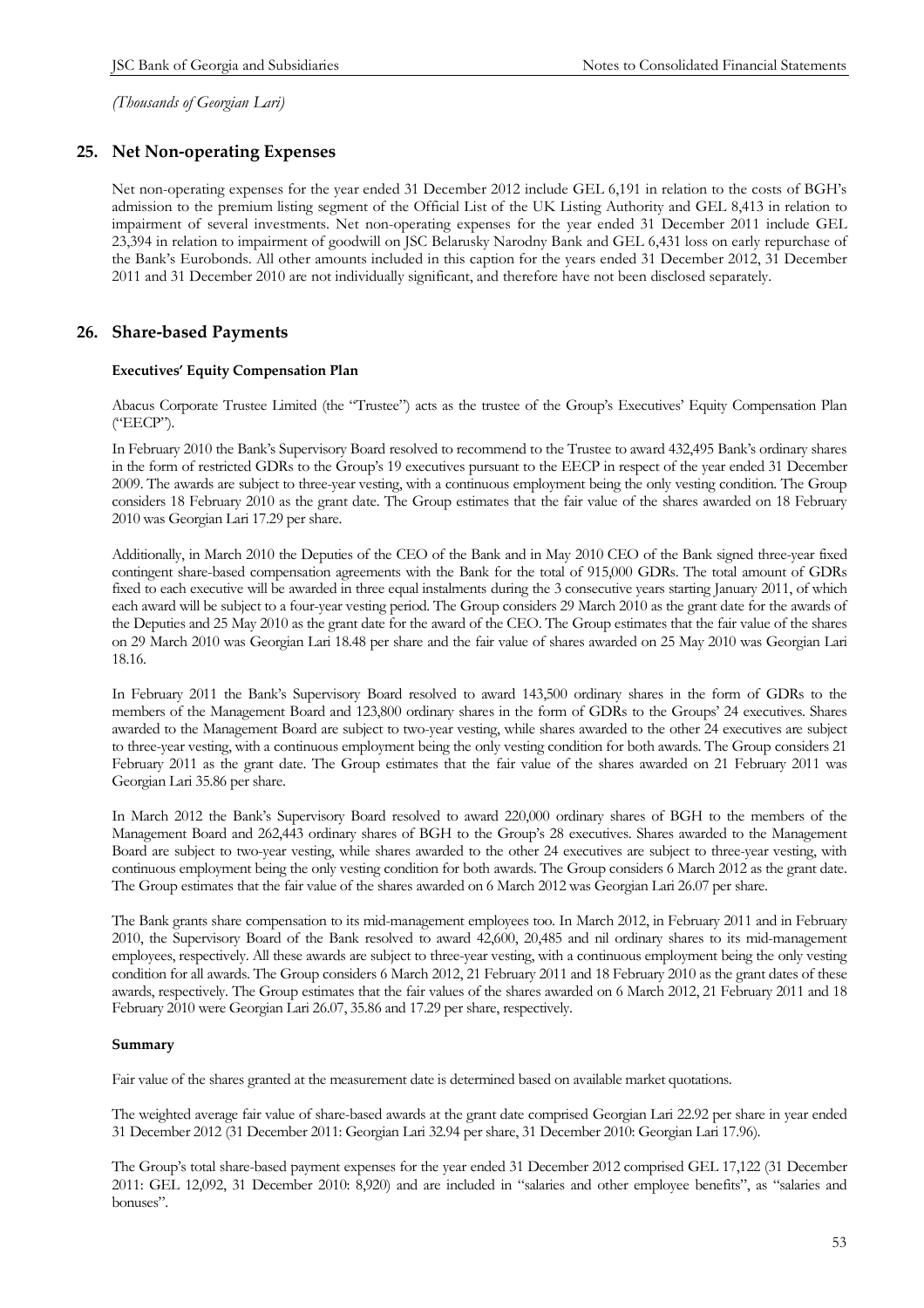## **25. Net Non-operating Expenses**

Net non-operating expenses for the year ended 31 December 2012 include GEL 6,191 in relation to the costs of BGH's admission to the premium listing segment of the Official List of the UK Listing Authority and GEL 8,413 in relation to impairment of several investments. Net non-operating expenses for the year ended 31 December 2011 include GEL 23,394 in relation to impairment of goodwill on JSC Belarusky Narodny Bank and GEL 6,431 loss on early repurchase of the Bank's Eurobonds. All other amounts included in this caption for the years ended 31 December 2012, 31 December 2011 and 31 December 2010 are not individually significant, and therefore have not been disclosed separately.

## **26. Share-based Payments**

## **Executives' Equity Compensation Plan**

Abacus Corporate Trustee Limited (the "Trustee") acts as the trustee of the Group's Executives' Equity Compensation Plan ("EECP").

In February 2010 the Bank's Supervisory Board resolved to recommend to the Trustee to award 432,495 Bank's ordinary shares in the form of restricted GDRs to the Group's 19 executives pursuant to the EECP in respect of the year ended 31 December 2009. The awards are subject to three-year vesting, with a continuous employment being the only vesting condition. The Group considers 18 February 2010 as the grant date. The Group estimates that the fair value of the shares awarded on 18 February 2010 was Georgian Lari 17.29 per share.

Additionally, in March 2010 the Deputies of the CEO of the Bank and in May 2010 CEO of the Bank signed three-year fixed contingent share-based compensation agreements with the Bank for the total of 915,000 GDRs. The total amount of GDRs fixed to each executive will be awarded in three equal instalments during the 3 consecutive years starting January 2011, of which each award will be subject to a four-year vesting period. The Group considers 29 March 2010 as the grant date for the awards of the Deputies and 25 May 2010 as the grant date for the award of the CEO. The Group estimates that the fair value of the shares on 29 March 2010 was Georgian Lari 18.48 per share and the fair value of shares awarded on 25 May 2010 was Georgian Lari 18.16.

In February 2011 the Bank's Supervisory Board resolved to award 143,500 ordinary shares in the form of GDRs to the members of the Management Board and 123,800 ordinary shares in the form of GDRs to the Groups' 24 executives. Shares awarded to the Management Board are subject to two-year vesting, while shares awarded to the other 24 executives are subject to three-year vesting, with a continuous employment being the only vesting condition for both awards. The Group considers 21 February 2011 as the grant date. The Group estimates that the fair value of the shares awarded on 21 February 2011 was Georgian Lari 35.86 per share.

In March 2012 the Bank's Supervisory Board resolved to award 220,000 ordinary shares of BGH to the members of the Management Board and 262,443 ordinary shares of BGH to the Group's 28 executives. Shares awarded to the Management Board are subject to two-year vesting, while shares awarded to the other 24 executives are subject to three-year vesting, with continuous employment being the only vesting condition for both awards. The Group considers 6 March 2012 as the grant date. The Group estimates that the fair value of the shares awarded on 6 March 2012 was Georgian Lari 26.07 per share.

The Bank grants share compensation to its mid-management employees too. In March 2012, in February 2011 and in February 2010, the Supervisory Board of the Bank resolved to award 42,600, 20,485 and nil ordinary shares to its mid-management employees, respectively. All these awards are subject to three-year vesting, with a continuous employment being the only vesting condition for all awards. The Group considers 6 March 2012, 21 February 2011 and 18 February 2010 as the grant dates of these awards, respectively. The Group estimates that the fair values of the shares awarded on 6 March 2012, 21 February 2011 and 18 February 2010 were Georgian Lari 26.07, 35.86 and 17.29 per share, respectively.

#### **Summary**

Fair value of the shares granted at the measurement date is determined based on available market quotations.

The weighted average fair value of share-based awards at the grant date comprised Georgian Lari 22.92 per share in year ended 31 December 2012 (31 December 2011: Georgian Lari 32.94 per share, 31 December 2010: Georgian Lari 17.96).

The Group's total share-based payment expenses for the year ended 31 December 2012 comprised GEL 17,122 (31 December 2011: GEL 12,092, 31 December 2010: 8,920) and are included in "salaries and other employee benefits", as "salaries and bonuses".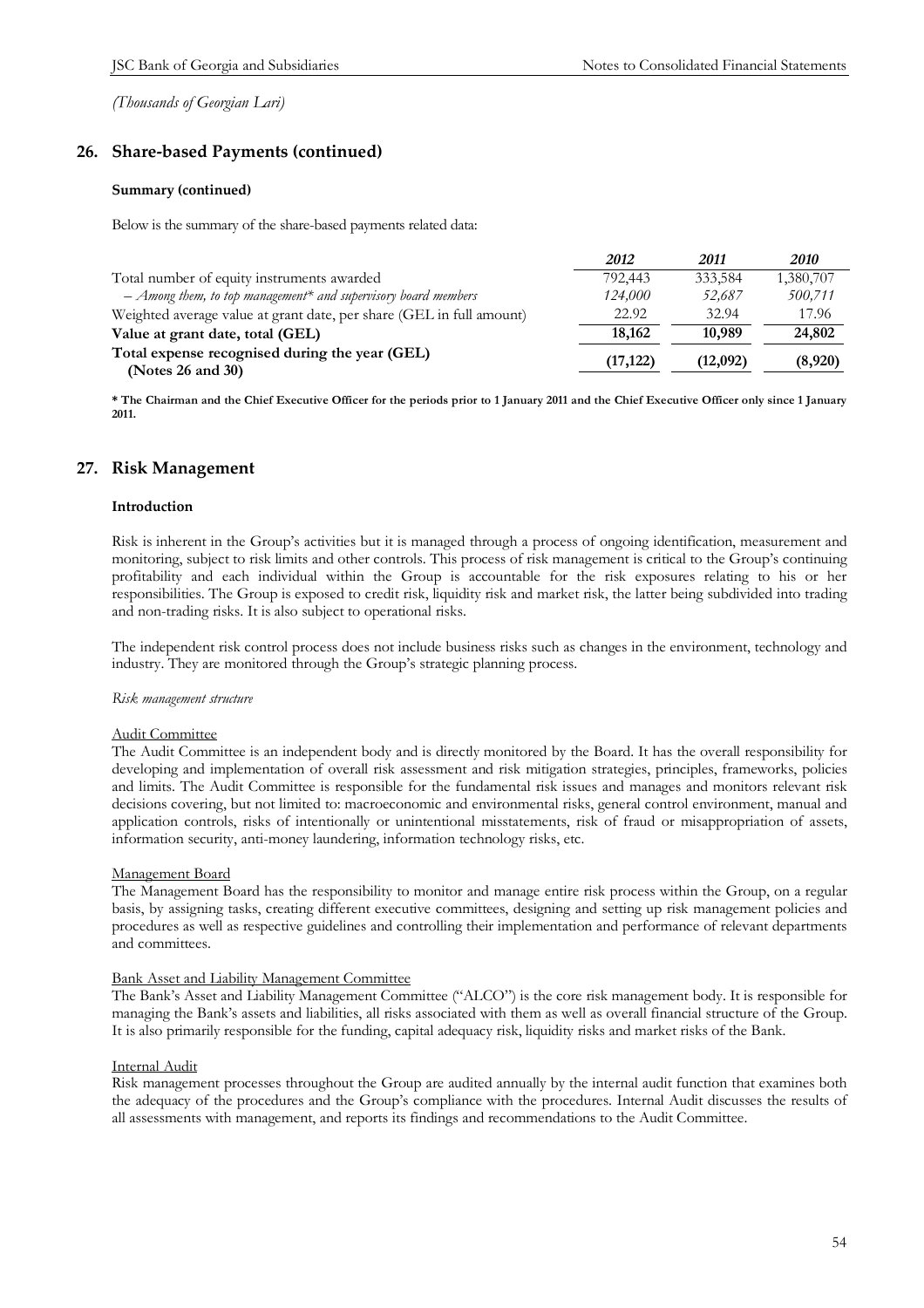## **26. Share-based Payments (continued)**

#### **Summary (continued)**

Below is the summary of the share-based payments related data:

|                                                                                     | 2012      | 2011     | 2010      |
|-------------------------------------------------------------------------------------|-----------|----------|-----------|
| Total number of equity instruments awarded                                          | 792,443   | 333.584  | 1,380,707 |
| $-A$ <i>mong them, to top management</i> <sup>*</sup> and supervisory board members | 124.000   | 52.687   | 500.711   |
| Weighted average value at grant date, per share (GEL in full amount)                | 22.92     | 32.94    | 17.96     |
| Value at grant date, total (GEL)                                                    | 18,162    | 10,989   | 24,802    |
| Total expense recognised during the year (GEL)<br>(Notes $26$ and $30$ )            | (17, 122) | (12,092) | (8,920)   |

\* The Chairman and the Chief Executive Officer for the periods prior to 1 January 2011 and the Chief Executive Officer only since 1 January **2011.** 

## **27. Risk Management**

#### **Introduction**

Risk is inherent in the Group's activities but it is managed through a process of ongoing identification, measurement and monitoring, subject to risk limits and other controls. This process of risk management is critical to the Group's continuing profitability and each individual within the Group is accountable for the risk exposures relating to his or her responsibilities. The Group is exposed to credit risk, liquidity risk and market risk, the latter being subdivided into trading and non-trading risks. It is also subject to operational risks.

The independent risk control process does not include business risks such as changes in the environment, technology and industry. They are monitored through the Group's strategic planning process.

#### *Risk management structure*

#### Audit Committee

The Audit Committee is an independent body and is directly monitored by the Board. It has the overall responsibility for developing and implementation of overall risk assessment and risk mitigation strategies, principles, frameworks, policies and limits. The Audit Committee is responsible for the fundamental risk issues and manages and monitors relevant risk decisions covering, but not limited to: macroeconomic and environmental risks, general control environment, manual and application controls, risks of intentionally or unintentional misstatements, risk of fraud or misappropriation of assets, information security, anti-money laundering, information technology risks, etc.

#### Management Board

The Management Board has the responsibility to monitor and manage entire risk process within the Group, on a regular basis, by assigning tasks, creating different executive committees, designing and setting up risk management policies and procedures as well as respective guidelines and controlling their implementation and performance of relevant departments and committees.

#### Bank Asset and Liability Management Committee

The Bank's Asset and Liability Management Committee ("ALCO") is the core risk management body. It is responsible for managing the Bank's assets and liabilities, all risks associated with them as well as overall financial structure of the Group. It is also primarily responsible for the funding, capital adequacy risk, liquidity risks and market risks of the Bank.

#### Internal Audit

Risk management processes throughout the Group are audited annually by the internal audit function that examines both the adequacy of the procedures and the Group's compliance with the procedures. Internal Audit discusses the results of all assessments with management, and reports its findings and recommendations to the Audit Committee.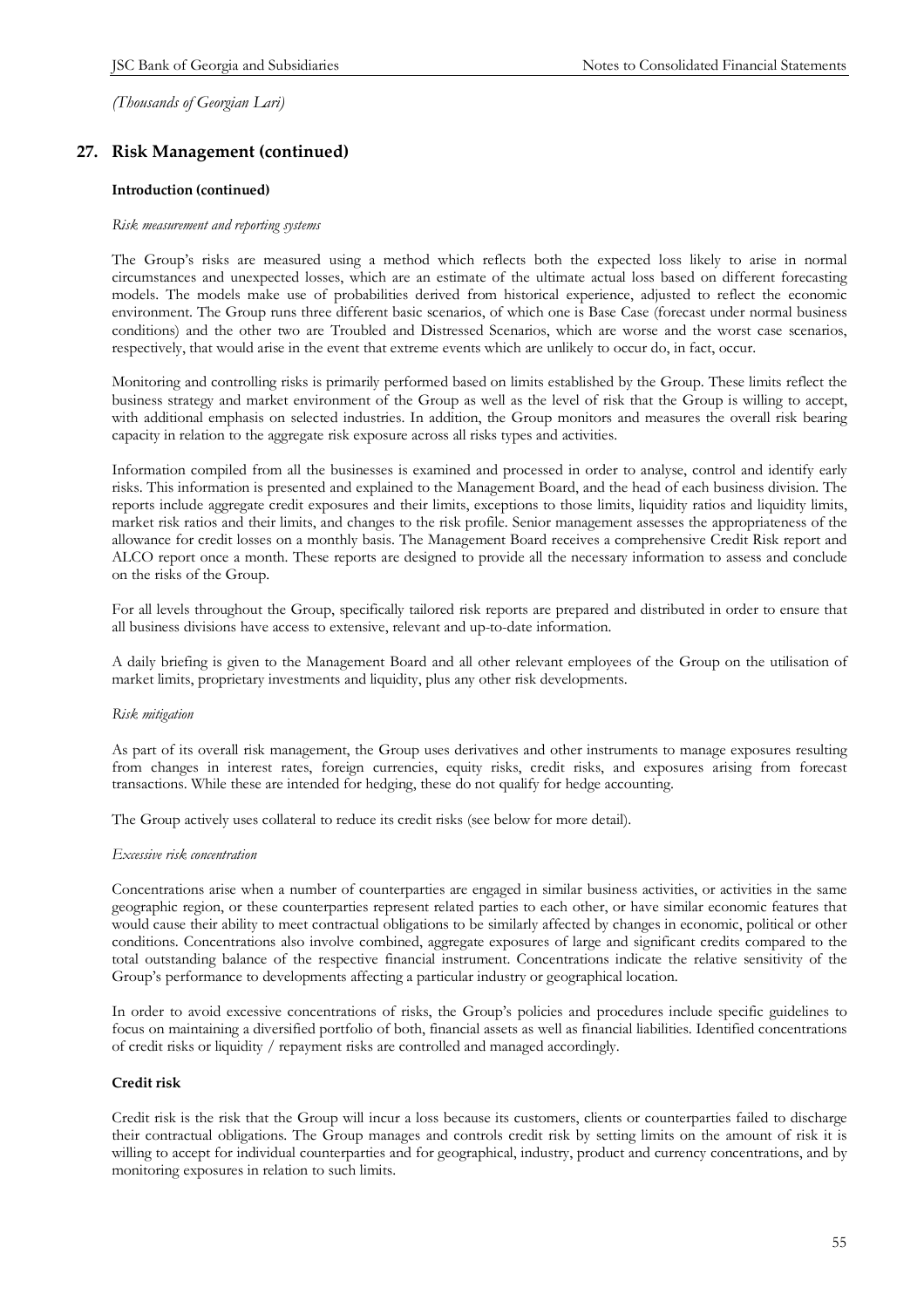## **27. Risk Management (continued)**

#### **Introduction (continued)**

#### *Risk measurement and reporting systems*

The Group's risks are measured using a method which reflects both the expected loss likely to arise in normal circumstances and unexpected losses, which are an estimate of the ultimate actual loss based on different forecasting models. The models make use of probabilities derived from historical experience, adjusted to reflect the economic environment. The Group runs three different basic scenarios, of which one is Base Case (forecast under normal business conditions) and the other two are Troubled and Distressed Scenarios, which are worse and the worst case scenarios, respectively, that would arise in the event that extreme events which are unlikely to occur do, in fact, occur.

Monitoring and controlling risks is primarily performed based on limits established by the Group. These limits reflect the business strategy and market environment of the Group as well as the level of risk that the Group is willing to accept, with additional emphasis on selected industries. In addition, the Group monitors and measures the overall risk bearing capacity in relation to the aggregate risk exposure across all risks types and activities.

Information compiled from all the businesses is examined and processed in order to analyse, control and identify early risks. This information is presented and explained to the Management Board, and the head of each business division. The reports include aggregate credit exposures and their limits, exceptions to those limits, liquidity ratios and liquidity limits, market risk ratios and their limits, and changes to the risk profile. Senior management assesses the appropriateness of the allowance for credit losses on a monthly basis. The Management Board receives a comprehensive Credit Risk report and ALCO report once a month. These reports are designed to provide all the necessary information to assess and conclude on the risks of the Group.

For all levels throughout the Group, specifically tailored risk reports are prepared and distributed in order to ensure that all business divisions have access to extensive, relevant and up-to-date information.

A daily briefing is given to the Management Board and all other relevant employees of the Group on the utilisation of market limits, proprietary investments and liquidity, plus any other risk developments.

#### *Risk mitigation*

As part of its overall risk management, the Group uses derivatives and other instruments to manage exposures resulting from changes in interest rates, foreign currencies, equity risks, credit risks, and exposures arising from forecast transactions. While these are intended for hedging, these do not qualify for hedge accounting.

The Group actively uses collateral to reduce its credit risks (see below for more detail).

#### *Excessive risk concentration*

Concentrations arise when a number of counterparties are engaged in similar business activities, or activities in the same geographic region, or these counterparties represent related parties to each other, or have similar economic features that would cause their ability to meet contractual obligations to be similarly affected by changes in economic, political or other conditions. Concentrations also involve combined, aggregate exposures of large and significant credits compared to the total outstanding balance of the respective financial instrument. Concentrations indicate the relative sensitivity of the Group's performance to developments affecting a particular industry or geographical location.

In order to avoid excessive concentrations of risks, the Group's policies and procedures include specific guidelines to focus on maintaining a diversified portfolio of both, financial assets as well as financial liabilities. Identified concentrations of credit risks or liquidity / repayment risks are controlled and managed accordingly.

## **Credit risk**

Credit risk is the risk that the Group will incur a loss because its customers, clients or counterparties failed to discharge their contractual obligations. The Group manages and controls credit risk by setting limits on the amount of risk it is willing to accept for individual counterparties and for geographical, industry, product and currency concentrations, and by monitoring exposures in relation to such limits.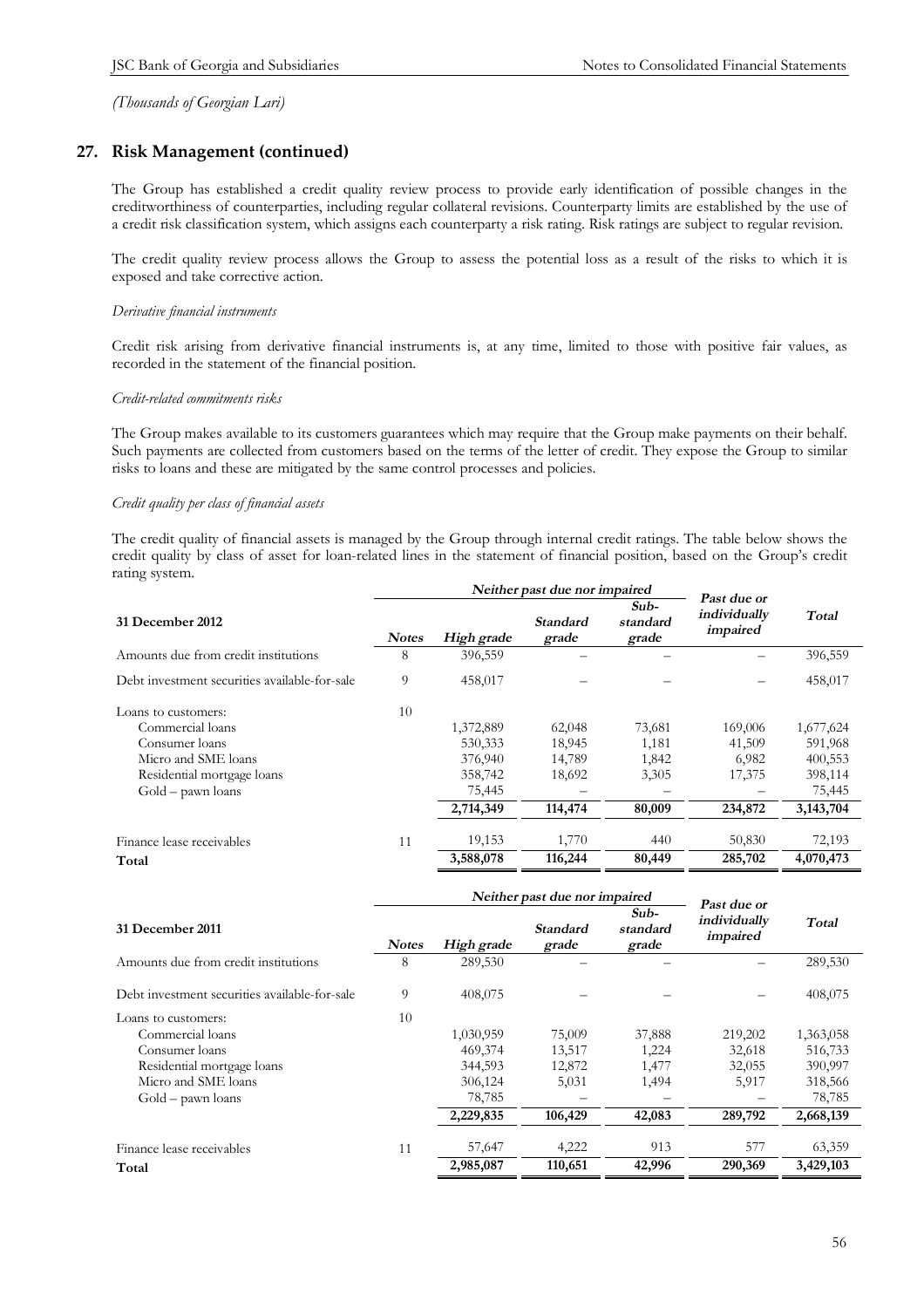## **27. Risk Management (continued)**

The Group has established a credit quality review process to provide early identification of possible changes in the creditworthiness of counterparties, including regular collateral revisions. Counterparty limits are established by the use of a credit risk classification system, which assigns each counterparty a risk rating. Risk ratings are subject to regular revision.

The credit quality review process allows the Group to assess the potential loss as a result of the risks to which it is exposed and take corrective action.

## *Derivative financial instruments*

Credit risk arising from derivative financial instruments is, at any time, limited to those with positive fair values, as recorded in the statement of the financial position.

## *Credit-related commitments risks*

The Group makes available to its customers guarantees which may require that the Group make payments on their behalf. Such payments are collected from customers based on the terms of the letter of credit. They expose the Group to similar risks to loans and these are mitigated by the same control processes and policies.

#### *Credit quality per class of financial assets*

The credit quality of financial assets is managed by the Group through internal credit ratings. The table below shows the credit quality by class of asset for loan-related lines in the statement of financial position, based on the Group's credit rating system.

|                                                                                                                                     | Neither past due nor impaired |                                                      |                                      |                                   | Past due or                          |                                                      |
|-------------------------------------------------------------------------------------------------------------------------------------|-------------------------------|------------------------------------------------------|--------------------------------------|-----------------------------------|--------------------------------------|------------------------------------------------------|
| 31 December 2012                                                                                                                    | <b>Notes</b>                  | High grade                                           | <b>Standard</b><br>grade             | Sub-<br>standard<br>grade         | individually<br>impaired             | Total                                                |
| Amounts due from credit institutions                                                                                                | 8                             | 396,559                                              |                                      |                                   |                                      | 396,559                                              |
| Debt investment securities available-for-sale                                                                                       | 9                             | 458,017                                              |                                      |                                   |                                      | 458,017                                              |
| Loans to customers:<br>Commercial loans<br>Consumer loans<br>Micro and SME loans<br>Residential mortgage loans<br>Gold – pawn loans | 10                            | 1,372,889<br>530,333<br>376,940<br>358,742<br>75,445 | 62,048<br>18,945<br>14,789<br>18,692 | 73,681<br>1,181<br>1,842<br>3,305 | 169,006<br>41,509<br>6,982<br>17,375 | 1,677,624<br>591,968<br>400,553<br>398,114<br>75,445 |
|                                                                                                                                     |                               | 2,714,349                                            | 114,474                              | 80,009                            | 234,872                              | 3,143,704                                            |
| Finance lease receivables<br>Total                                                                                                  | 11                            | 19,153<br>3,588,078                                  | 1,770<br>116,244                     | 440<br>80,449                     | 50,830<br>285,702                    | 72,193<br>4,070,473                                  |

|                                               | Neither past due nor impaired |            |                          | Past due or               |                          |           |
|-----------------------------------------------|-------------------------------|------------|--------------------------|---------------------------|--------------------------|-----------|
| 31 December 2011                              | <b>Notes</b>                  | High grade | <b>Standard</b><br>grade | Sub-<br>standard<br>grade | individually<br>impaired | Total     |
| Amounts due from credit institutions          | 8                             | 289,530    |                          |                           |                          | 289,530   |
| Debt investment securities available-for-sale | 9                             | 408,075    |                          |                           |                          | 408,075   |
| Loans to customers:                           | 10                            |            |                          |                           |                          |           |
| Commercial loans                              |                               | 1,030,959  | 75,009                   | 37,888                    | 219,202                  | 1,363,058 |
| Consumer loans                                |                               | 469,374    | 13,517                   | 1,224                     | 32,618                   | 516,733   |
| Residential mortgage loans                    |                               | 344,593    | 12,872                   | 1,477                     | 32,055                   | 390,997   |
| Micro and SME loans                           |                               | 306,124    | 5,031                    | 1,494                     | 5,917                    | 318,566   |
| Gold – pawn loans                             |                               | 78,785     |                          |                           |                          | 78,785    |
|                                               |                               | 2,229,835  | 106,429                  | 42,083                    | 289,792                  | 2,668,139 |
| Finance lease receivables                     | 11                            | 57,647     | 4,222                    | 913                       | 577                      | 63,359    |
| Total                                         |                               | 2,985,087  | 110,651                  | 42,996                    | 290,369                  | 3,429,103 |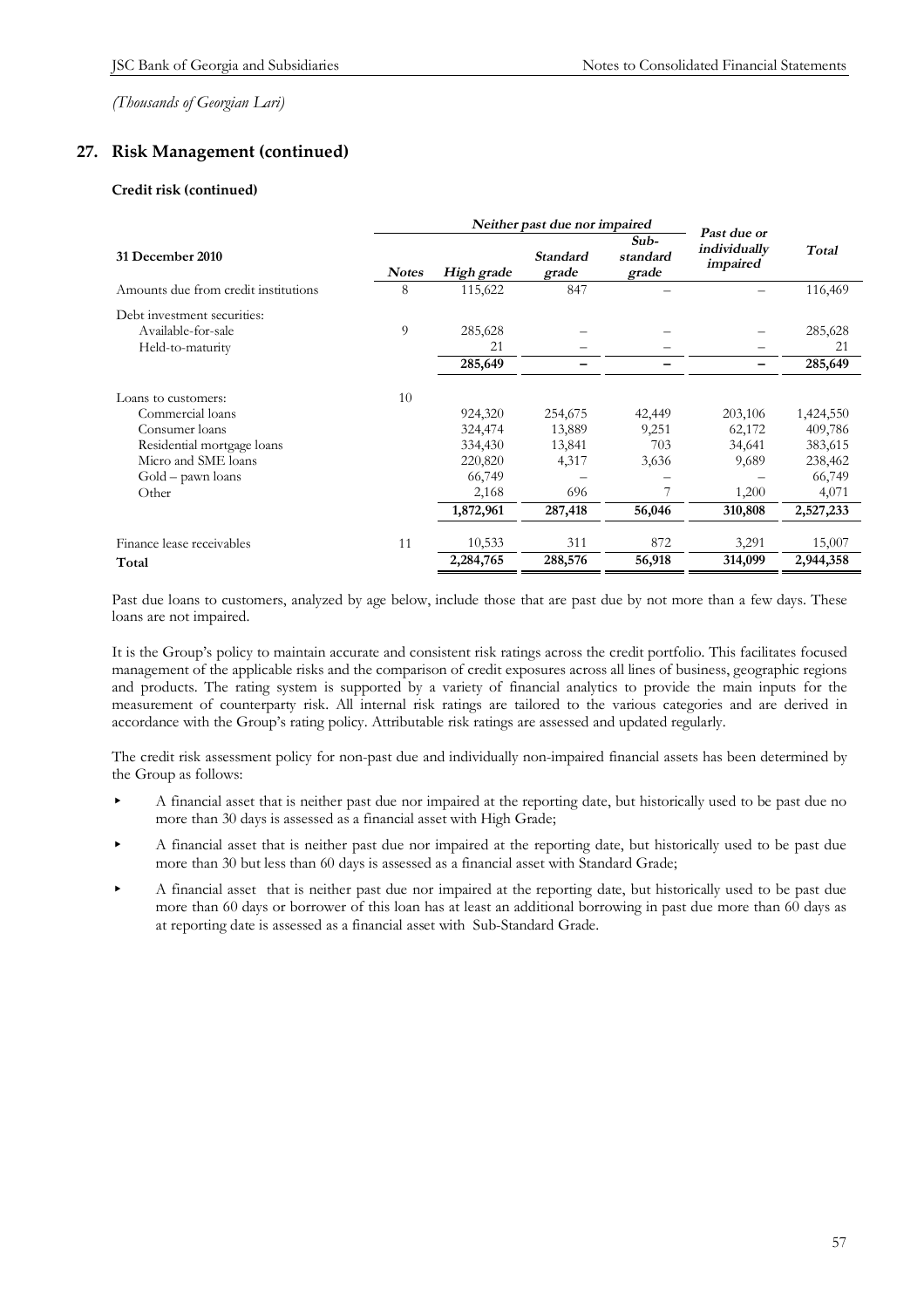## **27. Risk Management (continued)**

## **Credit risk (continued)**

|                                                                                                                                              | Neither past due nor impaired |                                                                          |                                                        |                                           | Past due or                                              |                                                                            |
|----------------------------------------------------------------------------------------------------------------------------------------------|-------------------------------|--------------------------------------------------------------------------|--------------------------------------------------------|-------------------------------------------|----------------------------------------------------------|----------------------------------------------------------------------------|
| 31 December 2010                                                                                                                             | <b>Notes</b>                  | High grade                                                               | <b>Standard</b><br>grade                               | Sub-<br>standard<br>grade                 | individually<br>impaired                                 | Total                                                                      |
| Amounts due from credit institutions                                                                                                         | 8                             | 115,622                                                                  | 847                                                    |                                           |                                                          | 116,469                                                                    |
| Debt investment securities:<br>Available-for-sale                                                                                            | 9                             | 285,628                                                                  |                                                        |                                           |                                                          | 285,628                                                                    |
| Held-to-maturity                                                                                                                             |                               | 21<br>285,649                                                            |                                                        |                                           |                                                          | 21<br>285,649                                                              |
| Loans to customers:<br>Commercial loans<br>Consumer loans<br>Residential mortgage loans<br>Micro and SME loans<br>Gold – pawn loans<br>Other | 10                            | 924,320<br>324,474<br>334,430<br>220,820<br>66,749<br>2,168<br>1,872,961 | 254,675<br>13,889<br>13,841<br>4,317<br>696<br>287,418 | 42,449<br>9,251<br>703<br>3,636<br>56,046 | 203,106<br>62,172<br>34,641<br>9,689<br>1,200<br>310,808 | 1,424,550<br>409,786<br>383,615<br>238,462<br>66,749<br>4,071<br>2,527,233 |
|                                                                                                                                              |                               |                                                                          |                                                        |                                           |                                                          |                                                                            |
| Finance lease receivables                                                                                                                    | 11                            | 10,533                                                                   | 311                                                    | 872                                       | 3,291                                                    | 15,007                                                                     |
| Total                                                                                                                                        |                               | 2,284,765                                                                | 288,576                                                | 56,918                                    | 314,099                                                  | 2,944,358                                                                  |

Past due loans to customers, analyzed by age below, include those that are past due by not more than a few days. These loans are not impaired.

It is the Group's policy to maintain accurate and consistent risk ratings across the credit portfolio. This facilitates focused management of the applicable risks and the comparison of credit exposures across all lines of business, geographic regions and products. The rating system is supported by a variety of financial analytics to provide the main inputs for the measurement of counterparty risk. All internal risk ratings are tailored to the various categories and are derived in accordance with the Group's rating policy. Attributable risk ratings are assessed and updated regularly.

The credit risk assessment policy for non-past due and individually non-impaired financial assets has been determined by the Group as follows:

- A financial asset that is neither past due nor impaired at the reporting date, but historically used to be past due no more than 30 days is assessed as a financial asset with High Grade;
- A financial asset that is neither past due nor impaired at the reporting date, but historically used to be past due more than 30 but less than 60 days is assessed as a financial asset with Standard Grade;
- A financial asset that is neither past due nor impaired at the reporting date, but historically used to be past due more than 60 days or borrower of this loan has at least an additional borrowing in past due more than 60 days as at reporting date is assessed as a financial asset with Sub-Standard Grade.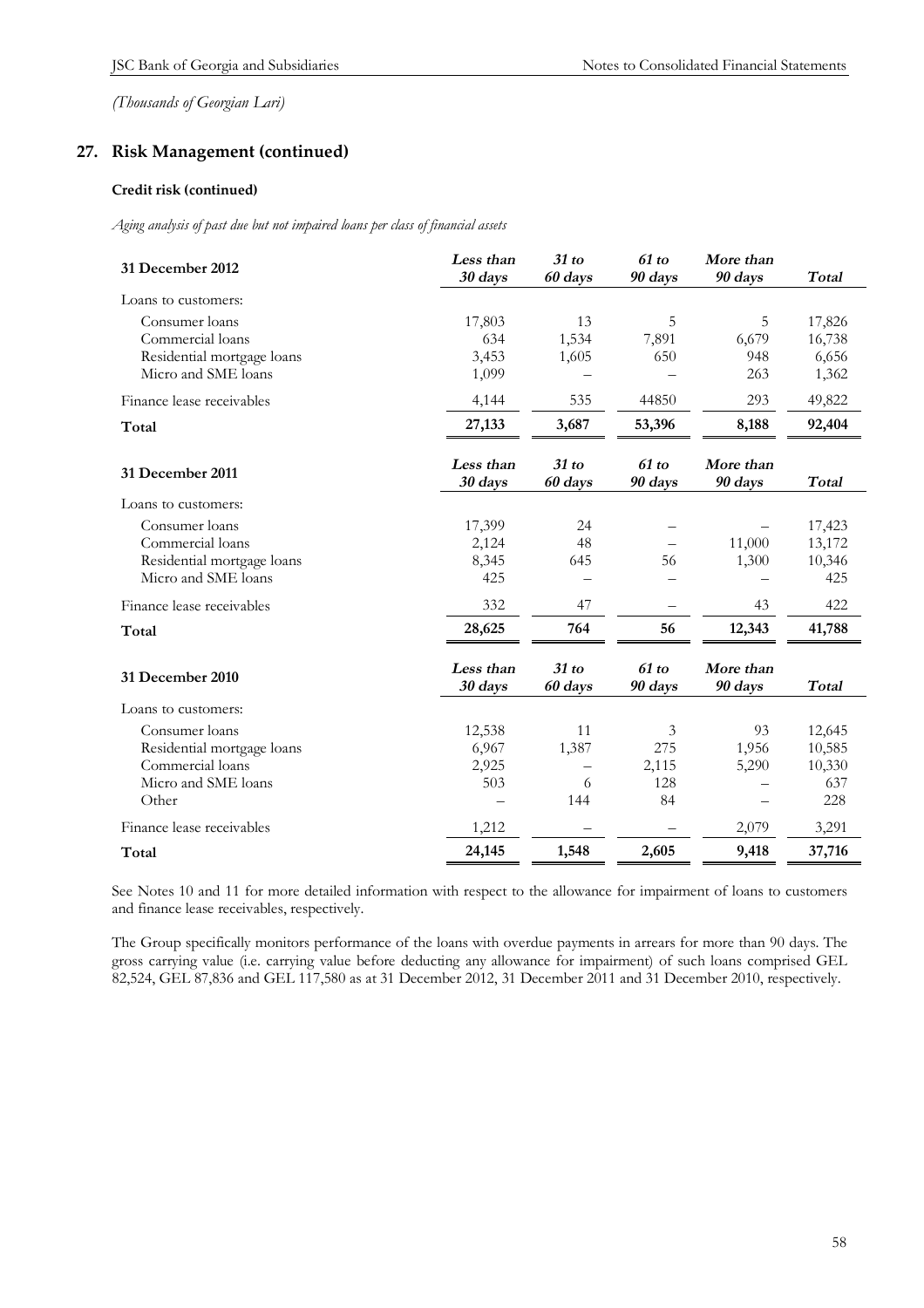## **27. Risk Management (continued)**

## **Credit risk (continued)**

*Aging analysis of past due but not impaired loans per class of financial assets* 

| 31 December 2012           | Less than<br>30 days | 31 to<br>60 days | 61 to<br>90 days | More than<br>90 days | <b>Total</b> |
|----------------------------|----------------------|------------------|------------------|----------------------|--------------|
| Loans to customers:        |                      |                  |                  |                      |              |
| Consumer loans             | 17,803               | 13               | 5                | 5                    | 17,826       |
| Commercial loans           | 634                  | 1,534            | 7,891            | 6,679                | 16,738       |
| Residential mortgage loans | 3,453                | 1,605            | 650              | 948                  | 6,656        |
| Micro and SME loans        | 1,099                |                  |                  | 263                  | 1,362        |
| Finance lease receivables  | 4,144                | 535              | 44850            | 293                  | 49,822       |
| Total                      | 27,133               | 3,687            | 53,396           | 8,188                | 92,404       |
| 31 December 2011           | Less than<br>30 days | 31 to<br>60 days | 61 to<br>90 days | More than<br>90 days | <b>Total</b> |
| Loans to customers:        |                      |                  |                  |                      |              |
| Consumer loans             | 17,399               | 24               |                  |                      | 17,423       |
| Commercial loans           | 2,124                | 48               |                  | 11,000               | 13,172       |
| Residential mortgage loans | 8,345                | 645              | 56               | 1,300                | 10,346       |
| Micro and SME loans        | 425                  |                  |                  |                      | 425          |
| Finance lease receivables  | 332                  | 47               |                  | 43                   | 422          |
| Total                      | 28,625               | 764              | 56               | 12,343               | 41,788       |
| 31 December 2010           | Less than<br>30 days | 31 to<br>60 days | 61 to<br>90 days | More than<br>90 days | <b>Total</b> |
| Loans to customers:        |                      |                  |                  |                      |              |
| Consumer loans             | 12,538               | 11               | $\mathfrak{Z}$   | 93                   | 12,645       |
| Residential mortgage loans | 6,967                | 1,387            | 275              | 1,956                | 10,585       |
| Commercial loans           | 2,925                |                  | 2,115            | 5,290                | 10,330       |
| Micro and SME loans        | 503                  | 6                | 128              |                      | 637          |
| Other                      |                      | 144              | 84               |                      | 228          |
| Finance lease receivables  | 1,212                |                  |                  | 2,079                | 3,291        |
| Total                      | 24,145               | 1,548            | 2,605            | 9,418                | 37,716       |

See Notes 10 and 11 for more detailed information with respect to the allowance for impairment of loans to customers and finance lease receivables, respectively.

The Group specifically monitors performance of the loans with overdue payments in arrears for more than 90 days. The gross carrying value (i.e. carrying value before deducting any allowance for impairment) of such loans comprised GEL 82,524, GEL 87,836 and GEL 117,580 as at 31 December 2012, 31 December 2011 and 31 December 2010, respectively.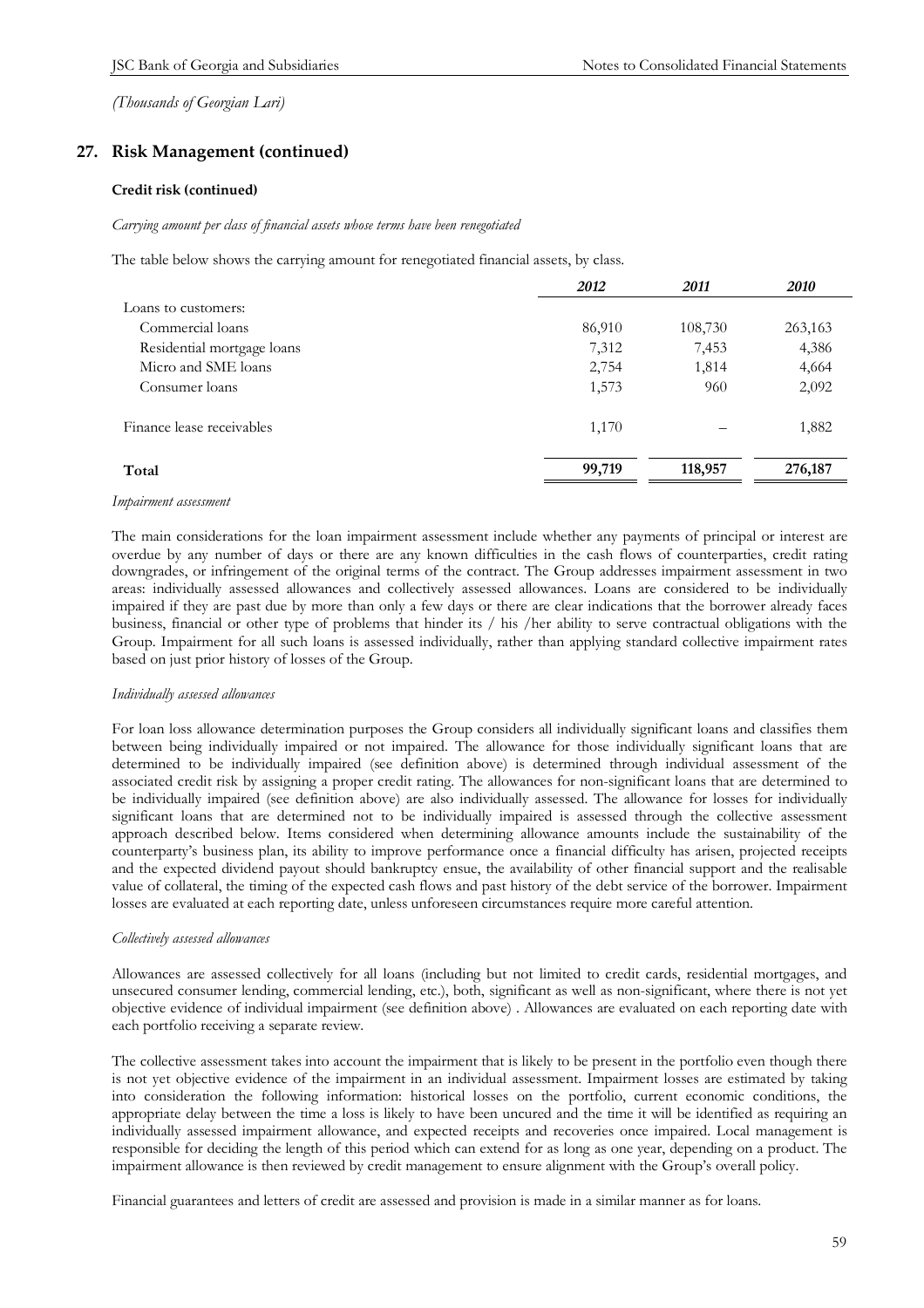## **27. Risk Management (continued)**

#### **Credit risk (continued)**

#### *Carrying amount per class of financial assets whose terms have been renegotiated*

The table below shows the carrying amount for renegotiated financial assets, by class.

|                            | 2012   | 2011    | 2010    |
|----------------------------|--------|---------|---------|
| Loans to customers:        |        |         |         |
| Commercial loans           | 86,910 | 108,730 | 263,163 |
| Residential mortgage loans | 7,312  | 7,453   | 4,386   |
| Micro and SME loans        | 2,754  | 1,814   | 4,664   |
| Consumer loans             | 1,573  | 960     | 2,092   |
| Finance lease receivables  | 1,170  |         | 1,882   |
| Total                      | 99,719 | 118,957 | 276,187 |

#### *Impairment assessment*

The main considerations for the loan impairment assessment include whether any payments of principal or interest are overdue by any number of days or there are any known difficulties in the cash flows of counterparties, credit rating downgrades, or infringement of the original terms of the contract. The Group addresses impairment assessment in two areas: individually assessed allowances and collectively assessed allowances. Loans are considered to be individually impaired if they are past due by more than only a few days or there are clear indications that the borrower already faces business, financial or other type of problems that hinder its / his /her ability to serve contractual obligations with the Group. Impairment for all such loans is assessed individually, rather than applying standard collective impairment rates based on just prior history of losses of the Group.

#### *Individually assessed allowances*

For loan loss allowance determination purposes the Group considers all individually significant loans and classifies them between being individually impaired or not impaired. The allowance for those individually significant loans that are determined to be individually impaired (see definition above) is determined through individual assessment of the associated credit risk by assigning a proper credit rating. The allowances for non-significant loans that are determined to be individually impaired (see definition above) are also individually assessed. The allowance for losses for individually significant loans that are determined not to be individually impaired is assessed through the collective assessment approach described below. Items considered when determining allowance amounts include the sustainability of the counterparty's business plan, its ability to improve performance once a financial difficulty has arisen, projected receipts and the expected dividend payout should bankruptcy ensue, the availability of other financial support and the realisable value of collateral, the timing of the expected cash flows and past history of the debt service of the borrower. Impairment losses are evaluated at each reporting date, unless unforeseen circumstances require more careful attention.

#### *Collectively assessed allowances*

Allowances are assessed collectively for all loans (including but not limited to credit cards, residential mortgages, and unsecured consumer lending, commercial lending, etc.), both, significant as well as non-significant, where there is not yet objective evidence of individual impairment (see definition above) . Allowances are evaluated on each reporting date with each portfolio receiving a separate review.

The collective assessment takes into account the impairment that is likely to be present in the portfolio even though there is not yet objective evidence of the impairment in an individual assessment. Impairment losses are estimated by taking into consideration the following information: historical losses on the portfolio, current economic conditions, the appropriate delay between the time a loss is likely to have been uncured and the time it will be identified as requiring an individually assessed impairment allowance, and expected receipts and recoveries once impaired. Local management is responsible for deciding the length of this period which can extend for as long as one year, depending on a product. The impairment allowance is then reviewed by credit management to ensure alignment with the Group's overall policy.

Financial guarantees and letters of credit are assessed and provision is made in a similar manner as for loans.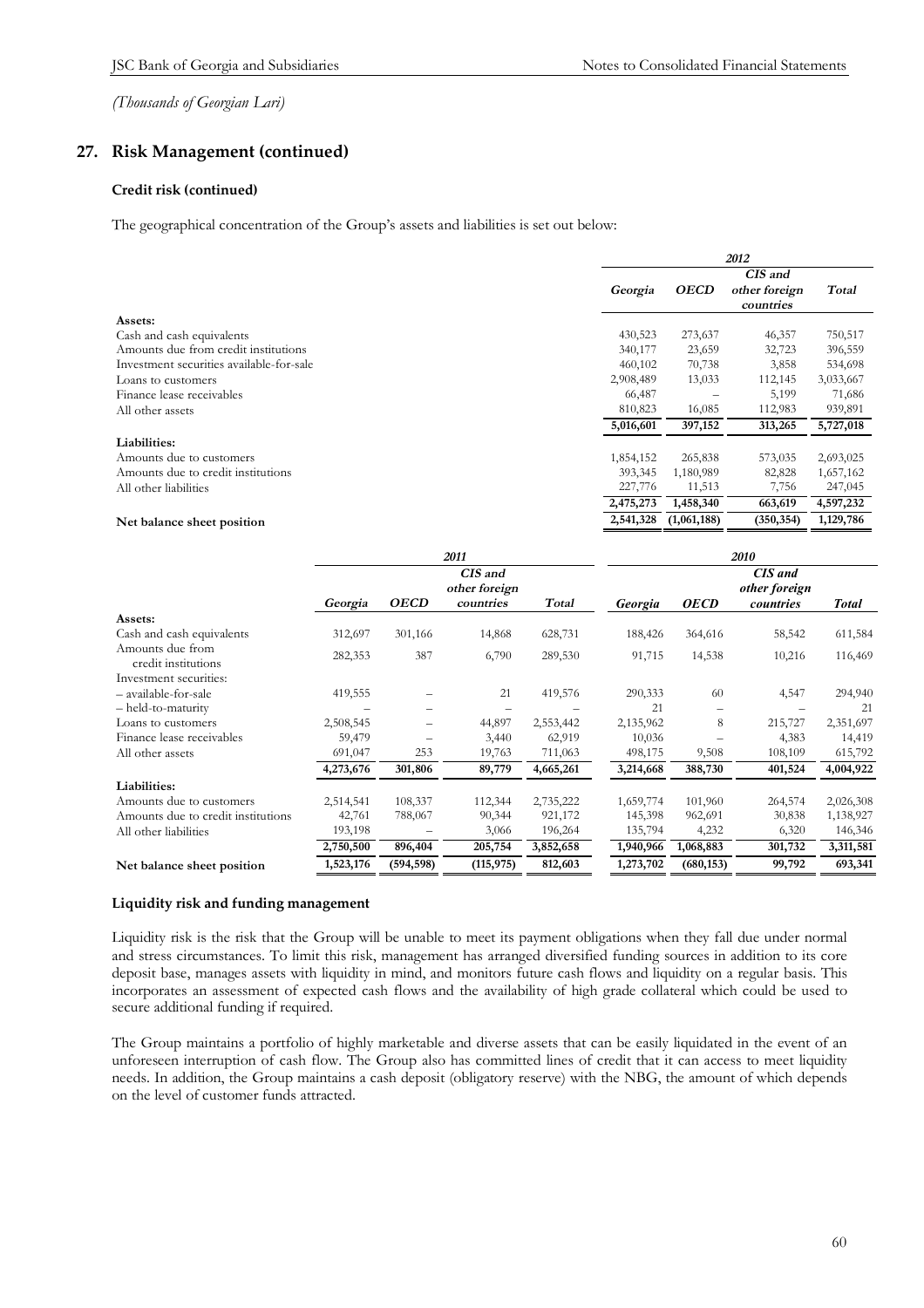## **27. Risk Management (continued)**

#### **Credit risk (continued)**

The geographical concentration of the Group's assets and liabilities is set out below:

|                                          |           | 2012        |               |              |  |  |
|------------------------------------------|-----------|-------------|---------------|--------------|--|--|
|                                          |           | CIS and     |               |              |  |  |
|                                          | Georgia   | <b>OECD</b> | other foreign | <b>Total</b> |  |  |
|                                          |           |             | countries     |              |  |  |
| Assets:                                  |           |             |               |              |  |  |
| Cash and cash equivalents                | 430,523   | 273,637     | 46,357        | 750,517      |  |  |
| Amounts due from credit institutions     | 340,177   | 23,659      | 32,723        | 396,559      |  |  |
| Investment securities available-for-sale | 460,102   | 70,738      | 3,858         | 534,698      |  |  |
| Loans to customers                       | 2,908,489 | 13,033      | 112,145       | 3,033,667    |  |  |
| Finance lease receivables                | 66,487    |             | 5,199         | 71,686       |  |  |
| All other assets                         | 810,823   | 16,085      | 112,983       | 939,891      |  |  |
|                                          | 5,016,601 | 397,152     | 313,265       | 5,727,018    |  |  |
| Liabilities:                             |           |             |               |              |  |  |
| Amounts due to customers                 | 1,854,152 | 265,838     | 573,035       | 2,693,025    |  |  |
| Amounts due to credit institutions       | 393,345   | 1,180,989   | 82,828        | 1,657,162    |  |  |
| All other liabilities                    | 227,776   | 11,513      | 7,756         | 247,045      |  |  |
|                                          | 2,475,273 | 1,458,340   | 663,619       | 4,597,232    |  |  |
| Net balance sheet position               | 2,541,328 | (1,061,188) | (350, 354)    | 1,129,786    |  |  |

|                                         | 2011                     |             |            |           | 2010        |                                              |              |           |
|-----------------------------------------|--------------------------|-------------|------------|-----------|-------------|----------------------------------------------|--------------|-----------|
|                                         | CIS and<br>other foreign |             |            |           | <b>OECD</b> | <b>CIS</b> and<br>other foreign<br>countries | <b>Total</b> |           |
| Assets:                                 | Georgia                  | <b>OECD</b> | countries  | Total     | Georgia     |                                              |              |           |
| Cash and cash equivalents               | 312,697                  | 301,166     | 14,868     | 628,731   | 188,426     | 364,616                                      | 58,542       | 611,584   |
| Amounts due from<br>credit institutions | 282,353                  | 387         | 6,790      | 289,530   | 91,715      | 14,538                                       | 10,216       | 116,469   |
| Investment securities:                  |                          |             |            |           |             |                                              |              |           |
| - available-for-sale                    | 419,555                  |             | 21         | 419,576   | 290,333     | 60                                           | 4,547        | 294,940   |
| - held-to-maturity                      |                          |             |            |           | 21          |                                              |              | 21        |
| Loans to customers                      | 2,508,545                |             | 44,897     | 2,553,442 | 2,135,962   | 8                                            | 215,727      | 2,351,697 |
| Finance lease receivables               | 59,479                   |             | 3,440      | 62,919    | 10,036      |                                              | 4,383        | 14,419    |
| All other assets                        | 691,047                  | 253         | 19,763     | 711,063   | 498,175     | 9,508                                        | 108,109      | 615,792   |
|                                         | 4,273,676                | 301,806     | 89,779     | 4,665,261 | 3,214,668   | 388,730                                      | 401,524      | 4,004,922 |
| Liabilities:                            |                          |             |            |           |             |                                              |              |           |
| Amounts due to customers                | 2,514,541                | 108,337     | 112,344    | 2,735,222 | 1,659,774   | 101,960                                      | 264,574      | 2,026,308 |
| Amounts due to credit institutions      | 42,761                   | 788,067     | 90,344     | 921,172   | 145,398     | 962,691                                      | 30,838       | 1,138,927 |
| All other liabilities                   | 193,198                  |             | 3,066      | 196,264   | 135,794     | 4,232                                        | 6,320        | 146,346   |
|                                         | 2,750,500                | 896,404     | 205,754    | 3,852,658 | 1,940,966   | 1,068,883                                    | 301,732      | 3,311,581 |
| Net balance sheet position              | 1,523,176                | (594, 598)  | (115, 975) | 812,603   | 1,273,702   | (680, 153)                                   | 99,792       | 693,341   |

## **Liquidity risk and funding management**

Liquidity risk is the risk that the Group will be unable to meet its payment obligations when they fall due under normal and stress circumstances. To limit this risk, management has arranged diversified funding sources in addition to its core deposit base, manages assets with liquidity in mind, and monitors future cash flows and liquidity on a regular basis. This incorporates an assessment of expected cash flows and the availability of high grade collateral which could be used to secure additional funding if required.

The Group maintains a portfolio of highly marketable and diverse assets that can be easily liquidated in the event of an unforeseen interruption of cash flow. The Group also has committed lines of credit that it can access to meet liquidity needs. In addition, the Group maintains a cash deposit (obligatory reserve) with the NBG, the amount of which depends on the level of customer funds attracted.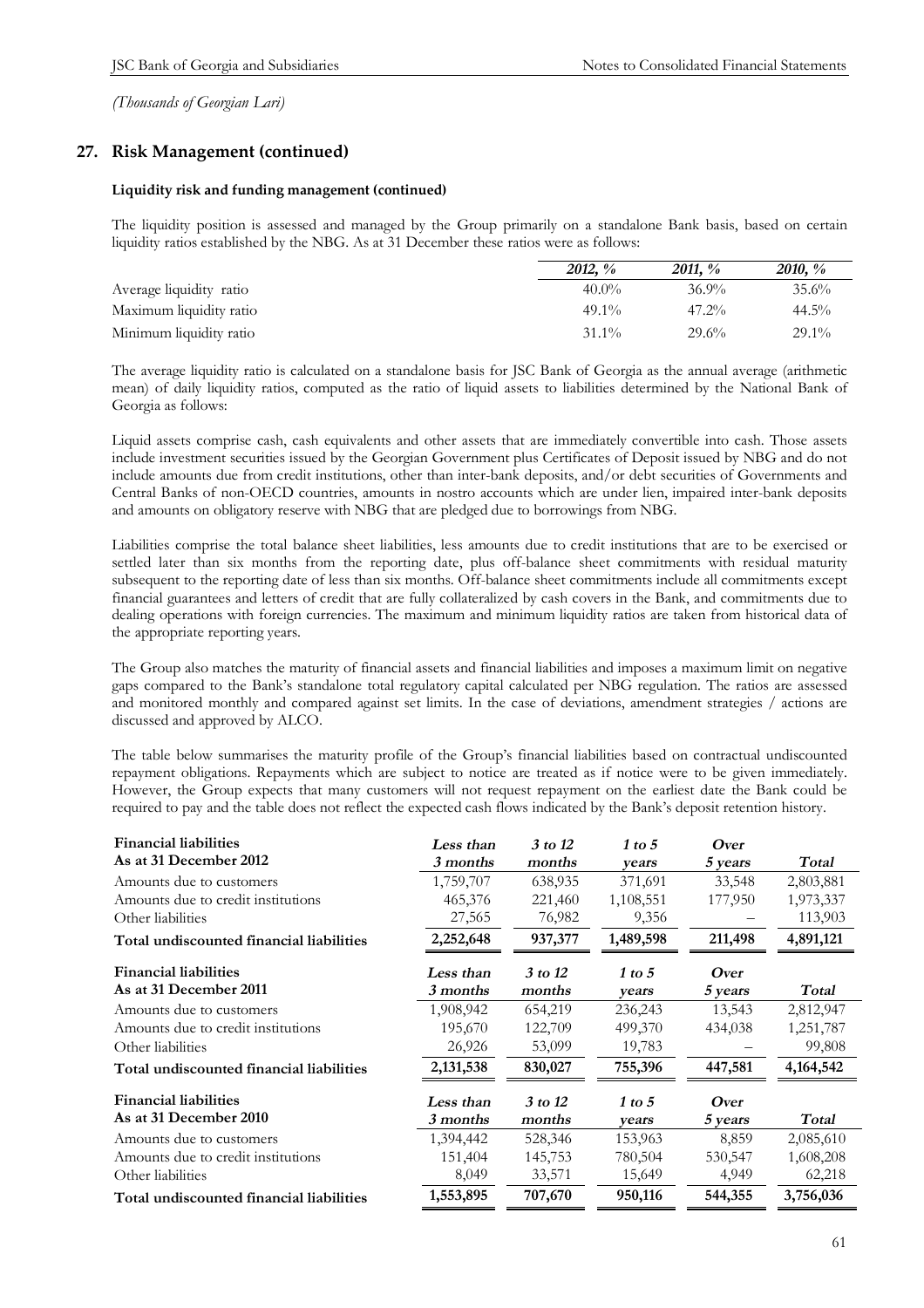## **27. Risk Management (continued)**

## **Liquidity risk and funding management (continued)**

The liquidity position is assessed and managed by the Group primarily on a standalone Bank basis, based on certain liquidity ratios established by the NBG. As at 31 December these ratios were as follows:

|                         | 2012, %  | 2011. %  | <b>2010,</b> % |
|-------------------------|----------|----------|----------------|
| Average liquidity ratio | $40.0\%$ | $36.9\%$ | $35.6\%$       |
| Maximum liquidity ratio | $49.1\%$ | $47.2\%$ | $44.5\%$       |
| Minimum liquidity ratio | $31.1\%$ | $29.6\%$ | $29.1\%$       |

The average liquidity ratio is calculated on a standalone basis for JSC Bank of Georgia as the annual average (arithmetic mean) of daily liquidity ratios, computed as the ratio of liquid assets to liabilities determined by the National Bank of Georgia as follows:

Liquid assets comprise cash, cash equivalents and other assets that are immediately convertible into cash. Those assets include investment securities issued by the Georgian Government plus Certificates of Deposit issued by NBG and do not include amounts due from credit institutions, other than inter-bank deposits, and/or debt securities of Governments and Central Banks of non-OECD countries, amounts in nostro accounts which are under lien, impaired inter-bank deposits and amounts on obligatory reserve with NBG that are pledged due to borrowings from NBG.

Liabilities comprise the total balance sheet liabilities, less amounts due to credit institutions that are to be exercised or settled later than six months from the reporting date, plus off-balance sheet commitments with residual maturity subsequent to the reporting date of less than six months. Off-balance sheet commitments include all commitments except financial guarantees and letters of credit that are fully collateralized by cash covers in the Bank, and commitments due to dealing operations with foreign currencies. The maximum and minimum liquidity ratios are taken from historical data of the appropriate reporting years.

The Group also matches the maturity of financial assets and financial liabilities and imposes a maximum limit on negative gaps compared to the Bank's standalone total regulatory capital calculated per NBG regulation. The ratios are assessed and monitored monthly and compared against set limits. In the case of deviations, amendment strategies / actions are discussed and approved by ALCO.

The table below summarises the maturity profile of the Group's financial liabilities based on contractual undiscounted repayment obligations. Repayments which are subject to notice are treated as if notice were to be given immediately. However, the Group expects that many customers will not request repayment on the earliest date the Bank could be required to pay and the table does not reflect the expected cash flows indicated by the Bank's deposit retention history.

| <b>Financial liabilities</b><br>As at 31 December 2012 | Less than<br>3 months | 3 to 12<br>months | 1 to 5<br>vears | Over<br>5 years | Total       |
|--------------------------------------------------------|-----------------------|-------------------|-----------------|-----------------|-------------|
| Amounts due to customers                               | 1,759,707             | 638,935           | 371,691         | 33,548          | 2,803,881   |
| Amounts due to credit institutions                     | 465,376               | 221,460           | 1,108,551       | 177,950         | 1,973,337   |
| Other liabilities                                      | 27,565                | 76,982            | 9,356           |                 | 113,903     |
| Total undiscounted financial liabilities               | 2,252,648             | 937,377           | 1,489,598       | 211,498         | 4,891,121   |
| <b>Financial liabilities</b>                           | Less than             | 3 to 12           | 1 to 5          | Over            |             |
| As at 31 December 2011                                 | 3 months              | months            | years           | 5 years         | Total       |
| Amounts due to customers                               | 1,908,942             | 654,219           | 236,243         | 13,543          | 2,812,947   |
| Amounts due to credit institutions                     | 195,670               | 122,709           | 499,370         | 434,038         | 1,251,787   |
| Other liabilities                                      | 26,926                | 53,099            | 19,783          |                 | 99,808      |
| Total undiscounted financial liabilities               | 2,131,538             | 830,027           | 755,396         | 447,581         | 4, 164, 542 |
| <b>Financial liabilities</b>                           | Less than             | 3 to 12           | 1 to 5          | Over            |             |
| As at 31 December 2010                                 | 3 months              | months            | years           | 5 years         | Total       |
| Amounts due to customers                               | 1,394,442             | 528,346           | 153,963         | 8,859           | 2,085,610   |
| Amounts due to credit institutions                     | 151,404               | 145,753           | 780,504         | 530,547         | 1,608,208   |
| Other liabilities                                      | 8,049                 | 33,571            | 15,649          | 4,949           | 62,218      |
| Total undiscounted financial liabilities               | 1,553,895             | 707,670           | 950,116         | 544,355         | 3,756,036   |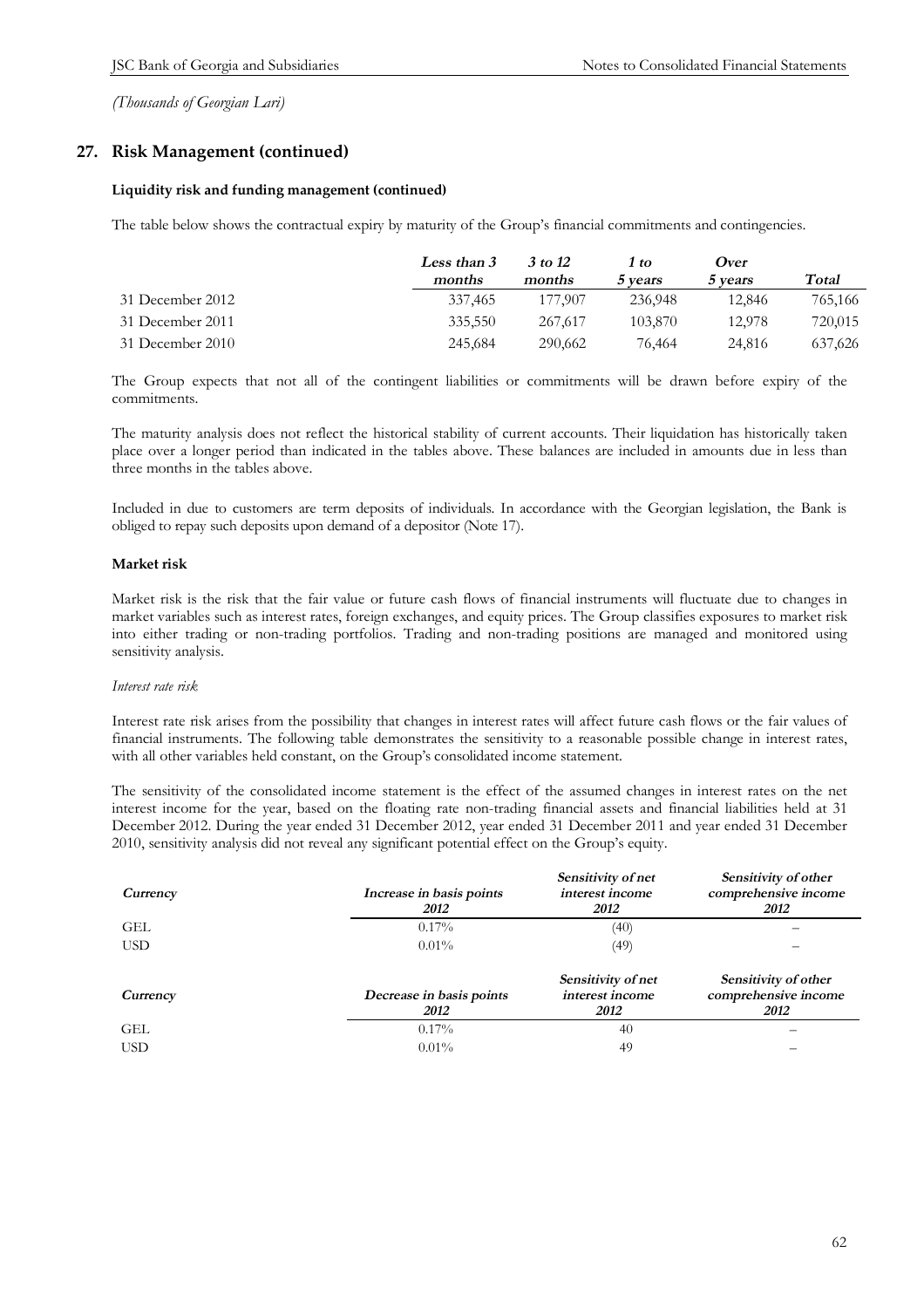## **27. Risk Management (continued)**

## **Liquidity risk and funding management (continued)**

The table below shows the contractual expiry by maturity of the Group's financial commitments and contingencies.

|                  | Less than 3<br>months | 3 to 12<br>months | 1 to<br>5 years | Over<br>5 vears | Total   |
|------------------|-----------------------|-------------------|-----------------|-----------------|---------|
| 31 December 2012 | 337.465               | 177,907           | 236,948         | 12,846          | 765,166 |
| 31 December 2011 | 335.550               | 267,617           | 103,870         | 12.978          | 720,015 |
| 31 December 2010 | 245.684               | 290,662           | 76,464          | 24,816          | 637,626 |

The Group expects that not all of the contingent liabilities or commitments will be drawn before expiry of the commitments.

The maturity analysis does not reflect the historical stability of current accounts. Their liquidation has historically taken place over a longer period than indicated in the tables above. These balances are included in amounts due in less than three months in the tables above.

Included in due to customers are term deposits of individuals. In accordance with the Georgian legislation, the Bank is obliged to repay such deposits upon demand of a depositor (Note 17).

## **Market risk**

Market risk is the risk that the fair value or future cash flows of financial instruments will fluctuate due to changes in market variables such as interest rates, foreign exchanges, and equity prices. The Group classifies exposures to market risk into either trading or non-trading portfolios. Trading and non-trading positions are managed and monitored using sensitivity analysis.

#### *Interest rate risk*

Interest rate risk arises from the possibility that changes in interest rates will affect future cash flows or the fair values of financial instruments. The following table demonstrates the sensitivity to a reasonable possible change in interest rates, with all other variables held constant, on the Group's consolidated income statement.

The sensitivity of the consolidated income statement is the effect of the assumed changes in interest rates on the net interest income for the year, based on the floating rate non-trading financial assets and financial liabilities held at 31 December 2012. During the year ended 31 December 2012, year ended 31 December 2011 and year ended 31 December 2010, sensitivity analysis did not reveal any significant potential effect on the Group's equity.

| Currency   | Increase in basis points<br>2012 | Sensitivity of net<br>interest income<br>2012 | Sensitivity of other<br>comprehensive income<br>2012 |
|------------|----------------------------------|-----------------------------------------------|------------------------------------------------------|
| GEL        | $0.17\%$                         | (40)                                          |                                                      |
| <b>USD</b> | $0.01\%$                         | (49)                                          |                                                      |
| Currency   | Decrease in basis points<br>2012 | Sensitivity of net<br>interest income<br>2012 | Sensitivity of other<br>comprehensive income<br>2012 |
| <b>GEL</b> | $0.17\%$                         | 40                                            |                                                      |
| <b>USD</b> | $0.01\%$                         | 49                                            |                                                      |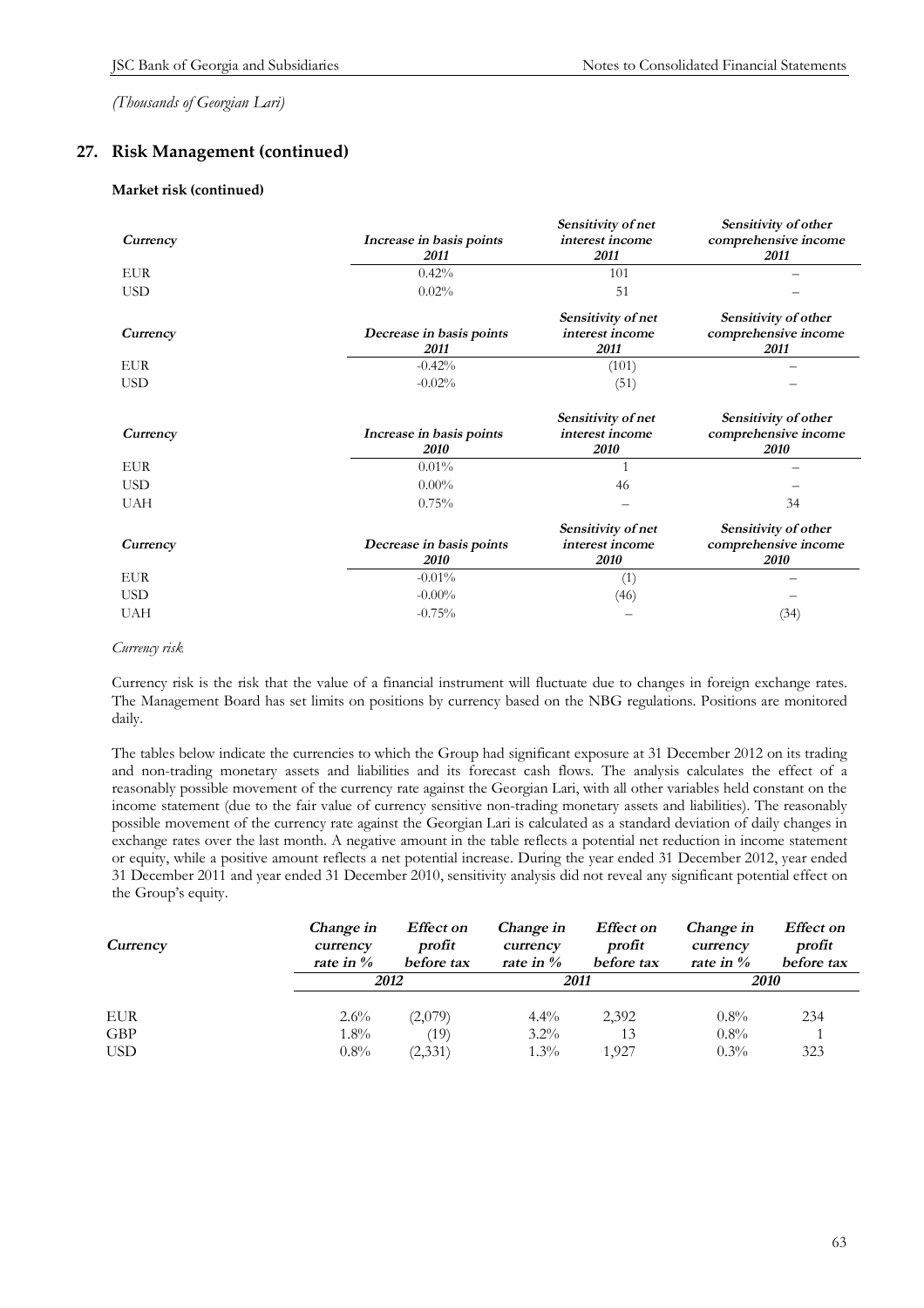## **27. Risk Management (continued)**

## **Market risk (continued)**

| Currency   | Increase in basis points<br>2011        | Sensitivity of net<br>interest income<br>2011 | Sensitivity of other<br>comprehensive income<br>2011 |
|------------|-----------------------------------------|-----------------------------------------------|------------------------------------------------------|
| <b>EUR</b> | 0.42%                                   | 101                                           |                                                      |
| <b>USD</b> | 0.02%                                   | 51                                            |                                                      |
| Currency   | Decrease in basis points<br>2011        | Sensitivity of net<br>interest income<br>2011 | Sensitivity of other<br>comprehensive income<br>2011 |
| <b>EUR</b> | $-0.42%$                                | (101)                                         |                                                      |
| <b>USD</b> | $-0.02%$                                | (51)                                          |                                                      |
| Currency   | Increase in basis points<br>2010        | Sensitivity of net<br>interest income<br>2010 | Sensitivity of other<br>comprehensive income<br>2010 |
| <b>EUR</b> | $0.01\%$                                |                                               |                                                      |
| <b>USD</b> | $0.00\%$                                | 46                                            |                                                      |
| UAH        | 0.75%                                   |                                               | 34                                                   |
| Currency   | Decrease in basis points<br><i>2010</i> | Sensitivity of net<br>interest income<br>2010 | Sensitivity of other<br>comprehensive income<br>2010 |
| <b>EUR</b> | $-0.01%$                                | (1)                                           |                                                      |
| <b>USD</b> | $-0.00\%$                               | (46)                                          |                                                      |
| UAH        | $-0.75%$                                |                                               | (34)                                                 |

#### *Currency risk*

Currency risk is the risk that the value of a financial instrument will fluctuate due to changes in foreign exchange rates. The Management Board has set limits on positions by currency based on the NBG regulations. Positions are monitored daily.

The tables below indicate the currencies to which the Group had significant exposure at 31 December 2012 on its trading and non-trading monetary assets and liabilities and its forecast cash flows. The analysis calculates the effect of a reasonably possible movement of the currency rate against the Georgian Lari, with all other variables held constant on the income statement (due to the fair value of currency sensitive non-trading monetary assets and liabilities). The reasonably possible movement of the currency rate against the Georgian Lari is calculated as a standard deviation of daily changes in exchange rates over the last month. A negative amount in the table reflects a potential net reduction in income statement or equity, while a positive amount reflects a net potential increase. During the year ended 31 December 2012, year ended 31 December 2011 and year ended 31 December 2010, sensitivity analysis did not reveal any significant potential effect on the Group's equity.

| Currency | Change in<br>currency<br>rate in $\%$ | Effect on<br>profit<br>before tax | Change in<br>currency<br>rate in $\%$ | Effect on<br>profit<br>before tax | Change in<br>currency<br>rate in $\%$ | <b>Effect</b> on<br>profit<br>before tax |
|----------|---------------------------------------|-----------------------------------|---------------------------------------|-----------------------------------|---------------------------------------|------------------------------------------|
|          |                                       | 2012                              | 2011                                  |                                   | <i>2010</i>                           |                                          |
| EUR      | $2.6\%$                               | (2,079)                           | $4.4\%$                               | 2,392                             | $0.8\%$                               | 234                                      |
| GBP      | $1.8\%$                               | (19)                              | $3.2\%$                               | 13                                | $0.8\%$                               |                                          |
| USD      | $0.8\%$                               | (2,331)                           | $1.3\%$                               | 1.927                             | $0.3\%$                               | 323                                      |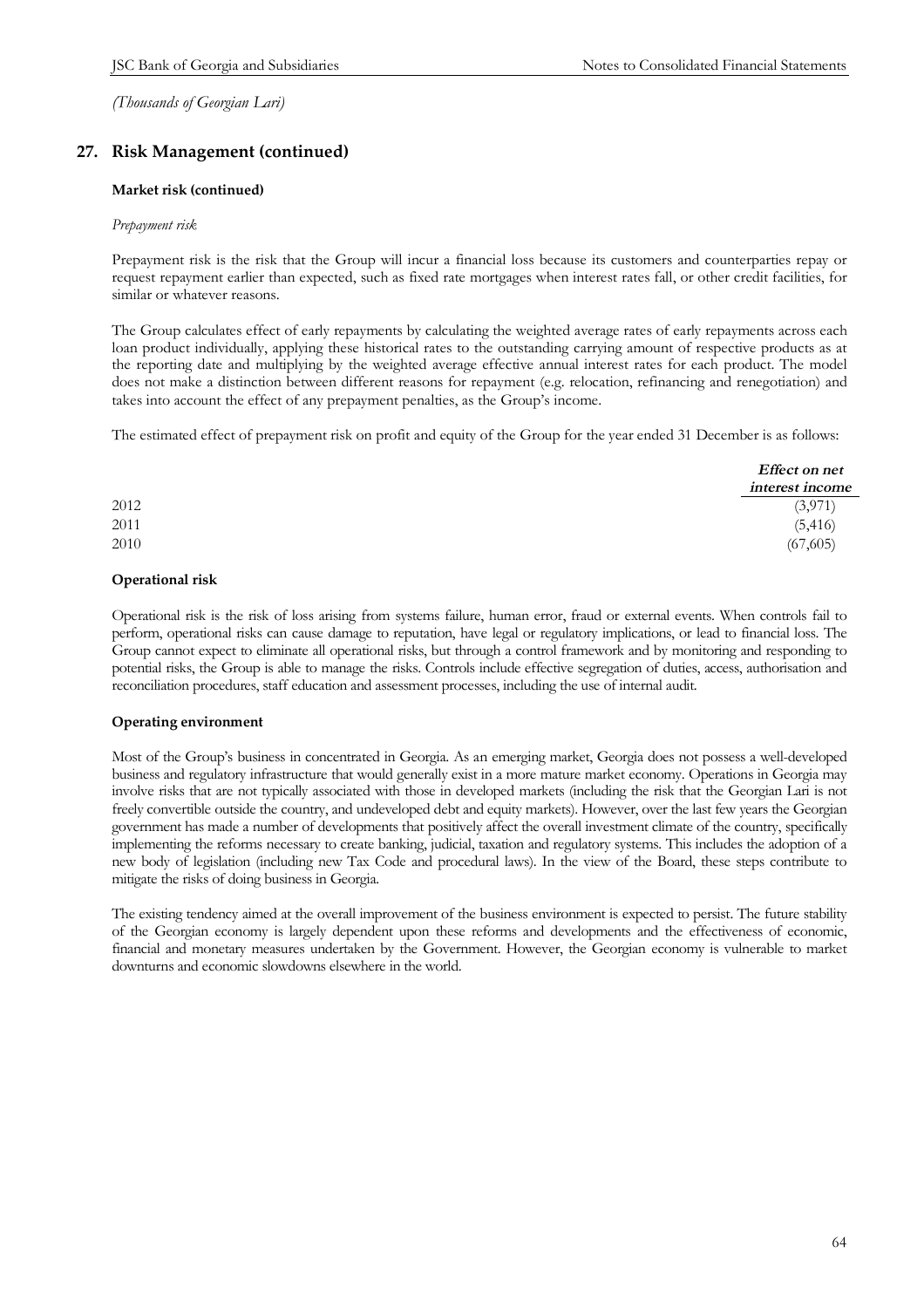## **27. Risk Management (continued)**

#### **Market risk (continued)**

#### *Prepayment risk*

Prepayment risk is the risk that the Group will incur a financial loss because its customers and counterparties repay or request repayment earlier than expected, such as fixed rate mortgages when interest rates fall, or other credit facilities, for similar or whatever reasons.

The Group calculates effect of early repayments by calculating the weighted average rates of early repayments across each loan product individually, applying these historical rates to the outstanding carrying amount of respective products as at the reporting date and multiplying by the weighted average effective annual interest rates for each product. The model does not make a distinction between different reasons for repayment (e.g. relocation, refinancing and renegotiation) and takes into account the effect of any prepayment penalties, as the Group's income.

The estimated effect of prepayment risk on profit and equity of the Group for the year ended 31 December is as follows:

|      | Effect on net   |
|------|-----------------|
|      | interest income |
| 2012 | (3,971)         |
| 2011 | (5, 416)        |
| 2010 | (67,605)        |

#### **Operational risk**

Operational risk is the risk of loss arising from systems failure, human error, fraud or external events. When controls fail to perform, operational risks can cause damage to reputation, have legal or regulatory implications, or lead to financial loss. The Group cannot expect to eliminate all operational risks, but through a control framework and by monitoring and responding to potential risks, the Group is able to manage the risks. Controls include effective segregation of duties, access, authorisation and reconciliation procedures, staff education and assessment processes, including the use of internal audit.

#### **Operating environment**

Most of the Group's business in concentrated in Georgia. As an emerging market, Georgia does not possess a well-developed business and regulatory infrastructure that would generally exist in a more mature market economy. Operations in Georgia may involve risks that are not typically associated with those in developed markets (including the risk that the Georgian Lari is not freely convertible outside the country, and undeveloped debt and equity markets). However, over the last few years the Georgian government has made a number of developments that positively affect the overall investment climate of the country, specifically implementing the reforms necessary to create banking, judicial, taxation and regulatory systems. This includes the adoption of a new body of legislation (including new Tax Code and procedural laws). In the view of the Board, these steps contribute to mitigate the risks of doing business in Georgia.

The existing tendency aimed at the overall improvement of the business environment is expected to persist. The future stability of the Georgian economy is largely dependent upon these reforms and developments and the effectiveness of economic, financial and monetary measures undertaken by the Government. However, the Georgian economy is vulnerable to market downturns and economic slowdowns elsewhere in the world.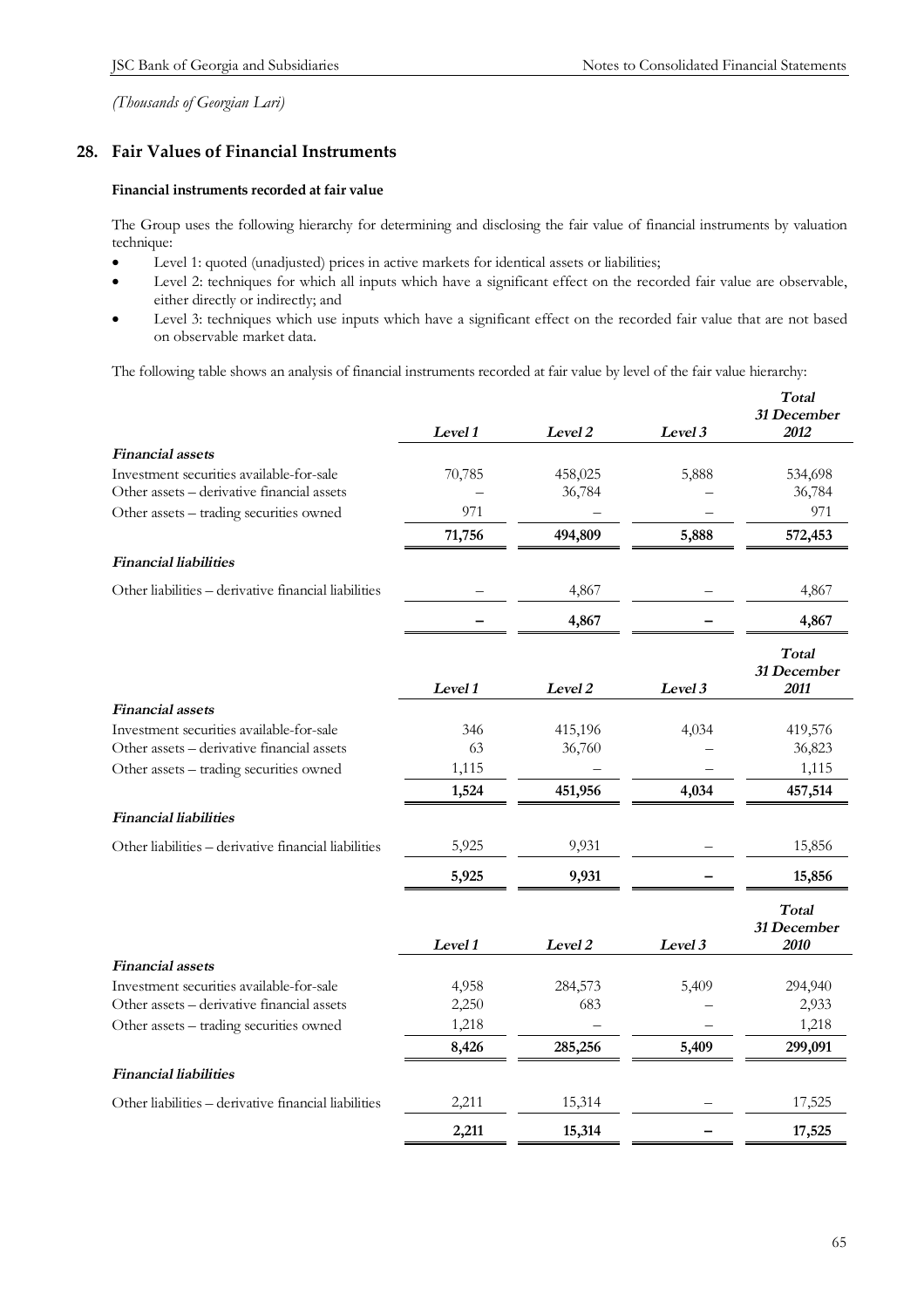# **28. Fair Values of Financial Instruments**

## **Financial instruments recorded at fair value**

The Group uses the following hierarchy for determining and disclosing the fair value of financial instruments by valuation technique:

- Level 1: quoted (unadjusted) prices in active markets for identical assets or liabilities;
- · Level 2: techniques for which all inputs which have a significant effect on the recorded fair value are observable, either directly or indirectly; and
- · Level 3: techniques which use inputs which have a significant effect on the recorded fair value that are not based on observable market data.

The following table shows an analysis of financial instruments recorded at fair value by level of the fair value hierarchy:

|                                                                                        | Level 1        | Level 2           | Level 3 | Total<br>31 December<br>2012 |
|----------------------------------------------------------------------------------------|----------------|-------------------|---------|------------------------------|
| <b>Financial</b> assets                                                                |                |                   |         |                              |
| Investment securities available-for-sale                                               | 70,785         | 458,025           | 5,888   | 534,698                      |
| Other assets - derivative financial assets                                             |                | 36,784            |         | 36,784                       |
| Other assets - trading securities owned                                                | 971            |                   |         | 971                          |
|                                                                                        | 71,756         | 494,809           | 5,888   | 572,453                      |
| <b>Financial liabilities</b>                                                           |                |                   |         |                              |
| Other liabilities - derivative financial liabilities                                   |                | 4,867             |         | 4,867                        |
|                                                                                        |                | 4,867             |         | 4,867                        |
|                                                                                        |                |                   |         | <b>Total</b><br>31 December  |
|                                                                                        | Level 1        | Level 2           | Level 3 | 2011                         |
| <b>Financial</b> assets                                                                |                |                   |         |                              |
| Investment securities available-for-sale<br>Other assets – derivative financial assets | 346<br>63      | 415,196<br>36,760 | 4,034   | 419,576<br>36,823            |
| Other assets – trading securities owned                                                | 1,115          |                   |         | 1,115                        |
|                                                                                        | 1,524          | 451,956           | 4,034   | 457,514                      |
| <b>Financial liabilities</b>                                                           |                |                   |         |                              |
| Other liabilities - derivative financial liabilities                                   | 5,925          | 9,931             |         | 15,856                       |
|                                                                                        | 5,925          | 9,931             |         | 15,856                       |
|                                                                                        |                |                   |         | <b>Total</b><br>31 December  |
|                                                                                        | Level 1        | Level 2           | Level 3 | 2010                         |
| <b>Financial</b> assets                                                                |                |                   |         |                              |
| Investment securities available-for-sale<br>Other assets – derivative financial assets | 4,958          | 284,573<br>683    | 5,409   | 294,940                      |
| Other assets - trading securities owned                                                | 2,250<br>1,218 |                   |         | 2,933<br>1,218               |
|                                                                                        | 8,426          |                   |         |                              |
|                                                                                        |                | 285,256           | 5,409   | 299,091                      |
| <b>Financial liabilities</b>                                                           |                |                   |         |                              |
| Other liabilities - derivative financial liabilities                                   | 2,211          | 15,314            |         | 17,525                       |
|                                                                                        | 2,211          | 15,314            |         | 17,525                       |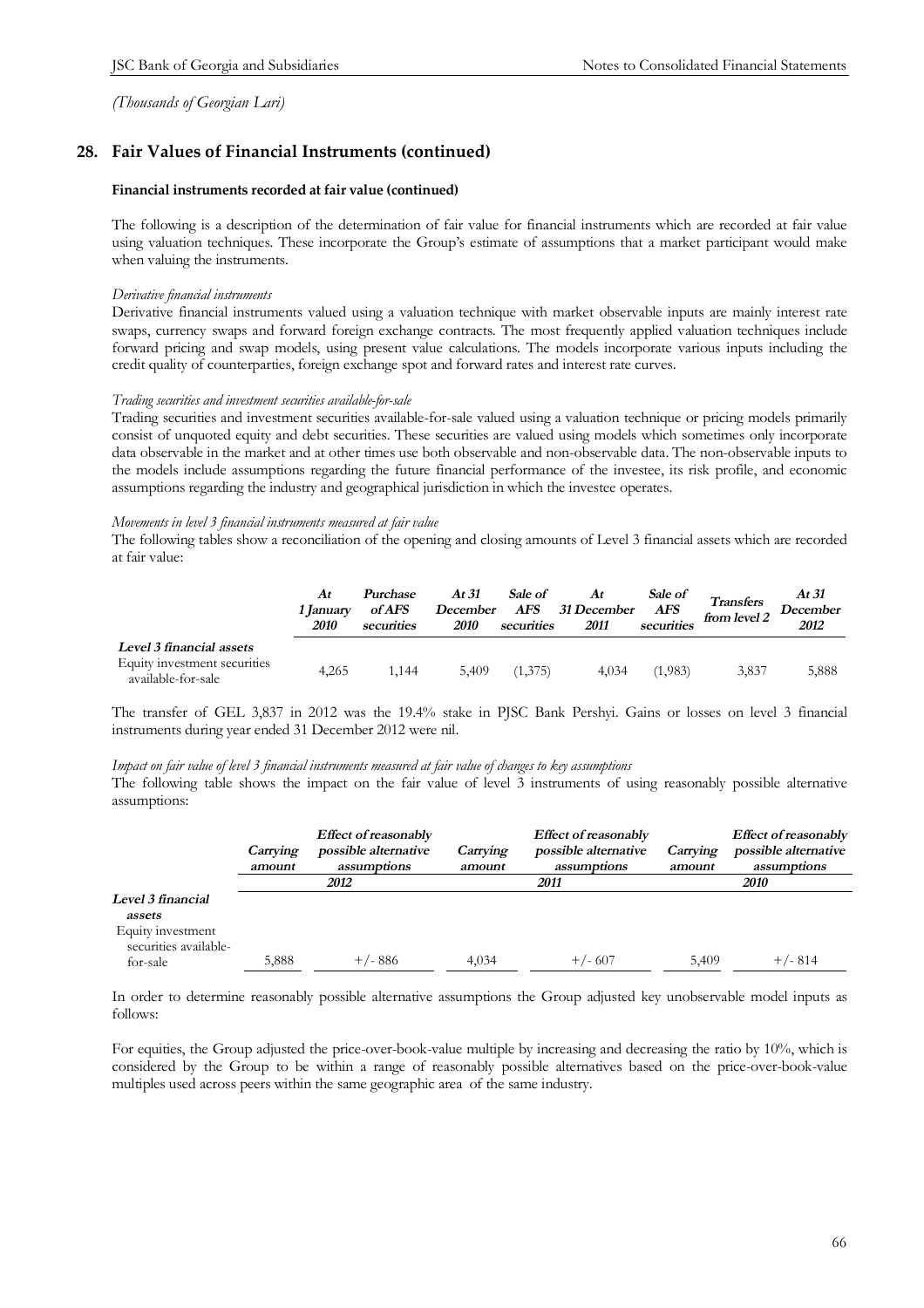## **28. Fair Values of Financial Instruments (continued)**

#### **Financial instruments recorded at fair value (continued)**

The following is a description of the determination of fair value for financial instruments which are recorded at fair value using valuation techniques. These incorporate the Group's estimate of assumptions that a market participant would make when valuing the instruments.

## *Derivative financial instruments*

Derivative financial instruments valued using a valuation technique with market observable inputs are mainly interest rate swaps, currency swaps and forward foreign exchange contracts. The most frequently applied valuation techniques include forward pricing and swap models, using present value calculations. The models incorporate various inputs including the credit quality of counterparties, foreign exchange spot and forward rates and interest rate curves.

## *Trading securities and investment securities available-for-sale*

Trading securities and investment securities available-for-sale valued using a valuation technique or pricing models primarily consist of unquoted equity and debt securities. These securities are valued using models which sometimes only incorporate data observable in the market and at other times use both observable and non-observable data. The non-observable inputs to the models include assumptions regarding the future financial performance of the investee, its risk profile, and economic assumptions regarding the industry and geographical jurisdiction in which the investee operates.

#### *Movements in level 3 financial instruments measured at fair value*

The following tables show a reconciliation of the opening and closing amounts of Level 3 financial assets which are recorded at fair value:

|                                                                                | At<br>1 Ianuary<br>2010 | Purchase<br><i>of AFS</i><br>securities | At 31<br><i>2010</i> | Sale of<br>securities | At<br>December AFS 31 December<br>2011 | Sale of<br>AFS<br>securities | <b>Transfers</b><br>from level 2 | At 31<br>December<br>2012 |
|--------------------------------------------------------------------------------|-------------------------|-----------------------------------------|----------------------|-----------------------|----------------------------------------|------------------------------|----------------------------------|---------------------------|
| Level 3 financial assets<br>Equity investment securities<br>available-for-sale | 4.265                   | 1.144                                   | 5.409                | (1,375)               | 4,034                                  | (1.983)                      | 3,837                            | 5,888                     |

The transfer of GEL 3,837 in 2012 was the 19.4% stake in PJSC Bank Pershyi. Gains or losses on level 3 financial instruments during year ended 31 December 2012 were nil.

Impact on fair value of level 3 financial instruments measured at fair value of changes to key assumptions

The following table shows the impact on the fair value of level 3 instruments of using reasonably possible alternative assumptions:

|                                                                                       | Carrying<br>amount | <b>Effect of reasonably</b><br>possible alternative<br>assumptions | Carrying<br>amount | <b>Effect of reasonably</b><br>possible alternative<br>assumptions | Carrying<br>amount | <b>Effect of reasonably</b><br>possible alternative<br>assumptions |
|---------------------------------------------------------------------------------------|--------------------|--------------------------------------------------------------------|--------------------|--------------------------------------------------------------------|--------------------|--------------------------------------------------------------------|
|                                                                                       |                    | 2012                                                               |                    | 2011                                                               |                    | 2010                                                               |
| Level 3 financial<br>assets<br>Equity investment<br>securities available-<br>for-sale | 5,888              | $+/- 886$                                                          | 4,034              | $+/- 607$                                                          | 5,409              | $+/- 814$                                                          |

In order to determine reasonably possible alternative assumptions the Group adjusted key unobservable model inputs as follows:

For equities, the Group adjusted the price-over-book-value multiple by increasing and decreasing the ratio by 10%, which is considered by the Group to be within a range of reasonably possible alternatives based on the price-over-book-value multiples used across peers within the same geographic area of the same industry.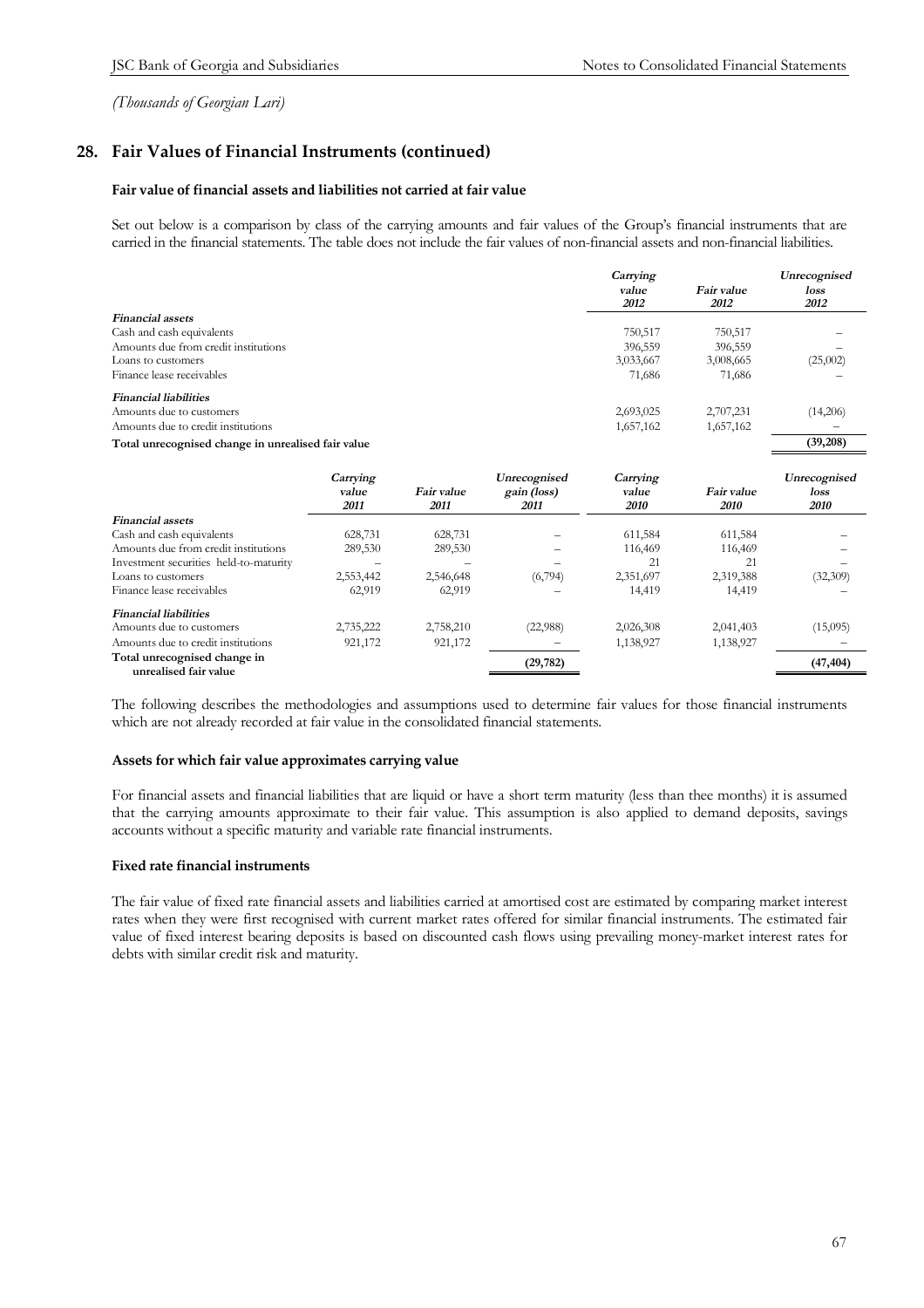## **28. Fair Values of Financial Instruments (continued)**

#### **Fair value of financial assets and liabilities not carried at fair value**

Set out below is a comparison by class of the carrying amounts and fair values of the Group's financial instruments that are carried in the financial statements. The table does not include the fair values of non-financial assets and non-financial liabilities.

|                                                    | Carrying      |                    |              |  |
|----------------------------------------------------|---------------|--------------------|--------------|--|
|                                                    | value<br>2012 | Fair value<br>2012 | loss<br>2012 |  |
| <b>Financial</b> assets                            |               |                    |              |  |
| Cash and cash equivalents                          | 750,517       | 750,517            |              |  |
| Amounts due from credit institutions               | 396,559       | 396,559            |              |  |
| Loans to customers                                 | 3,033,667     | 3,008,665          | (25,002)     |  |
| Finance lease receivables                          | 71.686        | 71.686             |              |  |
| <b>Financial liabilities</b>                       |               |                    |              |  |
| Amounts due to customers                           | 2,693,025     | 2,707,231          | (14,206)     |  |
| Amounts due to credit institutions                 | 1,657,162     | 1,657,162          |              |  |
| Total unrecognised change in unrealised fair value |               |                    | (39,208)     |  |

|                                                       | Carrying<br>value<br>2011 | <b>Fair</b> value<br>2011 | Unrecognised<br>gain (loss)<br>2011 | Carrying<br>value<br>2010 | <b>Fair</b> value<br>2010 | Unrecognised<br>loss<br><b>2010</b> |
|-------------------------------------------------------|---------------------------|---------------------------|-------------------------------------|---------------------------|---------------------------|-------------------------------------|
| <b>Financial</b> assets                               |                           |                           |                                     |                           |                           |                                     |
| Cash and cash equivalents                             | 628,731                   | 628,731                   |                                     | 611,584                   | 611,584                   |                                     |
| Amounts due from credit institutions                  | 289,530                   | 289,530                   |                                     | 116,469                   | 116,469                   |                                     |
| Investment securities held-to-maturity                | -                         | -                         |                                     | 21                        | 21                        |                                     |
| Loans to customers                                    | 2,553,442                 | 2,546,648                 | (6,794)                             | 2,351,697                 | 2,319,388                 | (32,309)                            |
| Finance lease receivables                             | 62,919                    | 62,919                    |                                     | 14,419                    | 14,419                    |                                     |
| <b>Financial liabilities</b>                          |                           |                           |                                     |                           |                           |                                     |
| Amounts due to customers                              | 2,735,222                 | 2,758,210                 | (22,988)                            | 2,026,308                 | 2,041,403                 | (15,095)                            |
| Amounts due to credit institutions                    | 921,172                   | 921,172                   |                                     | 1,138,927                 | 1,138,927                 |                                     |
| Total unrecognised change in<br>unrealised fair value |                           |                           | (29, 782)                           |                           |                           | (47, 404)                           |

The following describes the methodologies and assumptions used to determine fair values for those financial instruments which are not already recorded at fair value in the consolidated financial statements.

#### **Assets for which fair value approximates carrying value**

For financial assets and financial liabilities that are liquid or have a short term maturity (less than thee months) it is assumed that the carrying amounts approximate to their fair value. This assumption is also applied to demand deposits, savings accounts without a specific maturity and variable rate financial instruments.

#### **Fixed rate financial instruments**

The fair value of fixed rate financial assets and liabilities carried at amortised cost are estimated by comparing market interest rates when they were first recognised with current market rates offered for similar financial instruments. The estimated fair value of fixed interest bearing deposits is based on discounted cash flows using prevailing money-market interest rates for debts with similar credit risk and maturity.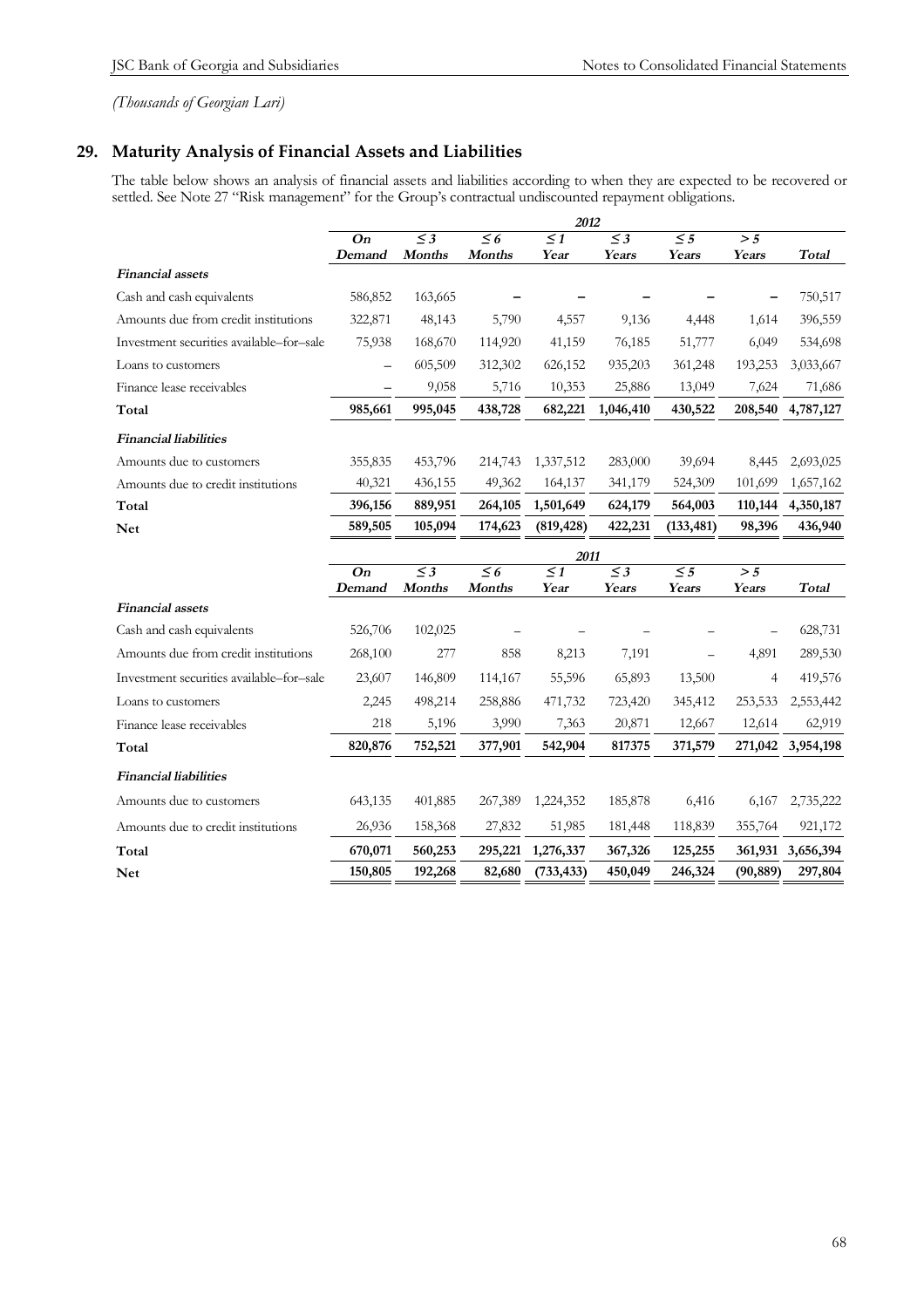# **29. Maturity Analysis of Financial Assets and Liabilities**

The table below shows an analysis of financial assets and liabilities according to when they are expected to be recovered or settled. See Note 27 "Risk management" for the Group's contractual undiscounted repayment obligations.

|                                          |         |               |               | 2012       |           |                     |           |           |
|------------------------------------------|---------|---------------|---------------|------------|-----------|---------------------|-----------|-----------|
|                                          | On      | $\leq$ 3      | $\leq 6$      | $\leq 1$   | $\leq$ 3  | $\overline{\leq 5}$ | > 5       |           |
|                                          | Demand  | <b>Months</b> | <b>Months</b> | Year       | Years     | Years               | Years     | Total     |
| <b>Financial</b> assets                  |         |               |               |            |           |                     |           |           |
| Cash and cash equivalents                | 586,852 | 163,665       |               |            |           |                     |           | 750,517   |
| Amounts due from credit institutions     | 322,871 | 48,143        | 5,790         | 4,557      | 9,136     | 4,448               | 1,614     | 396,559   |
| Investment securities available-for-sale | 75,938  | 168,670       | 114,920       | 41,159     | 76,185    | 51,777              | 6,049     | 534,698   |
| Loans to customers                       |         | 605,509       | 312,302       | 626,152    | 935,203   | 361,248             | 193,253   | 3,033,667 |
| Finance lease receivables                |         | 9,058         | 5,716         | 10,353     | 25,886    | 13,049              | 7,624     | 71,686    |
| Total                                    | 985,661 | 995,045       | 438,728       | 682,221    | 1,046,410 | 430,522             | 208,540   | 4,787,127 |
| <b>Financial liabilities</b>             |         |               |               |            |           |                     |           |           |
| Amounts due to customers                 | 355,835 | 453,796       | 214,743       | 1,337,512  | 283,000   | 39,694              | 8,445     | 2,693,025 |
| Amounts due to credit institutions       | 40,321  | 436,155       | 49,362        | 164,137    | 341,179   | 524,309             | 101,699   | 1,657,162 |
| Total                                    | 396,156 | 889,951       | 264,105       | 1,501,649  | 624,179   | 564,003             | 110,144   | 4,350,187 |
| <b>Net</b>                               | 589,505 | 105,094       | 174,623       | (819, 428) | 422,231   | (133, 481)          | 98,396    | 436,940   |
|                                          |         |               |               | 2011       |           |                     |           |           |
|                                          | On      | $\leq$ 3      | $\leq 6$      | $\leq 1$   | $\leq$ 3  | $\overline{\leq 5}$ | > 5       |           |
|                                          | Demand  | <b>Months</b> | <b>Months</b> | Year       | Years     | Years               | Years     | Total     |
| <b>Financial</b> assets                  |         |               |               |            |           |                     |           |           |
| Cash and cash equivalents                | 526,706 | 102,025       |               |            |           |                     |           | 628,731   |
| Amounts due from credit institutions     | 268,100 | 277           | 858           | 8,213      | 7,191     |                     | 4,891     | 289,530   |
| Investment securities available-for-sale | 23,607  | 146,809       | 114,167       | 55,596     | 65,893    | 13,500              | 4         | 419,576   |
| Loans to customers                       | 2,245   | 498,214       | 258,886       | 471,732    | 723,420   | 345,412             | 253,533   | 2,553,442 |
| Finance lease receivables                | 218     | 5,196         | 3,990         | 7,363      | 20,871    | 12,667              | 12,614    | 62,919    |
| Total                                    | 820,876 | 752,521       | 377,901       | 542,904    | 817375    | 371,579             | 271,042   | 3,954,198 |
| <b>Financial liabilities</b>             |         |               |               |            |           |                     |           |           |
| Amounts due to customers                 | 643,135 | 401,885       | 267,389       | 1,224,352  | 185,878   | 6,416               | 6,167     | 2,735,222 |
| Amounts due to credit institutions       | 26,936  | 158,368       | 27,832        | 51,985     | 181,448   | 118,839             | 355,764   | 921,172   |
| Total                                    | 670,071 | 560,253       | 295,221       | 1,276,337  | 367,326   | 125,255             | 361,931   | 3,656,394 |
| <b>Net</b>                               | 150,805 | 192,268       | 82,680        | (733, 433) | 450,049   | 246,324             | (90, 889) | 297,804   |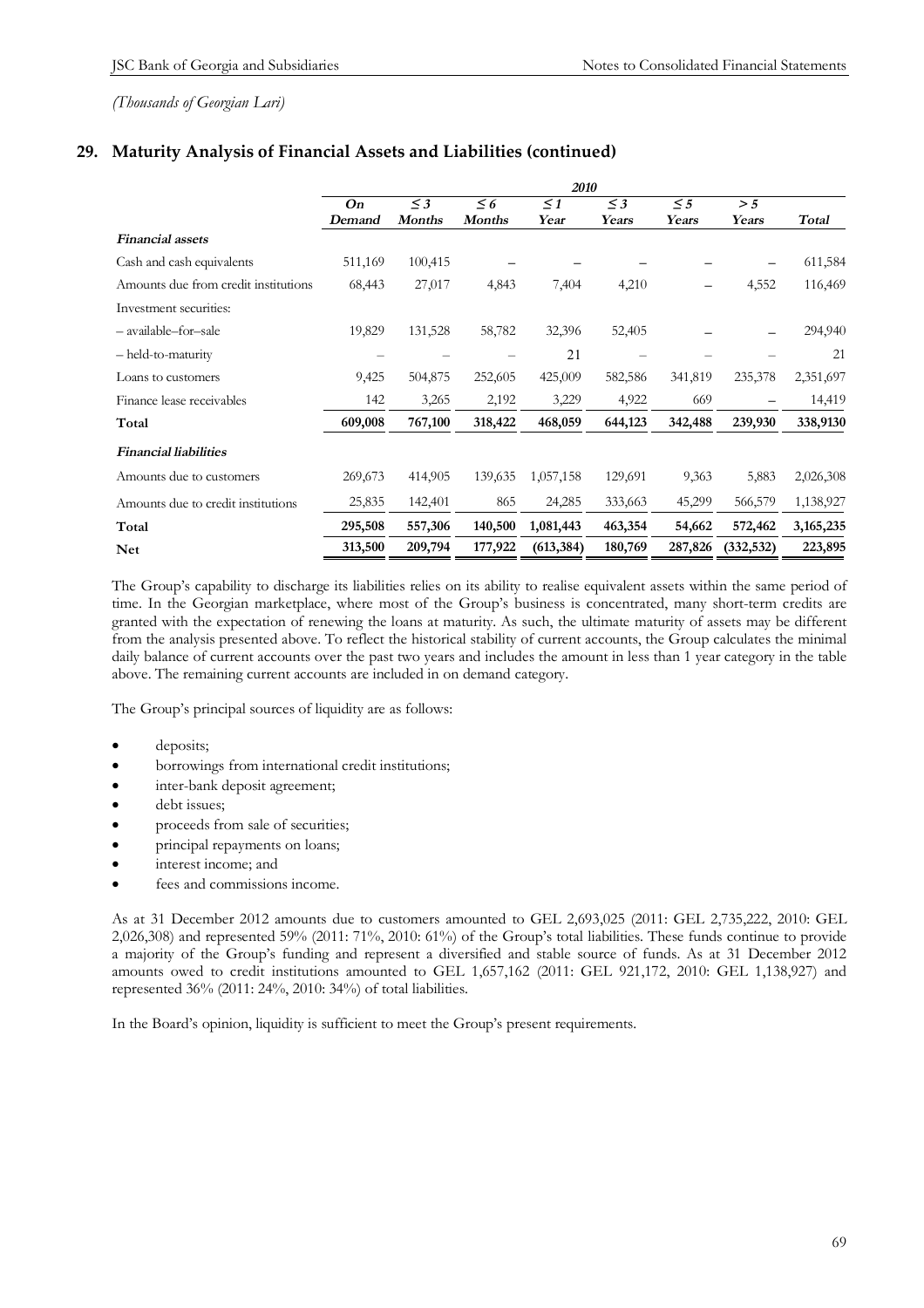## *(Thousands of Georgian Lari)*

# **29. Maturity Analysis of Financial Assets and Liabilities (continued)**

|                                      | 2010    |               |               |            |          |          |            |             |
|--------------------------------------|---------|---------------|---------------|------------|----------|----------|------------|-------------|
|                                      | On      | $\leq$ 3      | $\leq 6$      | $\leq$ 1   | $\leq$ 3 | $\leq$ 5 | > 5        |             |
|                                      | Demand  | <b>Months</b> | <b>Months</b> | Year       | Years    | Years    | Years      | Total       |
| <b>Financial assets</b>              |         |               |               |            |          |          |            |             |
| Cash and cash equivalents            | 511,169 | 100,415       |               |            |          |          |            | 611,584     |
| Amounts due from credit institutions | 68,443  | 27,017        | 4,843         | 7,404      | 4,210    |          | 4,552      | 116,469     |
| Investment securities:               |         |               |               |            |          |          |            |             |
| - available-for-sale                 | 19,829  | 131,528       | 58,782        | 32,396     | 52,405   |          |            | 294,940     |
| - held-to-maturity                   |         |               |               | 21         |          |          |            | 21          |
| Loans to customers                   | 9,425   | 504,875       | 252,605       | 425,009    | 582,586  | 341,819  | 235,378    | 2,351,697   |
| Finance lease receivables            | 142     | 3,265         | 2,192         | 3,229      | 4,922    | 669      |            | 14,419      |
| Total                                | 609,008 | 767,100       | 318,422       | 468,059    | 644,123  | 342,488  | 239,930    | 338,9130    |
| <b>Financial liabilities</b>         |         |               |               |            |          |          |            |             |
| Amounts due to customers             | 269,673 | 414,905       | 139,635       | 1,057,158  | 129,691  | 9,363    | 5,883      | 2,026,308   |
| Amounts due to credit institutions   | 25,835  | 142,401       | 865           | 24,285     | 333,663  | 45,299   | 566,579    | 1,138,927   |
| Total                                | 295,508 | 557,306       | 140,500       | 1,081,443  | 463,354  | 54,662   | 572,462    | 3, 165, 235 |
| <b>Net</b>                           | 313,500 | 209,794       | 177,922       | (613, 384) | 180,769  | 287,826  | (332, 532) | 223,895     |

The Group's capability to discharge its liabilities relies on its ability to realise equivalent assets within the same period of time. In the Georgian marketplace, where most of the Group's business is concentrated, many short-term credits are granted with the expectation of renewing the loans at maturity. As such, the ultimate maturity of assets may be different from the analysis presented above. To reflect the historical stability of current accounts, the Group calculates the minimal daily balance of current accounts over the past two years and includes the amount in less than 1 year category in the table above. The remaining current accounts are included in on demand category.

The Group's principal sources of liquidity are as follows:

- deposits;
- borrowings from international credit institutions;
- inter-bank deposit agreement;
- debt issues;
- proceeds from sale of securities;
- principal repayments on loans;
- · interest income; and
- fees and commissions income.

As at 31 December 2012 amounts due to customers amounted to GEL 2,693,025 (2011: GEL 2,735,222, 2010: GEL 2,026,308) and represented 59% (2011: 71%, 2010: 61%) of the Group's total liabilities. These funds continue to provide a majority of the Group's funding and represent a diversified and stable source of funds. As at 31 December 2012 amounts owed to credit institutions amounted to GEL 1,657,162 (2011: GEL 921,172, 2010: GEL 1,138,927) and represented 36% (2011: 24%, 2010: 34%) of total liabilities.

In the Board's opinion, liquidity is sufficient to meet the Group's present requirements.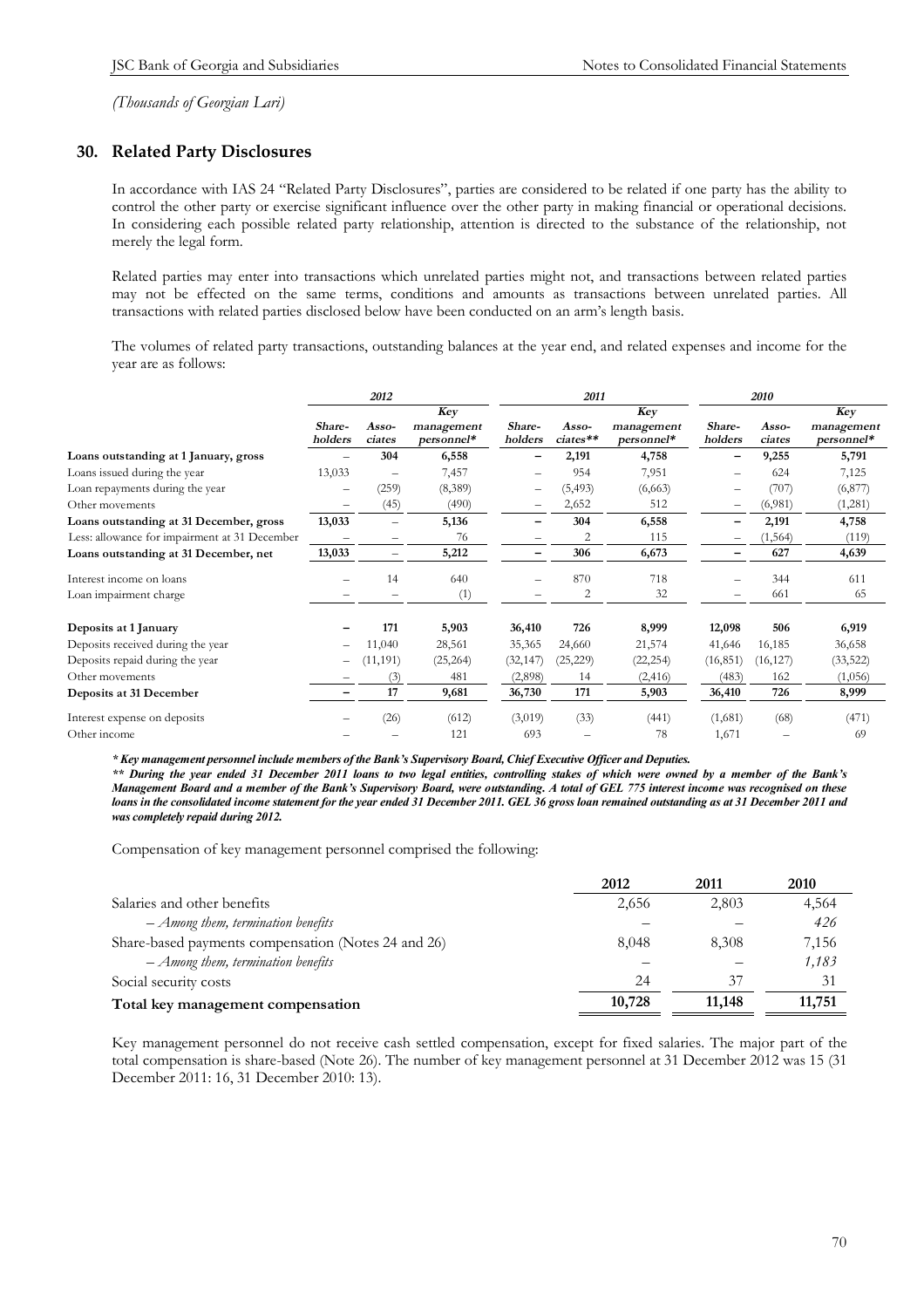*(Thousands of Georgian Lari)* 

## **30. Related Party Disclosures**

In accordance with IAS 24 "Related Party Disclosures", parties are considered to be related if one party has the ability to control the other party or exercise significant influence over the other party in making financial or operational decisions. In considering each possible related party relationship, attention is directed to the substance of the relationship, not merely the legal form.

Related parties may enter into transactions which unrelated parties might not, and transactions between related parties may not be effected on the same terms, conditions and amounts as transactions between unrelated parties. All transactions with related parties disclosed below have been conducted on an arm's length basis.

The volumes of related party transactions, outstanding balances at the year end, and related expenses and income for the year are as follows:

|                                               | 2012                     |                          | 2011                            |                          |                   | 2010                            |                   |                 |                                 |
|-----------------------------------------------|--------------------------|--------------------------|---------------------------------|--------------------------|-------------------|---------------------------------|-------------------|-----------------|---------------------------------|
|                                               | Share-<br>holders        | Asso-<br>ciates          | Key<br>management<br>personnel* | Share-<br>holders        | Asso-<br>ciates** | Key<br>management<br>personnel* | Share-<br>holders | Asso-<br>ciates | Key<br>management<br>personnel* |
| Loans outstanding at 1 January, gross         |                          | 304                      | 6,558                           |                          | 2,191             | 4,758                           | -                 | 9,255           | 5,791                           |
| Loans issued during the year                  | 13,033                   | $\overline{\phantom{0}}$ | 7,457                           |                          | 954               | 7,951                           |                   | 624             | 7,125                           |
| Loan repayments during the year               | -                        | (259)                    | (8,389)                         | -                        | (5, 493)          | (6,663)                         |                   | (707)           | (6,877)                         |
| Other movements                               | -                        | (45)                     | (490)                           | $\overline{\phantom{0}}$ | 2,652             | 512                             | $\qquad \qquad$   | (6,981)         | (1,281)                         |
| Loans outstanding at 31 December, gross       | 13,033                   | $\overline{\phantom{0}}$ | 5,136                           |                          | 304               | 6,558                           |                   | 2,191           | 4,758                           |
| Less: allowance for impairment at 31 December |                          | -                        | 76                              |                          | $\overline{2}$    | 115                             |                   | (1,564)         | (119)                           |
| Loans outstanding at 31 December, net         | 13,033                   | —                        | 5,212                           |                          | 306               | 6,673                           |                   | 627             | 4,639                           |
| Interest income on loans                      |                          | 14                       | 640                             |                          | 870               | 718                             |                   | 344             | 611                             |
| Loan impairment charge                        |                          | -                        | (1)                             |                          | $\overline{c}$    | 32                              |                   | 661             | 65                              |
| Deposits at 1 January                         |                          | 171                      | 5,903                           | 36,410                   | 726               | 8,999                           | 12,098            | 506             | 6,919                           |
| Deposits received during the year             |                          | 11,040                   | 28,561                          | 35,365                   | 24,660            | 21,574                          | 41,646            | 16,185          | 36,658                          |
| Deposits repaid during the year               | $\overline{\phantom{0}}$ | (11, 191)                | (25, 264)                       | (32, 147)                | (25, 229)         | (22, 254)                       | (16, 851)         | (16, 127)       | (33, 522)                       |
| Other movements                               |                          | (3)                      | 481                             | (2,898)                  | 14                | (2, 416)                        | (483)             | 162             | (1,056)                         |
| Deposits at 31 December                       |                          | 17                       | 9,681                           | 36,730                   | 171               | 5,903                           | 36,410            | 726             | 8,999                           |
| Interest expense on deposits                  |                          | (26)                     | (612)                           | (3,019)                  | (33)              | (441)                           | (1,681)           | (68)            | (471)                           |
| Other income                                  |                          |                          | 121                             | 693                      |                   | 78                              | 1,671             |                 | 69                              |

*\* Key management personnel include members of the Bank's Supervisory Board, Chief Executive Officer and Deputies.* 

\*\* During the year ended 31 December 2011 loans to two legal entities, controlling stakes of which were owned by a member of the Bank's Management Board and a member of the Bank's Supervisory Board, were outstanding. A total of GEL 775 interest income was recognised on these loans in the consolidated income statement for the year ended 31 December 2011. GEL 36 gross loan remained outstanding as at 31 December 2011 and *was completely repaid during 2012.* 

Compensation of key management personnel comprised the following:

|                                                     | 2012   | 2011   | 2010   |
|-----------------------------------------------------|--------|--------|--------|
| Salaries and other benefits                         | 2,656  | 2,803  | 4,564  |
| $-$ Among them, termination benefits                |        |        | 426    |
| Share-based payments compensation (Notes 24 and 26) | 8,048  | 8,308  | 7,156  |
| $-A$ <i>mong them, termination benefits</i>         |        |        | 1,183  |
| Social security costs                               | 24     | 37     | 31     |
| Total key management compensation                   | 10,728 | 11,148 | 11,751 |

Key management personnel do not receive cash settled compensation, except for fixed salaries. The major part of the total compensation is share-based (Note 26). The number of key management personnel at 31 December 2012 was 15 (31 December 2011: 16, 31 December 2010: 13).